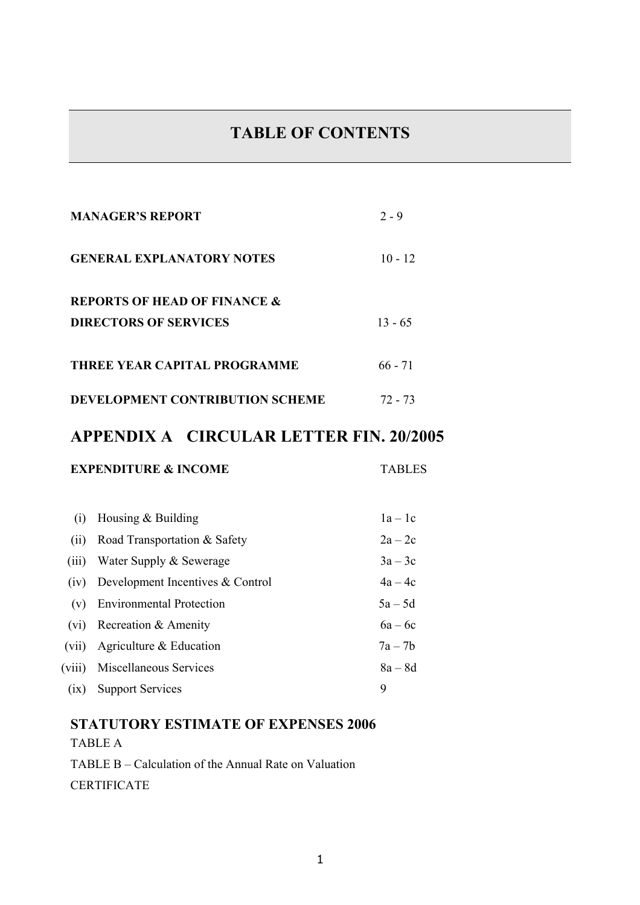# **TABLE OF CONTENTS**

|                                 | <b>MANAGER'S REPORT</b>                        | $2 - 9$       |  |  |
|---------------------------------|------------------------------------------------|---------------|--|--|
|                                 | <b>GENERAL EXPLANATORY NOTES</b>               | $10 - 12$     |  |  |
|                                 | <b>REPORTS OF HEAD OF FINANCE &amp;</b>        |               |  |  |
|                                 | <b>DIRECTORS OF SERVICES</b>                   | $13 - 65$     |  |  |
|                                 | THREE YEAR CAPITAL PROGRAMME                   | $66 - 71$     |  |  |
| DEVELOPMENT CONTRIBUTION SCHEME | $72 - 73$                                      |               |  |  |
|                                 | <b>APPENDIX A CIRCULAR LETTER FIN. 20/2005</b> |               |  |  |
|                                 | <b>EXPENDITURE &amp; INCOME</b>                | <b>TABLES</b> |  |  |
|                                 |                                                |               |  |  |
| (i)                             | Housing & Building                             | $1a-1c$       |  |  |
| (ii)                            | Road Transportation & Safety                   | $2a-2c$       |  |  |
| (iii)                           | Water Supply & Sewerage                        | $3a-3c$       |  |  |
| (iv)                            | Development Incentives & Control               | $4a - 4c$     |  |  |
| (v)                             | <b>Environmental Protection</b>                | $5a - 5d$     |  |  |
| (vi)                            | Recreation & Amenity                           | $6a - 6c$     |  |  |
| (vii)                           | Agriculture & Education                        | $7a - 7b$     |  |  |
| (viii)                          | Miscellaneous Services                         | $8a - 8d$     |  |  |

(ix) Support Services 9

# **STATUTORY ESTIMATE OF EXPENSES 2006**  TABLE A

TABLE B – Calculation of the Annual Rate on Valuation **CERTIFICATE**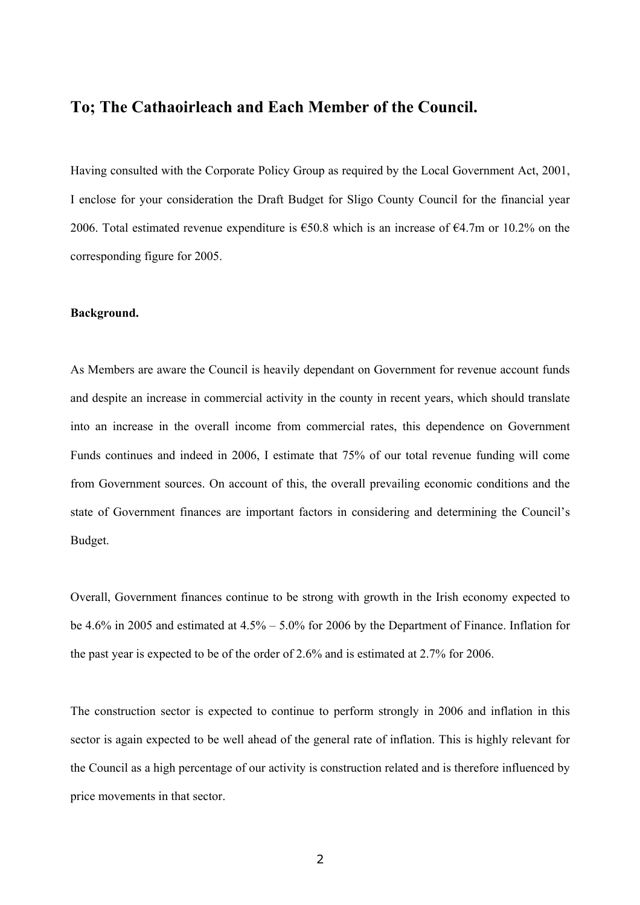## **To; The Cathaoirleach and Each Member of the Council.**

Having consulted with the Corporate Policy Group as required by the Local Government Act, 2001, I enclose for your consideration the Draft Budget for Sligo County Council for the financial year 2006. Total estimated revenue expenditure is  $\epsilon$ 50.8 which is an increase of  $\epsilon$ 4.7m or 10.2% on the corresponding figure for 2005.

#### **Background.**

As Members are aware the Council is heavily dependant on Government for revenue account funds and despite an increase in commercial activity in the county in recent years, which should translate into an increase in the overall income from commercial rates, this dependence on Government Funds continues and indeed in 2006, I estimate that 75% of our total revenue funding will come from Government sources. On account of this, the overall prevailing economic conditions and the state of Government finances are important factors in considering and determining the Council's Budget.

Overall, Government finances continue to be strong with growth in the Irish economy expected to be 4.6% in 2005 and estimated at 4.5% – 5.0% for 2006 by the Department of Finance. Inflation for the past year is expected to be of the order of 2.6% and is estimated at 2.7% for 2006.

The construction sector is expected to continue to perform strongly in 2006 and inflation in this sector is again expected to be well ahead of the general rate of inflation. This is highly relevant for the Council as a high percentage of our activity is construction related and is therefore influenced by price movements in that sector.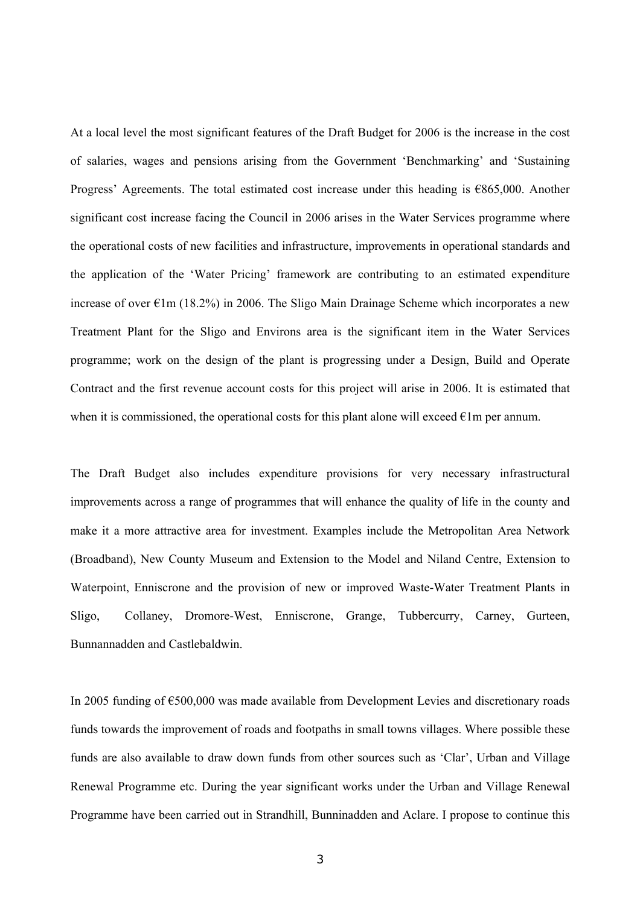At a local level the most significant features of the Draft Budget for 2006 is the increase in the cost of salaries, wages and pensions arising from the Government 'Benchmarking' and 'Sustaining Progress' Agreements. The total estimated cost increase under this heading is €865,000. Another significant cost increase facing the Council in 2006 arises in the Water Services programme where the operational costs of new facilities and infrastructure, improvements in operational standards and the application of the 'Water Pricing' framework are contributing to an estimated expenditure increase of over  $\epsilon$ 1m (18.2%) in 2006. The Sligo Main Drainage Scheme which incorporates a new Treatment Plant for the Sligo and Environs area is the significant item in the Water Services programme; work on the design of the plant is progressing under a Design, Build and Operate Contract and the first revenue account costs for this project will arise in 2006. It is estimated that when it is commissioned, the operational costs for this plant alone will exceed  $\epsilon$ 1m per annum.

The Draft Budget also includes expenditure provisions for very necessary infrastructural improvements across a range of programmes that will enhance the quality of life in the county and make it a more attractive area for investment. Examples include the Metropolitan Area Network (Broadband), New County Museum and Extension to the Model and Niland Centre, Extension to Waterpoint, Enniscrone and the provision of new or improved Waste-Water Treatment Plants in Sligo, Collaney, Dromore-West, Enniscrone, Grange, Tubbercurry, Carney, Gurteen, Bunnannadden and Castlebaldwin.

In 2005 funding of €500,000 was made available from Development Levies and discretionary roads funds towards the improvement of roads and footpaths in small towns villages. Where possible these funds are also available to draw down funds from other sources such as 'Clar', Urban and Village Renewal Programme etc. During the year significant works under the Urban and Village Renewal Programme have been carried out in Strandhill, Bunninadden and Aclare. I propose to continue this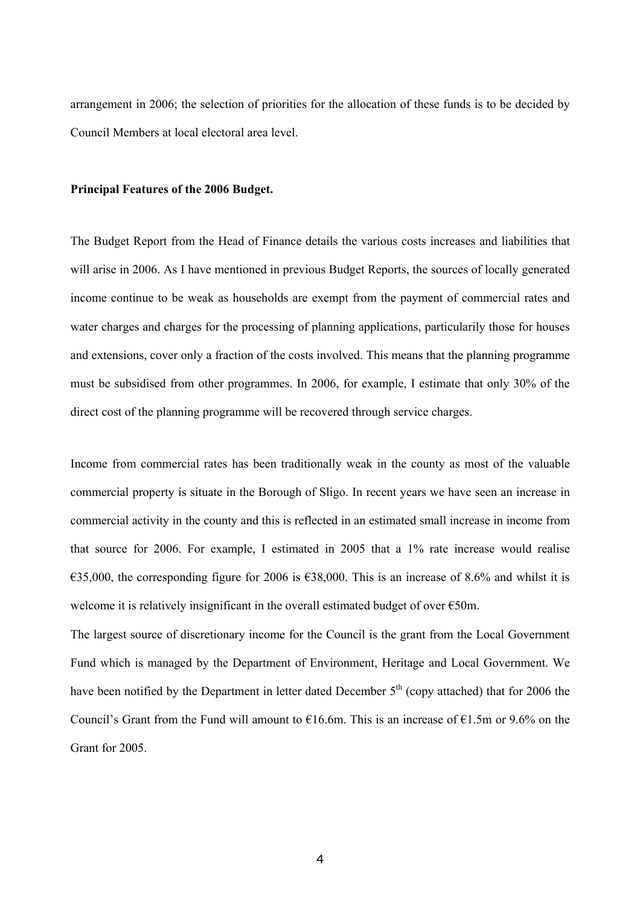arrangement in 2006; the selection of priorities for the allocation of these funds is to be decided by Council Members at local electoral area level.

#### **Principal Features of the 2006 Budget.**

The Budget Report from the Head of Finance details the various costs increases and liabilities that will arise in 2006. As I have mentioned in previous Budget Reports, the sources of locally generated income continue to be weak as households are exempt from the payment of commercial rates and water charges and charges for the processing of planning applications, particularily those for houses and extensions, cover only a fraction of the costs involved. This means that the planning programme must be subsidised from other programmes. In 2006, for example, I estimate that only 30% of the direct cost of the planning programme will be recovered through service charges.

Income from commercial rates has been traditionally weak in the county as most of the valuable commercial property is situate in the Borough of Sligo. In recent years we have seen an increase in commercial activity in the county and this is reflected in an estimated small increase in income from that source for 2006. For example, I estimated in 2005 that a 1% rate increase would realise €35,000, the corresponding figure for 2006 is €38,000. This is an increase of 8.6% and whilst it is welcome it is relatively insignificant in the overall estimated budget of over €50m.

The largest source of discretionary income for the Council is the grant from the Local Government Fund which is managed by the Department of Environment, Heritage and Local Government. We have been notified by the Department in letter dated December 5<sup>th</sup> (copy attached) that for 2006 the Council's Grant from the Fund will amount to  $\epsilon$ 16.6m. This is an increase of  $\epsilon$ 1.5m or 9.6% on the Grant for 2005.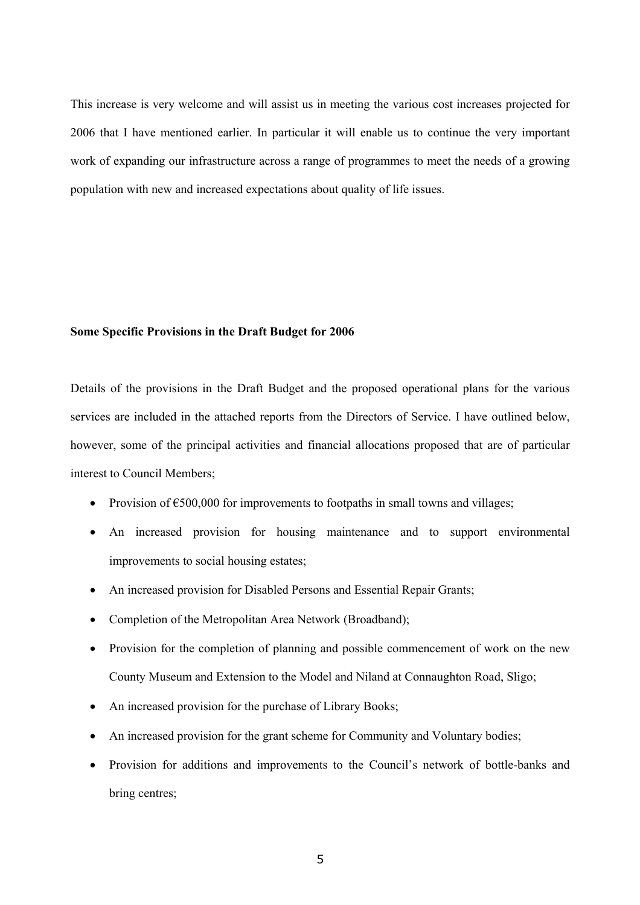This increase is very welcome and will assist us in meeting the various cost increases projected for 2006 that I have mentioned earlier. In particular it will enable us to continue the very important work of expanding our infrastructure across a range of programmes to meet the needs of a growing population with new and increased expectations about quality of life issues.

#### **Some Specific Provisions in the Draft Budget for 2006**

Details of the provisions in the Draft Budget and the proposed operational plans for the various services are included in the attached reports from the Directors of Service. I have outlined below, however, some of the principal activities and financial allocations proposed that are of particular interest to Council Members;

- Provision of  $\epsilon$ 500,000 for improvements to footpaths in small towns and villages;
- An increased provision for housing maintenance and to support environmental improvements to social housing estates;
- An increased provision for Disabled Persons and Essential Repair Grants;
- Completion of the Metropolitan Area Network (Broadband);
- Provision for the completion of planning and possible commencement of work on the new County Museum and Extension to the Model and Niland at Connaughton Road, Sligo;
- An increased provision for the purchase of Library Books;
- An increased provision for the grant scheme for Community and Voluntary bodies;
- Provision for additions and improvements to the Council's network of bottle-banks and bring centres;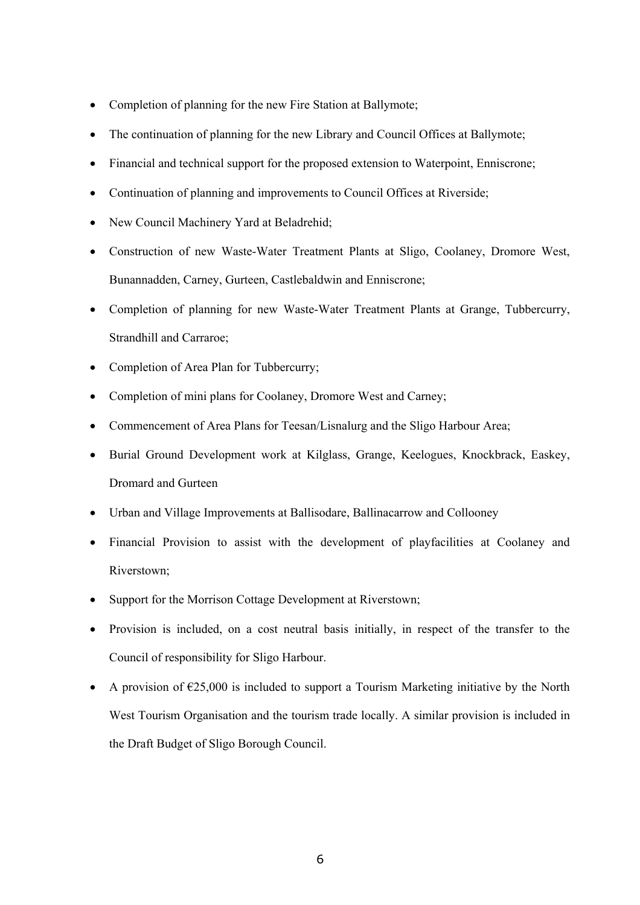- Completion of planning for the new Fire Station at Ballymote;
- The continuation of planning for the new Library and Council Offices at Ballymote;
- Financial and technical support for the proposed extension to Waterpoint, Enniscrone;
- Continuation of planning and improvements to Council Offices at Riverside;
- New Council Machinery Yard at Beladrehid;
- Construction of new Waste-Water Treatment Plants at Sligo, Coolaney, Dromore West, Bunannadden, Carney, Gurteen, Castlebaldwin and Enniscrone;
- Completion of planning for new Waste-Water Treatment Plants at Grange, Tubbercurry, Strandhill and Carraroe;
- Completion of Area Plan for Tubbercurry;
- Completion of mini plans for Coolaney, Dromore West and Carney;
- Commencement of Area Plans for Teesan/Lisnalurg and the Sligo Harbour Area;
- Burial Ground Development work at Kilglass, Grange, Keelogues, Knockbrack, Easkey, Dromard and Gurteen
- Urban and Village Improvements at Ballisodare, Ballinacarrow and Collooney
- Financial Provision to assist with the development of playfacilities at Coolaney and Riverstown;
- Support for the Morrison Cottage Development at Riverstown;
- Provision is included, on a cost neutral basis initially, in respect of the transfer to the Council of responsibility for Sligo Harbour.
- A provision of  $\epsilon$ 25,000 is included to support a Tourism Marketing initiative by the North West Tourism Organisation and the tourism trade locally. A similar provision is included in the Draft Budget of Sligo Borough Council.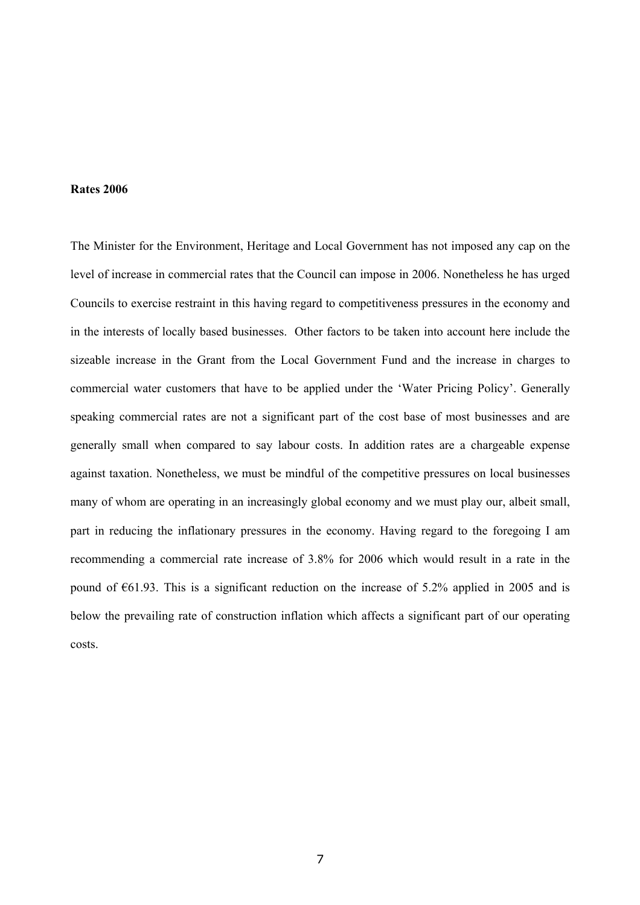#### **Rates 2006**

The Minister for the Environment, Heritage and Local Government has not imposed any cap on the level of increase in commercial rates that the Council can impose in 2006. Nonetheless he has urged Councils to exercise restraint in this having regard to competitiveness pressures in the economy and in the interests of locally based businesses. Other factors to be taken into account here include the sizeable increase in the Grant from the Local Government Fund and the increase in charges to commercial water customers that have to be applied under the 'Water Pricing Policy'. Generally speaking commercial rates are not a significant part of the cost base of most businesses and are generally small when compared to say labour costs. In addition rates are a chargeable expense against taxation. Nonetheless, we must be mindful of the competitive pressures on local businesses many of whom are operating in an increasingly global economy and we must play our, albeit small, part in reducing the inflationary pressures in the economy. Having regard to the foregoing I am recommending a commercial rate increase of 3.8% for 2006 which would result in a rate in the pound of  $\epsilon$ 61.93. This is a significant reduction on the increase of 5.2% applied in 2005 and is below the prevailing rate of construction inflation which affects a significant part of our operating costs.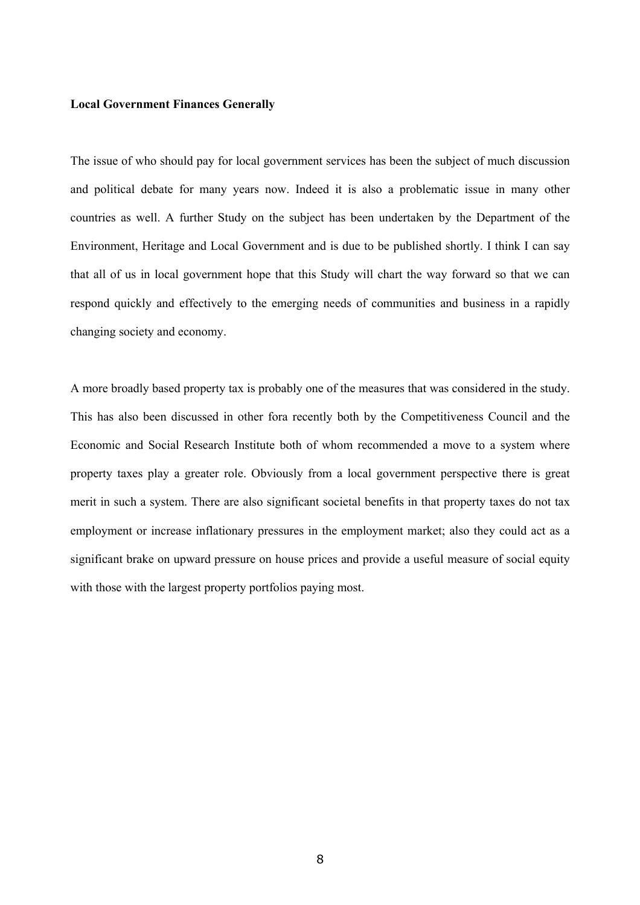#### **Local Government Finances Generally**

The issue of who should pay for local government services has been the subject of much discussion and political debate for many years now. Indeed it is also a problematic issue in many other countries as well. A further Study on the subject has been undertaken by the Department of the Environment, Heritage and Local Government and is due to be published shortly. I think I can say that all of us in local government hope that this Study will chart the way forward so that we can respond quickly and effectively to the emerging needs of communities and business in a rapidly changing society and economy.

A more broadly based property tax is probably one of the measures that was considered in the study. This has also been discussed in other fora recently both by the Competitiveness Council and the Economic and Social Research Institute both of whom recommended a move to a system where property taxes play a greater role. Obviously from a local government perspective there is great merit in such a system. There are also significant societal benefits in that property taxes do not tax employment or increase inflationary pressures in the employment market; also they could act as a significant brake on upward pressure on house prices and provide a useful measure of social equity with those with the largest property portfolios paying most.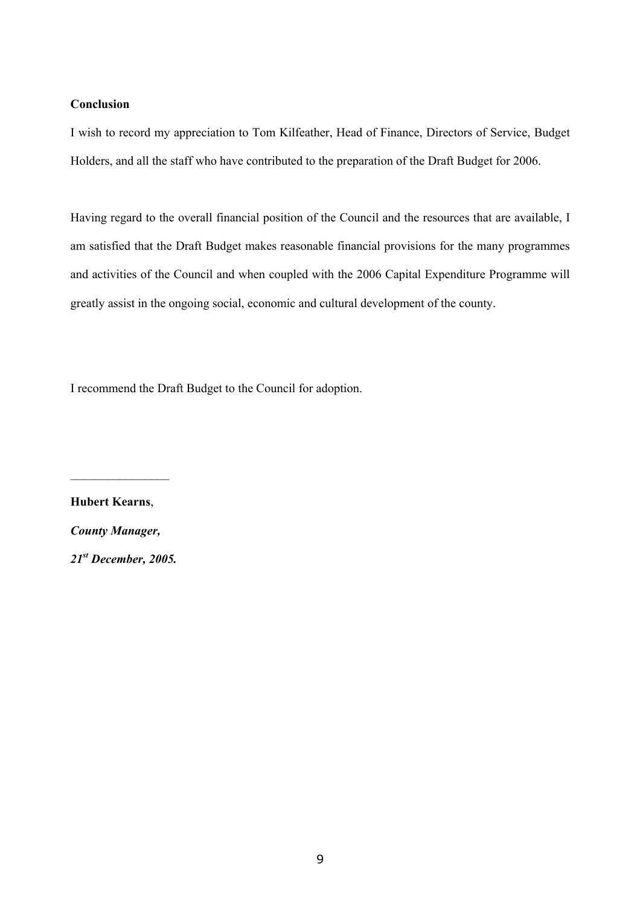#### **Conclusion**

I wish to record my appreciation to Tom Kilfeather, Head of Finance, Directors of Service, Budget Holders, and all the staff who have contributed to the preparation of the Draft Budget for 2006.

Having regard to the overall financial position of the Council and the resources that are available, I am satisfied that the Draft Budget makes reasonable financial provisions for the many programmes and activities of the Council and when coupled with the 2006 Capital Expenditure Programme will greatly assist in the ongoing social, economic and cultural development of the county.

I recommend the Draft Budget to the Council for adoption.

**Hubert Kearns**, *County Manager, 21st December, 2005.* 

 $\frac{1}{2}$  ,  $\frac{1}{2}$  ,  $\frac{1}{2}$  ,  $\frac{1}{2}$  ,  $\frac{1}{2}$  ,  $\frac{1}{2}$  ,  $\frac{1}{2}$  ,  $\frac{1}{2}$  ,  $\frac{1}{2}$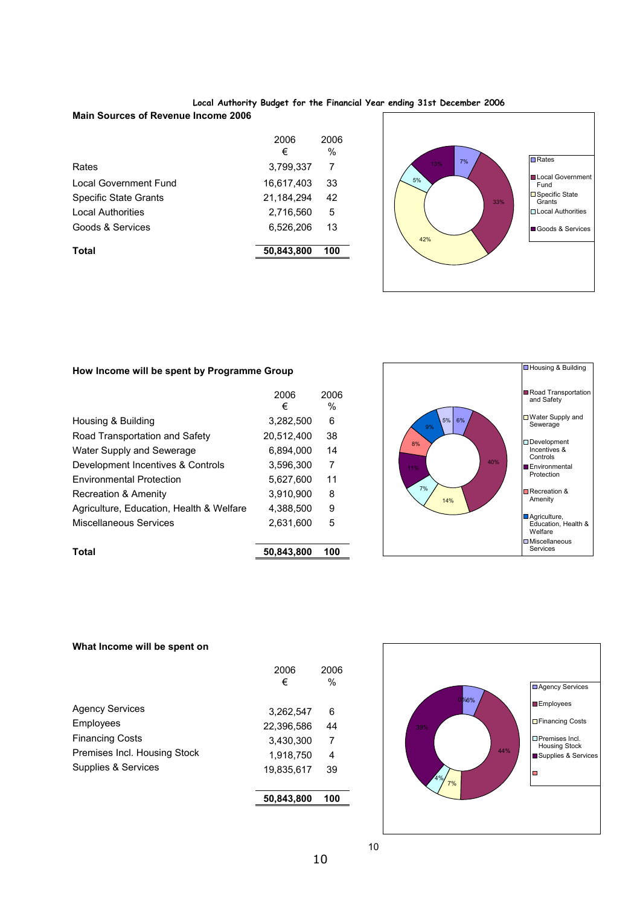#### **Local Authority Budget for the Financial Year ending 31st December 2006**

#### **Main Sources of Revenue Income 2006**

|                              | 2006<br>€    | 2006<br>$\%$ |
|------------------------------|--------------|--------------|
| Rates                        | 3,799,337    | 7            |
| Local Government Fund        | 16,617,403   | 33           |
| <b>Specific State Grants</b> | 21, 184, 294 | 42           |
| <b>Local Authorities</b>     | 2.716.560    | 5            |
| Goods & Services             | 6,526,206    | 13           |
| Total                        | 50,843,800   | 100          |
|                              |              |              |



#### **How Income will be spent by Programme Group**

| Total                                    | 50,843,800 | 100  |  |
|------------------------------------------|------------|------|--|
|                                          |            |      |  |
| Miscellaneous Services                   | 2.631.600  | 5    |  |
| Agriculture, Education, Health & Welfare | 4,388,500  | 9    |  |
| Recreation & Amenity                     | 3.910.900  | 8    |  |
| <b>Environmental Protection</b>          | 5.627.600  | 11   |  |
| Development Incentives & Controls        | 3,596,300  | 7    |  |
| Water Supply and Sewerage                | 6.894.000  | 14   |  |
| Road Transportation and Safety           | 20.512.400 | 38   |  |
| Housing & Building                       | 3.282.500  | 6    |  |
|                                          | €          | $\%$ |  |
|                                          | 2006       | 2006 |  |



#### **What Income will be spent on**

|                              | 2006<br>€  | 2006<br>$\frac{0}{0}$ |
|------------------------------|------------|-----------------------|
| <b>Agency Services</b>       | 3,262,547  | 6                     |
| Employees                    | 22,396,586 | 44                    |
| <b>Financing Costs</b>       | 3.430.300  | 7                     |
| Premises Incl. Housing Stock | 1,918,750  | 4                     |
| Supplies & Services          | 19,835,617 | 39                    |
|                              | 50,843,800 | 100                   |



10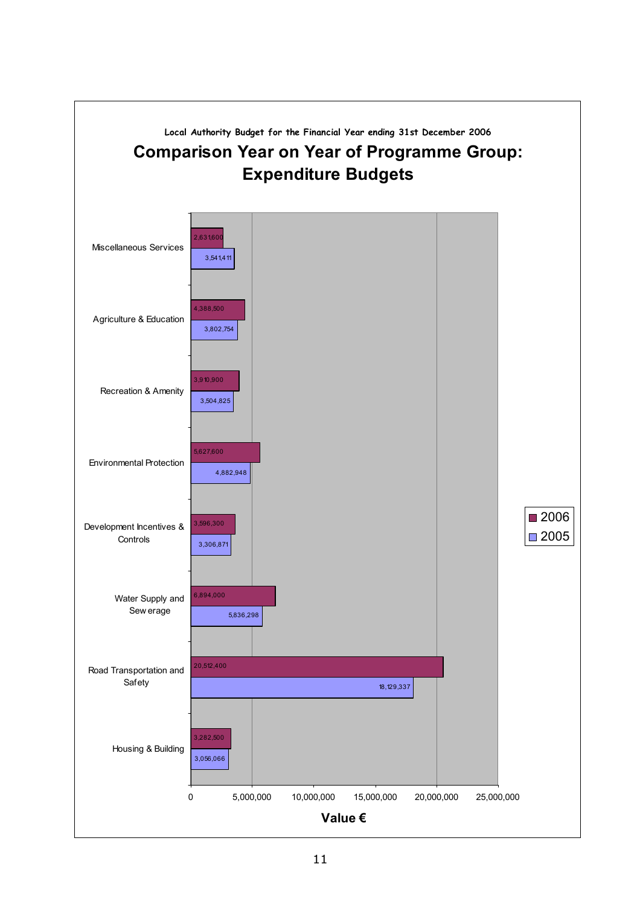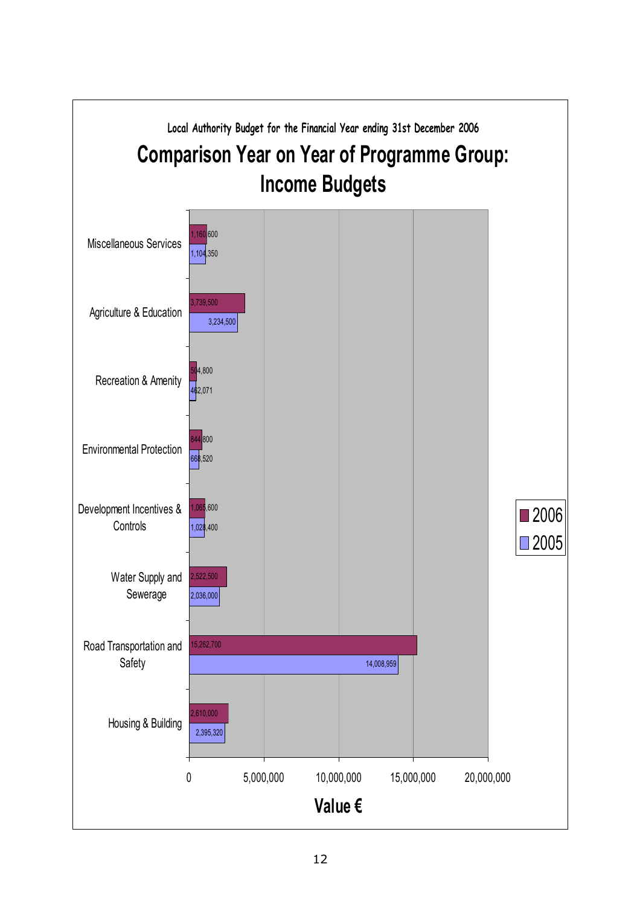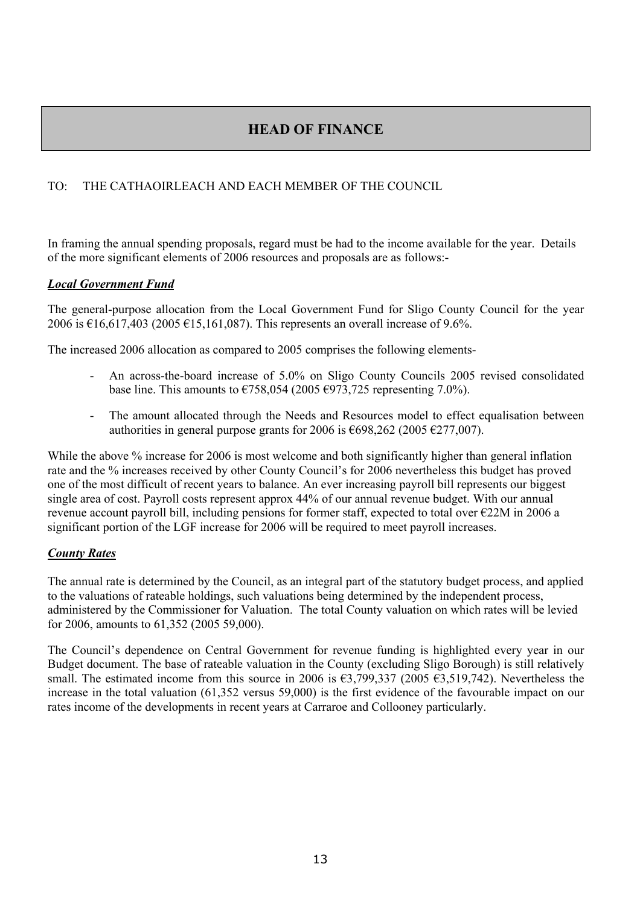# **HEAD OF FINANCE**

## TO: THE CATHAOIRLEACH AND EACH MEMBER OF THE COUNCIL

In framing the annual spending proposals, regard must be had to the income available for the year. Details of the more significant elements of 2006 resources and proposals are as follows:-

#### *Local Government Fund*

The general-purpose allocation from the Local Government Fund for Sligo County Council for the year 2006 is €16,617,403 (2005 €15,161,087). This represents an overall increase of 9.6%.

The increased 2006 allocation as compared to 2005 comprises the following elements-

- An across-the-board increase of 5.0% on Sligo County Councils 2005 revised consolidated base line. This amounts to  $\epsilon$ 758,054 (2005  $\epsilon$ 973,725 representing 7.0%).
- The amount allocated through the Needs and Resources model to effect equalisation between authorities in general purpose grants for 2006 is  $\epsilon$ 698,262 (2005  $\epsilon$ 277,007).

While the above % increase for 2006 is most welcome and both significantly higher than general inflation rate and the % increases received by other County Council's for 2006 nevertheless this budget has proved one of the most difficult of recent years to balance. An ever increasing payroll bill represents our biggest single area of cost. Payroll costs represent approx 44% of our annual revenue budget. With our annual revenue account payroll bill, including pensions for former staff, expected to total over €22M in 2006 a significant portion of the LGF increase for 2006 will be required to meet payroll increases.

## *County Rates*

The annual rate is determined by the Council, as an integral part of the statutory budget process, and applied to the valuations of rateable holdings, such valuations being determined by the independent process, administered by the Commissioner for Valuation. The total County valuation on which rates will be levied for 2006, amounts to 61,352 (2005 59,000).

The Council's dependence on Central Government for revenue funding is highlighted every year in our Budget document. The base of rateable valuation in the County (excluding Sligo Borough) is still relatively small. The estimated income from this source in 2006 is  $\epsilon$ 3,799,337 (2005  $\epsilon$ 3,519,742). Nevertheless the increase in the total valuation (61,352 versus 59,000) is the first evidence of the favourable impact on our rates income of the developments in recent years at Carraroe and Collooney particularly.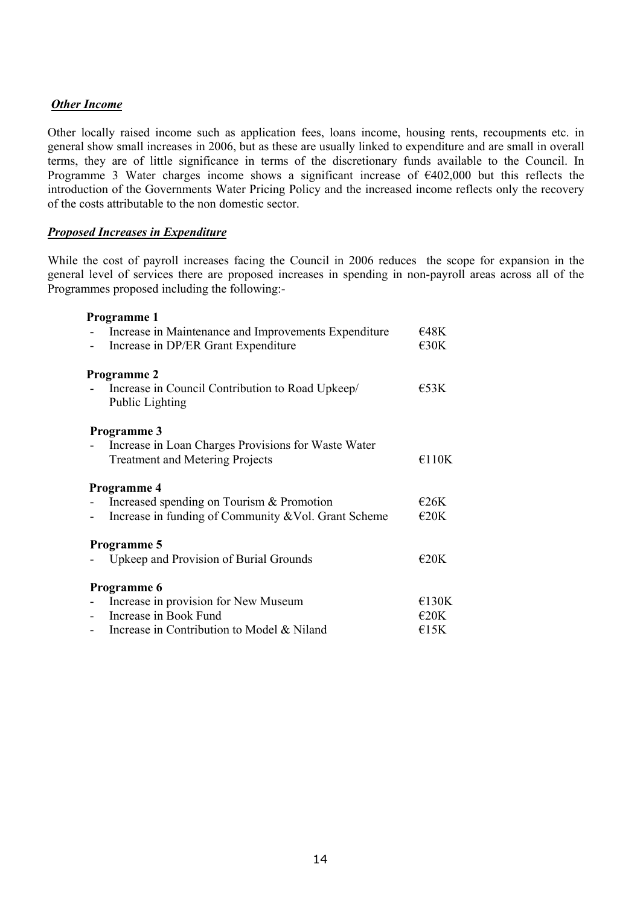#### *Other Income*

Other locally raised income such as application fees, loans income, housing rents, recoupments etc. in general show small increases in 2006, but as these are usually linked to expenditure and are small in overall terms, they are of little significance in terms of the discretionary funds available to the Council. In Programme 3 Water charges income shows a significant increase of  $\epsilon$ 402,000 but this reflects the introduction of the Governments Water Pricing Policy and the increased income reflects only the recovery of the costs attributable to the non domestic sector.

#### *Proposed Increases in Expenditure*

While the cost of payroll increases facing the Council in 2006 reduces the scope for expansion in the general level of services there are proposed increases in spending in non-payroll areas across all of the Programmes proposed including the following:-

#### **Programme 1**

| Increase in Maintenance and Improvements Expenditure                | €48K           |
|---------------------------------------------------------------------|----------------|
| Increase in DP/ER Grant Expenditure                                 | $\epsilon$ 30K |
| Programme 2                                                         |                |
| Increase in Council Contribution to Road Upkeep/<br>Public Lighting | $E$ 53K        |
| <b>Programme 3</b>                                                  |                |
| Increase in Loan Charges Provisions for Waste Water                 |                |
| <b>Treatment and Metering Projects</b>                              | €110K          |
| <b>Programme 4</b>                                                  |                |
| Increased spending on Tourism & Promotion                           | E26K           |
| Increase in funding of Community & Vol. Grant Scheme                | $\epsilon$ 20K |
| Programme 5                                                         |                |
| Upkeep and Provision of Burial Grounds                              | $\epsilon$ 20K |
| Programme 6                                                         |                |
| Increase in provision for New Museum                                | €130K          |
| Increase in Book Fund                                               | $\epsilon$ 20K |
| Increase in Contribution to Model & Niland                          | E15K           |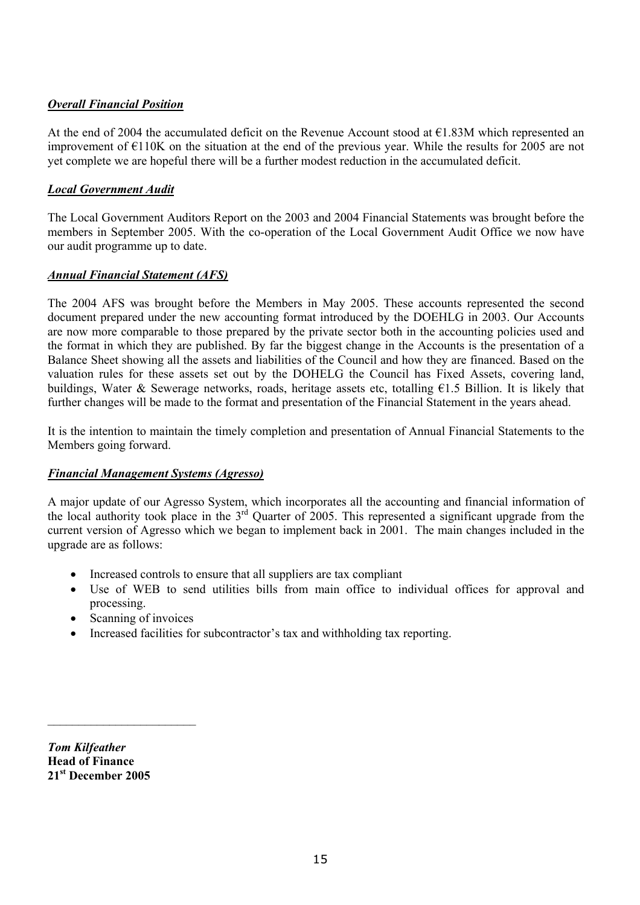## *Overall Financial Position*

At the end of 2004 the accumulated deficit on the Revenue Account stood at  $\epsilon$ 1.83M which represented an improvement of  $E110K$  on the situation at the end of the previous year. While the results for 2005 are not yet complete we are hopeful there will be a further modest reduction in the accumulated deficit.

## *Local Government Audit*

The Local Government Auditors Report on the 2003 and 2004 Financial Statements was brought before the members in September 2005. With the co-operation of the Local Government Audit Office we now have our audit programme up to date.

## *Annual Financial Statement (AFS)*

The 2004 AFS was brought before the Members in May 2005. These accounts represented the second document prepared under the new accounting format introduced by the DOEHLG in 2003. Our Accounts are now more comparable to those prepared by the private sector both in the accounting policies used and the format in which they are published. By far the biggest change in the Accounts is the presentation of a Balance Sheet showing all the assets and liabilities of the Council and how they are financed. Based on the valuation rules for these assets set out by the DOHELG the Council has Fixed Assets, covering land, buildings, Water & Sewerage networks, roads, heritage assets etc, totalling  $\epsilon$ 1.5 Billion. It is likely that further changes will be made to the format and presentation of the Financial Statement in the years ahead.

It is the intention to maintain the timely completion and presentation of Annual Financial Statements to the Members going forward.

## *Financial Management Systems (Agresso)*

A major update of our Agresso System, which incorporates all the accounting and financial information of the local authority took place in the  $3^{rd}$  Quarter of 2005. This represented a significant upgrade from the current version of Agresso which we began to implement back in 2001. The main changes included in the upgrade are as follows:

- Increased controls to ensure that all suppliers are tax compliant
- Use of WEB to send utilities bills from main office to individual offices for approval and processing.
- Scanning of invoices

 $\mathcal{L}_\text{max}$ 

• Increased facilities for subcontractor's tax and withholding tax reporting.

*Tom Kilfeather*  **Head of Finance 21st December 2005**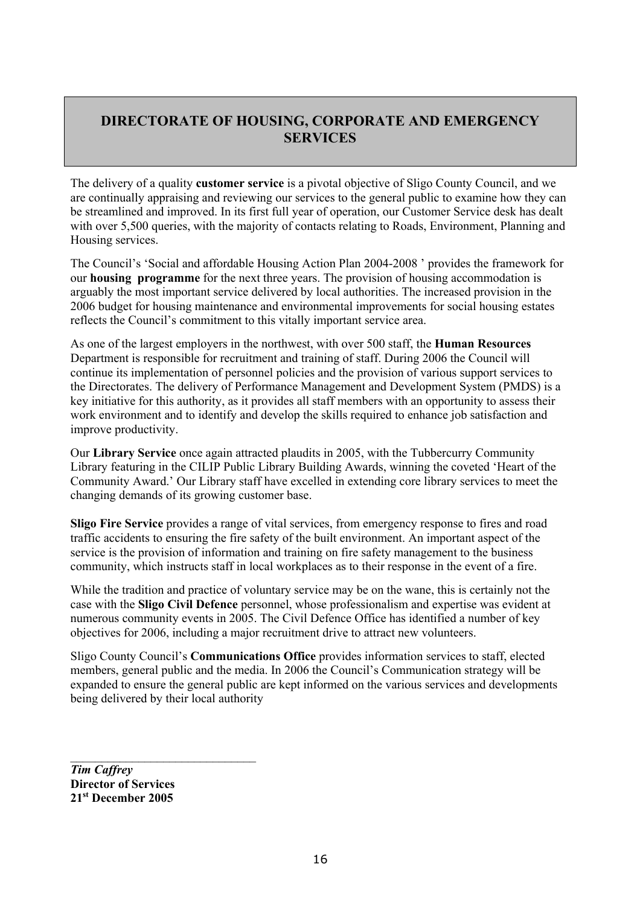# **DIRECTORATE OF HOUSING, CORPORATE AND EMERGENCY SERVICES**

The delivery of a quality **customer service** is a pivotal objective of Sligo County Council, and we are continually appraising and reviewing our services to the general public to examine how they can be streamlined and improved. In its first full year of operation, our Customer Service desk has dealt with over 5,500 queries, with the majority of contacts relating to Roads, Environment, Planning and Housing services.

The Council's 'Social and affordable Housing Action Plan 2004-2008 ' provides the framework for our **housing programme** for the next three years. The provision of housing accommodation is arguably the most important service delivered by local authorities. The increased provision in the 2006 budget for housing maintenance and environmental improvements for social housing estates reflects the Council's commitment to this vitally important service area.

As one of the largest employers in the northwest, with over 500 staff, the **Human Resources**  Department is responsible for recruitment and training of staff. During 2006 the Council will continue its implementation of personnel policies and the provision of various support services to the Directorates. The delivery of Performance Management and Development System (PMDS) is a key initiative for this authority, as it provides all staff members with an opportunity to assess their work environment and to identify and develop the skills required to enhance job satisfaction and improve productivity.

Our **Library Service** once again attracted plaudits in 2005, with the Tubbercurry Community Library featuring in the CILIP Public Library Building Awards, winning the coveted 'Heart of the Community Award.' Our Library staff have excelled in extending core library services to meet the changing demands of its growing customer base.

**Sligo Fire Service** provides a range of vital services, from emergency response to fires and road traffic accidents to ensuring the fire safety of the built environment. An important aspect of the service is the provision of information and training on fire safety management to the business community, which instructs staff in local workplaces as to their response in the event of a fire.

While the tradition and practice of voluntary service may be on the wane, this is certainly not the case with the **Sligo Civil Defence** personnel, whose professionalism and expertise was evident at numerous community events in 2005. The Civil Defence Office has identified a number of key objectives for 2006, including a major recruitment drive to attract new volunteers.

Sligo County Council's **Communications Office** provides information services to staff, elected members, general public and the media. In 2006 the Council's Communication strategy will be expanded to ensure the general public are kept informed on the various services and developments being delivered by their local authority

*Tim Caffrey*  **Director of Services 21st December 2005** 

\_\_\_\_\_\_\_\_\_\_\_\_\_\_\_\_\_\_\_\_\_\_\_\_\_\_\_\_\_\_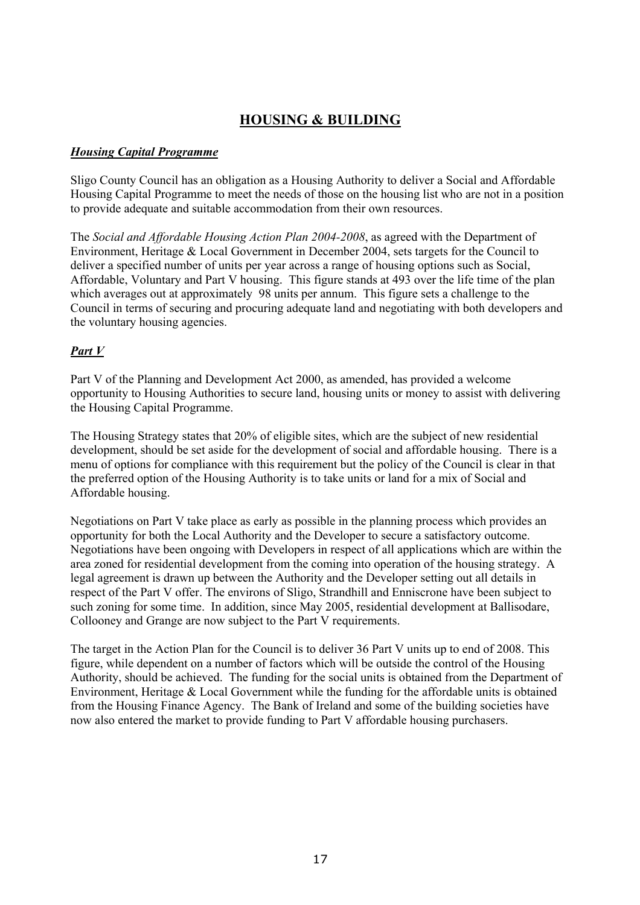# **HOUSING & BUILDING**

#### *Housing Capital Programme*

Sligo County Council has an obligation as a Housing Authority to deliver a Social and Affordable Housing Capital Programme to meet the needs of those on the housing list who are not in a position to provide adequate and suitable accommodation from their own resources.

The *Social and Affordable Housing Action Plan 2004-2008*, as agreed with the Department of Environment, Heritage & Local Government in December 2004, sets targets for the Council to deliver a specified number of units per year across a range of housing options such as Social, Affordable, Voluntary and Part V housing. This figure stands at 493 over the life time of the plan which averages out at approximately 98 units per annum. This figure sets a challenge to the Council in terms of securing and procuring adequate land and negotiating with both developers and the voluntary housing agencies.

## *Part V*

Part V of the Planning and Development Act 2000, as amended, has provided a welcome opportunity to Housing Authorities to secure land, housing units or money to assist with delivering the Housing Capital Programme.

The Housing Strategy states that 20% of eligible sites, which are the subject of new residential development, should be set aside for the development of social and affordable housing. There is a menu of options for compliance with this requirement but the policy of the Council is clear in that the preferred option of the Housing Authority is to take units or land for a mix of Social and Affordable housing.

Negotiations on Part V take place as early as possible in the planning process which provides an opportunity for both the Local Authority and the Developer to secure a satisfactory outcome. Negotiations have been ongoing with Developers in respect of all applications which are within the area zoned for residential development from the coming into operation of the housing strategy. A legal agreement is drawn up between the Authority and the Developer setting out all details in respect of the Part V offer. The environs of Sligo, Strandhill and Enniscrone have been subject to such zoning for some time. In addition, since May 2005, residential development at Ballisodare, Collooney and Grange are now subject to the Part V requirements.

The target in the Action Plan for the Council is to deliver 36 Part V units up to end of 2008. This figure, while dependent on a number of factors which will be outside the control of the Housing Authority, should be achieved. The funding for the social units is obtained from the Department of Environment, Heritage & Local Government while the funding for the affordable units is obtained from the Housing Finance Agency. The Bank of Ireland and some of the building societies have now also entered the market to provide funding to Part V affordable housing purchasers.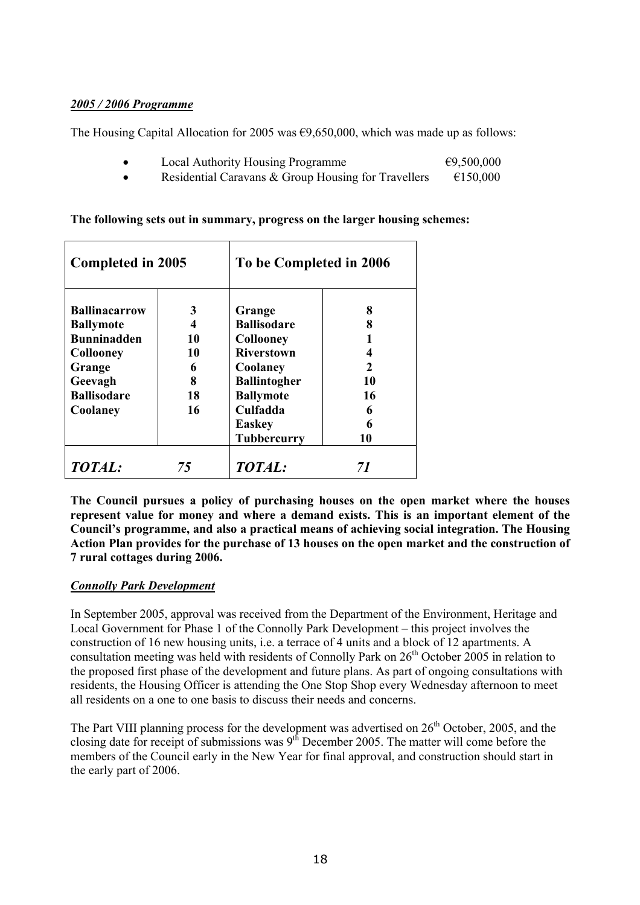#### *2005 / 2006 Programme*

The Housing Capital Allocation for 2005 was  $\epsilon$ 9,650,000, which was made up as follows:

- Local Authority Housing Programme  $\epsilon$ 9,500,000
- Residential Caravans & Group Housing for Travellers  $\epsilon$ 150,000

| Completed in 2005                                              |              | To be Completed in 2006                                             |                     |
|----------------------------------------------------------------|--------------|---------------------------------------------------------------------|---------------------|
| <b>Ballinacarrow</b><br><b>Ballymote</b><br><b>Bunninadden</b> | 3<br>4<br>10 | Grange<br><b>Ballisodare</b><br>Collooney                           | 8<br>8              |
| <b>Collooney</b><br>Grange<br>Geevagh                          | 10<br>6<br>8 | <b>Riverstown</b><br>Coolaney<br><b>Ballintogher</b>                | $\mathcal{L}$<br>10 |
| <b>Ballisodare</b><br>Coolaney                                 | 18<br>16     | <b>Ballymote</b><br>Culfadda<br><b>Easkey</b><br><b>Tubbercurry</b> | 16<br>6<br>6<br>10  |
| <b>TOTAL:</b>                                                  | 75           | TOTAL:                                                              | 71                  |

#### **The following sets out in summary, progress on the larger housing schemes:**

**The Council pursues a policy of purchasing houses on the open market where the houses represent value for money and where a demand exists. This is an important element of the Council's programme, and also a practical means of achieving social integration. The Housing Action Plan provides for the purchase of 13 houses on the open market and the construction of 7 rural cottages during 2006.** 

## *Connolly Park Development*

In September 2005, approval was received from the Department of the Environment, Heritage and Local Government for Phase 1 of the Connolly Park Development – this project involves the construction of 16 new housing units, i.e. a terrace of 4 units and a block of 12 apartments. A consultation meeting was held with residents of Connolly Park on  $26<sup>th</sup>$  October 2005 in relation to the proposed first phase of the development and future plans. As part of ongoing consultations with residents, the Housing Officer is attending the One Stop Shop every Wednesday afternoon to meet all residents on a one to one basis to discuss their needs and concerns.

The Part VIII planning process for the development was advertised on 26<sup>th</sup> October, 2005, and the closing date for receipt of submissions was 9<sup>th</sup> December 2005. The matter will come before the members of the Council early in the New Year for final approval, and construction should start in the early part of 2006.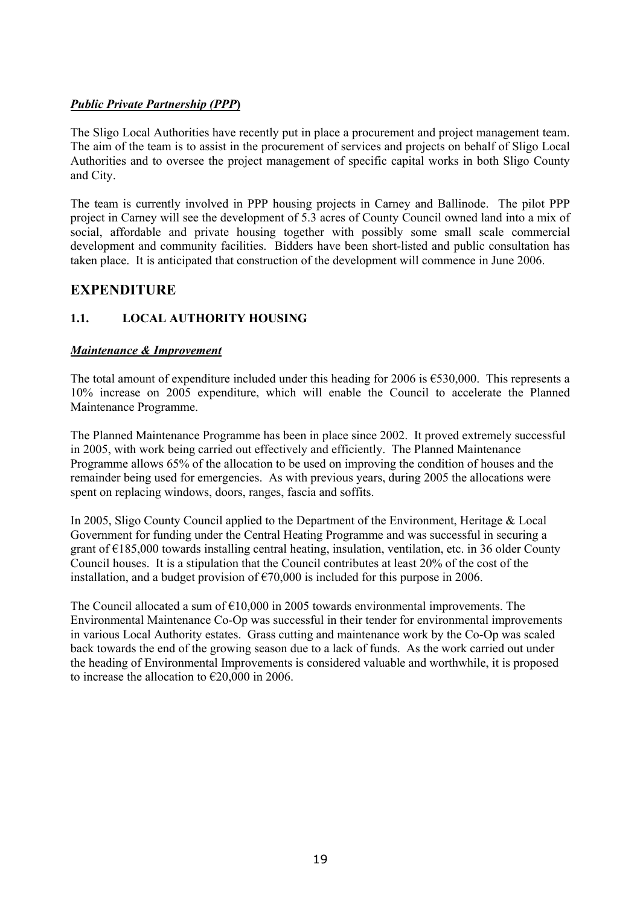## *Public Private Partnership (PPP***)**

The Sligo Local Authorities have recently put in place a procurement and project management team. The aim of the team is to assist in the procurement of services and projects on behalf of Sligo Local Authorities and to oversee the project management of specific capital works in both Sligo County and City.

The team is currently involved in PPP housing projects in Carney and Ballinode. The pilot PPP project in Carney will see the development of 5.3 acres of County Council owned land into a mix of social, affordable and private housing together with possibly some small scale commercial development and community facilities. Bidders have been short-listed and public consultation has taken place. It is anticipated that construction of the development will commence in June 2006.

## **EXPENDITURE**

## **1.1. LOCAL AUTHORITY HOUSING**

#### *Maintenance & Improvement*

The total amount of expenditure included under this heading for 2006 is  $\epsilon$ 530,000. This represents a 10% increase on 2005 expenditure, which will enable the Council to accelerate the Planned Maintenance Programme.

The Planned Maintenance Programme has been in place since 2002. It proved extremely successful in 2005, with work being carried out effectively and efficiently. The Planned Maintenance Programme allows 65% of the allocation to be used on improving the condition of houses and the remainder being used for emergencies. As with previous years, during 2005 the allocations were spent on replacing windows, doors, ranges, fascia and soffits.

In 2005, Sligo County Council applied to the Department of the Environment, Heritage & Local Government for funding under the Central Heating Programme and was successful in securing a grant of €185,000 towards installing central heating, insulation, ventilation, etc. in 36 older County Council houses. It is a stipulation that the Council contributes at least 20% of the cost of the installation, and a budget provision of  $\epsilon$ 70,000 is included for this purpose in 2006.

The Council allocated a sum of  $\epsilon$ 10,000 in 2005 towards environmental improvements. The Environmental Maintenance Co-Op was successful in their tender for environmental improvements in various Local Authority estates. Grass cutting and maintenance work by the Co-Op was scaled back towards the end of the growing season due to a lack of funds. As the work carried out under the heading of Environmental Improvements is considered valuable and worthwhile, it is proposed to increase the allocation to  $\epsilon$ 20,000 in 2006.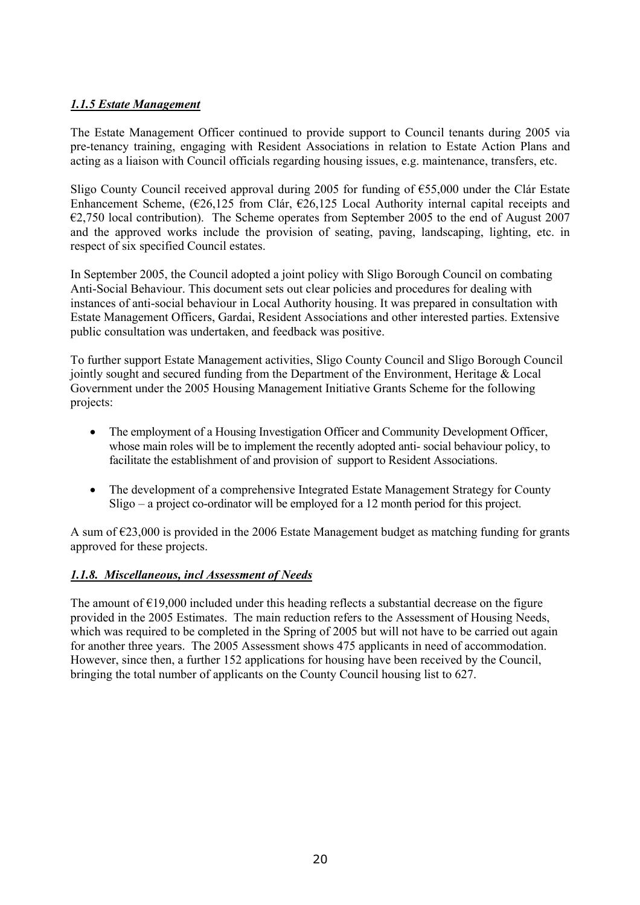## *1.1.5 Estate Management*

The Estate Management Officer continued to provide support to Council tenants during 2005 via pre-tenancy training, engaging with Resident Associations in relation to Estate Action Plans and acting as a liaison with Council officials regarding housing issues, e.g. maintenance, transfers, etc.

Sligo County Council received approval during 2005 for funding of  $655,000$  under the Clár Estate Enhancement Scheme,  $(\text{\textsterling}26, 125 \text{ from Clár}, \text{\textsterling}26, 125 \text{ Local Authority internal capital receipts} )$  and  $\epsilon$ 2,750 local contribution). The Scheme operates from September 2005 to the end of August 2007 and the approved works include the provision of seating, paving, landscaping, lighting, etc. in respect of six specified Council estates.

In September 2005, the Council adopted a joint policy with Sligo Borough Council on combating Anti-Social Behaviour. This document sets out clear policies and procedures for dealing with instances of anti-social behaviour in Local Authority housing. It was prepared in consultation with Estate Management Officers, Gardai, Resident Associations and other interested parties. Extensive public consultation was undertaken, and feedback was positive.

To further support Estate Management activities, Sligo County Council and Sligo Borough Council jointly sought and secured funding from the Department of the Environment, Heritage & Local Government under the 2005 Housing Management Initiative Grants Scheme for the following projects:

- The employment of a Housing Investigation Officer and Community Development Officer, whose main roles will be to implement the recently adopted anti-social behaviour policy, to facilitate the establishment of and provision of support to Resident Associations.
- The development of a comprehensive Integrated Estate Management Strategy for County Sligo – a project co-ordinator will be employed for a 12 month period for this project.

A sum of  $\epsilon$ 23,000 is provided in the 2006 Estate Management budget as matching funding for grants approved for these projects.

## *1.1.8. Miscellaneous, incl Assessment of Needs*

The amount of  $E19,000$  included under this heading reflects a substantial decrease on the figure provided in the 2005 Estimates. The main reduction refers to the Assessment of Housing Needs, which was required to be completed in the Spring of 2005 but will not have to be carried out again for another three years. The 2005 Assessment shows 475 applicants in need of accommodation. However, since then, a further 152 applications for housing have been received by the Council, bringing the total number of applicants on the County Council housing list to 627.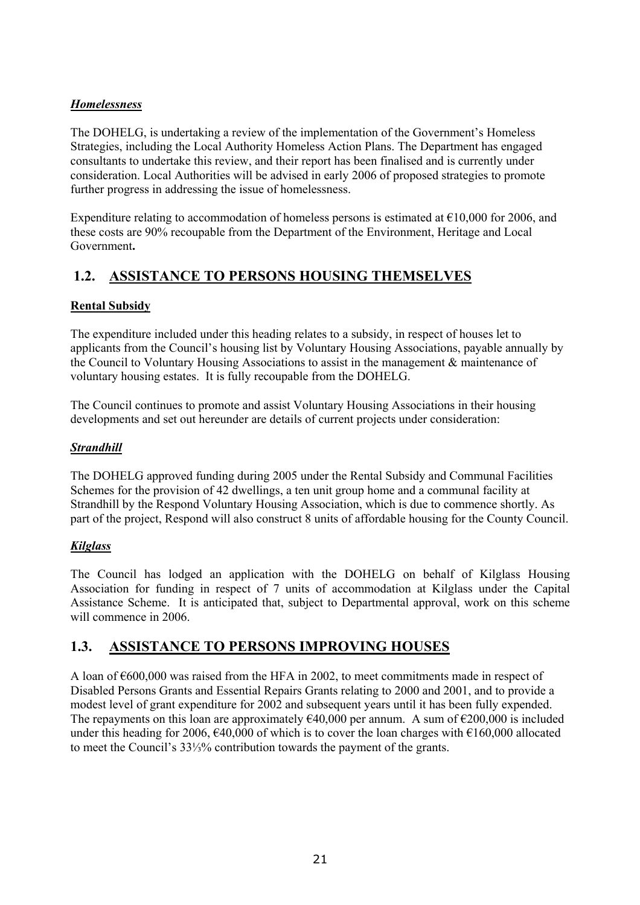## *Homelessness*

The DOHELG, is undertaking a review of the implementation of the Government's Homeless Strategies, including the Local Authority Homeless Action Plans. The Department has engaged consultants to undertake this review, and their report has been finalised and is currently under consideration. Local Authorities will be advised in early 2006 of proposed strategies to promote further progress in addressing the issue of homelessness.

Expenditure relating to accommodation of homeless persons is estimated at  $\epsilon$ 10,000 for 2006, and these costs are 90% recoupable from the Department of the Environment, Heritage and Local Government**.** 

# **1.2. ASSISTANCE TO PERSONS HOUSING THEMSELVES**

## **Rental Subsidy**

The expenditure included under this heading relates to a subsidy, in respect of houses let to applicants from the Council's housing list by Voluntary Housing Associations, payable annually by the Council to Voluntary Housing Associations to assist in the management & maintenance of voluntary housing estates. It is fully recoupable from the DOHELG.

The Council continues to promote and assist Voluntary Housing Associations in their housing developments and set out hereunder are details of current projects under consideration:

## *Strandhill*

The DOHELG approved funding during 2005 under the Rental Subsidy and Communal Facilities Schemes for the provision of 42 dwellings, a ten unit group home and a communal facility at Strandhill by the Respond Voluntary Housing Association, which is due to commence shortly. As part of the project, Respond will also construct 8 units of affordable housing for the County Council.

## *Kilglass*

The Council has lodged an application with the DOHELG on behalf of Kilglass Housing Association for funding in respect of 7 units of accommodation at Kilglass under the Capital Assistance Scheme. It is anticipated that, subject to Departmental approval, work on this scheme will commence in 2006.

## **1.3. ASSISTANCE TO PERSONS IMPROVING HOUSES**

A loan of  $\epsilon$ 600,000 was raised from the HFA in 2002, to meet commitments made in respect of Disabled Persons Grants and Essential Repairs Grants relating to 2000 and 2001, and to provide a modest level of grant expenditure for 2002 and subsequent years until it has been fully expended. The repayments on this loan are approximately  $\epsilon$ 40,000 per annum. A sum of  $\epsilon$ 200,000 is included under this heading for 2006,  $\epsilon$ 40,000 of which is to cover the loan charges with  $\epsilon$ 160,000 allocated to meet the Council's 33⅓% contribution towards the payment of the grants.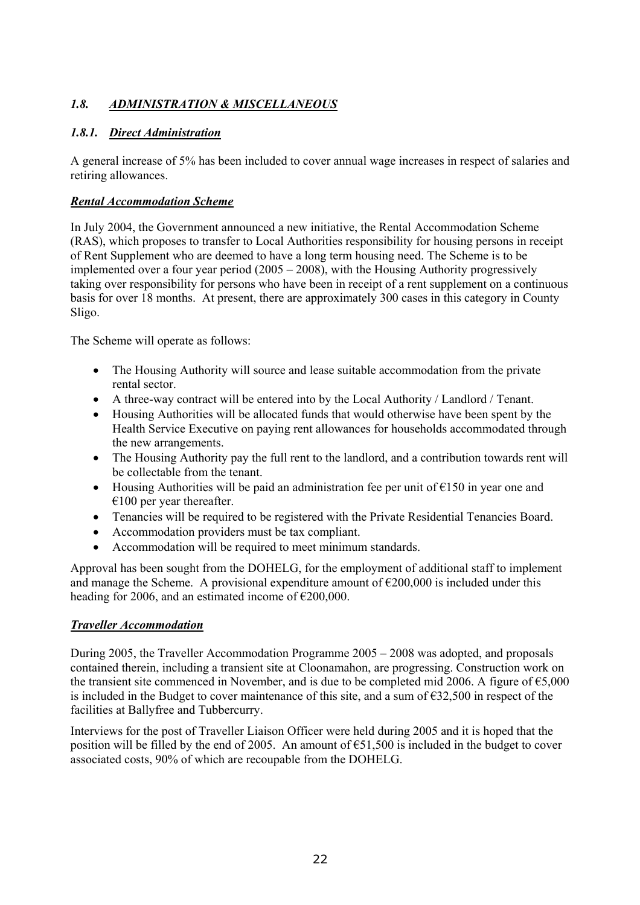## *1.8. ADMINISTRATION & MISCELLANEOUS*

## *1.8.1. Direct Administration*

A general increase of 5% has been included to cover annual wage increases in respect of salaries and retiring allowances.

## *Rental Accommodation Scheme*

In July 2004, the Government announced a new initiative, the Rental Accommodation Scheme (RAS), which proposes to transfer to Local Authorities responsibility for housing persons in receipt of Rent Supplement who are deemed to have a long term housing need. The Scheme is to be implemented over a four year period (2005 – 2008), with the Housing Authority progressively taking over responsibility for persons who have been in receipt of a rent supplement on a continuous basis for over 18 months. At present, there are approximately 300 cases in this category in County Sligo.

The Scheme will operate as follows:

- The Housing Authority will source and lease suitable accommodation from the private rental sector.
- A three-way contract will be entered into by the Local Authority / Landlord / Tenant.
- Housing Authorities will be allocated funds that would otherwise have been spent by the Health Service Executive on paying rent allowances for households accommodated through the new arrangements.
- The Housing Authority pay the full rent to the landlord, and a contribution towards rent will be collectable from the tenant.
- Housing Authorities will be paid an administration fee per unit of  $\epsilon$ 150 in year one and  $€100$  per year thereafter.
- Tenancies will be required to be registered with the Private Residential Tenancies Board.
- Accommodation providers must be tax compliant.
- Accommodation will be required to meet minimum standards.

Approval has been sought from the DOHELG, for the employment of additional staff to implement and manage the Scheme. A provisional expenditure amount of  $\epsilon$ 200,000 is included under this heading for 2006, and an estimated income of  $\epsilon$ 200,000.

## *Traveller Accommodation*

During 2005, the Traveller Accommodation Programme 2005 – 2008 was adopted, and proposals contained therein, including a transient site at Cloonamahon, are progressing. Construction work on the transient site commenced in November, and is due to be completed mid 2006. A figure of  $\epsilon$ 5,000 is included in the Budget to cover maintenance of this site, and a sum of  $\epsilon$ 32,500 in respect of the facilities at Ballyfree and Tubbercurry.

Interviews for the post of Traveller Liaison Officer were held during 2005 and it is hoped that the position will be filled by the end of 2005. An amount of  $\epsilon$ 51,500 is included in the budget to cover associated costs, 90% of which are recoupable from the DOHELG.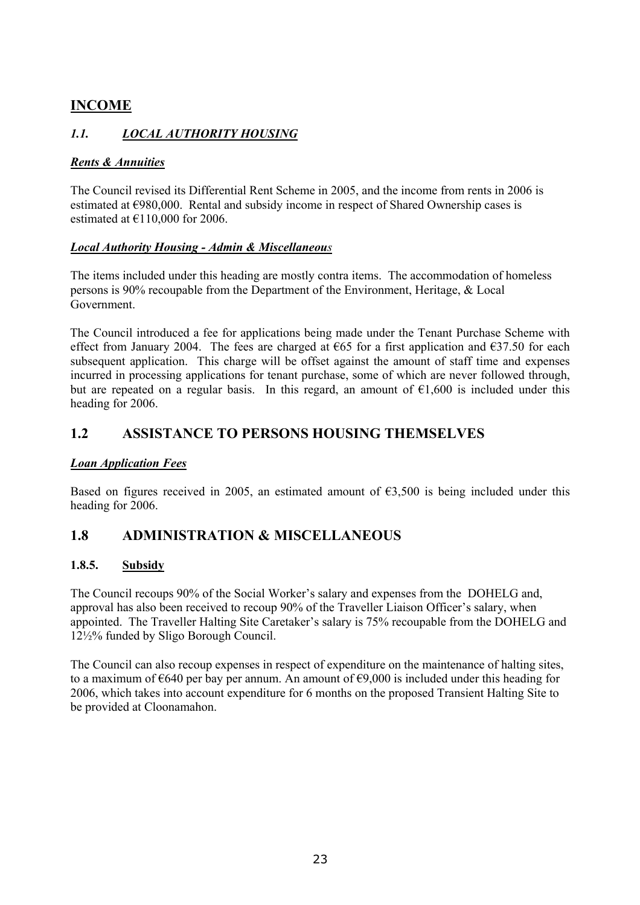## **INCOME**

## *1.1. LOCAL AUTHORITY HOUSING*

## *Rents & Annuities*

The Council revised its Differential Rent Scheme in 2005, and the income from rents in 2006 is estimated at €980,000. Rental and subsidy income in respect of Shared Ownership cases is estimated at  $£110,000$  for 2006.

## *Local Authority Housing - Admin & Miscellaneous*

The items included under this heading are mostly contra items. The accommodation of homeless persons is 90% recoupable from the Department of the Environment, Heritage, & Local Government.

 The Council introduced a fee for applications being made under the Tenant Purchase Scheme with effect from January 2004. The fees are charged at  $\epsilon$ 65 for a first application and  $\epsilon$ 37.50 for each subsequent application. This charge will be offset against the amount of staff time and expenses incurred in processing applications for tenant purchase, some of which are never followed through, but are repeated on a regular basis. In this regard, an amount of  $\epsilon 1,600$  is included under this heading for 2006.

## **1.2 ASSISTANCE TO PERSONS HOUSING THEMSELVES**

## *Loan Application Fees*

Based on figures received in 2005, an estimated amount of  $63,500$  is being included under this heading for 2006.

## **1.8 ADMINISTRATION & MISCELLANEOUS**

## **1.8.5. Subsidy**

The Council recoups 90% of the Social Worker's salary and expenses from the DOHELG and, approval has also been received to recoup 90% of the Traveller Liaison Officer's salary, when appointed. The Traveller Halting Site Caretaker's salary is 75% recoupable from the DOHELG and 12½% funded by Sligo Borough Council.

The Council can also recoup expenses in respect of expenditure on the maintenance of halting sites, to a maximum of €640 per bay per annum. An amount of €9,000 is included under this heading for 2006, which takes into account expenditure for 6 months on the proposed Transient Halting Site to be provided at Cloonamahon.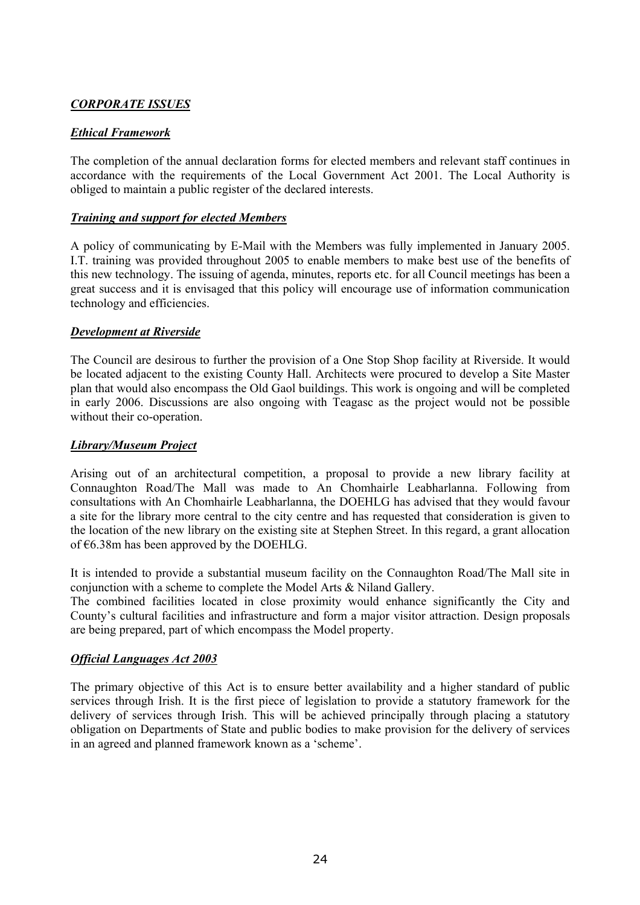## *CORPORATE ISSUES*

#### *Ethical Framework*

The completion of the annual declaration forms for elected members and relevant staff continues in accordance with the requirements of the Local Government Act 2001. The Local Authority is obliged to maintain a public register of the declared interests.

#### *Training and support for elected Members*

A policy of communicating by E-Mail with the Members was fully implemented in January 2005. I.T. training was provided throughout 2005 to enable members to make best use of the benefits of this new technology. The issuing of agenda, minutes, reports etc. for all Council meetings has been a great success and it is envisaged that this policy will encourage use of information communication technology and efficiencies.

#### *Development at Riverside*

The Council are desirous to further the provision of a One Stop Shop facility at Riverside. It would be located adjacent to the existing County Hall. Architects were procured to develop a Site Master plan that would also encompass the Old Gaol buildings. This work is ongoing and will be completed in early 2006. Discussions are also ongoing with Teagasc as the project would not be possible without their co-operation.

#### *Library/Museum Project*

Arising out of an architectural competition, a proposal to provide a new library facility at Connaughton Road/The Mall was made to An Chomhairle Leabharlanna. Following from consultations with An Chomhairle Leabharlanna, the DOEHLG has advised that they would favour a site for the library more central to the city centre and has requested that consideration is given to the location of the new library on the existing site at Stephen Street. In this regard, a grant allocation of  $\epsilon$ 6.38m has been approved by the DOEHLG.

It is intended to provide a substantial museum facility on the Connaughton Road/The Mall site in conjunction with a scheme to complete the Model Arts & Niland Gallery.

The combined facilities located in close proximity would enhance significantly the City and County's cultural facilities and infrastructure and form a major visitor attraction. Design proposals are being prepared, part of which encompass the Model property.

## *Official Languages Act 2003*

The primary objective of this Act is to ensure better availability and a higher standard of public services through Irish. It is the first piece of legislation to provide a statutory framework for the delivery of services through Irish. This will be achieved principally through placing a statutory obligation on Departments of State and public bodies to make provision for the delivery of services in an agreed and planned framework known as a 'scheme'.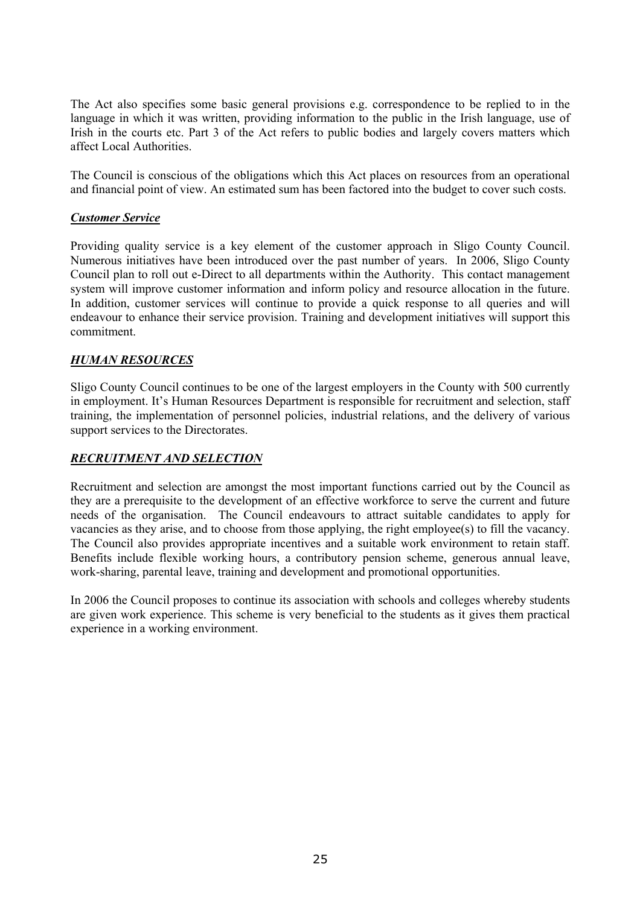The Act also specifies some basic general provisions e.g. correspondence to be replied to in the language in which it was written, providing information to the public in the Irish language, use of Irish in the courts etc. Part 3 of the Act refers to public bodies and largely covers matters which affect Local Authorities.

The Council is conscious of the obligations which this Act places on resources from an operational and financial point of view. An estimated sum has been factored into the budget to cover such costs.

#### *Customer Service*

Providing quality service is a key element of the customer approach in Sligo County Council. Numerous initiatives have been introduced over the past number of years. In 2006, Sligo County Council plan to roll out e-Direct to all departments within the Authority. This contact management system will improve customer information and inform policy and resource allocation in the future. In addition, customer services will continue to provide a quick response to all queries and will endeavour to enhance their service provision. Training and development initiatives will support this commitment.

#### *HUMAN RESOURCES*

Sligo County Council continues to be one of the largest employers in the County with 500 currently in employment. It's Human Resources Department is responsible for recruitment and selection, staff training, the implementation of personnel policies, industrial relations, and the delivery of various support services to the Directorates.

#### *RECRUITMENT AND SELECTION*

Recruitment and selection are amongst the most important functions carried out by the Council as they are a prerequisite to the development of an effective workforce to serve the current and future needs of the organisation. The Council endeavours to attract suitable candidates to apply for vacancies as they arise, and to choose from those applying, the right employee(s) to fill the vacancy. The Council also provides appropriate incentives and a suitable work environment to retain staff. Benefits include flexible working hours, a contributory pension scheme, generous annual leave, work-sharing, parental leave, training and development and promotional opportunities.

In 2006 the Council proposes to continue its association with schools and colleges whereby students are given work experience. This scheme is very beneficial to the students as it gives them practical experience in a working environment.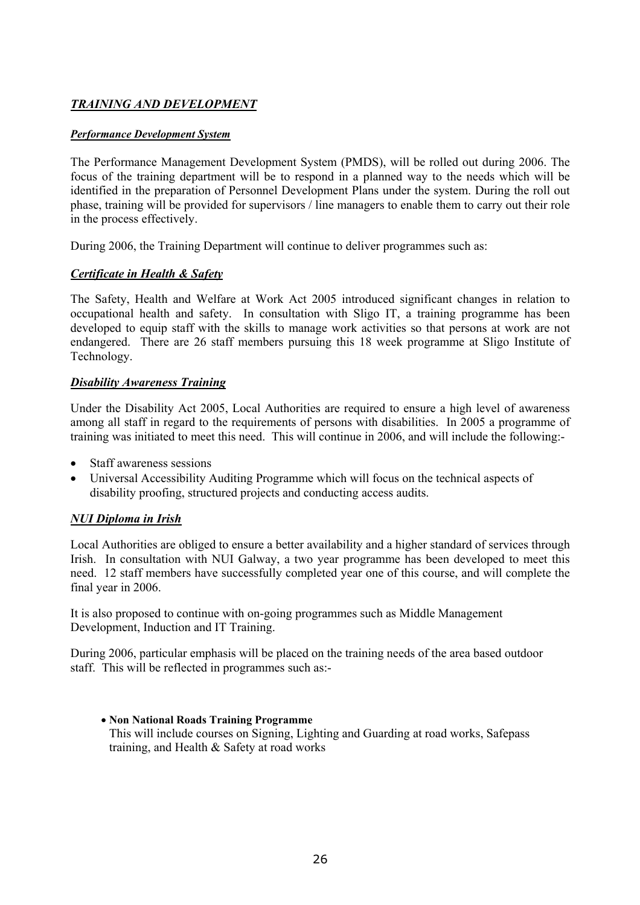## *TRAINING AND DEVELOPMENT*

#### *Performance Development System*

The Performance Management Development System (PMDS), will be rolled out during 2006. The focus of the training department will be to respond in a planned way to the needs which will be identified in the preparation of Personnel Development Plans under the system. During the roll out phase, training will be provided for supervisors / line managers to enable them to carry out their role in the process effectively.

During 2006, the Training Department will continue to deliver programmes such as:

#### *Certificate in Health & Safety*

The Safety, Health and Welfare at Work Act 2005 introduced significant changes in relation to occupational health and safety. In consultation with Sligo IT, a training programme has been developed to equip staff with the skills to manage work activities so that persons at work are not endangered. There are 26 staff members pursuing this 18 week programme at Sligo Institute of Technology.

#### *Disability Awareness Training*

Under the Disability Act 2005, Local Authorities are required to ensure a high level of awareness among all staff in regard to the requirements of persons with disabilities. In 2005 a programme of training was initiated to meet this need. This will continue in 2006, and will include the following:-

- Staff awareness sessions
- Universal Accessibility Auditing Programme which will focus on the technical aspects of disability proofing, structured projects and conducting access audits.

## *NUI Diploma in Irish*

Local Authorities are obliged to ensure a better availability and a higher standard of services through Irish. In consultation with NUI Galway, a two year programme has been developed to meet this need. 12 staff members have successfully completed year one of this course, and will complete the final year in 2006.

It is also proposed to continue with on-going programmes such as Middle Management Development, Induction and IT Training.

During 2006, particular emphasis will be placed on the training needs of the area based outdoor staff. This will be reflected in programmes such as:-

#### • **Non National Roads Training Programme**  This will include courses on Signing, Lighting and Guarding at road works, Safepass training, and Health & Safety at road works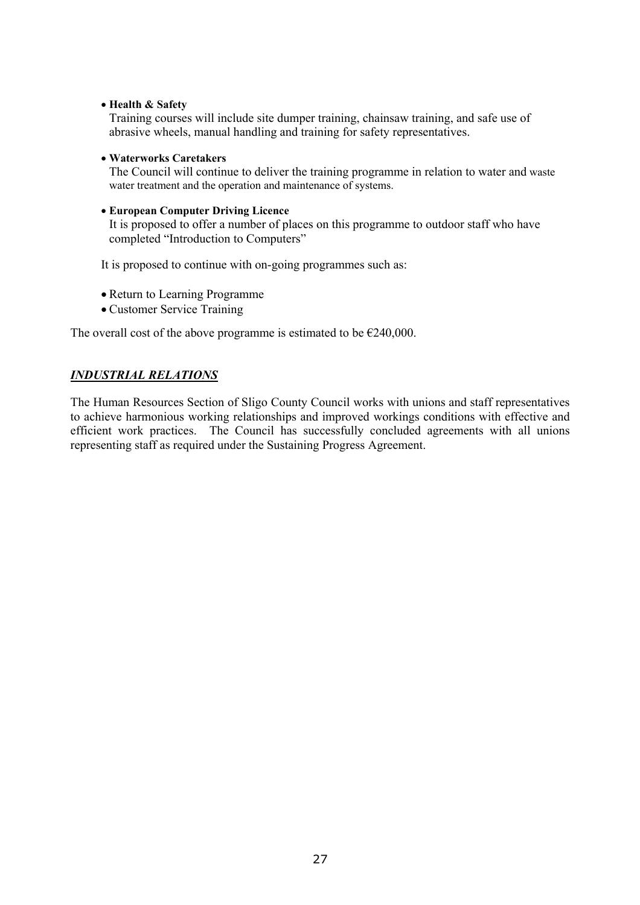• **Health & Safety** 

Training courses will include site dumper training, chainsaw training, and safe use of abrasive wheels, manual handling and training for safety representatives.

• **Waterworks Caretakers** 

The Council will continue to deliver the training programme in relation to water and waste water treatment and the operation and maintenance of systems.

#### • **European Computer Driving Licence**

It is proposed to offer a number of places on this programme to outdoor staff who have completed "Introduction to Computers"

It is proposed to continue with on-going programmes such as:

- Return to Learning Programme
- Customer Service Training

The overall cost of the above programme is estimated to be  $\epsilon$ 240,000.

#### *INDUSTRIAL RELATIONS*

The Human Resources Section of Sligo County Council works with unions and staff representatives to achieve harmonious working relationships and improved workings conditions with effective and efficient work practices. The Council has successfully concluded agreements with all unions representing staff as required under the Sustaining Progress Agreement.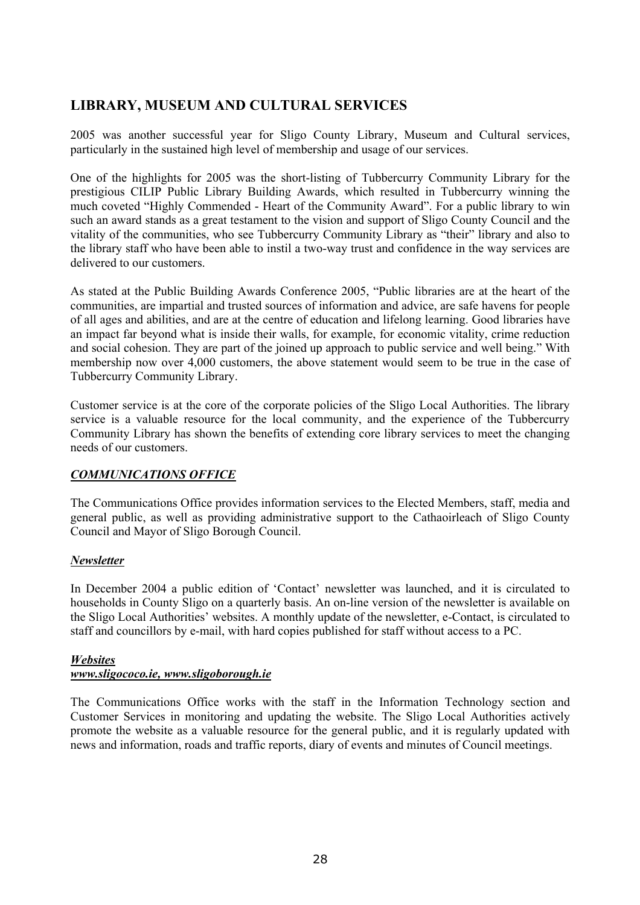# **LIBRARY, MUSEUM AND CULTURAL SERVICES**

2005 was another successful year for Sligo County Library, Museum and Cultural services, particularly in the sustained high level of membership and usage of our services.

One of the highlights for 2005 was the short-listing of Tubbercurry Community Library for the prestigious CILIP Public Library Building Awards, which resulted in Tubbercurry winning the much coveted "Highly Commended - Heart of the Community Award". For a public library to win such an award stands as a great testament to the vision and support of Sligo County Council and the vitality of the communities, who see Tubbercurry Community Library as "their" library and also to the library staff who have been able to instil a two-way trust and confidence in the way services are delivered to our customers.

As stated at the Public Building Awards Conference 2005, "Public libraries are at the heart of the communities, are impartial and trusted sources of information and advice, are safe havens for people of all ages and abilities, and are at the centre of education and lifelong learning. Good libraries have an impact far beyond what is inside their walls, for example, for economic vitality, crime reduction and social cohesion. They are part of the joined up approach to public service and well being." With membership now over 4,000 customers, the above statement would seem to be true in the case of Tubbercurry Community Library.

Customer service is at the core of the corporate policies of the Sligo Local Authorities. The library service is a valuable resource for the local community, and the experience of the Tubbercurry Community Library has shown the benefits of extending core library services to meet the changing needs of our customers.

## *COMMUNICATIONS OFFICE*

The Communications Office provides information services to the Elected Members, staff, media and general public, as well as providing administrative support to the Cathaoirleach of Sligo County Council and Mayor of Sligo Borough Council.

#### *Newsletter*

In December 2004 a public edition of 'Contact' newsletter was launched, and it is circulated to households in County Sligo on a quarterly basis. An on-line version of the newsletter is available on the Sligo Local Authorities' websites. A monthly update of the newsletter, e-Contact, is circulated to staff and councillors by e-mail, with hard copies published for staff without access to a PC.

#### *Websites*

## *www.sligococo.ie, www.sligoborough.ie*

The Communications Office works with the staff in the Information Technology section and Customer Services in monitoring and updating the website. The Sligo Local Authorities actively promote the website as a valuable resource for the general public, and it is regularly updated with news and information, roads and traffic reports, diary of events and minutes of Council meetings.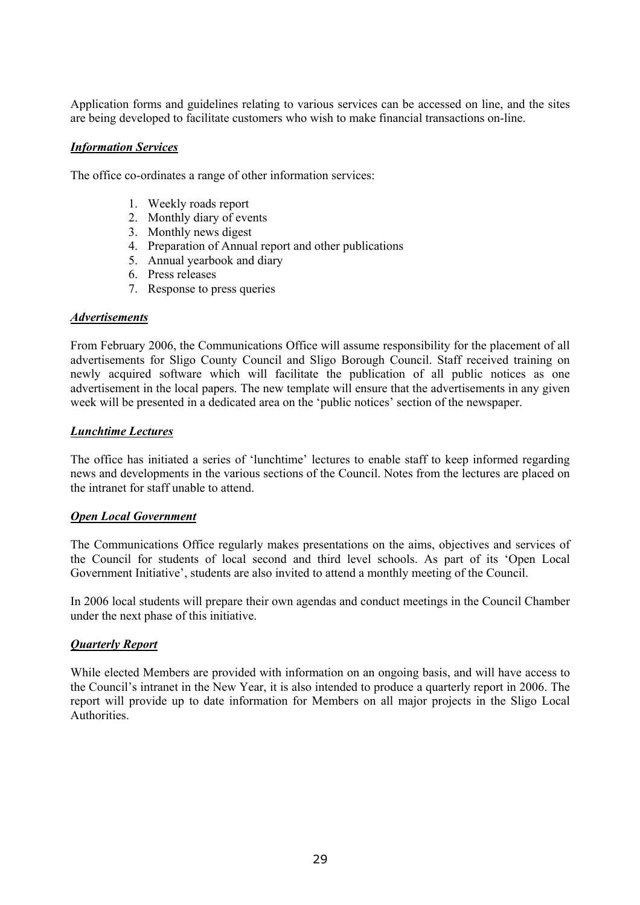Application forms and guidelines relating to various services can be accessed on line, and the sites are being developed to facilitate customers who wish to make financial transactions on-line.

#### *Information Services*

The office co-ordinates a range of other information services:

- 1. Weekly roads report
- 2. Monthly diary of events
- 3. Monthly news digest
- 4. Preparation of Annual report and other publications
- 5. Annual yearbook and diary
- 6. Press releases
- 7. Response to press queries

#### *Advertisements*

From February 2006, the Communications Office will assume responsibility for the placement of all advertisements for Sligo County Council and Sligo Borough Council. Staff received training on newly acquired software which will facilitate the publication of all public notices as one advertisement in the local papers. The new template will ensure that the advertisements in any given week will be presented in a dedicated area on the 'public notices' section of the newspaper.

#### *Lunchtime Lectures*

The office has initiated a series of 'lunchtime' lectures to enable staff to keep informed regarding news and developments in the various sections of the Council. Notes from the lectures are placed on the intranet for staff unable to attend.

#### *Open Local Government*

The Communications Office regularly makes presentations on the aims, objectives and services of the Council for students of local second and third level schools. As part of its 'Open Local Government Initiative', students are also invited to attend a monthly meeting of the Council.

In 2006 local students will prepare their own agendas and conduct meetings in the Council Chamber under the next phase of this initiative.

#### *Quarterly Report*

While elected Members are provided with information on an ongoing basis, and will have access to the Council's intranet in the New Year, it is also intended to produce a quarterly report in 2006. The report will provide up to date information for Members on all major projects in the Sligo Local **Authorities**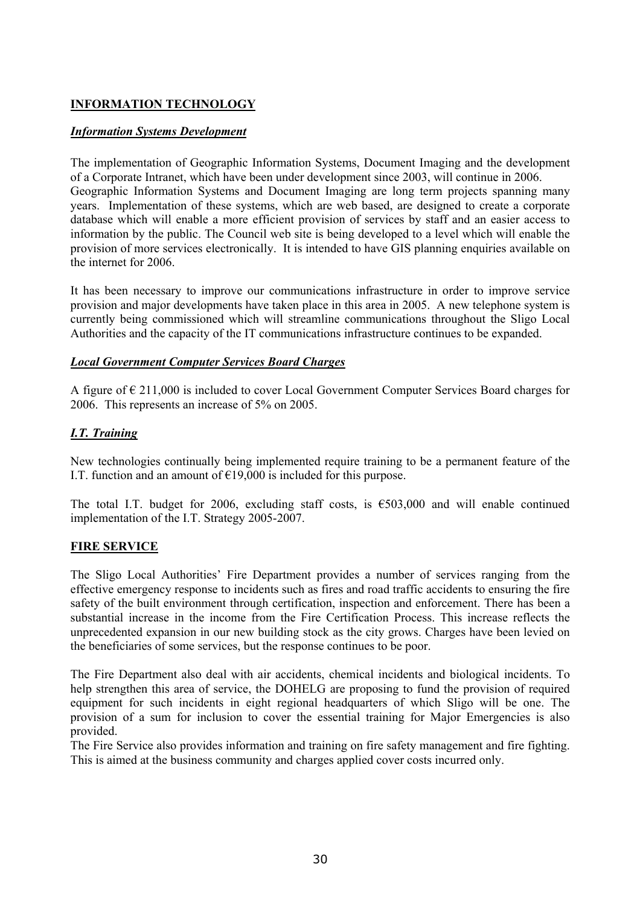## **INFORMATION TECHNOLOGY**

#### *Information Systems Development*

The implementation of Geographic Information Systems, Document Imaging and the development of a Corporate Intranet, which have been under development since 2003, will continue in 2006. Geographic Information Systems and Document Imaging are long term projects spanning many years. Implementation of these systems, which are web based, are designed to create a corporate database which will enable a more efficient provision of services by staff and an easier access to information by the public. The Council web site is being developed to a level which will enable the provision of more services electronically. It is intended to have GIS planning enquiries available on the internet for 2006.

It has been necessary to improve our communications infrastructure in order to improve service provision and major developments have taken place in this area in 2005. A new telephone system is currently being commissioned which will streamline communications throughout the Sligo Local Authorities and the capacity of the IT communications infrastructure continues to be expanded.

#### *Local Government Computer Services Board Charges*

A figure of € 211,000 is included to cover Local Government Computer Services Board charges for 2006. This represents an increase of 5% on 2005.

## *I.T. Training*

New technologies continually being implemented require training to be a permanent feature of the I.T. function and an amount of  $£19,000$  is included for this purpose.

The total I.T. budget for 2006, excluding staff costs, is  $\epsilon$ 503,000 and will enable continued implementation of the I.T. Strategy 2005-2007.

#### **FIRE SERVICE**

The Sligo Local Authorities' Fire Department provides a number of services ranging from the effective emergency response to incidents such as fires and road traffic accidents to ensuring the fire safety of the built environment through certification, inspection and enforcement. There has been a substantial increase in the income from the Fire Certification Process. This increase reflects the unprecedented expansion in our new building stock as the city grows. Charges have been levied on the beneficiaries of some services, but the response continues to be poor.

The Fire Department also deal with air accidents, chemical incidents and biological incidents. To help strengthen this area of service, the DOHELG are proposing to fund the provision of required equipment for such incidents in eight regional headquarters of which Sligo will be one. The provision of a sum for inclusion to cover the essential training for Major Emergencies is also provided.

The Fire Service also provides information and training on fire safety management and fire fighting. This is aimed at the business community and charges applied cover costs incurred only.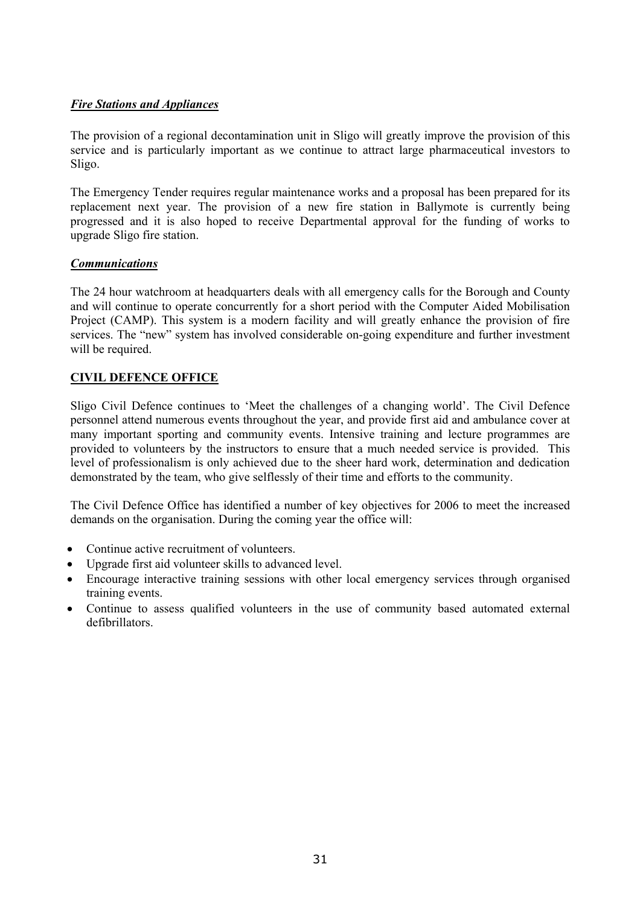#### *Fire Stations and Appliances*

The provision of a regional decontamination unit in Sligo will greatly improve the provision of this service and is particularly important as we continue to attract large pharmaceutical investors to Sligo.

The Emergency Tender requires regular maintenance works and a proposal has been prepared for its replacement next year. The provision of a new fire station in Ballymote is currently being progressed and it is also hoped to receive Departmental approval for the funding of works to upgrade Sligo fire station.

#### *Communications*

The 24 hour watchroom at headquarters deals with all emergency calls for the Borough and County and will continue to operate concurrently for a short period with the Computer Aided Mobilisation Project (CAMP). This system is a modern facility and will greatly enhance the provision of fire services. The "new" system has involved considerable on-going expenditure and further investment will be required.

## **CIVIL DEFENCE OFFICE**

Sligo Civil Defence continues to 'Meet the challenges of a changing world'. The Civil Defence personnel attend numerous events throughout the year, and provide first aid and ambulance cover at many important sporting and community events. Intensive training and lecture programmes are provided to volunteers by the instructors to ensure that a much needed service is provided. This level of professionalism is only achieved due to the sheer hard work, determination and dedication demonstrated by the team, who give selflessly of their time and efforts to the community.

The Civil Defence Office has identified a number of key objectives for 2006 to meet the increased demands on the organisation. During the coming year the office will:

- Continue active recruitment of volunteers.
- Upgrade first aid volunteer skills to advanced level.
- Encourage interactive training sessions with other local emergency services through organised training events.
- Continue to assess qualified volunteers in the use of community based automated external defibrillators.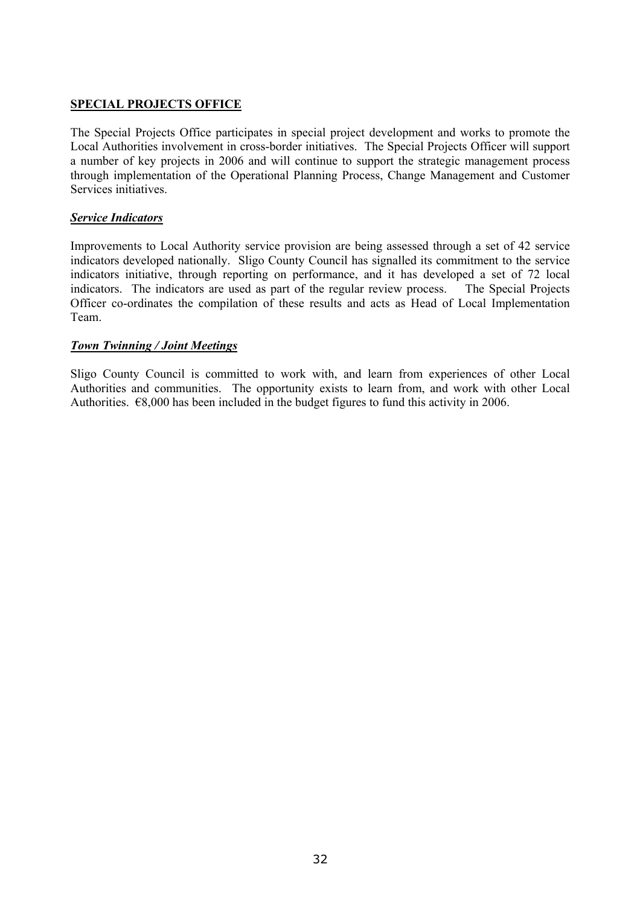## **SPECIAL PROJECTS OFFICE**

The Special Projects Office participates in special project development and works to promote the Local Authorities involvement in cross-border initiatives. The Special Projects Officer will support a number of key projects in 2006 and will continue to support the strategic management process through implementation of the Operational Planning Process, Change Management and Customer Services initiatives.

#### *Service Indicators*

Improvements to Local Authority service provision are being assessed through a set of 42 service indicators developed nationally. Sligo County Council has signalled its commitment to the service indicators initiative, through reporting on performance, and it has developed a set of 72 local indicators. The indicators are used as part of the regular review process. The Special Projects Officer co-ordinates the compilation of these results and acts as Head of Local Implementation Team.

#### *Town Twinning / Joint Meetings*

Sligo County Council is committed to work with, and learn from experiences of other Local Authorities and communities. The opportunity exists to learn from, and work with other Local Authorities. €8,000 has been included in the budget figures to fund this activity in 2006.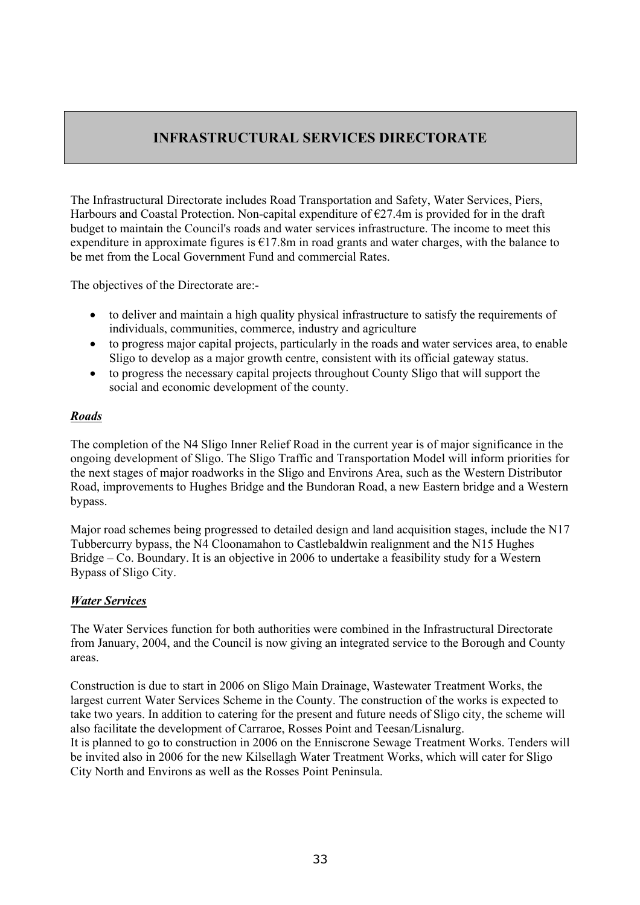## **INFRASTRUCTURAL SERVICES DIRECTORATE**

The Infrastructural Directorate includes Road Transportation and Safety, Water Services, Piers, Harbours and Coastal Protection. Non-capital expenditure of  $E27.4m$  is provided for in the draft budget to maintain the Council's roads and water services infrastructure. The income to meet this expenditure in approximate figures is  $\epsilon$ 17.8m in road grants and water charges, with the balance to be met from the Local Government Fund and commercial Rates.

The objectives of the Directorate are:-

- to deliver and maintain a high quality physical infrastructure to satisfy the requirements of individuals, communities, commerce, industry and agriculture
- to progress major capital projects, particularly in the roads and water services area, to enable Sligo to develop as a major growth centre, consistent with its official gateway status.
- to progress the necessary capital projects throughout County Sligo that will support the social and economic development of the county.

#### *Roads*

The completion of the N4 Sligo Inner Relief Road in the current year is of major significance in the ongoing development of Sligo. The Sligo Traffic and Transportation Model will inform priorities for the next stages of major roadworks in the Sligo and Environs Area, such as the Western Distributor Road, improvements to Hughes Bridge and the Bundoran Road, a new Eastern bridge and a Western bypass.

Major road schemes being progressed to detailed design and land acquisition stages, include the N17 Tubbercurry bypass, the N4 Cloonamahon to Castlebaldwin realignment and the N15 Hughes Bridge – Co. Boundary. It is an objective in 2006 to undertake a feasibility study for a Western Bypass of Sligo City.

#### *Water Services*

The Water Services function for both authorities were combined in the Infrastructural Directorate from January, 2004, and the Council is now giving an integrated service to the Borough and County areas.

Construction is due to start in 2006 on Sligo Main Drainage, Wastewater Treatment Works, the largest current Water Services Scheme in the County. The construction of the works is expected to take two years. In addition to catering for the present and future needs of Sligo city, the scheme will also facilitate the development of Carraroe, Rosses Point and Teesan/Lisnalurg. It is planned to go to construction in 2006 on the Enniscrone Sewage Treatment Works. Tenders will be invited also in 2006 for the new Kilsellagh Water Treatment Works, which will cater for Sligo City North and Environs as well as the Rosses Point Peninsula.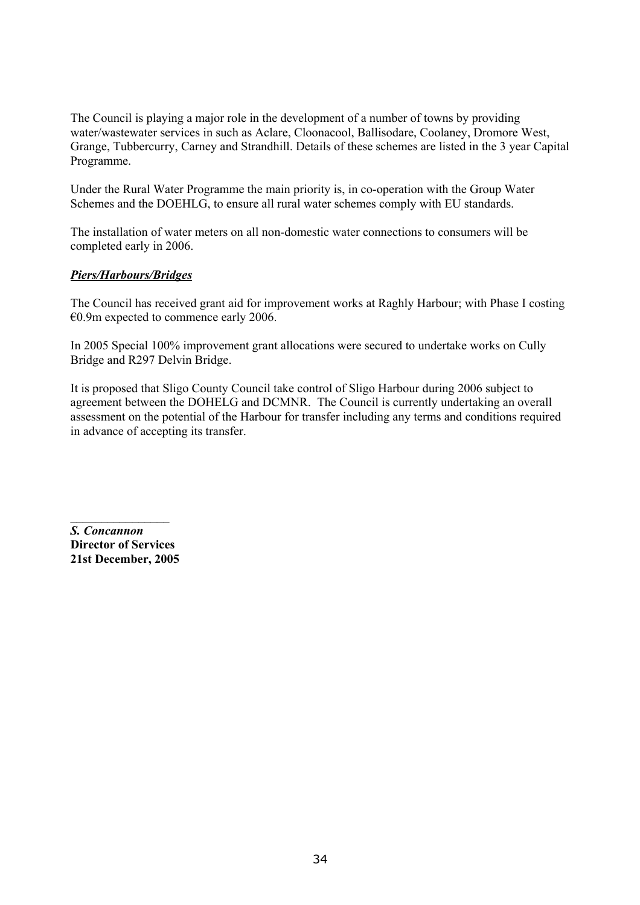The Council is playing a major role in the development of a number of towns by providing water/wastewater services in such as Aclare, Cloonacool, Ballisodare, Coolaney, Dromore West, Grange, Tubbercurry, Carney and Strandhill. Details of these schemes are listed in the 3 year Capital Programme.

Under the Rural Water Programme the main priority is, in co-operation with the Group Water Schemes and the DOEHLG, to ensure all rural water schemes comply with EU standards.

The installation of water meters on all non-domestic water connections to consumers will be completed early in 2006.

#### *Piers/Harbours/Bridges*

The Council has received grant aid for improvement works at Raghly Harbour; with Phase I costing €0.9m expected to commence early 2006.

In 2005 Special 100% improvement grant allocations were secured to undertake works on Cully Bridge and R297 Delvin Bridge.

It is proposed that Sligo County Council take control of Sligo Harbour during 2006 subject to agreement between the DOHELG and DCMNR. The Council is currently undertaking an overall assessment on the potential of the Harbour for transfer including any terms and conditions required in advance of accepting its transfer.

*S. Concannon*  **Director of Services 21st December, 2005** 

 $\frac{1}{2}$  ,  $\frac{1}{2}$  ,  $\frac{1}{2}$  ,  $\frac{1}{2}$  ,  $\frac{1}{2}$  ,  $\frac{1}{2}$  ,  $\frac{1}{2}$  ,  $\frac{1}{2}$  ,  $\frac{1}{2}$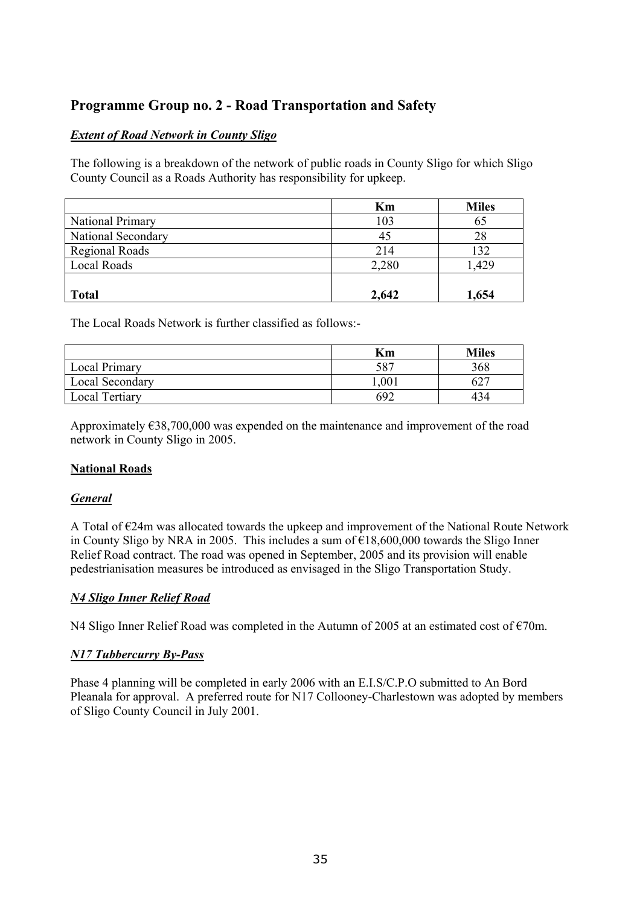## **Programme Group no. 2 - Road Transportation and Safety**

## *Extent of Road Network in County Sligo*

The following is a breakdown of the network of public roads in County Sligo for which Sligo County Council as a Roads Authority has responsibility for upkeep.

|                       | Km    | <b>Miles</b> |
|-----------------------|-------|--------------|
| National Primary      | 103   | 65           |
| National Secondary    | 45    | 28           |
| <b>Regional Roads</b> | 214   | 132          |
| Local Roads           | 2,280 | 1,429        |
|                       |       |              |
| <b>Total</b>          | 2,642 | 1,654        |

The Local Roads Network is further classified as follows:-

|                        | Кm   | <b>Miles</b> |
|------------------------|------|--------------|
| <b>Local Primary</b>   | 587  | 368          |
| <b>Local Secondary</b> | ,001 |              |
| <b>Local Tertiary</b>  | 692  | 434          |

Approximately €38,700,000 was expended on the maintenance and improvement of the road network in County Sligo in 2005.

## **National Roads**

## *General*

A Total of €24m was allocated towards the upkeep and improvement of the National Route Network in County Sligo by NRA in 2005. This includes a sum of  $\epsilon$ 18,600,000 towards the Sligo Inner Relief Road contract. The road was opened in September, 2005 and its provision will enable pedestrianisation measures be introduced as envisaged in the Sligo Transportation Study.

## *N4 Sligo Inner Relief Road*

N4 Sligo Inner Relief Road was completed in the Autumn of 2005 at an estimated cost of €70m.

## *N17 Tubbercurry By-Pass*

Phase 4 planning will be completed in early 2006 with an E.I.S/C.P.O submitted to An Bord Pleanala for approval. A preferred route for N17 Collooney-Charlestown was adopted by members of Sligo County Council in July 2001.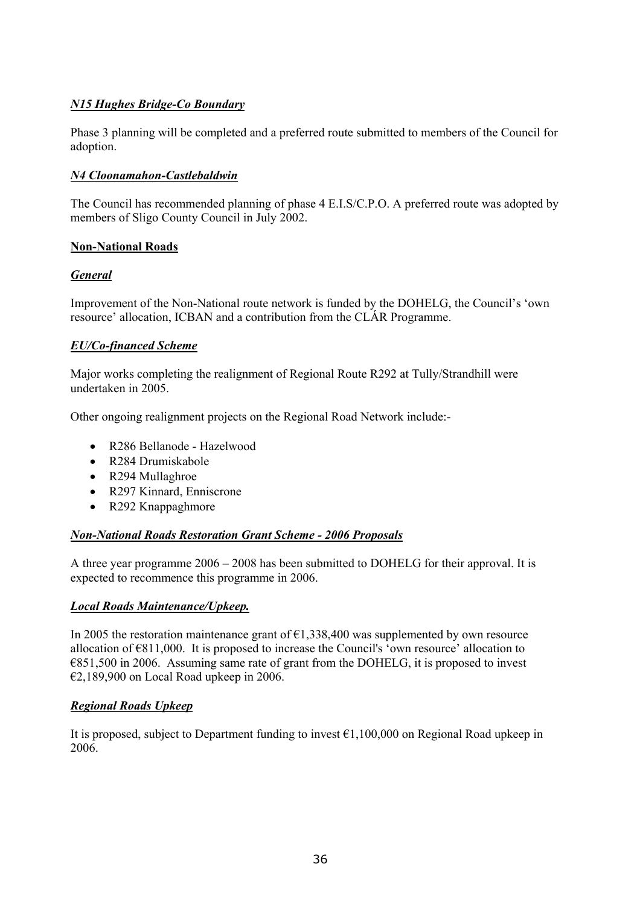## *N15 Hughes Bridge-Co Boundary*

Phase 3 planning will be completed and a preferred route submitted to members of the Council for adoption.

## *N4 Cloonamahon-Castlebaldwin*

The Council has recommended planning of phase 4 E.I.S/C.P.O. A preferred route was adopted by members of Sligo County Council in July 2002.

#### **Non-National Roads**

## *General*

Improvement of the Non-National route network is funded by the DOHELG, the Council's 'own resource' allocation, ICBAN and a contribution from the CLÁR Programme.

#### *EU/Co-financed Scheme*

Major works completing the realignment of Regional Route R292 at Tully/Strandhill were undertaken in 2005.

Other ongoing realignment projects on the Regional Road Network include:-

- R286 Bellanode Hazelwood
- R284 Drumiskabole
- R294 Mullaghroe
- R297 Kinnard, Enniscrone
- R292 Knappaghmore

#### *Non-National Roads Restoration Grant Scheme - 2006 Proposals*

A three year programme 2006 – 2008 has been submitted to DOHELG for their approval. It is expected to recommence this programme in 2006.

#### *Local Roads Maintenance/Upkeep.*

In 2005 the restoration maintenance grant of  $\epsilon$ 1,338,400 was supplemented by own resource allocation of €811,000. It is proposed to increase the Council's 'own resource' allocation to €851,500 in 2006. Assuming same rate of grant from the DOHELG, it is proposed to invest €2,189,900 on Local Road upkeep in 2006.

#### *Regional Roads Upkeep*

It is proposed, subject to Department funding to invest  $\epsilon$ 1,100,000 on Regional Road upkeep in 2006.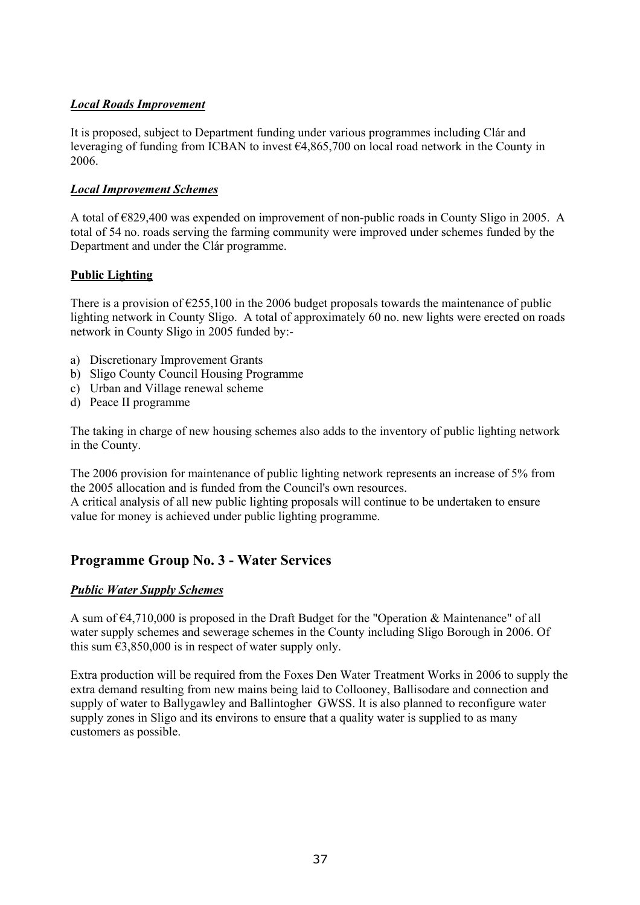# *Local Roads Improvement*

It is proposed, subject to Department funding under various programmes including Clár and leveraging of funding from ICBAN to invest  $64,865,700$  on local road network in the County in 2006.

# *Local Improvement Schemes*

A total of €829,400 was expended on improvement of non-public roads in County Sligo in 2005. A total of 54 no. roads serving the farming community were improved under schemes funded by the Department and under the Clár programme.

# **Public Lighting**

There is a provision of  $\epsilon$ 255,100 in the 2006 budget proposals towards the maintenance of public lighting network in County Sligo. A total of approximately 60 no. new lights were erected on roads network in County Sligo in 2005 funded by:-

- a) Discretionary Improvement Grants
- b) Sligo County Council Housing Programme
- c) Urban and Village renewal scheme
- d) Peace II programme

The taking in charge of new housing schemes also adds to the inventory of public lighting network in the County.

The 2006 provision for maintenance of public lighting network represents an increase of 5% from the 2005 allocation and is funded from the Council's own resources.

A critical analysis of all new public lighting proposals will continue to be undertaken to ensure value for money is achieved under public lighting programme.

# **Programme Group No. 3 - Water Services**

# *Public Water Supply Schemes*

A sum of  $\epsilon$ 4,710,000 is proposed in the Draft Budget for the "Operation & Maintenance" of all water supply schemes and sewerage schemes in the County including Sligo Borough in 2006. Of this sum  $\epsilon$ 3,850,000 is in respect of water supply only.

Extra production will be required from the Foxes Den Water Treatment Works in 2006 to supply the extra demand resulting from new mains being laid to Collooney, Ballisodare and connection and supply of water to Ballygawley and Ballintogher GWSS. It is also planned to reconfigure water supply zones in Sligo and its environs to ensure that a quality water is supplied to as many customers as possible.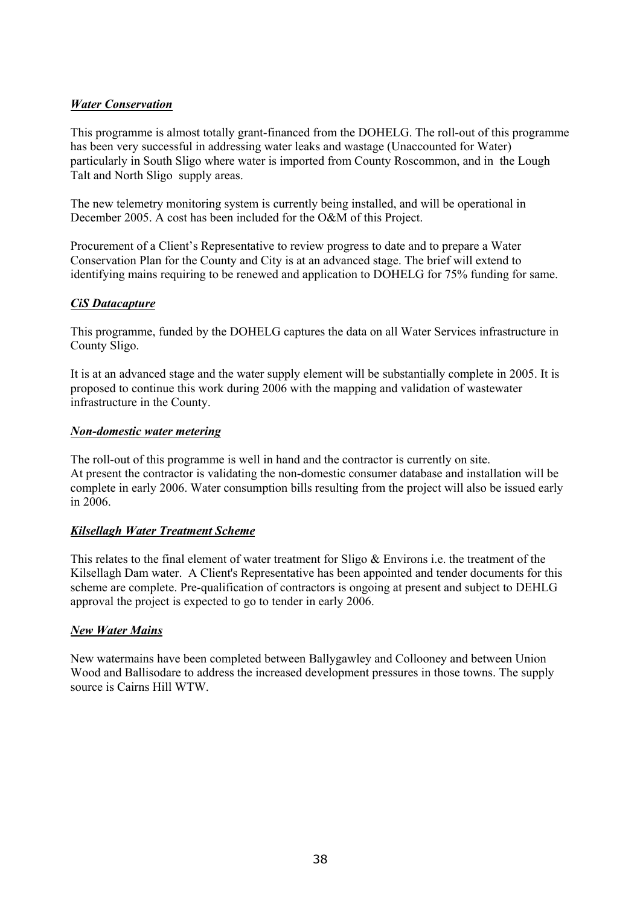#### *Water Conservation*

This programme is almost totally grant-financed from the DOHELG. The roll-out of this programme has been very successful in addressing water leaks and wastage (Unaccounted for Water) particularly in South Sligo where water is imported from County Roscommon, and in the Lough Talt and North Sligo supply areas.

The new telemetry monitoring system is currently being installed, and will be operational in December 2005. A cost has been included for the O&M of this Project.

Procurement of a Client's Representative to review progress to date and to prepare a Water Conservation Plan for the County and City is at an advanced stage. The brief will extend to identifying mains requiring to be renewed and application to DOHELG for 75% funding for same.

#### *CiS Datacapture*

This programme, funded by the DOHELG captures the data on all Water Services infrastructure in County Sligo.

It is at an advanced stage and the water supply element will be substantially complete in 2005. It is proposed to continue this work during 2006 with the mapping and validation of wastewater infrastructure in the County.

#### *Non-domestic water metering*

The roll-out of this programme is well in hand and the contractor is currently on site. At present the contractor is validating the non-domestic consumer database and installation will be complete in early 2006. Water consumption bills resulting from the project will also be issued early in 2006.

#### *Kilsellagh Water Treatment Scheme*

This relates to the final element of water treatment for Sligo & Environs i.e. the treatment of the Kilsellagh Dam water. A Client's Representative has been appointed and tender documents for this scheme are complete. Pre-qualification of contractors is ongoing at present and subject to DEHLG approval the project is expected to go to tender in early 2006.

#### *New Water Mains*

New watermains have been completed between Ballygawley and Collooney and between Union Wood and Ballisodare to address the increased development pressures in those towns. The supply source is Cairns Hill WTW.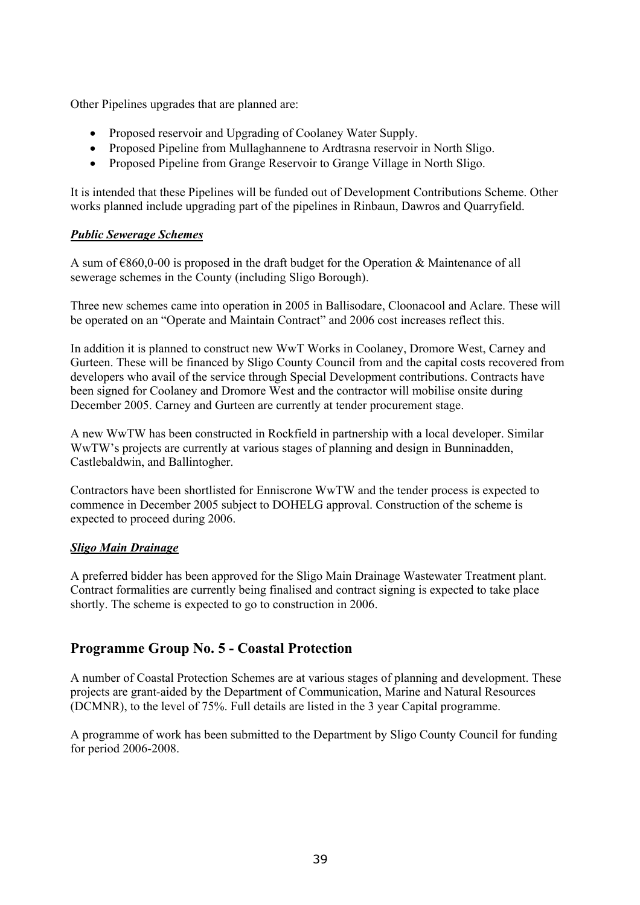Other Pipelines upgrades that are planned are:

- Proposed reservoir and Upgrading of Coolaney Water Supply.
- Proposed Pipeline from Mullaghannene to Ardtrasna reservoir in North Sligo.
- Proposed Pipeline from Grange Reservoir to Grange Village in North Sligo.

It is intended that these Pipelines will be funded out of Development Contributions Scheme. Other works planned include upgrading part of the pipelines in Rinbaun, Dawros and Quarryfield.

#### *Public Sewerage Schemes*

A sum of  $\epsilon$ 860,0-00 is proposed in the draft budget for the Operation & Maintenance of all sewerage schemes in the County (including Sligo Borough).

Three new schemes came into operation in 2005 in Ballisodare, Cloonacool and Aclare. These will be operated on an "Operate and Maintain Contract" and 2006 cost increases reflect this.

In addition it is planned to construct new WwT Works in Coolaney, Dromore West, Carney and Gurteen. These will be financed by Sligo County Council from and the capital costs recovered from developers who avail of the service through Special Development contributions. Contracts have been signed for Coolaney and Dromore West and the contractor will mobilise onsite during December 2005. Carney and Gurteen are currently at tender procurement stage.

A new WwTW has been constructed in Rockfield in partnership with a local developer. Similar WwTW's projects are currently at various stages of planning and design in Bunninadden, Castlebaldwin, and Ballintogher.

Contractors have been shortlisted for Enniscrone WwTW and the tender process is expected to commence in December 2005 subject to DOHELG approval. Construction of the scheme is expected to proceed during 2006.

#### *Sligo Main Drainage*

A preferred bidder has been approved for the Sligo Main Drainage Wastewater Treatment plant. Contract formalities are currently being finalised and contract signing is expected to take place shortly. The scheme is expected to go to construction in 2006.

# **Programme Group No. 5 - Coastal Protection**

A number of Coastal Protection Schemes are at various stages of planning and development. These projects are grant-aided by the Department of Communication, Marine and Natural Resources (DCMNR), to the level of 75%. Full details are listed in the 3 year Capital programme.

A programme of work has been submitted to the Department by Sligo County Council for funding for period 2006-2008.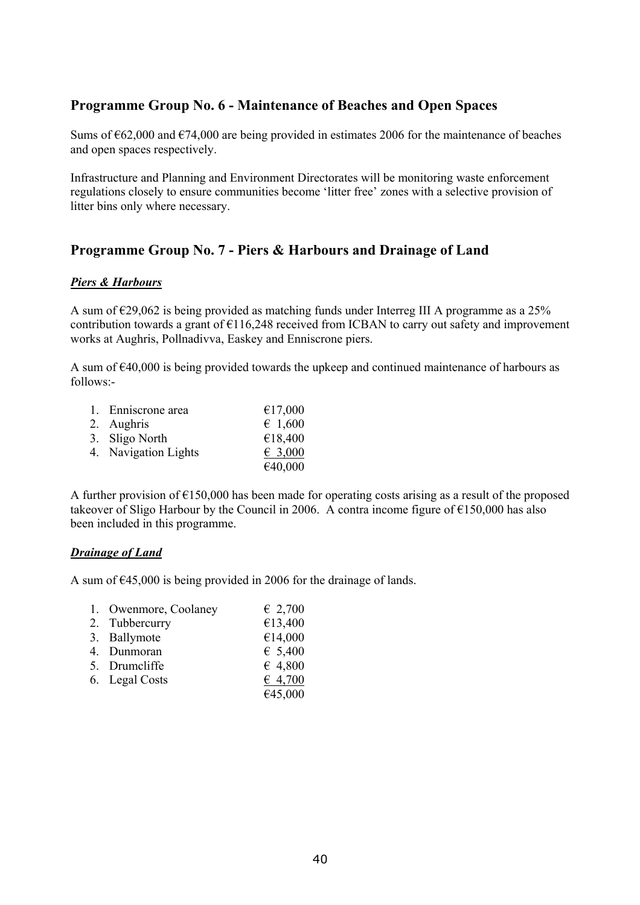# **Programme Group No. 6 - Maintenance of Beaches and Open Spaces**

Sums of  $662,000$  and  $674,000$  are being provided in estimates 2006 for the maintenance of beaches and open spaces respectively.

Infrastructure and Planning and Environment Directorates will be monitoring waste enforcement regulations closely to ensure communities become 'litter free' zones with a selective provision of litter bins only where necessary.

# **Programme Group No. 7 - Piers & Harbours and Drainage of Land**

#### *Piers & Harbours*

A sum of  $\epsilon$ 29,062 is being provided as matching funds under Interreg III A programme as a 25% contribution towards a grant of  $E116,248$  received from ICBAN to carry out safety and improvement works at Aughris, Pollnadivva, Easkey and Enniscrone piers.

A sum of €40,000 is being provided towards the upkeep and continued maintenance of harbours as follows:-

| 1. Enniscrone area   | €17,000          |
|----------------------|------------------|
| 2. Aughris           | $\epsilon$ 1,600 |
| 3. Sligo North       | €18,400          |
| 4. Navigation Lights | € 3,000          |
|                      | €40,000          |

A further provision of €150,000 has been made for operating costs arising as a result of the proposed takeover of Sligo Harbour by the Council in 2006. A contra income figure of  $\epsilon$ 150,000 has also been included in this programme.

#### *Drainage of Land*

A sum of  $\epsilon$ 45,000 is being provided in 2006 for the drainage of lands.

| 1. Owenmore, Coolaney | $\epsilon$ 2,700 |
|-----------------------|------------------|
| 2. Tubbercurry        | €13,400          |
| 3. Ballymote          | €14,000          |
| 4. Dunmoran           | € 5,400          |
| 5. Drumcliffe         | $\epsilon$ 4,800 |
| 6. Legal Costs        | 64,700           |
|                       | €45,000          |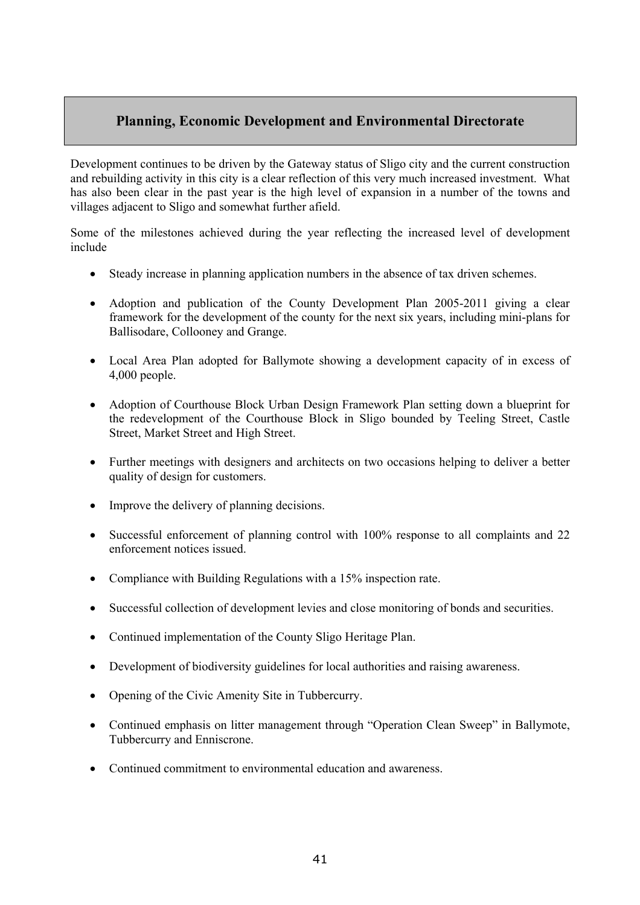# **Planning, Economic Development and Environmental Directorate**

Development continues to be driven by the Gateway status of Sligo city and the current construction and rebuilding activity in this city is a clear reflection of this very much increased investment. What has also been clear in the past year is the high level of expansion in a number of the towns and villages adjacent to Sligo and somewhat further afield.

Some of the milestones achieved during the year reflecting the increased level of development include

- Steady increase in planning application numbers in the absence of tax driven schemes.
- Adoption and publication of the County Development Plan 2005-2011 giving a clear framework for the development of the county for the next six years, including mini-plans for Ballisodare, Collooney and Grange.
- Local Area Plan adopted for Ballymote showing a development capacity of in excess of 4,000 people.
- Adoption of Courthouse Block Urban Design Framework Plan setting down a blueprint for the redevelopment of the Courthouse Block in Sligo bounded by Teeling Street, Castle Street, Market Street and High Street.
- Further meetings with designers and architects on two occasions helping to deliver a better quality of design for customers.
- Improve the delivery of planning decisions.
- Successful enforcement of planning control with 100% response to all complaints and 22 enforcement notices issued.
- Compliance with Building Regulations with a 15% inspection rate.
- Successful collection of development levies and close monitoring of bonds and securities.
- Continued implementation of the County Sligo Heritage Plan.
- Development of biodiversity guidelines for local authorities and raising awareness.
- Opening of the Civic Amenity Site in Tubbercurry.
- Continued emphasis on litter management through "Operation Clean Sweep" in Ballymote, Tubbercurry and Enniscrone.
- Continued commitment to environmental education and awareness.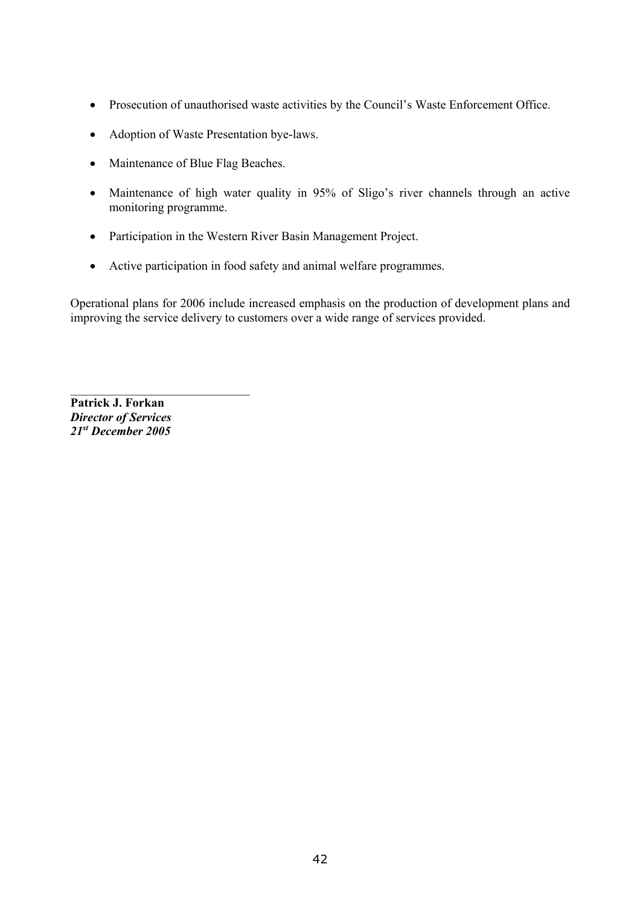- Prosecution of unauthorised waste activities by the Council's Waste Enforcement Office.
- Adoption of Waste Presentation bye-laws.
- Maintenance of Blue Flag Beaches.
- Maintenance of high water quality in 95% of Sligo's river channels through an active monitoring programme.
- Participation in the Western River Basin Management Project.
- Active participation in food safety and animal welfare programmes.

Operational plans for 2006 include increased emphasis on the production of development plans and improving the service delivery to customers over a wide range of services provided.

**Patrick J. Forkan**  *Director of Services 21st December 2005* 

 $\mathcal{L}_\text{max}$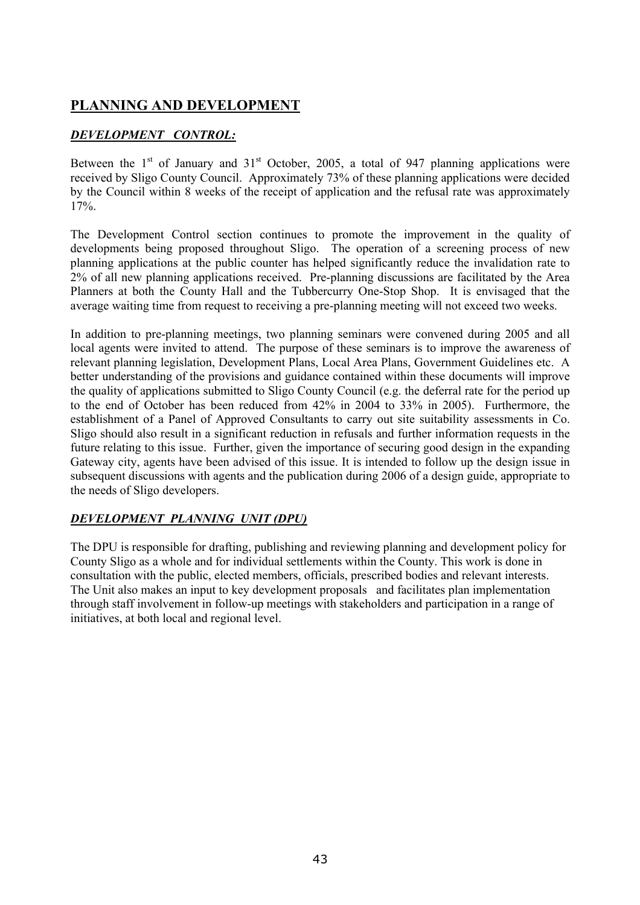# **PLANNING AND DEVELOPMENT**

# *DEVELOPMENT CONTROL:*

Between the  $1<sup>st</sup>$  of January and  $31<sup>st</sup>$  October, 2005, a total of 947 planning applications were received by Sligo County Council. Approximately 73% of these planning applications were decided by the Council within 8 weeks of the receipt of application and the refusal rate was approximately 17%.

The Development Control section continues to promote the improvement in the quality of developments being proposed throughout Sligo. The operation of a screening process of new planning applications at the public counter has helped significantly reduce the invalidation rate to 2% of all new planning applications received. Pre-planning discussions are facilitated by the Area Planners at both the County Hall and the Tubbercurry One-Stop Shop. It is envisaged that the average waiting time from request to receiving a pre-planning meeting will not exceed two weeks.

In addition to pre-planning meetings, two planning seminars were convened during 2005 and all local agents were invited to attend. The purpose of these seminars is to improve the awareness of relevant planning legislation, Development Plans, Local Area Plans, Government Guidelines etc. A better understanding of the provisions and guidance contained within these documents will improve the quality of applications submitted to Sligo County Council (e.g. the deferral rate for the period up to the end of October has been reduced from 42% in 2004 to 33% in 2005). Furthermore, the establishment of a Panel of Approved Consultants to carry out site suitability assessments in Co. Sligo should also result in a significant reduction in refusals and further information requests in the future relating to this issue. Further, given the importance of securing good design in the expanding Gateway city, agents have been advised of this issue. It is intended to follow up the design issue in subsequent discussions with agents and the publication during 2006 of a design guide, appropriate to the needs of Sligo developers.

# *DEVELOPMENT PLANNING UNIT (DPU)*

The DPU is responsible for drafting, publishing and reviewing planning and development policy for County Sligo as a whole and for individual settlements within the County. This work is done in consultation with the public, elected members, officials, prescribed bodies and relevant interests. The Unit also makes an input to key development proposals and facilitates plan implementation through staff involvement in follow-up meetings with stakeholders and participation in a range of initiatives, at both local and regional level.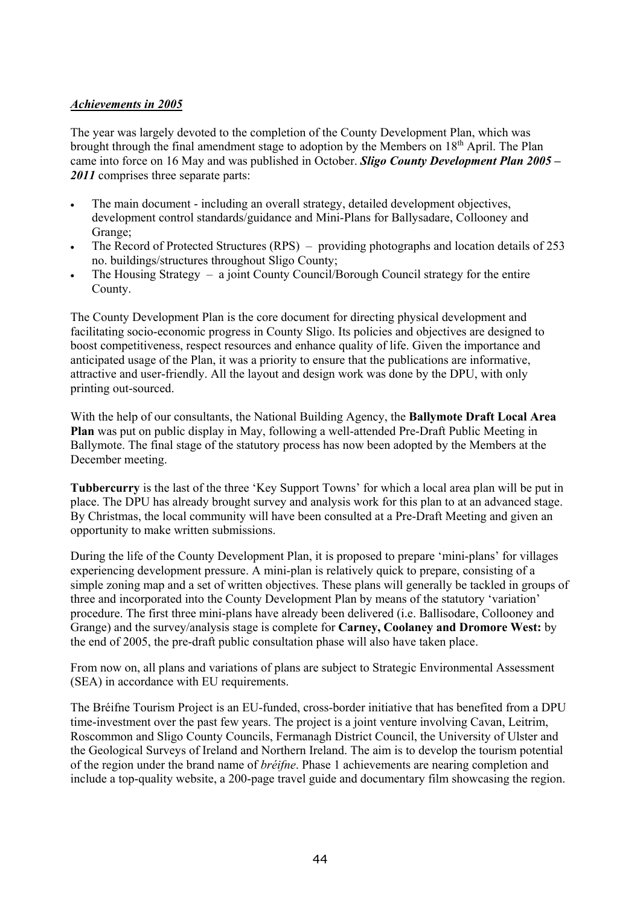#### *Achievements in 2005*

The year was largely devoted to the completion of the County Development Plan, which was brought through the final amendment stage to adoption by the Members on  $18<sup>th</sup>$  April. The Plan came into force on 16 May and was published in October. *Sligo County Development Plan 2005 – 2011* comprises three separate parts:

- The main document including an overall strategy, detailed development objectives, development control standards/guidance and Mini-Plans for Ballysadare, Collooney and Grange;
- The Record of Protected Structures (RPS) providing photographs and location details of 253 no. buildings/structures throughout Sligo County;
- The Housing Strategy  $-$  a joint County Council/Borough Council strategy for the entire County.

The County Development Plan is the core document for directing physical development and facilitating socio-economic progress in County Sligo. Its policies and objectives are designed to boost competitiveness, respect resources and enhance quality of life. Given the importance and anticipated usage of the Plan, it was a priority to ensure that the publications are informative, attractive and user-friendly. All the layout and design work was done by the DPU, with only printing out-sourced.

With the help of our consultants, the National Building Agency, the **Ballymote Draft Local Area Plan** was put on public display in May, following a well-attended Pre-Draft Public Meeting in Ballymote. The final stage of the statutory process has now been adopted by the Members at the December meeting.

**Tubbercurry** is the last of the three 'Key Support Towns' for which a local area plan will be put in place. The DPU has already brought survey and analysis work for this plan to at an advanced stage. By Christmas, the local community will have been consulted at a Pre-Draft Meeting and given an opportunity to make written submissions.

During the life of the County Development Plan, it is proposed to prepare 'mini-plans' for villages experiencing development pressure. A mini-plan is relatively quick to prepare, consisting of a simple zoning map and a set of written objectives. These plans will generally be tackled in groups of three and incorporated into the County Development Plan by means of the statutory 'variation' procedure. The first three mini-plans have already been delivered (i.e. Ballisodare, Collooney and Grange) and the survey/analysis stage is complete for **Carney, Coolaney and Dromore West:** by the end of 2005, the pre-draft public consultation phase will also have taken place.

From now on, all plans and variations of plans are subject to Strategic Environmental Assessment (SEA) in accordance with EU requirements.

The Bréifne Tourism Project is an EU-funded, cross-border initiative that has benefited from a DPU time-investment over the past few years. The project is a joint venture involving Cavan, Leitrim, Roscommon and Sligo County Councils, Fermanagh District Council, the University of Ulster and the Geological Surveys of Ireland and Northern Ireland. The aim is to develop the tourism potential of the region under the brand name of *bréifne*. Phase 1 achievements are nearing completion and include a top-quality website, a 200-page travel guide and documentary film showcasing the region.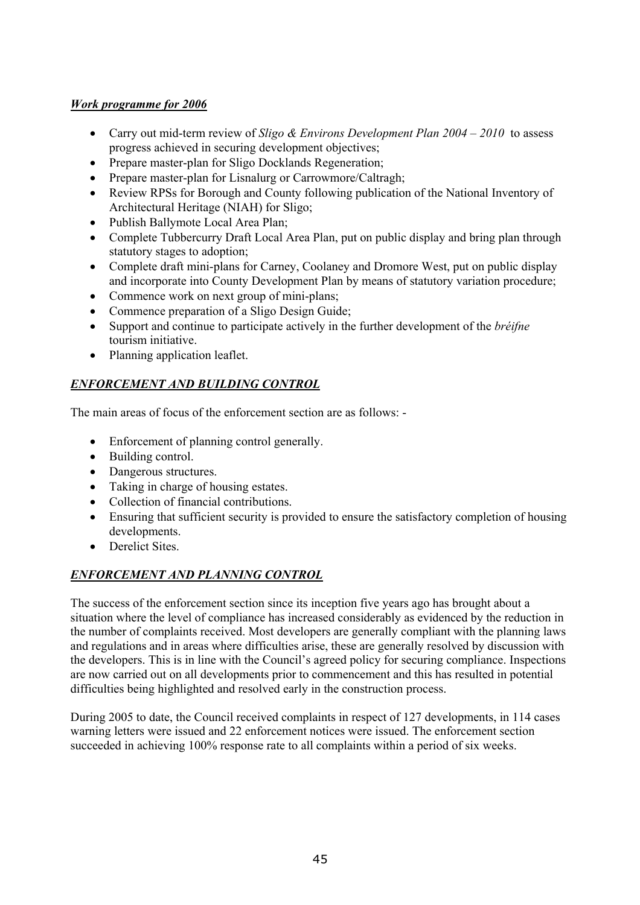# *Work programme for 2006*

- Carry out mid-term review of *Sligo & Environs Development Plan 2004 2010* to assess progress achieved in securing development objectives;
- Prepare master-plan for Sligo Docklands Regeneration;
- Prepare master-plan for Lisnalurg or Carrowmore/Caltragh;
- Review RPSs for Borough and County following publication of the National Inventory of Architectural Heritage (NIAH) for Sligo;
- Publish Ballymote Local Area Plan;
- Complete Tubbercurry Draft Local Area Plan, put on public display and bring plan through statutory stages to adoption;
- Complete draft mini-plans for Carney, Coolaney and Dromore West, put on public display and incorporate into County Development Plan by means of statutory variation procedure;
- Commence work on next group of mini-plans:
- Commence preparation of a Sligo Design Guide;
- Support and continue to participate actively in the further development of the *bréifne* tourism initiative.
- Planning application leaflet.

# *ENFORCEMENT AND BUILDING CONTROL*

The main areas of focus of the enforcement section are as follows: -

- Enforcement of planning control generally.
- Building control.
- Dangerous structures.
- Taking in charge of housing estates.
- Collection of financial contributions.
- Ensuring that sufficient security is provided to ensure the satisfactory completion of housing developments.
- Derelict Sites.

# *ENFORCEMENT AND PLANNING CONTROL*

The success of the enforcement section since its inception five years ago has brought about a situation where the level of compliance has increased considerably as evidenced by the reduction in the number of complaints received. Most developers are generally compliant with the planning laws and regulations and in areas where difficulties arise, these are generally resolved by discussion with the developers. This is in line with the Council's agreed policy for securing compliance. Inspections are now carried out on all developments prior to commencement and this has resulted in potential difficulties being highlighted and resolved early in the construction process.

During 2005 to date, the Council received complaints in respect of 127 developments, in 114 cases warning letters were issued and 22 enforcement notices were issued. The enforcement section succeeded in achieving 100% response rate to all complaints within a period of six weeks.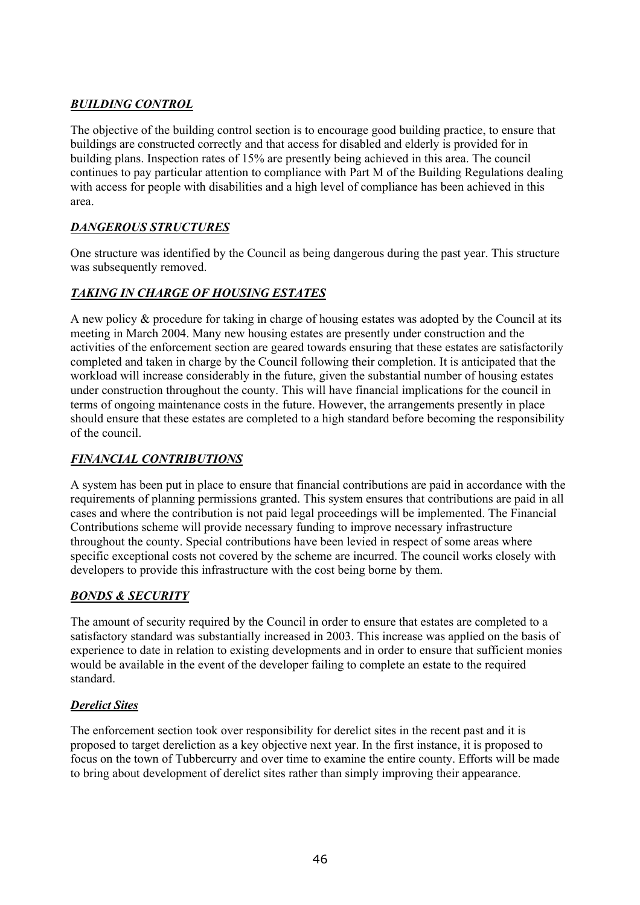# *BUILDING CONTROL*

The objective of the building control section is to encourage good building practice, to ensure that buildings are constructed correctly and that access for disabled and elderly is provided for in building plans. Inspection rates of 15% are presently being achieved in this area. The council continues to pay particular attention to compliance with Part M of the Building Regulations dealing with access for people with disabilities and a high level of compliance has been achieved in this area.

# *DANGEROUS STRUCTURES*

One structure was identified by the Council as being dangerous during the past year. This structure was subsequently removed.

# *TAKING IN CHARGE OF HOUSING ESTATES*

A new policy & procedure for taking in charge of housing estates was adopted by the Council at its meeting in March 2004. Many new housing estates are presently under construction and the activities of the enforcement section are geared towards ensuring that these estates are satisfactorily completed and taken in charge by the Council following their completion. It is anticipated that the workload will increase considerably in the future, given the substantial number of housing estates under construction throughout the county. This will have financial implications for the council in terms of ongoing maintenance costs in the future. However, the arrangements presently in place should ensure that these estates are completed to a high standard before becoming the responsibility of the council.

# *FINANCIAL CONTRIBUTIONS*

A system has been put in place to ensure that financial contributions are paid in accordance with the requirements of planning permissions granted. This system ensures that contributions are paid in all cases and where the contribution is not paid legal proceedings will be implemented. The Financial Contributions scheme will provide necessary funding to improve necessary infrastructure throughout the county. Special contributions have been levied in respect of some areas where specific exceptional costs not covered by the scheme are incurred. The council works closely with developers to provide this infrastructure with the cost being borne by them.

# *BONDS & SECURITY*

The amount of security required by the Council in order to ensure that estates are completed to a satisfactory standard was substantially increased in 2003. This increase was applied on the basis of experience to date in relation to existing developments and in order to ensure that sufficient monies would be available in the event of the developer failing to complete an estate to the required standard.

# *Derelict Sites*

The enforcement section took over responsibility for derelict sites in the recent past and it is proposed to target dereliction as a key objective next year. In the first instance, it is proposed to focus on the town of Tubbercurry and over time to examine the entire county. Efforts will be made to bring about development of derelict sites rather than simply improving their appearance.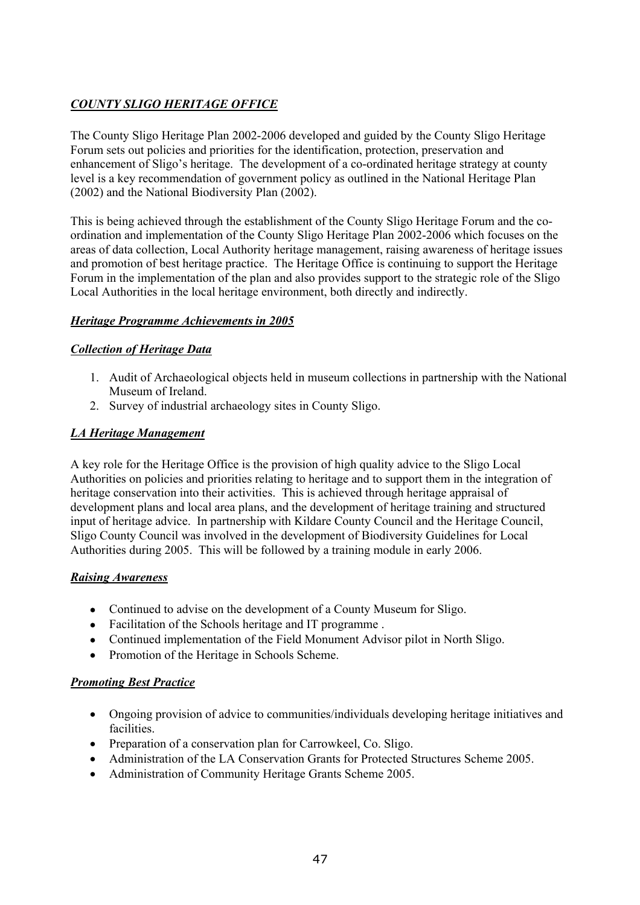# *COUNTY SLIGO HERITAGE OFFICE*

The County Sligo Heritage Plan 2002-2006 developed and guided by the County Sligo Heritage Forum sets out policies and priorities for the identification, protection, preservation and enhancement of Sligo's heritage. The development of a co-ordinated heritage strategy at county level is a key recommendation of government policy as outlined in the National Heritage Plan (2002) and the National Biodiversity Plan (2002).

This is being achieved through the establishment of the County Sligo Heritage Forum and the coordination and implementation of the County Sligo Heritage Plan 2002-2006 which focuses on the areas of data collection, Local Authority heritage management, raising awareness of heritage issues and promotion of best heritage practice. The Heritage Office is continuing to support the Heritage Forum in the implementation of the plan and also provides support to the strategic role of the Sligo Local Authorities in the local heritage environment, both directly and indirectly.

# *Heritage Programme Achievements in 2005*

#### *Collection of Heritage Data*

- 1. Audit of Archaeological objects held in museum collections in partnership with the National Museum of Ireland.
- 2. Survey of industrial archaeology sites in County Sligo.

#### *LA Heritage Management*

A key role for the Heritage Office is the provision of high quality advice to the Sligo Local Authorities on policies and priorities relating to heritage and to support them in the integration of heritage conservation into their activities. This is achieved through heritage appraisal of development plans and local area plans, and the development of heritage training and structured input of heritage advice. In partnership with Kildare County Council and the Heritage Council, Sligo County Council was involved in the development of Biodiversity Guidelines for Local Authorities during 2005. This will be followed by a training module in early 2006.

#### *Raising Awareness*

- Continued to advise on the development of a County Museum for Sligo.
- Facilitation of the Schools heritage and IT programme.
- Continued implementation of the Field Monument Advisor pilot in North Sligo.
- Promotion of the Heritage in Schools Scheme.

# *Promoting Best Practice*

- Ongoing provision of advice to communities/individuals developing heritage initiatives and facilities.
- Preparation of a conservation plan for Carrowkeel, Co. Sligo.
- Administration of the LA Conservation Grants for Protected Structures Scheme 2005.
- Administration of Community Heritage Grants Scheme 2005.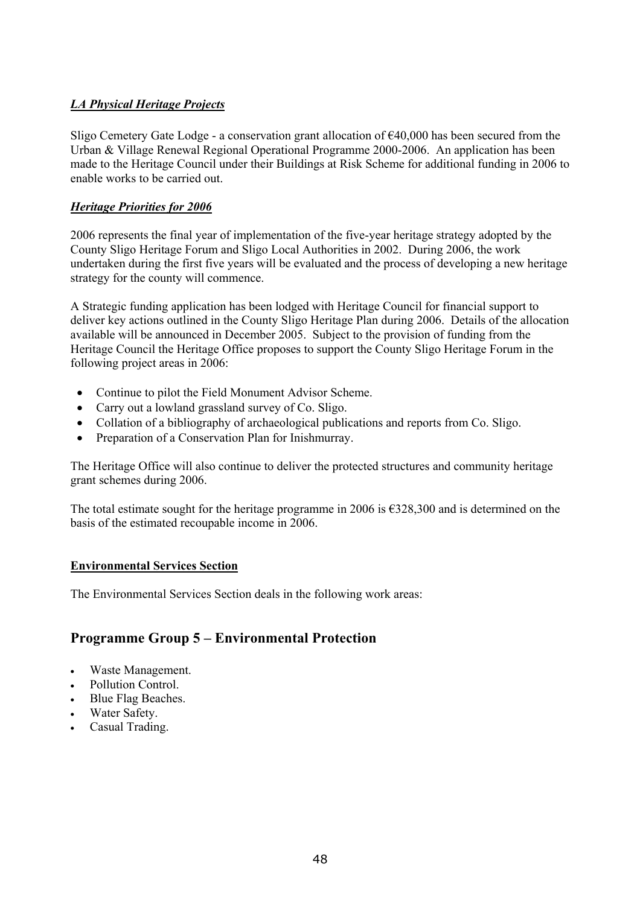# *LA Physical Heritage Projects*

Sligo Cemetery Gate Lodge - a conservation grant allocation of  $\epsilon$ 40,000 has been secured from the Urban & Village Renewal Regional Operational Programme 2000-2006. An application has been made to the Heritage Council under their Buildings at Risk Scheme for additional funding in 2006 to enable works to be carried out.

# *Heritage Priorities for 2006*

2006 represents the final year of implementation of the five-year heritage strategy adopted by the County Sligo Heritage Forum and Sligo Local Authorities in 2002. During 2006, the work undertaken during the first five years will be evaluated and the process of developing a new heritage strategy for the county will commence.

A Strategic funding application has been lodged with Heritage Council for financial support to deliver key actions outlined in the County Sligo Heritage Plan during 2006. Details of the allocation available will be announced in December 2005. Subject to the provision of funding from the Heritage Council the Heritage Office proposes to support the County Sligo Heritage Forum in the following project areas in 2006:

- Continue to pilot the Field Monument Advisor Scheme.
- Carry out a lowland grassland survey of Co. Sligo.
- Collation of a bibliography of archaeological publications and reports from Co. Sligo.
- Preparation of a Conservation Plan for Inishmurray.

The Heritage Office will also continue to deliver the protected structures and community heritage grant schemes during 2006.

The total estimate sought for the heritage programme in 2006 is  $\epsilon$ 328,300 and is determined on the basis of the estimated recoupable income in 2006.

# **Environmental Services Section**

The Environmental Services Section deals in the following work areas:

# **Programme Group 5 – Environmental Protection**

- Waste Management.
- Pollution Control.
- Blue Flag Beaches.
- Water Safety.
- Casual Trading.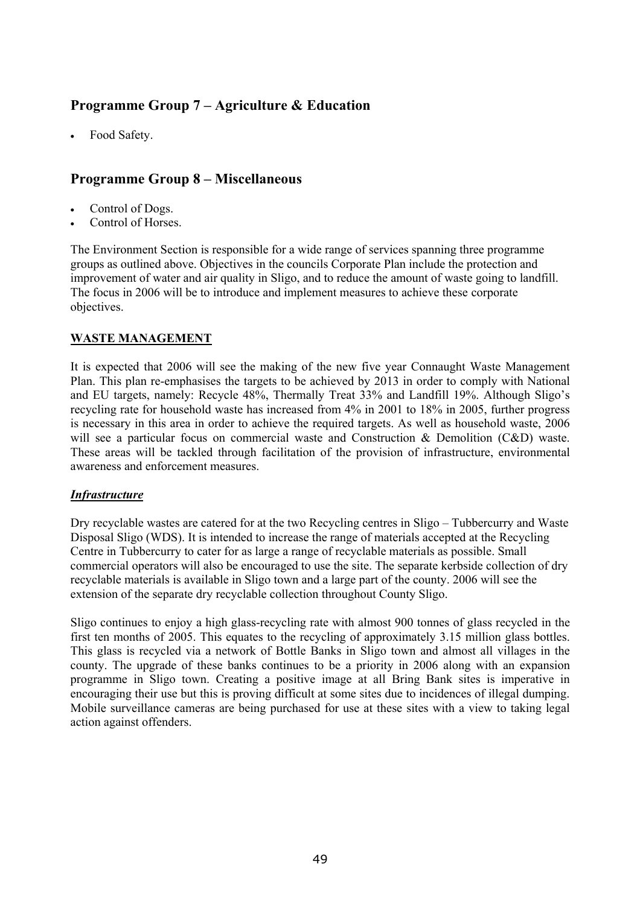# **Programme Group 7 – Agriculture & Education**

• Food Safety.

# **Programme Group 8 – Miscellaneous**

- Control of Dogs.
- Control of Horses.

The Environment Section is responsible for a wide range of services spanning three programme groups as outlined above. Objectives in the councils Corporate Plan include the protection and improvement of water and air quality in Sligo, and to reduce the amount of waste going to landfill. The focus in 2006 will be to introduce and implement measures to achieve these corporate objectives.

# **WASTE MANAGEMENT**

It is expected that 2006 will see the making of the new five year Connaught Waste Management Plan. This plan re-emphasises the targets to be achieved by 2013 in order to comply with National and EU targets, namely: Recycle 48%, Thermally Treat 33% and Landfill 19%. Although Sligo's recycling rate for household waste has increased from 4% in 2001 to 18% in 2005, further progress is necessary in this area in order to achieve the required targets. As well as household waste, 2006 will see a particular focus on commercial waste and Construction & Demolition (C&D) waste. These areas will be tackled through facilitation of the provision of infrastructure, environmental awareness and enforcement measures.

#### *Infrastructure*

Dry recyclable wastes are catered for at the two Recycling centres in Sligo – Tubbercurry and Waste Disposal Sligo (WDS). It is intended to increase the range of materials accepted at the Recycling Centre in Tubbercurry to cater for as large a range of recyclable materials as possible. Small commercial operators will also be encouraged to use the site. The separate kerbside collection of dry recyclable materials is available in Sligo town and a large part of the county. 2006 will see the extension of the separate dry recyclable collection throughout County Sligo.

Sligo continues to enjoy a high glass-recycling rate with almost 900 tonnes of glass recycled in the first ten months of 2005. This equates to the recycling of approximately 3.15 million glass bottles. This glass is recycled via a network of Bottle Banks in Sligo town and almost all villages in the county. The upgrade of these banks continues to be a priority in 2006 along with an expansion programme in Sligo town. Creating a positive image at all Bring Bank sites is imperative in encouraging their use but this is proving difficult at some sites due to incidences of illegal dumping. Mobile surveillance cameras are being purchased for use at these sites with a view to taking legal action against offenders.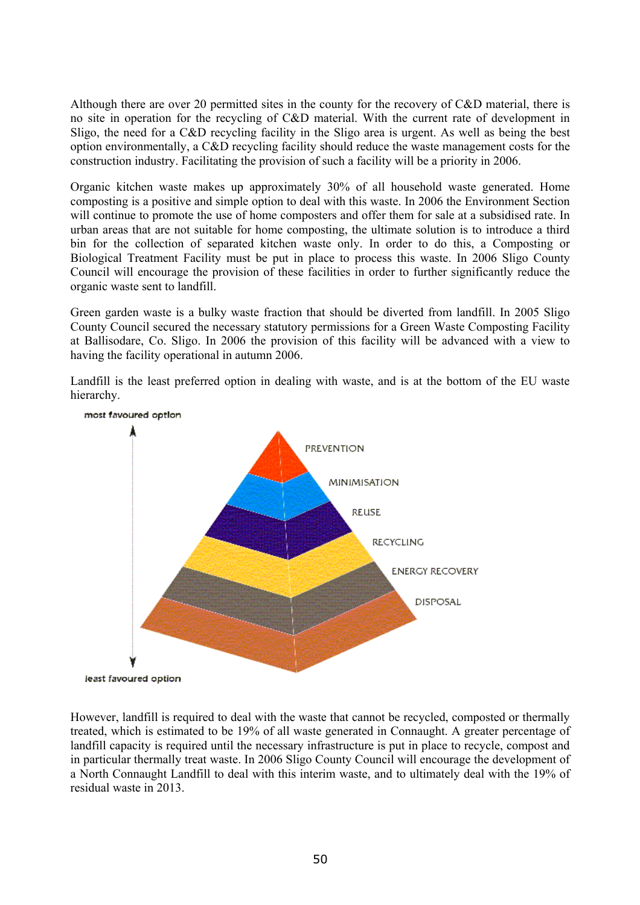Although there are over 20 permitted sites in the county for the recovery of C&D material, there is no site in operation for the recycling of C&D material. With the current rate of development in Sligo, the need for a C&D recycling facility in the Sligo area is urgent. As well as being the best option environmentally, a C&D recycling facility should reduce the waste management costs for the construction industry. Facilitating the provision of such a facility will be a priority in 2006.

Organic kitchen waste makes up approximately 30% of all household waste generated. Home composting is a positive and simple option to deal with this waste. In 2006 the Environment Section will continue to promote the use of home composters and offer them for sale at a subsidised rate. In urban areas that are not suitable for home composting, the ultimate solution is to introduce a third bin for the collection of separated kitchen waste only. In order to do this, a Composting or Biological Treatment Facility must be put in place to process this waste. In 2006 Sligo County Council will encourage the provision of these facilities in order to further significantly reduce the organic waste sent to landfill.

Green garden waste is a bulky waste fraction that should be diverted from landfill. In 2005 Sligo County Council secured the necessary statutory permissions for a Green Waste Composting Facility at Ballisodare, Co. Sligo. In 2006 the provision of this facility will be advanced with a view to having the facility operational in autumn 2006.

Landfill is the least preferred option in dealing with waste, and is at the bottom of the EU waste hierarchy.



However, landfill is required to deal with the waste that cannot be recycled, composted or thermally treated, which is estimated to be 19% of all waste generated in Connaught. A greater percentage of landfill capacity is required until the necessary infrastructure is put in place to recycle, compost and in particular thermally treat waste. In 2006 Sligo County Council will encourage the development of a North Connaught Landfill to deal with this interim waste, and to ultimately deal with the 19% of residual waste in 2013.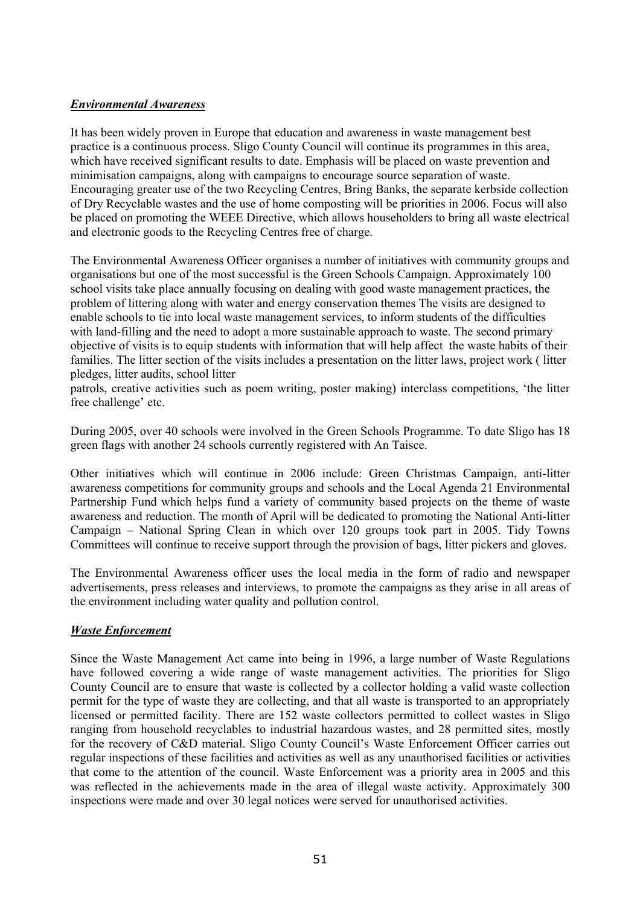### *Environmental Awareness*

It has been widely proven in Europe that education and awareness in waste management best practice is a continuous process. Sligo County Council will continue its programmes in this area, which have received significant results to date. Emphasis will be placed on waste prevention and minimisation campaigns, along with campaigns to encourage source separation of waste. Encouraging greater use of the two Recycling Centres, Bring Banks, the separate kerbside collection of Dry Recyclable wastes and the use of home composting will be priorities in 2006. Focus will also be placed on promoting the WEEE Directive, which allows householders to bring all waste electrical and electronic goods to the Recycling Centres free of charge.

The Environmental Awareness Officer organises a number of initiatives with community groups and organisations but one of the most successful is the Green Schools Campaign. Approximately 100 school visits take place annually focusing on dealing with good waste management practices, the problem of littering along with water and energy conservation themes The visits are designed to enable schools to tie into local waste management services, to inform students of the difficulties with land-filling and the need to adopt a more sustainable approach to waste. The second primary objective of visits is to equip students with information that will help affect the waste habits of their families. The litter section of the visits includes a presentation on the litter laws, project work ( litter pledges, litter audits, school litter

patrols, creative activities such as poem writing, poster making) interclass competitions, 'the litter free challenge' etc.

During 2005, over 40 schools were involved in the Green Schools Programme. To date Sligo has 18 green flags with another 24 schools currently registered with An Taisce.

Other initiatives which will continue in 2006 include: Green Christmas Campaign, anti-litter awareness competitions for community groups and schools and the Local Agenda 21 Environmental Partnership Fund which helps fund a variety of community based projects on the theme of waste awareness and reduction. The month of April will be dedicated to promoting the National Anti-litter Campaign – National Spring Clean in which over 120 groups took part in 2005. Tidy Towns Committees will continue to receive support through the provision of bags, litter pickers and gloves.

The Environmental Awareness officer uses the local media in the form of radio and newspaper advertisements, press releases and interviews, to promote the campaigns as they arise in all areas of the environment including water quality and pollution control.

#### *Waste Enforcement*

Since the Waste Management Act came into being in 1996, a large number of Waste Regulations have followed covering a wide range of waste management activities. The priorities for Sligo County Council are to ensure that waste is collected by a collector holding a valid waste collection permit for the type of waste they are collecting, and that all waste is transported to an appropriately licensed or permitted facility. There are 152 waste collectors permitted to collect wastes in Sligo ranging from household recyclables to industrial hazardous wastes, and 28 permitted sites, mostly for the recovery of C&D material. Sligo County Council's Waste Enforcement Officer carries out regular inspections of these facilities and activities as well as any unauthorised facilities or activities that come to the attention of the council. Waste Enforcement was a priority area in 2005 and this was reflected in the achievements made in the area of illegal waste activity. Approximately 300 inspections were made and over 30 legal notices were served for unauthorised activities.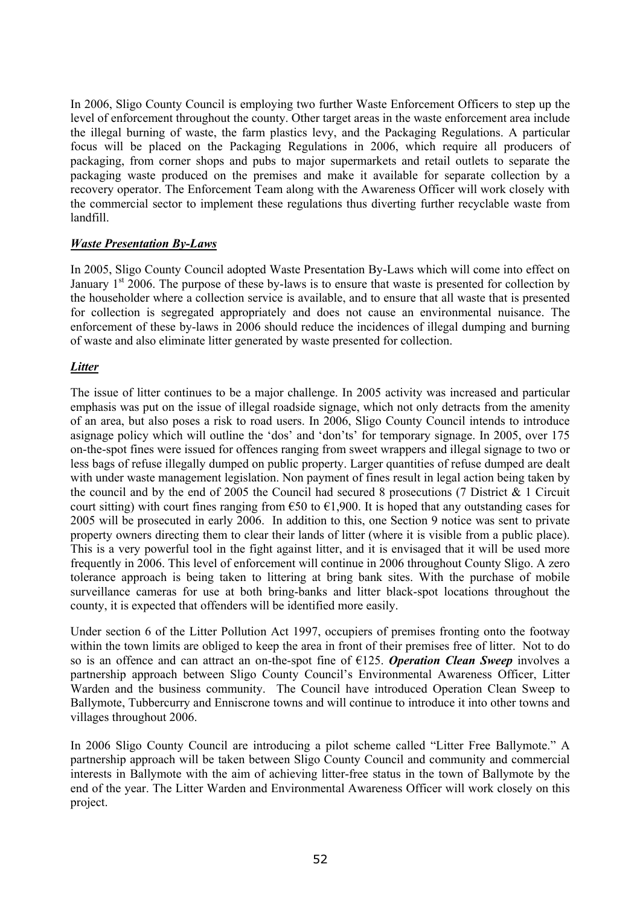In 2006, Sligo County Council is employing two further Waste Enforcement Officers to step up the level of enforcement throughout the county. Other target areas in the waste enforcement area include the illegal burning of waste, the farm plastics levy, and the Packaging Regulations. A particular focus will be placed on the Packaging Regulations in 2006, which require all producers of packaging, from corner shops and pubs to major supermarkets and retail outlets to separate the packaging waste produced on the premises and make it available for separate collection by a recovery operator. The Enforcement Team along with the Awareness Officer will work closely with the commercial sector to implement these regulations thus diverting further recyclable waste from landfill.

#### *Waste Presentation By-Laws*

In 2005, Sligo County Council adopted Waste Presentation By-Laws which will come into effect on January  $1<sup>st</sup>$  2006. The purpose of these by-laws is to ensure that waste is presented for collection by the householder where a collection service is available, and to ensure that all waste that is presented for collection is segregated appropriately and does not cause an environmental nuisance. The enforcement of these by-laws in 2006 should reduce the incidences of illegal dumping and burning of waste and also eliminate litter generated by waste presented for collection.

#### *Litter*

The issue of litter continues to be a major challenge. In 2005 activity was increased and particular emphasis was put on the issue of illegal roadside signage, which not only detracts from the amenity of an area, but also poses a risk to road users. In 2006, Sligo County Council intends to introduce asignage policy which will outline the 'dos' and 'don'ts' for temporary signage. In 2005, over 175 on-the-spot fines were issued for offences ranging from sweet wrappers and illegal signage to two or less bags of refuse illegally dumped on public property. Larger quantities of refuse dumped are dealt with under waste management legislation. Non payment of fines result in legal action being taken by the council and by the end of 2005 the Council had secured 8 prosecutions (7 District  $\&$  1 Circuit court sitting) with court fines ranging from  $\epsilon$ 50 to  $\epsilon$ 1,900. It is hoped that any outstanding cases for 2005 will be prosecuted in early 2006. In addition to this, one Section 9 notice was sent to private property owners directing them to clear their lands of litter (where it is visible from a public place). This is a very powerful tool in the fight against litter, and it is envisaged that it will be used more frequently in 2006. This level of enforcement will continue in 2006 throughout County Sligo. A zero tolerance approach is being taken to littering at bring bank sites. With the purchase of mobile surveillance cameras for use at both bring-banks and litter black-spot locations throughout the county, it is expected that offenders will be identified more easily.

Under section 6 of the Litter Pollution Act 1997, occupiers of premises fronting onto the footway within the town limits are obliged to keep the area in front of their premises free of litter. Not to do so is an offence and can attract an on-the-spot fine of €125. *Operation Clean Sweep* involves a partnership approach between Sligo County Council's Environmental Awareness Officer, Litter Warden and the business community. The Council have introduced Operation Clean Sweep to Ballymote, Tubbercurry and Enniscrone towns and will continue to introduce it into other towns and villages throughout 2006.

In 2006 Sligo County Council are introducing a pilot scheme called "Litter Free Ballymote." A partnership approach will be taken between Sligo County Council and community and commercial interests in Ballymote with the aim of achieving litter-free status in the town of Ballymote by the end of the year. The Litter Warden and Environmental Awareness Officer will work closely on this project.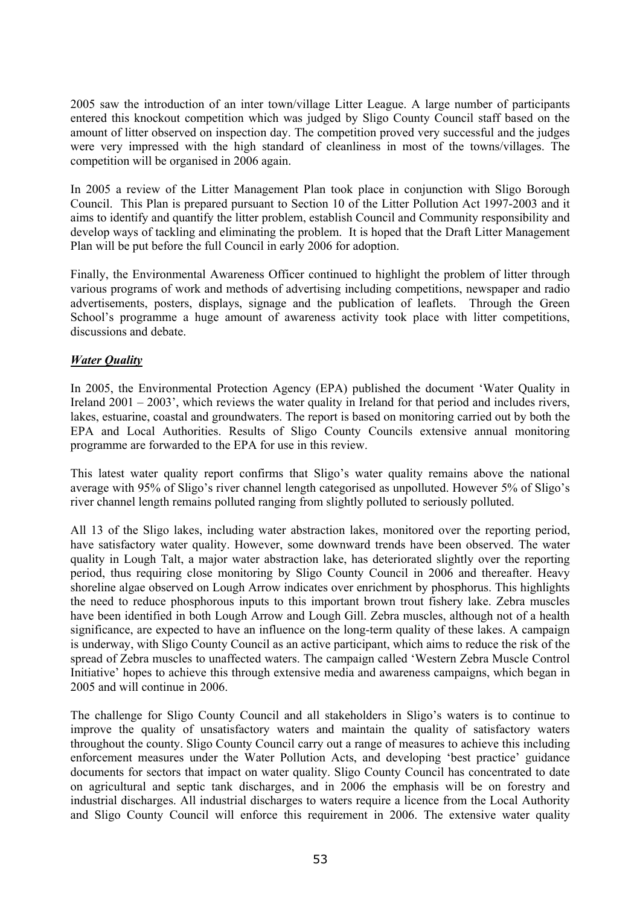2005 saw the introduction of an inter town/village Litter League. A large number of participants entered this knockout competition which was judged by Sligo County Council staff based on the amount of litter observed on inspection day. The competition proved very successful and the judges were very impressed with the high standard of cleanliness in most of the towns/villages. The competition will be organised in 2006 again.

In 2005 a review of the Litter Management Plan took place in conjunction with Sligo Borough Council. This Plan is prepared pursuant to Section 10 of the Litter Pollution Act 1997-2003 and it aims to identify and quantify the litter problem, establish Council and Community responsibility and develop ways of tackling and eliminating the problem. It is hoped that the Draft Litter Management Plan will be put before the full Council in early 2006 for adoption.

Finally, the Environmental Awareness Officer continued to highlight the problem of litter through various programs of work and methods of advertising including competitions, newspaper and radio advertisements, posters, displays, signage and the publication of leaflets. Through the Green School's programme a huge amount of awareness activity took place with litter competitions, discussions and debate.

#### *Water Quality*

In 2005, the Environmental Protection Agency (EPA) published the document 'Water Quality in Ireland 2001 – 2003', which reviews the water quality in Ireland for that period and includes rivers, lakes, estuarine, coastal and groundwaters. The report is based on monitoring carried out by both the EPA and Local Authorities. Results of Sligo County Councils extensive annual monitoring programme are forwarded to the EPA for use in this review.

This latest water quality report confirms that Sligo's water quality remains above the national average with 95% of Sligo's river channel length categorised as unpolluted. However 5% of Sligo's river channel length remains polluted ranging from slightly polluted to seriously polluted.

All 13 of the Sligo lakes, including water abstraction lakes, monitored over the reporting period, have satisfactory water quality. However, some downward trends have been observed. The water quality in Lough Talt, a major water abstraction lake, has deteriorated slightly over the reporting period, thus requiring close monitoring by Sligo County Council in 2006 and thereafter. Heavy shoreline algae observed on Lough Arrow indicates over enrichment by phosphorus. This highlights the need to reduce phosphorous inputs to this important brown trout fishery lake. Zebra muscles have been identified in both Lough Arrow and Lough Gill. Zebra muscles, although not of a health significance, are expected to have an influence on the long-term quality of these lakes. A campaign is underway, with Sligo County Council as an active participant, which aims to reduce the risk of the spread of Zebra muscles to unaffected waters. The campaign called 'Western Zebra Muscle Control Initiative' hopes to achieve this through extensive media and awareness campaigns, which began in 2005 and will continue in 2006.

The challenge for Sligo County Council and all stakeholders in Sligo's waters is to continue to improve the quality of unsatisfactory waters and maintain the quality of satisfactory waters throughout the county. Sligo County Council carry out a range of measures to achieve this including enforcement measures under the Water Pollution Acts, and developing 'best practice' guidance documents for sectors that impact on water quality. Sligo County Council has concentrated to date on agricultural and septic tank discharges, and in 2006 the emphasis will be on forestry and industrial discharges. All industrial discharges to waters require a licence from the Local Authority and Sligo County Council will enforce this requirement in 2006. The extensive water quality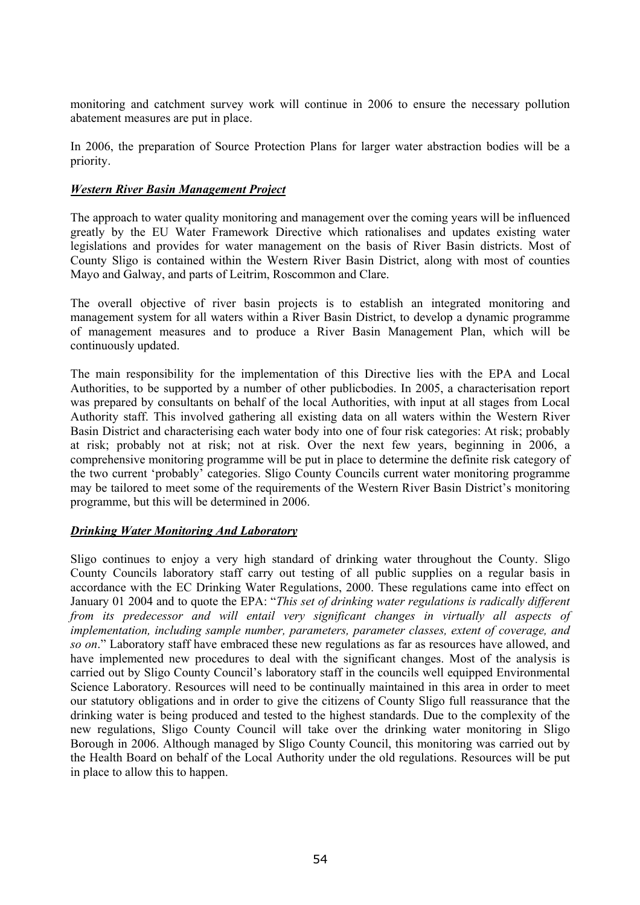monitoring and catchment survey work will continue in 2006 to ensure the necessary pollution abatement measures are put in place.

In 2006, the preparation of Source Protection Plans for larger water abstraction bodies will be a priority.

#### *Western River Basin Management Project*

The approach to water quality monitoring and management over the coming years will be influenced greatly by the EU Water Framework Directive which rationalises and updates existing water legislations and provides for water management on the basis of River Basin districts. Most of County Sligo is contained within the Western River Basin District, along with most of counties Mayo and Galway, and parts of Leitrim, Roscommon and Clare.

The overall objective of river basin projects is to establish an integrated monitoring and management system for all waters within a River Basin District, to develop a dynamic programme of management measures and to produce a River Basin Management Plan, which will be continuously updated.

The main responsibility for the implementation of this Directive lies with the EPA and Local Authorities, to be supported by a number of other publicbodies. In 2005, a characterisation report was prepared by consultants on behalf of the local Authorities, with input at all stages from Local Authority staff. This involved gathering all existing data on all waters within the Western River Basin District and characterising each water body into one of four risk categories: At risk; probably at risk; probably not at risk; not at risk. Over the next few years, beginning in 2006, a comprehensive monitoring programme will be put in place to determine the definite risk category of the two current 'probably' categories. Sligo County Councils current water monitoring programme may be tailored to meet some of the requirements of the Western River Basin District's monitoring programme, but this will be determined in 2006.

#### *Drinking Water Monitoring And Laboratory*

Sligo continues to enjoy a very high standard of drinking water throughout the County. Sligo County Councils laboratory staff carry out testing of all public supplies on a regular basis in accordance with the EC Drinking Water Regulations, 2000. These regulations came into effect on January 01 2004 and to quote the EPA: "*This set of drinking water regulations is radically different from its predecessor and will entail very significant changes in virtually all aspects of implementation, including sample number, parameters, parameter classes, extent of coverage, and so on*." Laboratory staff have embraced these new regulations as far as resources have allowed, and have implemented new procedures to deal with the significant changes. Most of the analysis is carried out by Sligo County Council's laboratory staff in the councils well equipped Environmental Science Laboratory. Resources will need to be continually maintained in this area in order to meet our statutory obligations and in order to give the citizens of County Sligo full reassurance that the drinking water is being produced and tested to the highest standards. Due to the complexity of the new regulations, Sligo County Council will take over the drinking water monitoring in Sligo Borough in 2006. Although managed by Sligo County Council, this monitoring was carried out by the Health Board on behalf of the Local Authority under the old regulations. Resources will be put in place to allow this to happen.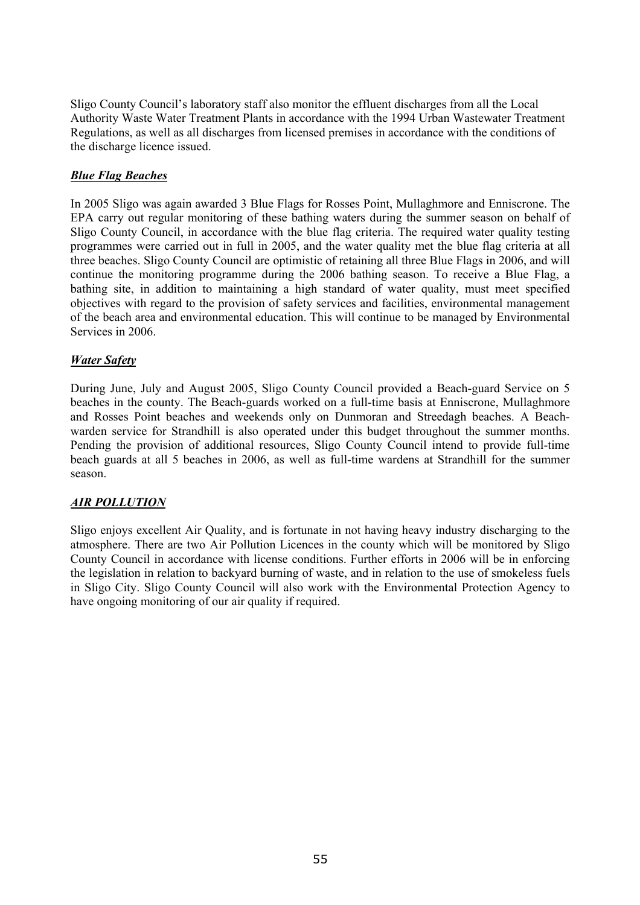Sligo County Council's laboratory staff also monitor the effluent discharges from all the Local Authority Waste Water Treatment Plants in accordance with the 1994 Urban Wastewater Treatment Regulations, as well as all discharges from licensed premises in accordance with the conditions of the discharge licence issued.

### *Blue Flag Beaches*

In 2005 Sligo was again awarded 3 Blue Flags for Rosses Point, Mullaghmore and Enniscrone. The EPA carry out regular monitoring of these bathing waters during the summer season on behalf of Sligo County Council, in accordance with the blue flag criteria. The required water quality testing programmes were carried out in full in 2005, and the water quality met the blue flag criteria at all three beaches. Sligo County Council are optimistic of retaining all three Blue Flags in 2006, and will continue the monitoring programme during the 2006 bathing season. To receive a Blue Flag, a bathing site, in addition to maintaining a high standard of water quality, must meet specified objectives with regard to the provision of safety services and facilities, environmental management of the beach area and environmental education. This will continue to be managed by Environmental Services in 2006.

#### *Water Safety*

During June, July and August 2005, Sligo County Council provided a Beach-guard Service on 5 beaches in the county. The Beach-guards worked on a full-time basis at Enniscrone, Mullaghmore and Rosses Point beaches and weekends only on Dunmoran and Streedagh beaches. A Beachwarden service for Strandhill is also operated under this budget throughout the summer months. Pending the provision of additional resources, Sligo County Council intend to provide full-time beach guards at all 5 beaches in 2006, as well as full-time wardens at Strandhill for the summer season.

#### *AIR POLLUTION*

Sligo enjoys excellent Air Quality, and is fortunate in not having heavy industry discharging to the atmosphere. There are two Air Pollution Licences in the county which will be monitored by Sligo County Council in accordance with license conditions. Further efforts in 2006 will be in enforcing the legislation in relation to backyard burning of waste, and in relation to the use of smokeless fuels in Sligo City. Sligo County Council will also work with the Environmental Protection Agency to have ongoing monitoring of our air quality if required.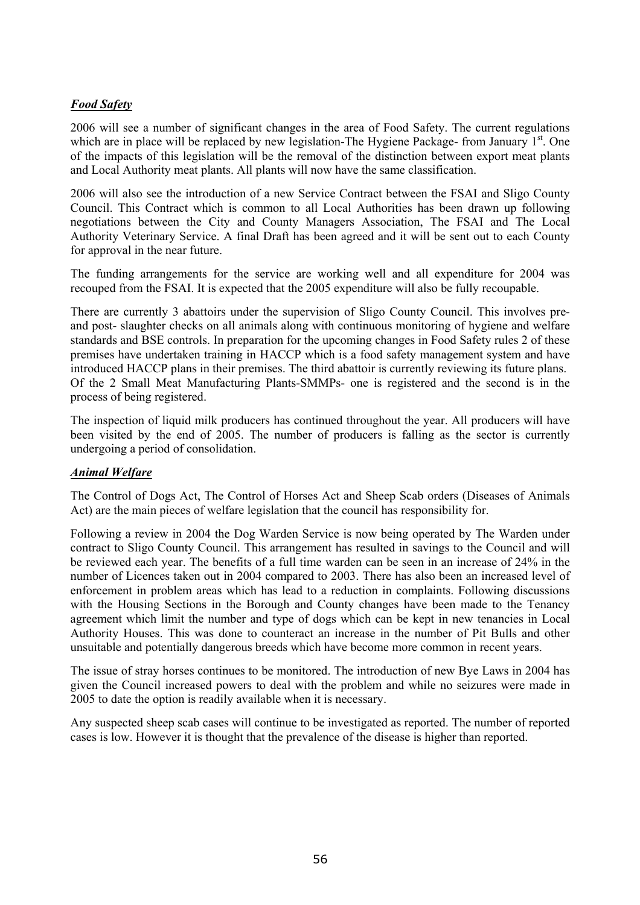# *Food Safety*

2006 will see a number of significant changes in the area of Food Safety. The current regulations which are in place will be replaced by new legislation-The Hygiene Package- from January 1<sup>st</sup>. One of the impacts of this legislation will be the removal of the distinction between export meat plants and Local Authority meat plants. All plants will now have the same classification.

2006 will also see the introduction of a new Service Contract between the FSAI and Sligo County Council. This Contract which is common to all Local Authorities has been drawn up following negotiations between the City and County Managers Association, The FSAI and The Local Authority Veterinary Service. A final Draft has been agreed and it will be sent out to each County for approval in the near future.

The funding arrangements for the service are working well and all expenditure for 2004 was recouped from the FSAI. It is expected that the 2005 expenditure will also be fully recoupable.

There are currently 3 abattoirs under the supervision of Sligo County Council. This involves preand post- slaughter checks on all animals along with continuous monitoring of hygiene and welfare standards and BSE controls. In preparation for the upcoming changes in Food Safety rules 2 of these premises have undertaken training in HACCP which is a food safety management system and have introduced HACCP plans in their premises. The third abattoir is currently reviewing its future plans. Of the 2 Small Meat Manufacturing Plants-SMMPs- one is registered and the second is in the process of being registered.

The inspection of liquid milk producers has continued throughout the year. All producers will have been visited by the end of 2005. The number of producers is falling as the sector is currently undergoing a period of consolidation.

#### *Animal Welfare*

The Control of Dogs Act, The Control of Horses Act and Sheep Scab orders (Diseases of Animals Act) are the main pieces of welfare legislation that the council has responsibility for.

Following a review in 2004 the Dog Warden Service is now being operated by The Warden under contract to Sligo County Council. This arrangement has resulted in savings to the Council and will be reviewed each year. The benefits of a full time warden can be seen in an increase of 24% in the number of Licences taken out in 2004 compared to 2003. There has also been an increased level of enforcement in problem areas which has lead to a reduction in complaints. Following discussions with the Housing Sections in the Borough and County changes have been made to the Tenancy agreement which limit the number and type of dogs which can be kept in new tenancies in Local Authority Houses. This was done to counteract an increase in the number of Pit Bulls and other unsuitable and potentially dangerous breeds which have become more common in recent years.

The issue of stray horses continues to be monitored. The introduction of new Bye Laws in 2004 has given the Council increased powers to deal with the problem and while no seizures were made in 2005 to date the option is readily available when it is necessary.

Any suspected sheep scab cases will continue to be investigated as reported. The number of reported cases is low. However it is thought that the prevalence of the disease is higher than reported.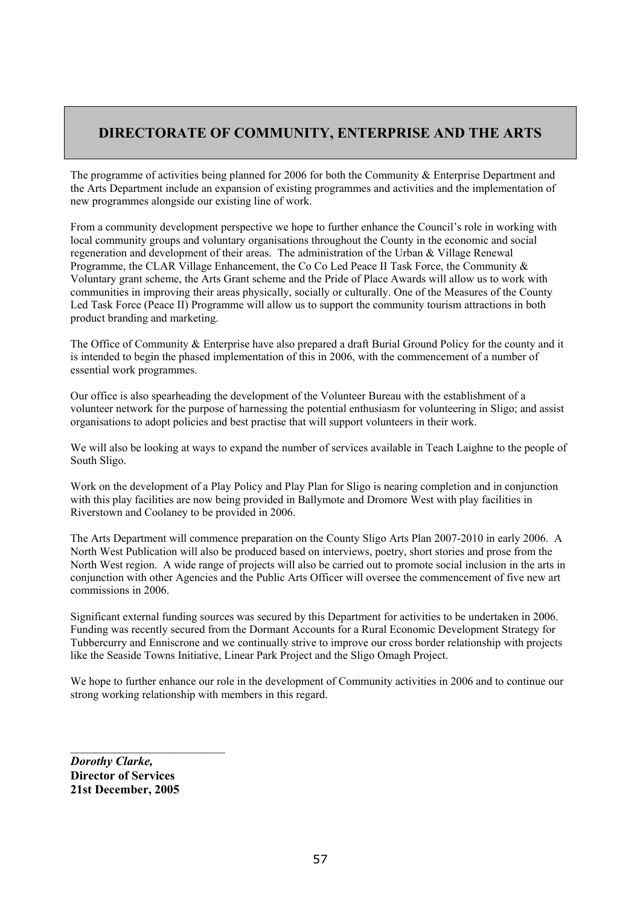# **DIRECTORATE OF COMMUNITY, ENTERPRISE AND THE ARTS**

The programme of activities being planned for 2006 for both the Community & Enterprise Department and the Arts Department include an expansion of existing programmes and activities and the implementation of new programmes alongside our existing line of work.

From a community development perspective we hope to further enhance the Council's role in working with local community groups and voluntary organisations throughout the County in the economic and social regeneration and development of their areas. The administration of the Urban & Village Renewal Programme, the CLAR Village Enhancement, the Co Co Led Peace II Task Force, the Community & Voluntary grant scheme, the Arts Grant scheme and the Pride of Place Awards will allow us to work with communities in improving their areas physically, socially or culturally. One of the Measures of the County Led Task Force (Peace II) Programme will allow us to support the community tourism attractions in both product branding and marketing.

The Office of Community & Enterprise have also prepared a draft Burial Ground Policy for the county and it is intended to begin the phased implementation of this in 2006, with the commencement of a number of essential work programmes.

Our office is also spearheading the development of the Volunteer Bureau with the establishment of a volunteer network for the purpose of harnessing the potential enthusiasm for volunteering in Sligo; and assist organisations to adopt policies and best practise that will support volunteers in their work.

We will also be looking at ways to expand the number of services available in Teach Laighne to the people of South Sligo.

Work on the development of a Play Policy and Play Plan for Sligo is nearing completion and in conjunction with this play facilities are now being provided in Ballymote and Dromore West with play facilities in Riverstown and Coolaney to be provided in 2006.

The Arts Department will commence preparation on the County Sligo Arts Plan 2007-2010 in early 2006. A North West Publication will also be produced based on interviews, poetry, short stories and prose from the North West region. A wide range of projects will also be carried out to promote social inclusion in the arts in conjunction with other Agencies and the Public Arts Officer will oversee the commencement of five new art commissions in 2006.

Significant external funding sources was secured by this Department for activities to be undertaken in 2006. Funding was recently secured from the Dormant Accounts for a Rural Economic Development Strategy for Tubbercurry and Enniscrone and we continually strive to improve our cross border relationship with projects like the Seaside Towns Initiative, Linear Park Project and the Sligo Omagh Project.

We hope to further enhance our role in the development of Community activities in 2006 and to continue our strong working relationship with members in this regard.

*Dorothy Clarke,*  **Director of Services 21st December, 2005** 

 $\mathcal{L}_\text{max}$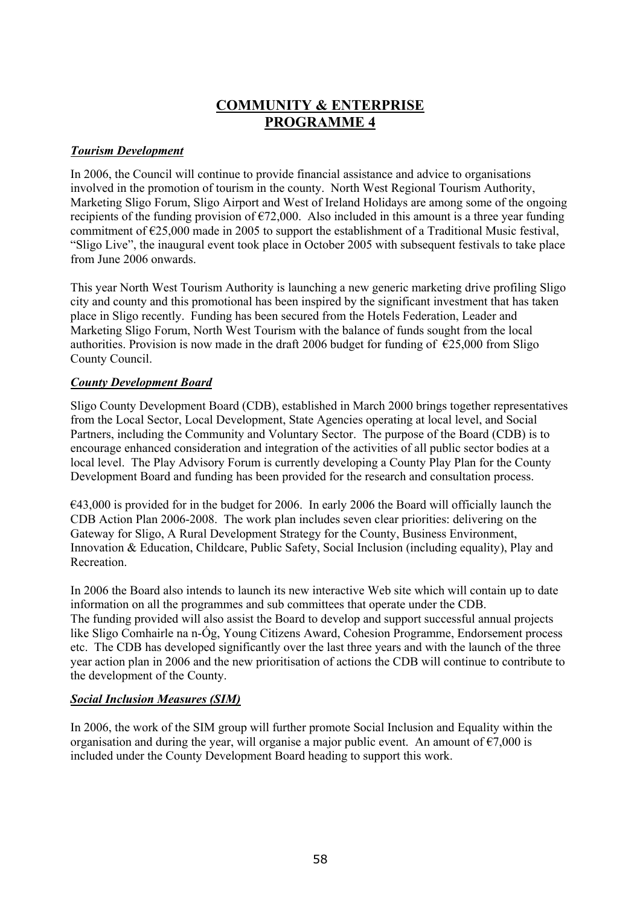# **COMMUNITY & ENTERPRISE PROGRAMME 4**

#### *Tourism Development*

In 2006, the Council will continue to provide financial assistance and advice to organisations involved in the promotion of tourism in the county. North West Regional Tourism Authority, Marketing Sligo Forum, Sligo Airport and West of Ireland Holidays are among some of the ongoing recipients of the funding provision of  $\epsilon$ 72,000. Also included in this amount is a three year funding commitment of  $\epsilon$ 25,000 made in 2005 to support the establishment of a Traditional Music festival. "Sligo Live", the inaugural event took place in October 2005 with subsequent festivals to take place from June 2006 onwards.

This year North West Tourism Authority is launching a new generic marketing drive profiling Sligo city and county and this promotional has been inspired by the significant investment that has taken place in Sligo recently. Funding has been secured from the Hotels Federation, Leader and Marketing Sligo Forum, North West Tourism with the balance of funds sought from the local authorities. Provision is now made in the draft 2006 budget for funding of  $\epsilon$ 25,000 from Sligo County Council.

# *County Development Board*

Sligo County Development Board (CDB), established in March 2000 brings together representatives from the Local Sector, Local Development, State Agencies operating at local level, and Social Partners, including the Community and Voluntary Sector. The purpose of the Board (CDB) is to encourage enhanced consideration and integration of the activities of all public sector bodies at a local level. The Play Advisory Forum is currently developing a County Play Plan for the County Development Board and funding has been provided for the research and consultation process.

 $€43,000$  is provided for in the budget for 2006. In early 2006 the Board will officially launch the CDB Action Plan 2006-2008. The work plan includes seven clear priorities: delivering on the Gateway for Sligo, A Rural Development Strategy for the County, Business Environment, Innovation & Education, Childcare, Public Safety, Social Inclusion (including equality), Play and Recreation.

In 2006 the Board also intends to launch its new interactive Web site which will contain up to date information on all the programmes and sub committees that operate under the CDB. The funding provided will also assist the Board to develop and support successful annual projects like Sligo Comhairle na n-Óg, Young Citizens Award, Cohesion Programme, Endorsement process etc. The CDB has developed significantly over the last three years and with the launch of the three year action plan in 2006 and the new prioritisation of actions the CDB will continue to contribute to the development of the County.

# *Social Inclusion Measures (SIM)*

In 2006, the work of the SIM group will further promote Social Inclusion and Equality within the organisation and during the year, will organise a major public event. An amount of  $\epsilon$ 7,000 is included under the County Development Board heading to support this work.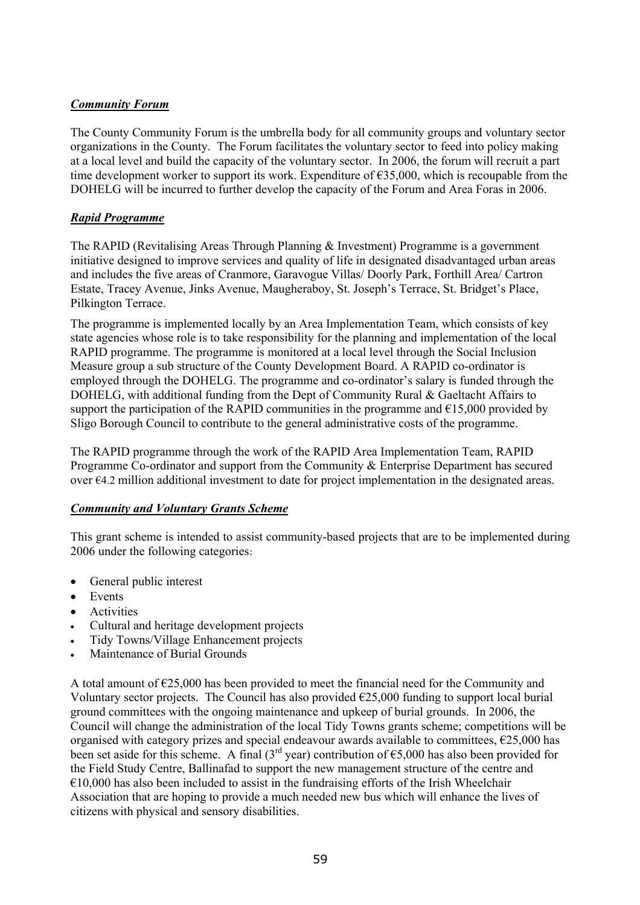# *Community Forum*

The County Community Forum is the umbrella body for all community groups and voluntary sector organizations in the County. The Forum facilitates the voluntary sector to feed into policy making at a local level and build the capacity of the voluntary sector. In 2006, the forum will recruit a part time development worker to support its work. Expenditure of  $\epsilon$ 35,000, which is recoupable from the DOHELG will be incurred to further develop the capacity of the Forum and Area Foras in 2006.

# *Rapid Programme*

The RAPID (Revitalising Areas Through Planning & Investment) Programme is a government initiative designed to improve services and quality of life in designated disadvantaged urban areas and includes the five areas of Cranmore, Garavogue Villas/ Doorly Park, Forthill Area/ Cartron Estate, Tracey Avenue, Jinks Avenue, Maugheraboy, St. Joseph's Terrace, St. Bridget's Place, Pilkington Terrace.

The programme is implemented locally by an Area Implementation Team, which consists of key state agencies whose role is to take responsibility for the planning and implementation of the local RAPID programme. The programme is monitored at a local level through the Social Inclusion Measure group a sub structure of the County Development Board. A RAPID co-ordinator is employed through the DOHELG. The programme and co-ordinator's salary is funded through the DOHELG, with additional funding from the Dept of Community Rural & Gaeltacht Affairs to support the participation of the RAPID communities in the programme and  $E15,000$  provided by Sligo Borough Council to contribute to the general administrative costs of the programme.

The RAPID programme through the work of the RAPID Area Implementation Team, RAPID Programme Co-ordinator and support from the Community & Enterprise Department has secured over  $64.2$  million additional investment to date for project implementation in the designated areas.

# *Community and Voluntary Grants Scheme*

This grant scheme is intended to assist community-based projects that are to be implemented during 2006 under the following categories:

- General public interest
- Events
- Activities
- Cultural and heritage development projects
- Tidy Towns/Village Enhancement projects
- Maintenance of Burial Grounds

A total amount of  $E$ 25,000 has been provided to meet the financial need for the Community and Voluntary sector projects. The Council has also provided  $\epsilon$ 25,000 funding to support local burial ground committees with the ongoing maintenance and upkeep of burial grounds. In 2006, the Council will change the administration of the local Tidy Towns grants scheme; competitions will be organised with category prizes and special endeavour awards available to committees, €25,000 has been set aside for this scheme. A final (3<sup>rd</sup> year) contribution of  $\epsilon$ 5,000 has also been provided for the Field Study Centre, Ballinafad to support the new management structure of the centre and  $€10,000$  has also been included to assist in the fundraising efforts of the Irish Wheelchair Association that are hoping to provide a much needed new bus which will enhance the lives of citizens with physical and sensory disabilities.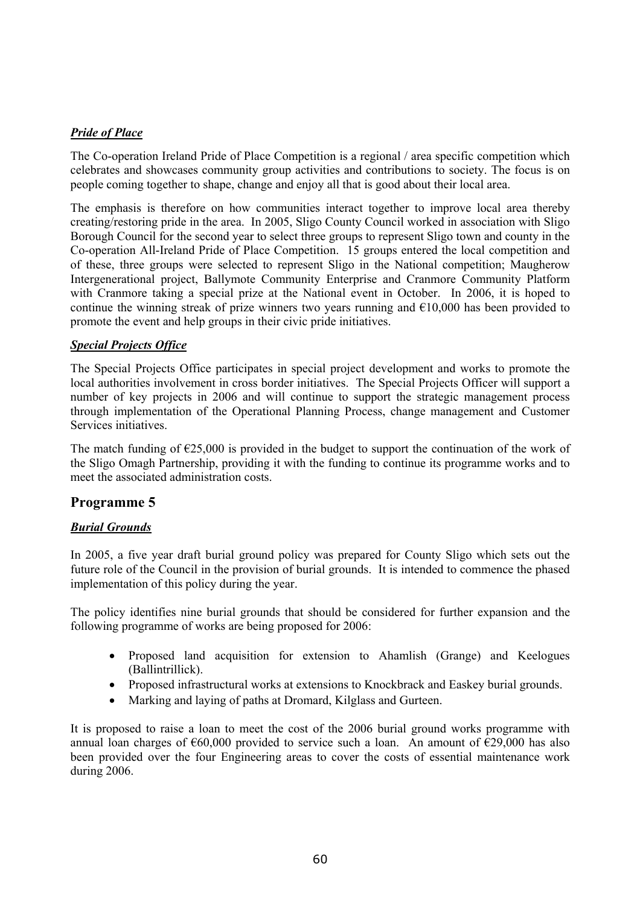# *Pride of Place*

The Co-operation Ireland Pride of Place Competition is a regional / area specific competition which celebrates and showcases community group activities and contributions to society. The focus is on people coming together to shape, change and enjoy all that is good about their local area.

The emphasis is therefore on how communities interact together to improve local area thereby creating/restoring pride in the area. In 2005, Sligo County Council worked in association with Sligo Borough Council for the second year to select three groups to represent Sligo town and county in the Co-operation All-Ireland Pride of Place Competition. 15 groups entered the local competition and of these, three groups were selected to represent Sligo in the National competition; Maugherow Intergenerational project, Ballymote Community Enterprise and Cranmore Community Platform with Cranmore taking a special prize at the National event in October. In 2006, it is hoped to continue the winning streak of prize winners two years running and  $\epsilon$ 10,000 has been provided to promote the event and help groups in their civic pride initiatives.

#### *Special Projects Office*

The Special Projects Office participates in special project development and works to promote the local authorities involvement in cross border initiatives. The Special Projects Officer will support a number of key projects in 2006 and will continue to support the strategic management process through implementation of the Operational Planning Process, change management and Customer Services initiatives.

The match funding of  $\epsilon$ 25,000 is provided in the budget to support the continuation of the work of the Sligo Omagh Partnership, providing it with the funding to continue its programme works and to meet the associated administration costs.

# **Programme 5**

# *Burial Grounds*

In 2005, a five year draft burial ground policy was prepared for County Sligo which sets out the future role of the Council in the provision of burial grounds. It is intended to commence the phased implementation of this policy during the year.

The policy identifies nine burial grounds that should be considered for further expansion and the following programme of works are being proposed for 2006:

- Proposed land acquisition for extension to Ahamlish (Grange) and Keelogues (Ballintrillick).
- Proposed infrastructural works at extensions to Knockbrack and Easkey burial grounds.
- Marking and laying of paths at Dromard, Kilglass and Gurteen.

It is proposed to raise a loan to meet the cost of the 2006 burial ground works programme with annual loan charges of  $\epsilon$ 60,000 provided to service such a loan. An amount of  $\epsilon$ 29,000 has also been provided over the four Engineering areas to cover the costs of essential maintenance work during 2006.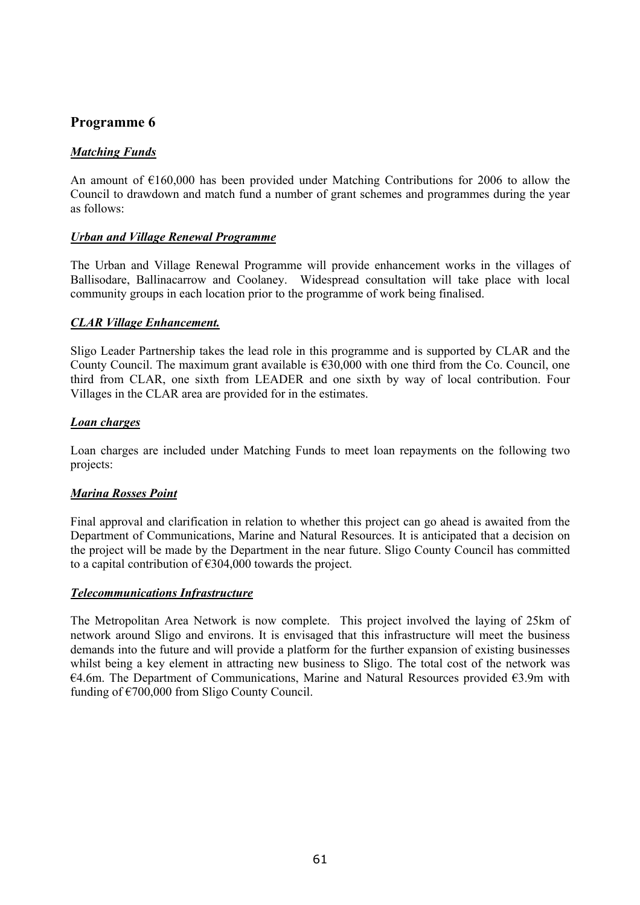# **Programme 6**

#### *Matching Funds*

An amount of €160,000 has been provided under Matching Contributions for 2006 to allow the Council to drawdown and match fund a number of grant schemes and programmes during the year as follows:

#### *Urban and Village Renewal Programme*

The Urban and Village Renewal Programme will provide enhancement works in the villages of Ballisodare, Ballinacarrow and Coolaney. Widespread consultation will take place with local community groups in each location prior to the programme of work being finalised.

#### *CLAR Village Enhancement.*

Sligo Leader Partnership takes the lead role in this programme and is supported by CLAR and the County Council. The maximum grant available is  $\epsilon$ 30,000 with one third from the Co. Council, one third from CLAR, one sixth from LEADER and one sixth by way of local contribution. Four Villages in the CLAR area are provided for in the estimates.

#### *Loan charges*

Loan charges are included under Matching Funds to meet loan repayments on the following two projects:

#### *Marina Rosses Point*

Final approval and clarification in relation to whether this project can go ahead is awaited from the Department of Communications, Marine and Natural Resources. It is anticipated that a decision on the project will be made by the Department in the near future. Sligo County Council has committed to a capital contribution of €304,000 towards the project.

#### *Telecommunications Infrastructure*

The Metropolitan Area Network is now complete. This project involved the laying of 25km of network around Sligo and environs. It is envisaged that this infrastructure will meet the business demands into the future and will provide a platform for the further expansion of existing businesses whilst being a key element in attracting new business to Sligo. The total cost of the network was €4.6m. The Department of Communications, Marine and Natural Resources provided  $€3.9m$  with funding of €700,000 from Sligo County Council.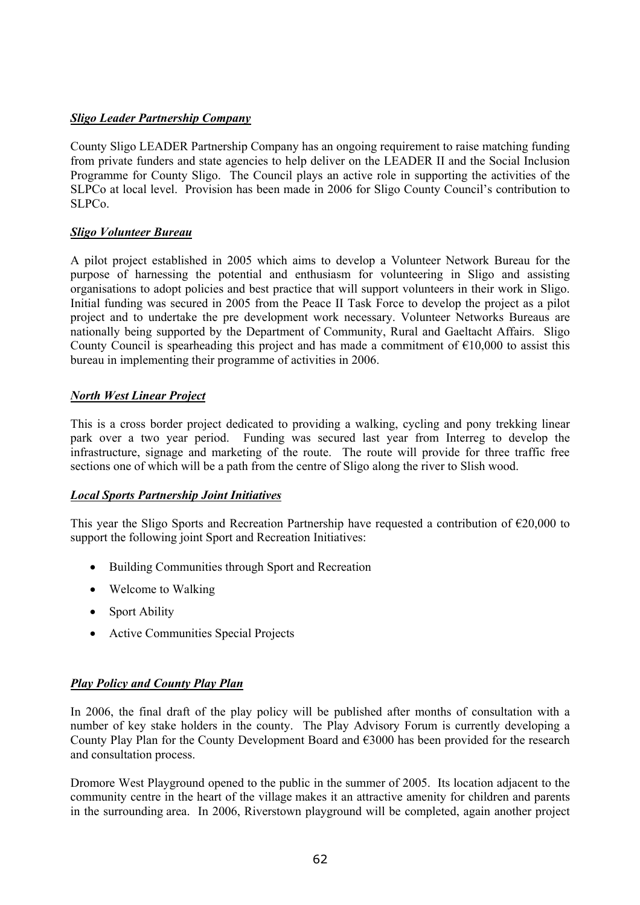# *Sligo Leader Partnership Company*

County Sligo LEADER Partnership Company has an ongoing requirement to raise matching funding from private funders and state agencies to help deliver on the LEADER II and the Social Inclusion Programme for County Sligo. The Council plays an active role in supporting the activities of the SLPCo at local level. Provision has been made in 2006 for Sligo County Council's contribution to SLPCo.

# *Sligo Volunteer Bureau*

A pilot project established in 2005 which aims to develop a Volunteer Network Bureau for the purpose of harnessing the potential and enthusiasm for volunteering in Sligo and assisting organisations to adopt policies and best practice that will support volunteers in their work in Sligo. Initial funding was secured in 2005 from the Peace II Task Force to develop the project as a pilot project and to undertake the pre development work necessary. Volunteer Networks Bureaus are nationally being supported by the Department of Community, Rural and Gaeltacht Affairs. Sligo County Council is spearheading this project and has made a commitment of  $\epsilon$ 10,000 to assist this bureau in implementing their programme of activities in 2006.

#### *North West Linear Project*

This is a cross border project dedicated to providing a walking, cycling and pony trekking linear park over a two year period. Funding was secured last year from Interreg to develop the infrastructure, signage and marketing of the route. The route will provide for three traffic free sections one of which will be a path from the centre of Sligo along the river to Slish wood.

# *Local Sports Partnership Joint Initiatives*

This year the Sligo Sports and Recreation Partnership have requested a contribution of  $\epsilon$ 20,000 to support the following joint Sport and Recreation Initiatives:

- Building Communities through Sport and Recreation
- Welcome to Walking
- Sport Ability
- Active Communities Special Projects

# *Play Policy and County Play Plan*

In 2006, the final draft of the play policy will be published after months of consultation with a number of key stake holders in the county. The Play Advisory Forum is currently developing a County Play Plan for the County Development Board and €3000 has been provided for the research and consultation process.

Dromore West Playground opened to the public in the summer of 2005. Its location adjacent to the community centre in the heart of the village makes it an attractive amenity for children and parents in the surrounding area. In 2006, Riverstown playground will be completed, again another project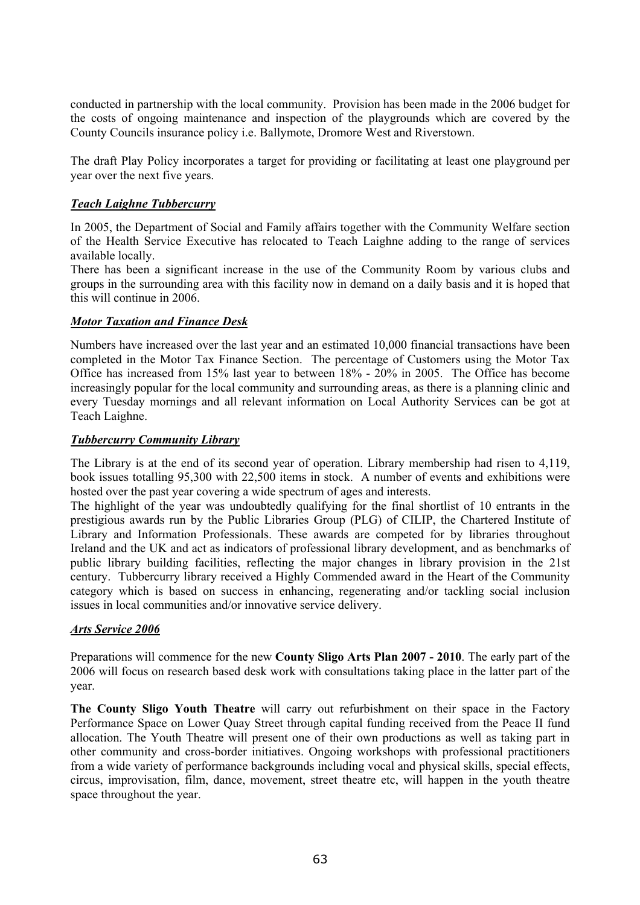conducted in partnership with the local community. Provision has been made in the 2006 budget for the costs of ongoing maintenance and inspection of the playgrounds which are covered by the County Councils insurance policy i.e. Ballymote, Dromore West and Riverstown.

The draft Play Policy incorporates a target for providing or facilitating at least one playground per year over the next five years.

#### *Teach Laighne Tubbercurry*

In 2005, the Department of Social and Family affairs together with the Community Welfare section of the Health Service Executive has relocated to Teach Laighne adding to the range of services available locally.

There has been a significant increase in the use of the Community Room by various clubs and groups in the surrounding area with this facility now in demand on a daily basis and it is hoped that this will continue in 2006.

#### *Motor Taxation and Finance Desk*

Numbers have increased over the last year and an estimated 10,000 financial transactions have been completed in the Motor Tax Finance Section. The percentage of Customers using the Motor Tax Office has increased from 15% last year to between 18% - 20% in 2005. The Office has become increasingly popular for the local community and surrounding areas, as there is a planning clinic and every Tuesday mornings and all relevant information on Local Authority Services can be got at Teach Laighne.

#### *Tubbercurry Community Library*

The Library is at the end of its second year of operation. Library membership had risen to 4,119, book issues totalling 95,300 with 22,500 items in stock. A number of events and exhibitions were hosted over the past year covering a wide spectrum of ages and interests.

The highlight of the year was undoubtedly qualifying for the final shortlist of 10 entrants in the prestigious awards run by the Public Libraries Group (PLG) of CILIP, the Chartered Institute of Library and Information Professionals. These awards are competed for by libraries throughout Ireland and the UK and act as indicators of professional library development, and as benchmarks of public library building facilities, reflecting the major changes in library provision in the 21st century. Tubbercurry library received a Highly Commended award in the Heart of the Community category which is based on success in enhancing, regenerating and/or tackling social inclusion issues in local communities and/or innovative service delivery.

#### *Arts Service 2006*

Preparations will commence for the new **County Sligo Arts Plan 2007 - 2010**. The early part of the 2006 will focus on research based desk work with consultations taking place in the latter part of the year.

**The County Sligo Youth Theatre** will carry out refurbishment on their space in the Factory Performance Space on Lower Quay Street through capital funding received from the Peace II fund allocation. The Youth Theatre will present one of their own productions as well as taking part in other community and cross-border initiatives. Ongoing workshops with professional practitioners from a wide variety of performance backgrounds including vocal and physical skills, special effects, circus, improvisation, film, dance, movement, street theatre etc, will happen in the youth theatre space throughout the year.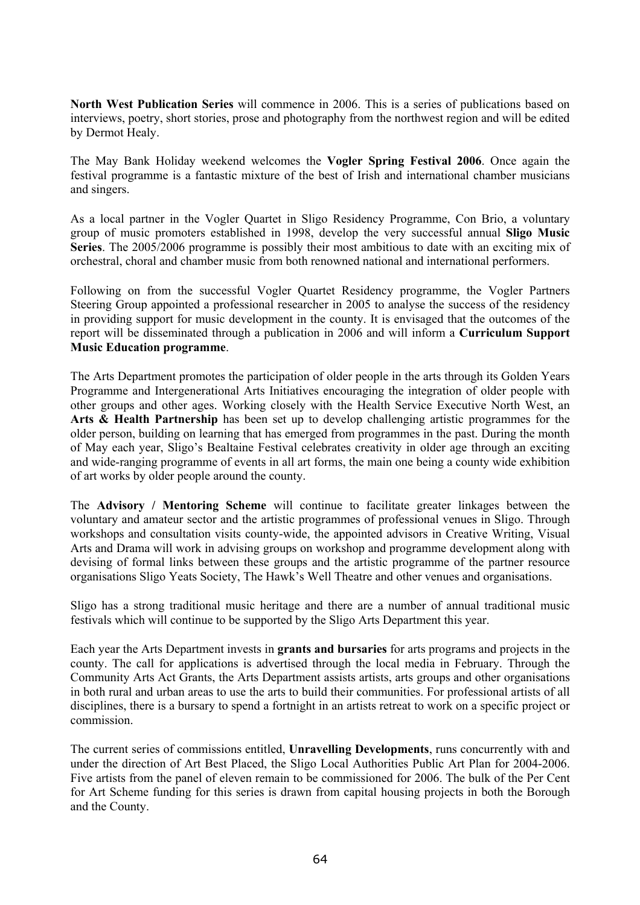**North West Publication Series** will commence in 2006. This is a series of publications based on interviews, poetry, short stories, prose and photography from the northwest region and will be edited by Dermot Healy.

The May Bank Holiday weekend welcomes the **Vogler Spring Festival 2006**. Once again the festival programme is a fantastic mixture of the best of Irish and international chamber musicians and singers.

As a local partner in the Vogler Quartet in Sligo Residency Programme, Con Brio, a voluntary group of music promoters established in 1998, develop the very successful annual **Sligo Music Series**. The 2005/2006 programme is possibly their most ambitious to date with an exciting mix of orchestral, choral and chamber music from both renowned national and international performers.

Following on from the successful Vogler Quartet Residency programme, the Vogler Partners Steering Group appointed a professional researcher in 2005 to analyse the success of the residency in providing support for music development in the county. It is envisaged that the outcomes of the report will be disseminated through a publication in 2006 and will inform a **Curriculum Support Music Education programme**.

The Arts Department promotes the participation of older people in the arts through its Golden Years Programme and Intergenerational Arts Initiatives encouraging the integration of older people with other groups and other ages. Working closely with the Health Service Executive North West, an **Arts & Health Partnership** has been set up to develop challenging artistic programmes for the older person, building on learning that has emerged from programmes in the past. During the month of May each year, Sligo's Bealtaine Festival celebrates creativity in older age through an exciting and wide-ranging programme of events in all art forms, the main one being a county wide exhibition of art works by older people around the county.

The **Advisory / Mentoring Scheme** will continue to facilitate greater linkages between the voluntary and amateur sector and the artistic programmes of professional venues in Sligo. Through workshops and consultation visits county-wide, the appointed advisors in Creative Writing, Visual Arts and Drama will work in advising groups on workshop and programme development along with devising of formal links between these groups and the artistic programme of the partner resource organisations Sligo Yeats Society, The Hawk's Well Theatre and other venues and organisations.

Sligo has a strong traditional music heritage and there are a number of annual traditional music festivals which will continue to be supported by the Sligo Arts Department this year.

Each year the Arts Department invests in **grants and bursaries** for arts programs and projects in the county. The call for applications is advertised through the local media in February. Through the Community Arts Act Grants, the Arts Department assists artists, arts groups and other organisations in both rural and urban areas to use the arts to build their communities. For professional artists of all disciplines, there is a bursary to spend a fortnight in an artists retreat to work on a specific project or commission.

The current series of commissions entitled, **Unravelling Developments**, runs concurrently with and under the direction of Art Best Placed, the Sligo Local Authorities Public Art Plan for 2004-2006. Five artists from the panel of eleven remain to be commissioned for 2006. The bulk of the Per Cent for Art Scheme funding for this series is drawn from capital housing projects in both the Borough and the County.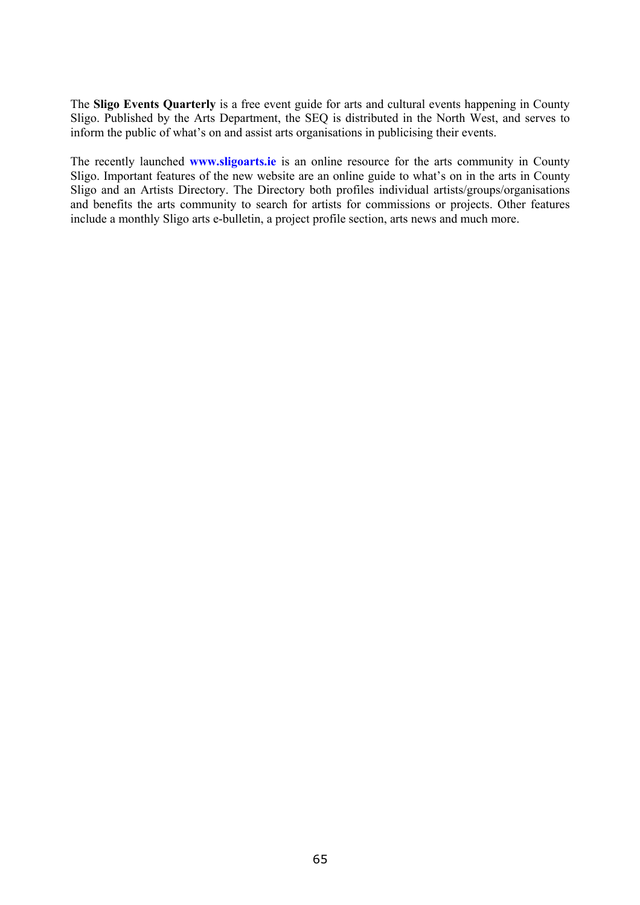The **Sligo Events Quarterly** is a free event guide for arts and cultural events happening in County Sligo. Published by the Arts Department, the SEQ is distributed in the North West, and serves to inform the public of what's on and assist arts organisations in publicising their events.

The recently launched **www.sligoarts.ie** is an online resource for the arts community in County Sligo. Important features of the new website are an online guide to what's on in the arts in County Sligo and an Artists Directory. The Directory both profiles individual artists/groups/organisations and benefits the arts community to search for artists for commissions or projects. Other features include a monthly Sligo arts e-bulletin, a project profile section, arts news and much more.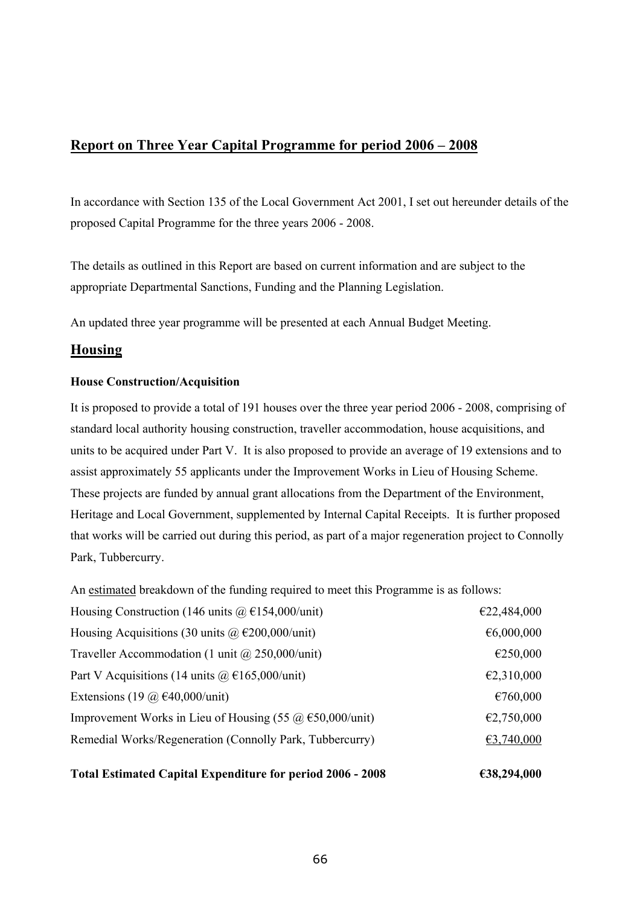# **Report on Three Year Capital Programme for period 2006 – 2008**

In accordance with Section 135 of the Local Government Act 2001, I set out hereunder details of the proposed Capital Programme for the three years 2006 - 2008.

The details as outlined in this Report are based on current information and are subject to the appropriate Departmental Sanctions, Funding and the Planning Legislation.

An updated three year programme will be presented at each Annual Budget Meeting.

# **Housing**

#### **House Construction/Acquisition**

It is proposed to provide a total of 191 houses over the three year period 2006 - 2008, comprising of standard local authority housing construction, traveller accommodation, house acquisitions, and units to be acquired under Part V. It is also proposed to provide an average of 19 extensions and to assist approximately 55 applicants under the Improvement Works in Lieu of Housing Scheme. These projects are funded by annual grant allocations from the Department of the Environment, Heritage and Local Government, supplemented by Internal Capital Receipts. It is further proposed that works will be carried out during this period, as part of a major regeneration project to Connolly Park, Tubbercurry.

An estimated breakdown of the funding required to meet this Programme is as follows:

| <b>Total Estimated Capital Expenditure for period 2006 - 2008</b> | €38,294,000 |
|-------------------------------------------------------------------|-------------|
| Remedial Works/Regeneration (Connolly Park, Tubbercurry)          | €3,740,000  |
| Improvement Works in Lieu of Housing (55 $\omega$ €50,000/unit)   | €2,750,000  |
| Extensions (19 $\omega$ €40,000/unit)                             | €760,000    |
| Part V Acquisitions (14 units $\omega \in 165,000/\text{unit}$ )  | €2,310,000  |
| Traveller Accommodation (1 unit $\omega$ 250,000/unit)            | €250,000    |
| Housing Acquisitions (30 units $\omega$ €200,000/unit)            | €6,000,000  |
| Housing Construction (146 units $(a) \in 154,000/\text{unit}$ )   | €22,484,000 |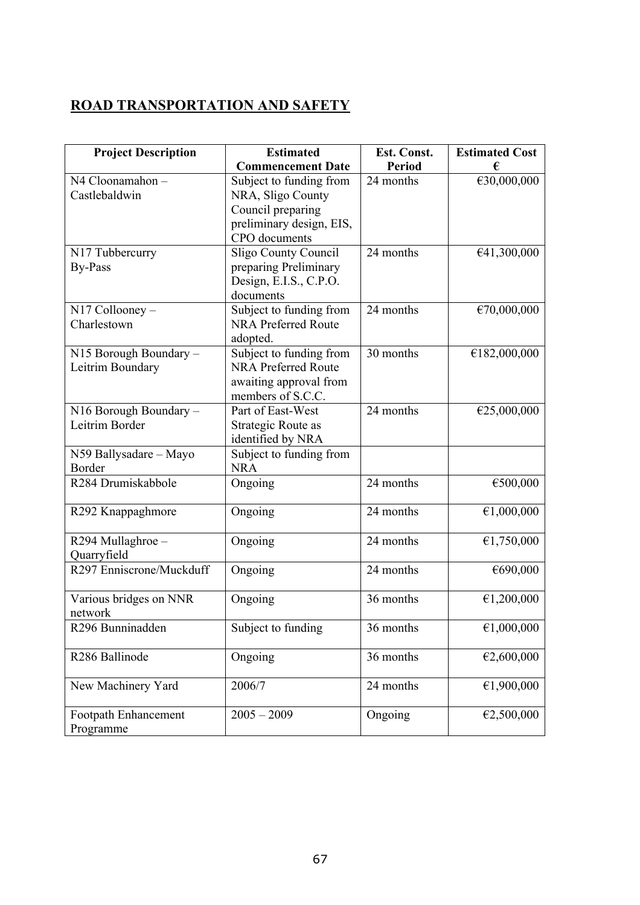# **ROAD TRANSPORTATION AND SAFETY**

| <b>Project Description</b>                 | <b>Estimated</b>                                                                                               | Est. Const.   | <b>Estimated Cost</b> |
|--------------------------------------------|----------------------------------------------------------------------------------------------------------------|---------------|-----------------------|
|                                            | <b>Commencement Date</b>                                                                                       | <b>Period</b> | €                     |
| N4 Cloonamahon-<br>Castlebaldwin           | Subject to funding from<br>NRA, Sligo County<br>Council preparing<br>preliminary design, EIS,<br>CPO documents | 24 months     | €30,000,000           |
| N17 Tubbercurry<br><b>By-Pass</b>          | <b>Sligo County Council</b><br>preparing Preliminary<br>Design, E.I.S., C.P.O.<br>documents                    | 24 months     | €41,300,000           |
| $N17$ Collooney –<br>Charlestown           | Subject to funding from<br><b>NRA Preferred Route</b><br>adopted.                                              | 24 months     | €70,000,000           |
| N15 Borough Boundary -<br>Leitrim Boundary | Subject to funding from<br><b>NRA Preferred Route</b><br>awaiting approval from<br>members of S.C.C.           | 30 months     | €182,000,000          |
| N16 Borough Boundary -<br>Leitrim Border   | Part of East-West<br>Strategic Route as<br>identified by NRA                                                   | 24 months     | €25,000,000           |
| N59 Ballysadare - Mayo<br><b>Border</b>    | Subject to funding from<br><b>NRA</b>                                                                          |               |                       |
| R284 Drumiskabbole                         | Ongoing                                                                                                        | 24 months     | €500,000              |
| R <sub>292</sub> Knappaghmore              | Ongoing                                                                                                        | 24 months     | €1,000,000            |
| R294 Mullaghroe -<br>Quarryfield           | Ongoing                                                                                                        | 24 months     | €1,750,000            |
| R297 Enniscrone/Muckduff                   | Ongoing                                                                                                        | 24 months     | €690,000              |
| Various bridges on NNR<br>network          | Ongoing                                                                                                        | 36 months     | €1,200,000            |
| R <sub>296</sub> Bunninadden               | Subject to funding                                                                                             | 36 months     | €1,000,000            |
| R286 Ballinode                             | Ongoing                                                                                                        | 36 months     | €2,600,000            |
| New Machinery Yard                         | 2006/7                                                                                                         | 24 months     | €1,900,000            |
| Footpath Enhancement<br>Programme          | $2005 - 2009$                                                                                                  | Ongoing       | €2,500,000            |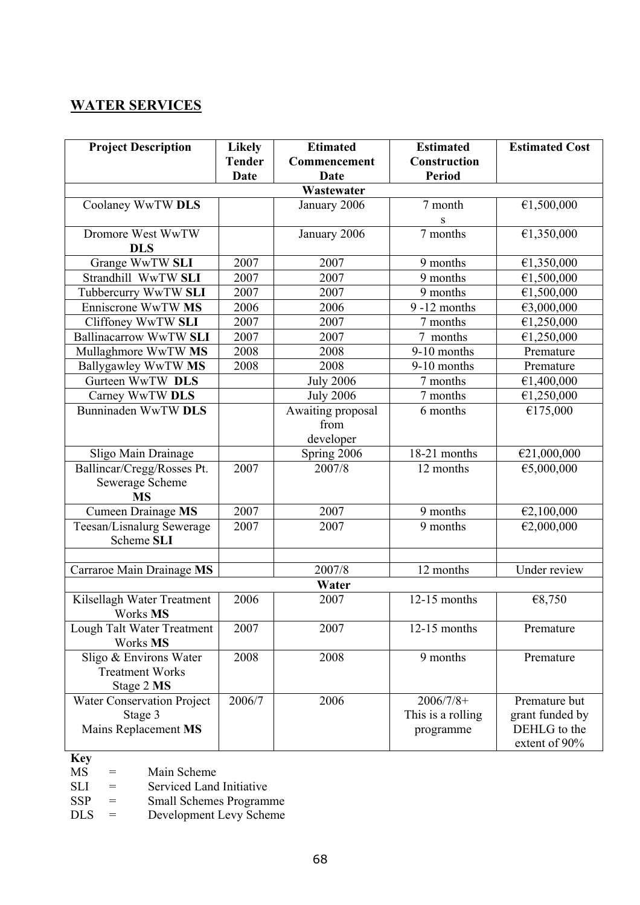# **WATER SERVICES**

| <b>Project Description</b>    | <b>Likely</b> | <b>Etimated</b>   | <b>Estimated</b>           | <b>Estimated Cost</b> |
|-------------------------------|---------------|-------------------|----------------------------|-----------------------|
|                               | <b>Tender</b> | Commencement      | Construction               |                       |
|                               | <b>Date</b>   | <b>Date</b>       | <b>Period</b>              |                       |
|                               |               | Wastewater        |                            |                       |
| Coolaney WwTW DLS             |               | January 2006      | 7 month                    | €1,500,000            |
|                               |               |                   | S                          |                       |
| Dromore West WwTW             |               | January 2006      | 7 months                   | €1,350,000            |
| <b>DLS</b>                    |               |                   |                            |                       |
| Grange WwTW SLI               | 2007          | 2007              | 9 months                   | €1,350,000            |
| Strandhill WwTW SLI           | 2007          | 2007              | 9 months                   | €1,500,000            |
| Tubbercurry WwTW SLI          | 2007          | 2007              | 9 months                   | €1,500,000            |
| Enniscrone WwTW MS            | 2006          | 2006              | $9 - 12$ months            | €3,000,000            |
| Cliffoney WwTW SLI            | 2007          | 2007              | 7 months                   | €1,250,000            |
| <b>Ballinacarrow WwTW SLI</b> | 2007          | 2007              | 7 months                   | €1,250,000            |
| Mullaghmore WwTW MS           | 2008          | 2008              | 9-10 months                | Premature             |
| Ballygawley WwTW MS           | 2008          | 2008              | 9-10 months                | Premature             |
| Gurteen WwTW DLS              |               | <b>July 2006</b>  | 7 months                   | €1,400,000            |
| Carney WwTW DLS               |               | <b>July 2006</b>  | 7 months                   | €1,250,000            |
| Bunninaden WwTW DLS           |               | Awaiting proposal | 6 months                   | €175,000              |
|                               |               | from              |                            |                       |
|                               |               | developer         |                            |                       |
| Sligo Main Drainage           |               | Spring 2006       | 18-21 months               | €21,000,000           |
| Ballincar/Cregg/Rosses Pt.    | 2007          | 2007/8            | 12 months                  | €5,000,000            |
| Sewerage Scheme               |               |                   |                            |                       |
| <b>MS</b>                     |               |                   |                            |                       |
| Cumeen Drainage MS            | 2007          | 2007              | 9 months                   | €2,100,000            |
| Teesan/Lisnalurg Sewerage     | 2007          | 2007              | 9 months                   | €2,000,000            |
| Scheme SLI                    |               |                   |                            |                       |
|                               |               |                   |                            |                       |
| Carraroe Main Drainage MS     |               | 2007/8            | 12 months                  | Under review          |
|                               |               | Water             |                            |                       |
| Kilsellagh Water Treatment    | 2006          | 2007              | $12-15$ months             | €8,750                |
| Works MS                      |               |                   |                            |                       |
| Lough Talt Water Treatment    | 2007          | 2007              | $\overline{12}$ -15 months | Premature             |
| Works MS                      |               |                   |                            |                       |
| Sligo & Environs Water        | 2008          | 2008              | 9 months                   | Premature             |
| <b>Treatment Works</b>        |               |                   |                            |                       |
| Stage 2 MS                    |               |                   |                            |                       |
| Water Conservation Project    | 2006/7        | 2006              | $2006/7/8+$                | Premature but         |
| Stage 3                       |               |                   | This is a rolling          | grant funded by       |
| Mains Replacement MS          |               |                   | programme                  | DEHLG to the          |
|                               |               |                   |                            | extent of 90%         |

**Key** 

 $MS =$  Main Scheme<br>SLI = Serviced Land

SLI = Serviced Land Initiative<br>SSP = Small Schemes Program

SSP = Small Schemes Programme

DLS = Development Levy Scheme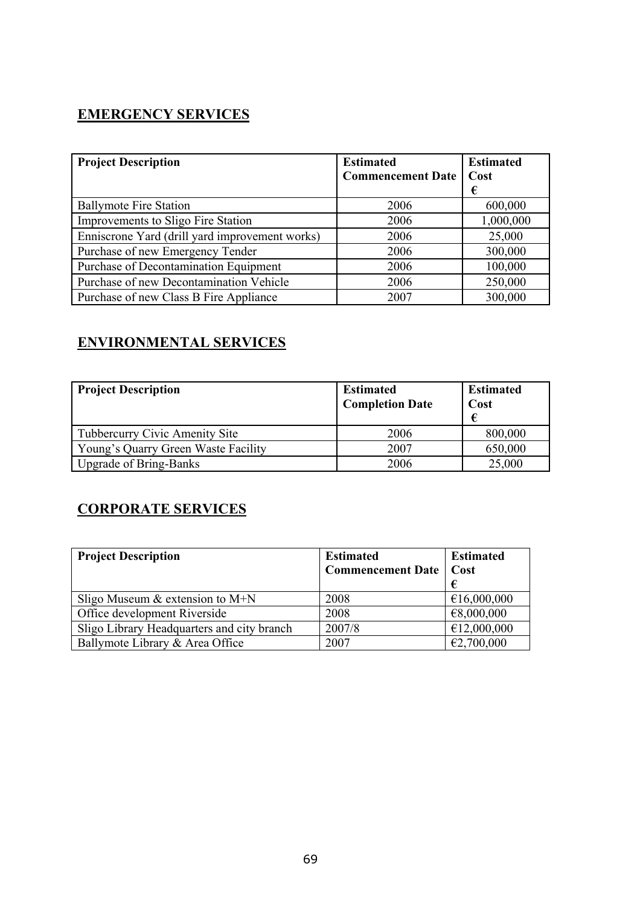# **EMERGENCY SERVICES**

| <b>Project Description</b>                     | <b>Estimated</b><br><b>Commencement Date</b> | <b>Estimated</b><br>Cost<br>€ |
|------------------------------------------------|----------------------------------------------|-------------------------------|
| <b>Ballymote Fire Station</b>                  | 2006                                         | 600,000                       |
| Improvements to Sligo Fire Station             | 2006                                         | 1,000,000                     |
| Enniscrone Yard (drill yard improvement works) | 2006                                         | 25,000                        |
| Purchase of new Emergency Tender               | 2006                                         | 300,000                       |
| Purchase of Decontamination Equipment          | 2006                                         | 100,000                       |
| Purchase of new Decontamination Vehicle        | 2006                                         | 250,000                       |
| Purchase of new Class B Fire Appliance         | 2007                                         | 300,000                       |

# **ENVIRONMENTAL SERVICES**

| <b>Project Description</b>          | <b>Estimated</b><br><b>Completion Date</b> | <b>Estimated</b><br>Cost<br>€ |
|-------------------------------------|--------------------------------------------|-------------------------------|
| Tubbercurry Civic Amenity Site      | 2006                                       | 800,000                       |
| Young's Quarry Green Waste Facility | 2007                                       | 650,000                       |
| <b>Upgrade of Bring-Banks</b>       | 2006                                       | 25,000                        |

# **CORPORATE SERVICES**

| <b>Project Description</b>                 | <b>Estimated</b>                | <b>Estimated</b> |
|--------------------------------------------|---------------------------------|------------------|
|                                            | <b>Commencement Date   Cost</b> |                  |
|                                            |                                 |                  |
| Sligo Museum $&$ extension to M+N          | 2008                            | €16,000,000      |
| Office development Riverside               | 2008                            | €8,000,000       |
| Sligo Library Headquarters and city branch | 2007/8                          | €12,000,000      |
| Ballymote Library & Area Office            | 2007                            | €2,700,000       |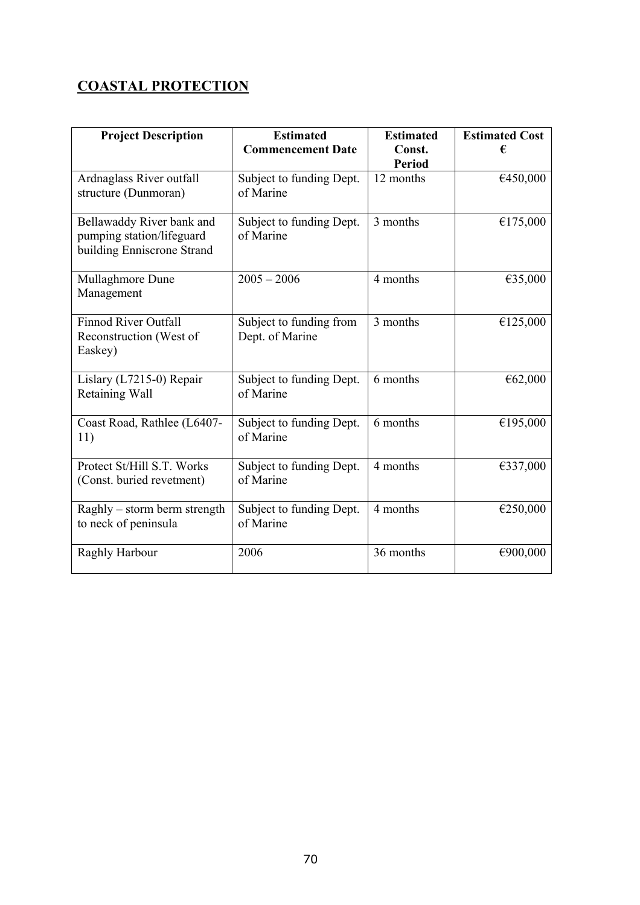# **COASTAL PROTECTION**

| <b>Project Description</b>                                                           | <b>Estimated</b><br><b>Commencement Date</b> | <b>Estimated</b><br>Const.<br><b>Period</b> | <b>Estimated Cost</b><br>€ |
|--------------------------------------------------------------------------------------|----------------------------------------------|---------------------------------------------|----------------------------|
| Ardnaglass River outfall<br>structure (Dunmoran)                                     | Subject to funding Dept.<br>of Marine        | 12 months                                   | €450,000                   |
| Bellawaddy River bank and<br>pumping station/lifeguard<br>building Enniscrone Strand | Subject to funding Dept.<br>of Marine        | 3 months                                    | €175,000                   |
| Mullaghmore Dune<br>Management                                                       | $2005 - 2006$                                | 4 months                                    | €35,000                    |
| <b>Finnod River Outfall</b><br>Reconstruction (West of<br>Easkey)                    | Subject to funding from<br>Dept. of Marine   | 3 months                                    | €125,000                   |
| Lislary (L7215-0) Repair<br>Retaining Wall                                           | Subject to funding Dept.<br>of Marine        | 6 months                                    | €62,000                    |
| Coast Road, Rathlee (L6407-<br>11)                                                   | Subject to funding Dept.<br>of Marine        | 6 months                                    | €195,000                   |
| Protect St/Hill S.T. Works<br>(Const. buried revetment)                              | Subject to funding Dept.<br>of Marine        | 4 months                                    | €337,000                   |
| Raghly – storm berm strength<br>to neck of peninsula                                 | Subject to funding Dept.<br>of Marine        | 4 months                                    | €250,000                   |
| Raghly Harbour                                                                       | 2006                                         | 36 months                                   | €900,000                   |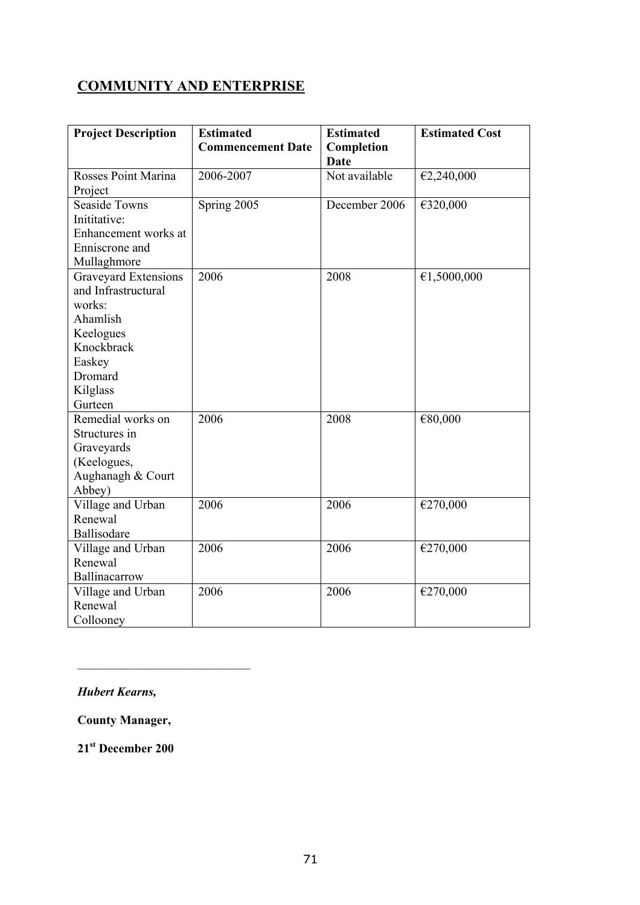# **COMMUNITY AND ENTERPRISE**

| <b>Project Description</b> | <b>Estimated</b><br><b>Commencement Date</b> | <b>Estimated</b><br>Completion | <b>Estimated Cost</b> |
|----------------------------|----------------------------------------------|--------------------------------|-----------------------|
|                            |                                              | Date                           |                       |
| Rosses Point Marina        | 2006-2007                                    | Not available                  | €2,240,000            |
| Project                    |                                              |                                |                       |
| <b>Seaside Towns</b>       | Spring 2005                                  | December 2006                  | €320,000              |
| Inititative:               |                                              |                                |                       |
| Enhancement works at       |                                              |                                |                       |
| Enniscrone and             |                                              |                                |                       |
| Mullaghmore                |                                              |                                |                       |
| Graveyard Extensions       | 2006                                         | 2008                           | €1,5000,000           |
| and Infrastructural        |                                              |                                |                       |
| works:                     |                                              |                                |                       |
| Ahamlish                   |                                              |                                |                       |
| Keelogues                  |                                              |                                |                       |
| Knockbrack                 |                                              |                                |                       |
| Easkey                     |                                              |                                |                       |
| Dromard                    |                                              |                                |                       |
| Kilglass<br>Gurteen        |                                              |                                |                       |
| Remedial works on          | 2006                                         | 2008                           |                       |
| Structures in              |                                              |                                | €80,000               |
| Graveyards                 |                                              |                                |                       |
| (Keelogues,                |                                              |                                |                       |
| Aughanagh & Court          |                                              |                                |                       |
| Abbey)                     |                                              |                                |                       |
| Village and Urban          | 2006                                         | 2006                           | €270,000              |
| Renewal                    |                                              |                                |                       |
| Ballisodare                |                                              |                                |                       |
| Village and Urban          | 2006                                         | 2006                           | €270,000              |
| Renewal                    |                                              |                                |                       |
| Ballinacarrow              |                                              |                                |                       |
| Village and Urban          | 2006                                         | 2006                           | €270,000              |
| Renewal                    |                                              |                                |                       |
| Collooney                  |                                              |                                |                       |

# *Hubert Kearns,*

**County Manager,** 

 $\mathcal{L}_\text{max}$ 

**21st December 200**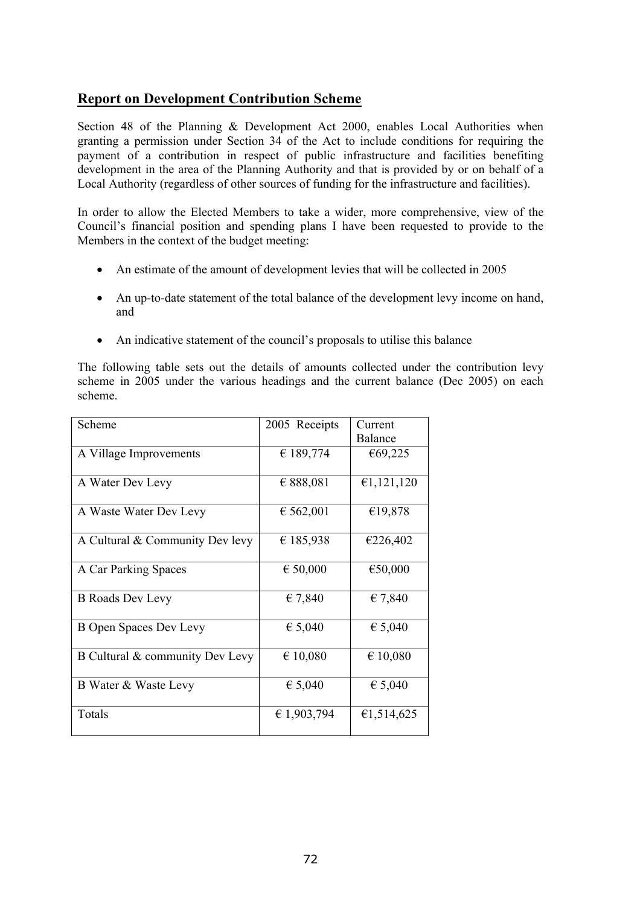# **Report on Development Contribution Scheme**

Section 48 of the Planning & Development Act 2000, enables Local Authorities when granting a permission under Section 34 of the Act to include conditions for requiring the payment of a contribution in respect of public infrastructure and facilities benefiting development in the area of the Planning Authority and that is provided by or on behalf of a Local Authority (regardless of other sources of funding for the infrastructure and facilities).

In order to allow the Elected Members to take a wider, more comprehensive, view of the Council's financial position and spending plans I have been requested to provide to the Members in the context of the budget meeting:

- An estimate of the amount of development levies that will be collected in 2005
- An up-to-date statement of the total balance of the development levy income on hand, and
- An indicative statement of the council's proposals to utilise this balance

The following table sets out the details of amounts collected under the contribution levy scheme in 2005 under the various headings and the current balance (Dec 2005) on each scheme.

| Scheme                          | 2005 Receipts | Current        |
|---------------------------------|---------------|----------------|
|                                 |               | <b>Balance</b> |
| A Village Improvements          | € 189,774     | €69,225        |
|                                 |               |                |
| A Water Dev Levy                | € 888,081     | €1,121,120     |
|                                 |               |                |
| A Waste Water Dev Levy          | € 562,001     | €19,878        |
| A Cultural & Community Dev levy | € 185,938     | €226,402       |
|                                 |               |                |
| A Car Parking Spaces            | € 50,000      | €50,000        |
|                                 |               |                |
| <b>B</b> Roads Dev Levy         | € 7,840       | € 7,840        |
|                                 |               |                |
| B Open Spaces Dev Levy          | € 5,040       | € 5,040        |
|                                 |               |                |
| B Cultural & community Dev Levy | € 10,080      | € 10,080       |
|                                 |               |                |
| B Water & Waste Levy            | € 5,040       | € 5,040        |
| Totals                          | € 1,903,794   | €1,514,625     |
|                                 |               |                |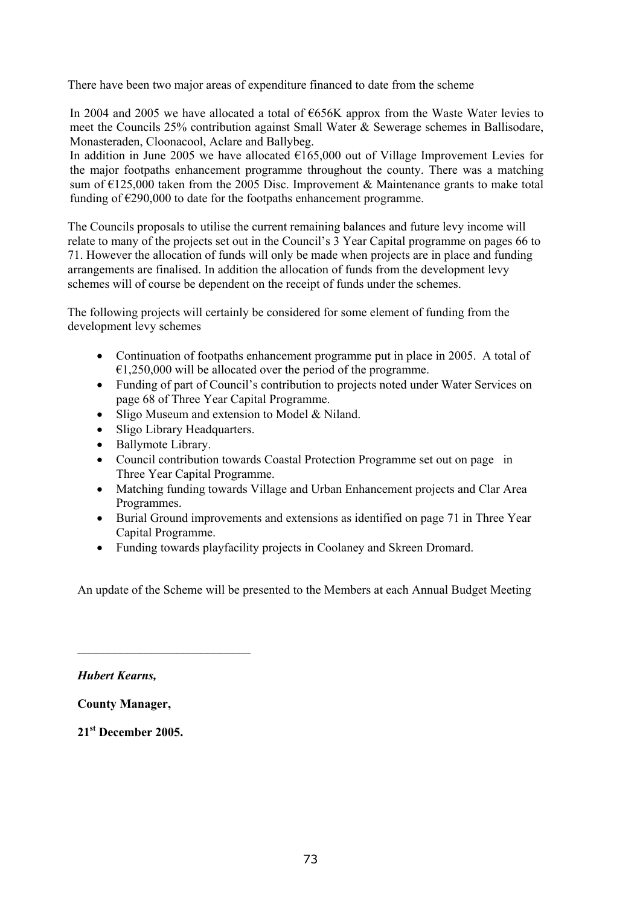There have been two major areas of expenditure financed to date from the scheme

In 2004 and 2005 we have allocated a total of €656K approx from the Waste Water levies to meet the Councils 25% contribution against Small Water & Sewerage schemes in Ballisodare, Monasteraden, Cloonacool, Aclare and Ballybeg.

In addition in June 2005 we have allocated  $\epsilon$ 165,000 out of Village Improvement Levies for the major footpaths enhancement programme throughout the county. There was a matching sum of  $E125,000$  taken from the 2005 Disc. Improvement & Maintenance grants to make total funding of  $\epsilon$ 290,000 to date for the footpaths enhancement programme.

The Councils proposals to utilise the current remaining balances and future levy income will relate to many of the projects set out in the Council's 3 Year Capital programme on pages 66 to 71. However the allocation of funds will only be made when projects are in place and funding arrangements are finalised. In addition the allocation of funds from the development levy schemes will of course be dependent on the receipt of funds under the schemes.

 The following projects will certainly be considered for some element of funding from the development levy schemes

- Continuation of footpaths enhancement programme put in place in 2005. A total of  $\epsilon$ 1,250,000 will be allocated over the period of the programme.
- Funding of part of Council's contribution to projects noted under Water Services on page 68 of Three Year Capital Programme.
- Sligo Museum and extension to Model & Niland.
- Sligo Library Headquarters.
- Ballymote Library.

 $\mathcal{L}_\text{max}$ 

- Council contribution towards Coastal Protection Programme set out on page in Three Year Capital Programme.
- Matching funding towards Village and Urban Enhancement projects and Clar Area Programmes.
- Burial Ground improvements and extensions as identified on page 71 in Three Year Capital Programme.
- Funding towards playfacility projects in Coolaney and Skreen Dromard.

An update of the Scheme will be presented to the Members at each Annual Budget Meeting

*Hubert Kearns,* 

**County Manager,** 

**21st December 2005.**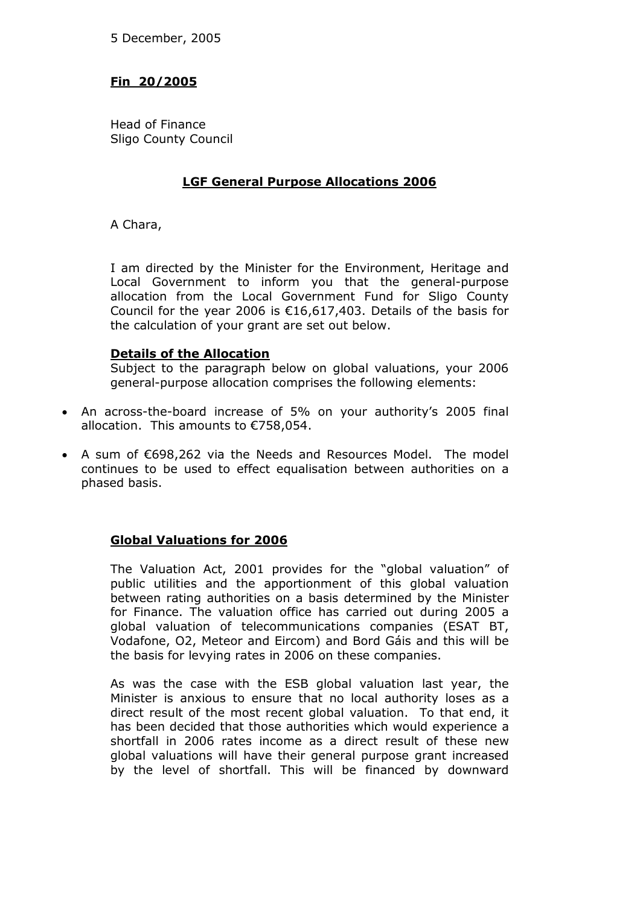### **Fin 20/2005**

Head of Finance Sligo County Council

### **LGF General Purpose Allocations 2006**

A Chara,

I am directed by the Minister for the Environment, Heritage and Local Government to inform you that the general-purpose allocation from the Local Government Fund for Sligo County Council for the year 2006 is  $£16,617,403$ . Details of the basis for the calculation of your grant are set out below.

### **Details of the Allocation**

Subject to the paragraph below on global valuations, your 2006 general-purpose allocation comprises the following elements:

- An across-the-board increase of 5% on your authority's 2005 final allocation. This amounts to €758,054.
- A sum of €698,262 via the Needs and Resources Model. The model continues to be used to effect equalisation between authorities on a phased basis.

### **Global Valuations for 2006**

The Valuation Act, 2001 provides for the "global valuation" of public utilities and the apportionment of this global valuation between rating authorities on a basis determined by the Minister for Finance. The valuation office has carried out during 2005 a global valuation of telecommunications companies (ESAT BT, Vodafone, O2, Meteor and Eircom) and Bord Gáis and this will be the basis for levying rates in 2006 on these companies.

As was the case with the ESB global valuation last year, the Minister is anxious to ensure that no local authority loses as a direct result of the most recent global valuation. To that end, it has been decided that those authorities which would experience a shortfall in 2006 rates income as a direct result of these new global valuations will have their general purpose grant increased by the level of shortfall. This will be financed by downward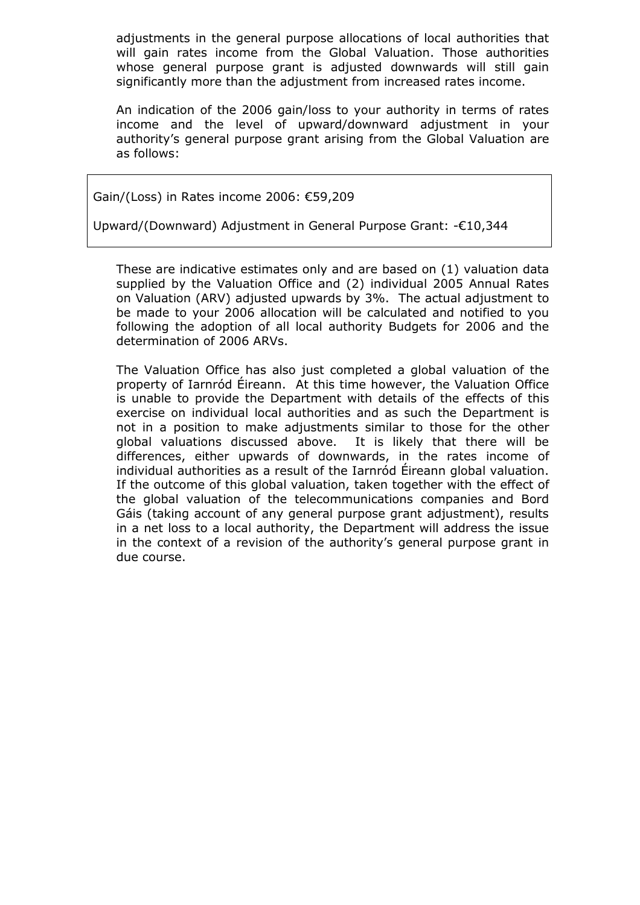adjustments in the general purpose allocations of local authorities that will gain rates income from the Global Valuation. Those authorities whose general purpose grant is adjusted downwards will still gain significantly more than the adjustment from increased rates income.

An indication of the 2006 gain/loss to your authority in terms of rates income and the level of upward/downward adjustment in your authority's general purpose grant arising from the Global Valuation are as follows:

Gain/(Loss) in Rates income 2006: €59,209

Upward/(Downward) Adjustment in General Purpose Grant: -€10,344

These are indicative estimates only and are based on (1) valuation data supplied by the Valuation Office and (2) individual 2005 Annual Rates on Valuation (ARV) adjusted upwards by 3%. The actual adjustment to be made to your 2006 allocation will be calculated and notified to you following the adoption of all local authority Budgets for 2006 and the determination of 2006 ARVs.

The Valuation Office has also just completed a global valuation of the property of Iarnród Éireann. At this time however, the Valuation Office is unable to provide the Department with details of the effects of this exercise on individual local authorities and as such the Department is not in a position to make adjustments similar to those for the other global valuations discussed above. It is likely that there will be differences, either upwards of downwards, in the rates income of individual authorities as a result of the Iarnród Éireann global valuation. If the outcome of this global valuation, taken together with the effect of the global valuation of the telecommunications companies and Bord Gáis (taking account of any general purpose grant adjustment), results in a net loss to a local authority, the Department will address the issue in the context of a revision of the authority's general purpose grant in due course.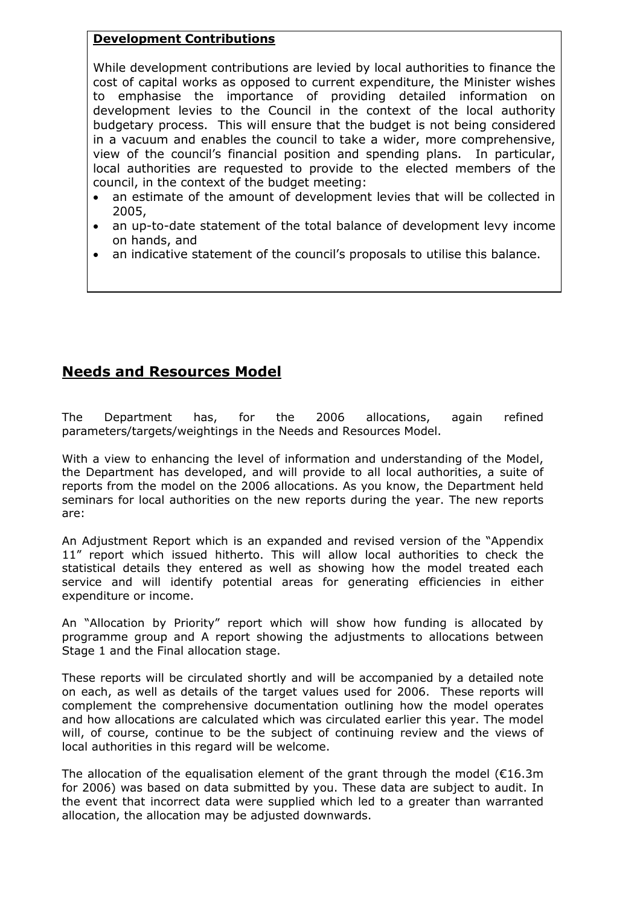### **Development Contributions**

While development contributions are levied by local authorities to finance the cost of capital works as opposed to current expenditure, the Minister wishes to emphasise the importance of providing detailed information on development levies to the Council in the context of the local authority budgetary process. This will ensure that the budget is not being considered in a vacuum and enables the council to take a wider, more comprehensive, view of the council's financial position and spending plans. In particular, local authorities are requested to provide to the elected members of the council, in the context of the budget meeting:

- an estimate of the amount of development levies that will be collected in 2005,
- an up-to-date statement of the total balance of development levy income on hands, and
- an indicative statement of the council's proposals to utilise this balance.

## **Needs and Resources Model**

The Department has, for the 2006 allocations, again refined parameters/targets/weightings in the Needs and Resources Model.

With a view to enhancing the level of information and understanding of the Model, the Department has developed, and will provide to all local authorities, a suite of reports from the model on the 2006 allocations. As you know, the Department held seminars for local authorities on the new reports during the year. The new reports are:

An Adjustment Report which is an expanded and revised version of the "Appendix 11" report which issued hitherto. This will allow local authorities to check the statistical details they entered as well as showing how the model treated each service and will identify potential areas for generating efficiencies in either expenditure or income.

An "Allocation by Priority" report which will show how funding is allocated by programme group and A report showing the adjustments to allocations between Stage 1 and the Final allocation stage.

These reports will be circulated shortly and will be accompanied by a detailed note on each, as well as details of the target values used for 2006. These reports will complement the comprehensive documentation outlining how the model operates and how allocations are calculated which was circulated earlier this year. The model will, of course, continue to be the subject of continuing review and the views of local authorities in this regard will be welcome.

The allocation of the equalisation element of the grant through the model ( $€16.3m$ ) for 2006) was based on data submitted by you. These data are subject to audit. In the event that incorrect data were supplied which led to a greater than warranted allocation, the allocation may be adjusted downwards.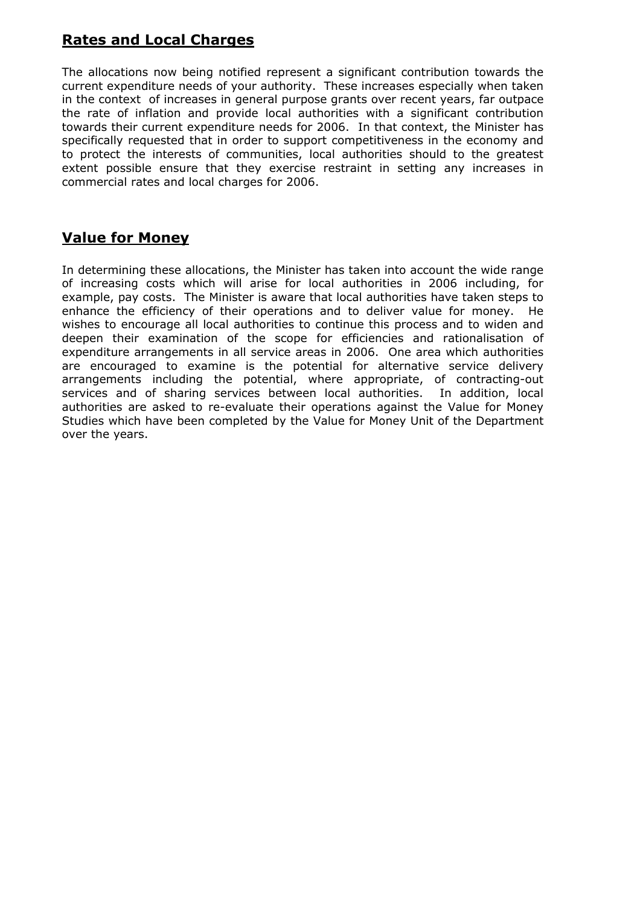## **Rates and Local Charges**

The allocations now being notified represent a significant contribution towards the current expenditure needs of your authority. These increases especially when taken in the context of increases in general purpose grants over recent years, far outpace the rate of inflation and provide local authorities with a significant contribution towards their current expenditure needs for 2006. In that context, the Minister has specifically requested that in order to support competitiveness in the economy and to protect the interests of communities, local authorities should to the greatest extent possible ensure that they exercise restraint in setting any increases in commercial rates and local charges for 2006.

## **Value for Money**

In determining these allocations, the Minister has taken into account the wide range of increasing costs which will arise for local authorities in 2006 including, for example, pay costs. The Minister is aware that local authorities have taken steps to enhance the efficiency of their operations and to deliver value for money. He wishes to encourage all local authorities to continue this process and to widen and deepen their examination of the scope for efficiencies and rationalisation of expenditure arrangements in all service areas in 2006. One area which authorities are encouraged to examine is the potential for alternative service delivery arrangements including the potential, where appropriate, of contracting-out services and of sharing services between local authorities. In addition, local authorities are asked to re-evaluate their operations against the Value for Money Studies which have been completed by the Value for Money Unit of the Department over the years.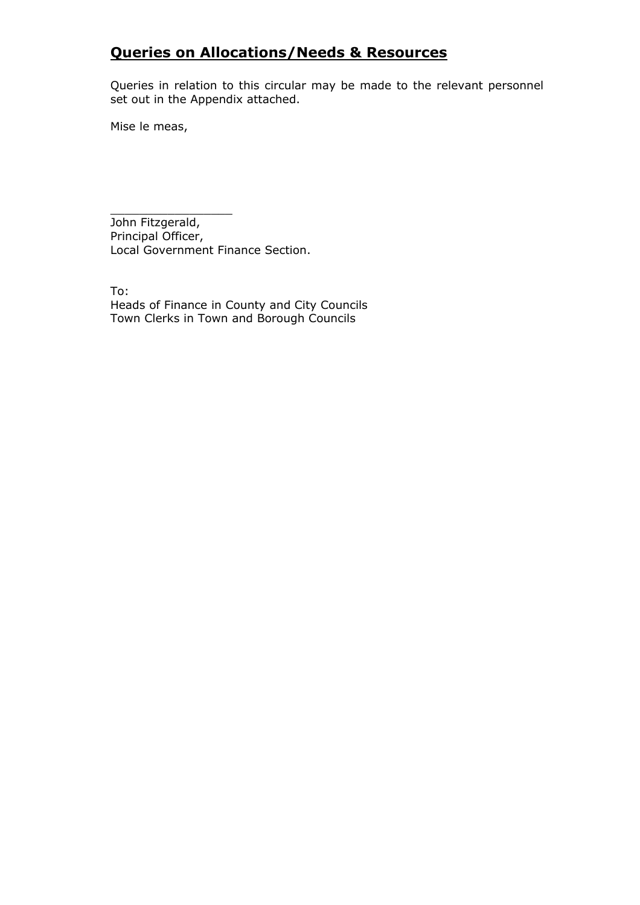## **Queries on Allocations/Needs & Resources**

Queries in relation to this circular may be made to the relevant personnel set out in the Appendix attached.

Mise le meas,

\_\_\_\_\_\_\_\_\_\_\_\_\_\_\_\_\_ John Fitzgerald, Principal Officer, Local Government Finance Section.

To: Heads of Finance in County and City Councils Town Clerks in Town and Borough Councils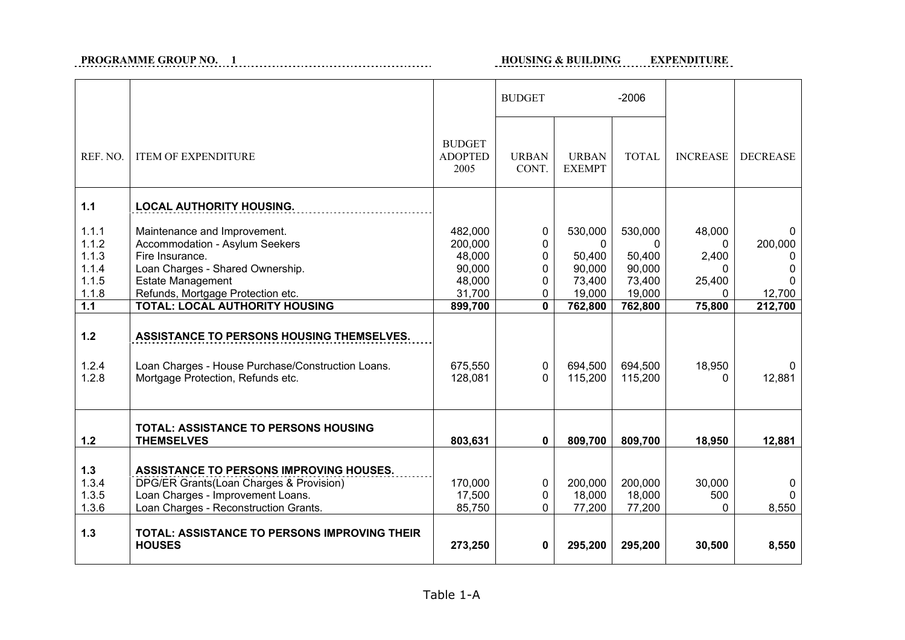# **PROGRAMME GROUP NO. 1 HOUSING EXPENDITION EXPENDITION**

### **HOUSING & BUILDING EXPENDITURE**

|                                                           |                                                                                                                                                                                                                                 |                                                                       | <b>BUDGET</b>                                                                         |                                                                        | $-2006$                                                                |                                                                      |                                                        |
|-----------------------------------------------------------|---------------------------------------------------------------------------------------------------------------------------------------------------------------------------------------------------------------------------------|-----------------------------------------------------------------------|---------------------------------------------------------------------------------------|------------------------------------------------------------------------|------------------------------------------------------------------------|----------------------------------------------------------------------|--------------------------------------------------------|
| REF. NO.                                                  | <b>ITEM OF EXPENDITURE</b>                                                                                                                                                                                                      | <b>BUDGET</b><br><b>ADOPTED</b><br>2005                               | <b>URBAN</b><br>CONT.                                                                 | <b>URBAN</b><br><b>EXEMPT</b>                                          | <b>TOTAL</b>                                                           | <b>INCREASE</b>                                                      | <b>DECREASE</b>                                        |
| $1.1$                                                     | <b>LOCAL AUTHORITY HOUSING.</b>                                                                                                                                                                                                 |                                                                       |                                                                                       |                                                                        |                                                                        |                                                                      |                                                        |
| 1.1.1<br>1.1.2<br>1.1.3<br>1.1.4<br>1.1.5<br>1.1.8<br>1.1 | Maintenance and Improvement.<br>Accommodation - Asylum Seekers<br>Fire Insurance.<br>Loan Charges - Shared Ownership.<br><b>Estate Management</b><br>Refunds, Mortgage Protection etc.<br><b>TOTAL: LOCAL AUTHORITY HOUSING</b> | 482,000<br>200,000<br>48,000<br>90,000<br>48,000<br>31,700<br>899,700 | $\mathbf 0$<br>$\mathbf{0}$<br>0<br>0<br>$\mathbf{0}$<br>$\mathbf{0}$<br>$\mathbf{0}$ | 530,000<br>$\Omega$<br>50,400<br>90,000<br>73,400<br>19,000<br>762,800 | 530,000<br>$\Omega$<br>50,400<br>90,000<br>73,400<br>19,000<br>762,800 | 48,000<br>$\mathbf{0}$<br>2,400<br>0<br>25,400<br>$\Omega$<br>75,800 | 200,000<br>0<br>0<br><sup>0</sup><br>12,700<br>212,700 |
| $1.2$                                                     | ASSISTANCE TO PERSONS HOUSING THEMSELVES.                                                                                                                                                                                       |                                                                       |                                                                                       |                                                                        |                                                                        |                                                                      |                                                        |
| 1.2.4<br>1.2.8                                            | Loan Charges - House Purchase/Construction Loans.<br>Mortgage Protection, Refunds etc.                                                                                                                                          | 675,550<br>128,081                                                    | 0<br>$\Omega$                                                                         | 694,500<br>115,200                                                     | 694,500<br>115,200                                                     | 18,950<br>$\Omega$                                                   | 12,881                                                 |
| $1.2$                                                     | <b>TOTAL: ASSISTANCE TO PERSONS HOUSING</b><br><b>THEMSELVES</b>                                                                                                                                                                | 803,631                                                               | $\mathbf 0$                                                                           | 809,700                                                                | 809,700                                                                | 18,950                                                               | 12,881                                                 |
| 1.3<br>1.3.4<br>1.3.5<br>1.3.6                            | ASSISTANCE TO PERSONS IMPROVING HOUSES.<br>DPG/ER Grants(Loan Charges & Provision)<br>Loan Charges - Improvement Loans.<br>Loan Charges - Reconstruction Grants.                                                                | 170,000<br>17,500<br>85,750                                           | $\mathbf 0$<br>0<br>$\Omega$                                                          | 200,000<br>18,000<br>77,200                                            | 200,000<br>18,000<br>77,200                                            | 30,000<br>500<br>$\Omega$                                            | <sup>0</sup><br>8,550                                  |
| $1.3$                                                     | TOTAL: ASSISTANCE TO PERSONS IMPROVING THEIR<br><b>HOUSES</b>                                                                                                                                                                   | 273,250                                                               | 0                                                                                     | 295,200                                                                | 295,200                                                                | 30,500                                                               | 8,550                                                  |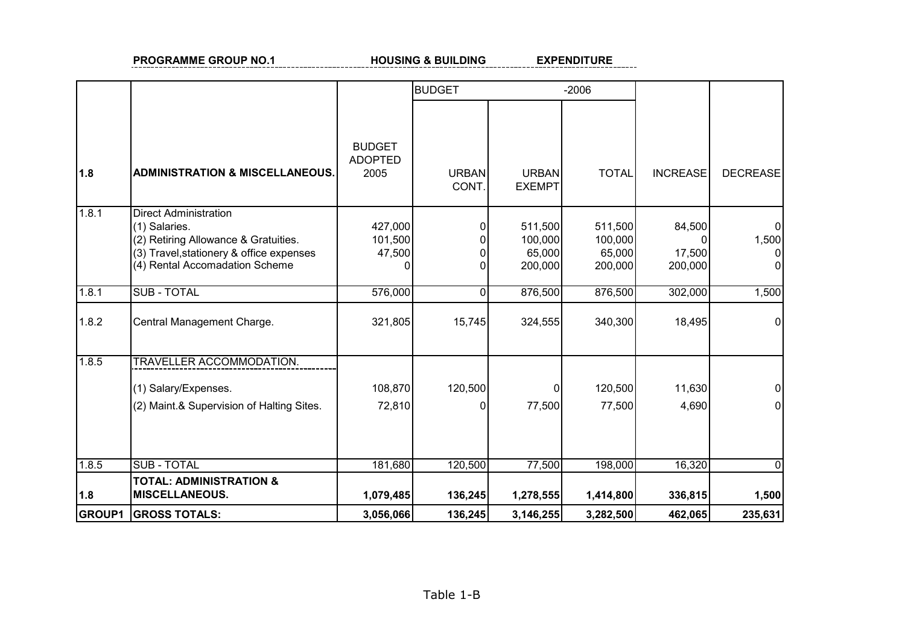#### **EXPENDITURE PROGRAMME GROUP NO.1** HOUSING & BUILDING EXPENDITURE ----

|               |                                                                                                                                                                     |                                         | <b>BUDGET</b>         |                                         | $-2006$                                 |                                             |                              |
|---------------|---------------------------------------------------------------------------------------------------------------------------------------------------------------------|-----------------------------------------|-----------------------|-----------------------------------------|-----------------------------------------|---------------------------------------------|------------------------------|
| 1.8           | <b>ADMINISTRATION &amp; MISCELLANEOUS.</b>                                                                                                                          | <b>BUDGET</b><br><b>ADOPTED</b><br>2005 | <b>URBAN</b><br>CONT. | <b>URBAN</b><br><b>EXEMPT</b>           | <b>TOTAL</b>                            | <b>INCREASE</b>                             | <b>DECREASE</b>              |
| 1.8.1         | <b>Direct Administration</b><br>(1) Salaries.<br>(2) Retiring Allowance & Gratuities.<br>(3) Travel, stationery & office expenses<br>(4) Rental Accomadation Scheme | 427,000<br>101,500<br>47,500            | 0                     | 511,500<br>100,000<br>65,000<br>200,000 | 511,500<br>100,000<br>65,000<br>200,000 | 84,500<br><sup>0</sup><br>17,500<br>200,000 | $\overline{0}$<br>1,500<br>0 |
| 1.8.1         | <b>SUB - TOTAL</b>                                                                                                                                                  | 576,000                                 | $\Omega$              | 876,500                                 | 876,500                                 | 302,000                                     | 1,500                        |
| 1.8.2         | Central Management Charge.                                                                                                                                          | 321,805                                 | 15,745                | 324,555                                 | 340,300                                 | 18,495                                      | 0                            |
| 1.8.5         | TRAVELLER ACCOMMODATION.<br>(1) Salary/Expenses.<br>(2) Maint.& Supervision of Halting Sites.                                                                       | 108,870<br>72,810                       | 120,500               | 77,500                                  | 120,500<br>77,500                       | 11,630<br>4,690                             |                              |
| 1.8.5         | <b>SUB - TOTAL</b><br><b>TOTAL: ADMINISTRATION &amp;</b>                                                                                                            | 181,680                                 | 120,500               | 77,500                                  | 198,000                                 | 16,320                                      | 0                            |
| 1.8           | <b>MISCELLANEOUS.</b>                                                                                                                                               | 1,079,485                               | 136,245               | 1,278,555                               | 1,414,800                               | 336,815                                     | 1,500                        |
| <b>GROUP1</b> | <b>GROSS TOTALS:</b>                                                                                                                                                | 3,056,066                               | 136,245               | 3,146,255                               | 3,282,500                               | 462,065                                     | 235,631                      |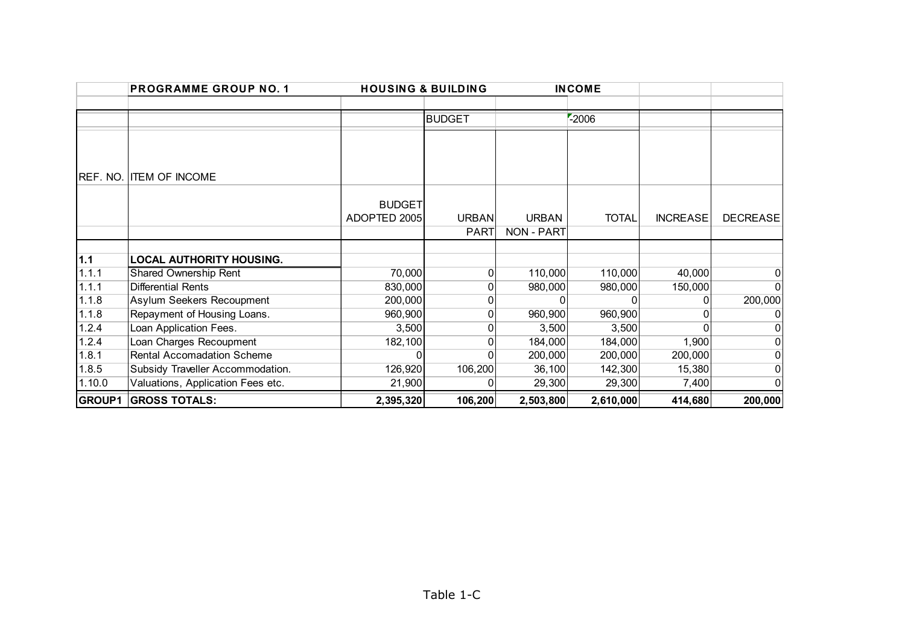|        | <b>PROGRAMME GROUP NO. 1</b>      | <b>HOUSING &amp; BUILDING</b> |               |                   | <b>INCOME</b> |                 |                 |
|--------|-----------------------------------|-------------------------------|---------------|-------------------|---------------|-----------------|-----------------|
|        |                                   |                               |               |                   |               |                 |                 |
|        |                                   |                               | <b>BUDGET</b> |                   | $-2006$       |                 |                 |
|        |                                   |                               |               |                   |               |                 |                 |
|        |                                   |                               |               |                   |               |                 |                 |
|        |                                   |                               |               |                   |               |                 |                 |
|        | <b>REF. NO. ITEM OF INCOME</b>    |                               |               |                   |               |                 |                 |
|        |                                   |                               |               |                   |               |                 |                 |
|        |                                   | <b>BUDGET</b>                 |               |                   |               |                 |                 |
|        |                                   | ADOPTED 2005                  | <b>URBAN</b>  | <b>URBAN</b>      | <b>TOTAL</b>  | <b>INCREASE</b> | <b>DECREASE</b> |
|        |                                   |                               | <b>PART</b>   | <b>NON - PART</b> |               |                 |                 |
|        |                                   |                               |               |                   |               |                 |                 |
| 1.1    | <b>LOCAL AUTHORITY HOUSING.</b>   |                               |               |                   |               |                 |                 |
| 1.1.1  | Shared Ownership Rent             | 70,000                        |               | 110,000           | 110,000       | 40,000          |                 |
| 1.1.1  | <b>Differential Rents</b>         | 830,000                       |               | 980,000           | 980,000       | 150,000         |                 |
| 1.1.8  | Asylum Seekers Recoupment         | 200,000                       |               |                   |               |                 | 200,000         |
| 1.1.8  | Repayment of Housing Loans.       | 960,900                       |               | 960,900           | 960,900       |                 |                 |
| 1.2.4  | Loan Application Fees.            | 3,500                         |               | 3,500             | 3,500         |                 |                 |
| 1.2.4  | Loan Charges Recoupment           | 182,100                       |               | 184,000           | 184,000       | 1,900           |                 |
| 1.8.1  | Rental Accomadation Scheme        | U                             |               | 200,000           | 200,000       | 200,000         |                 |
| 1.8.5  | Subsidy Traveller Accommodation.  | 126,920                       | 106,200       | 36,100            | 142,300       | 15,380          |                 |
| 1.10.0 | Valuations, Application Fees etc. | 21,900                        |               | 29,300            | 29,300        | 7,400           |                 |
|        | <b>GROUP1 GROSS TOTALS:</b>       | 2,395,320                     | 106,200       | 2,503,800         | 2,610,000     | 414,680         | 200,000         |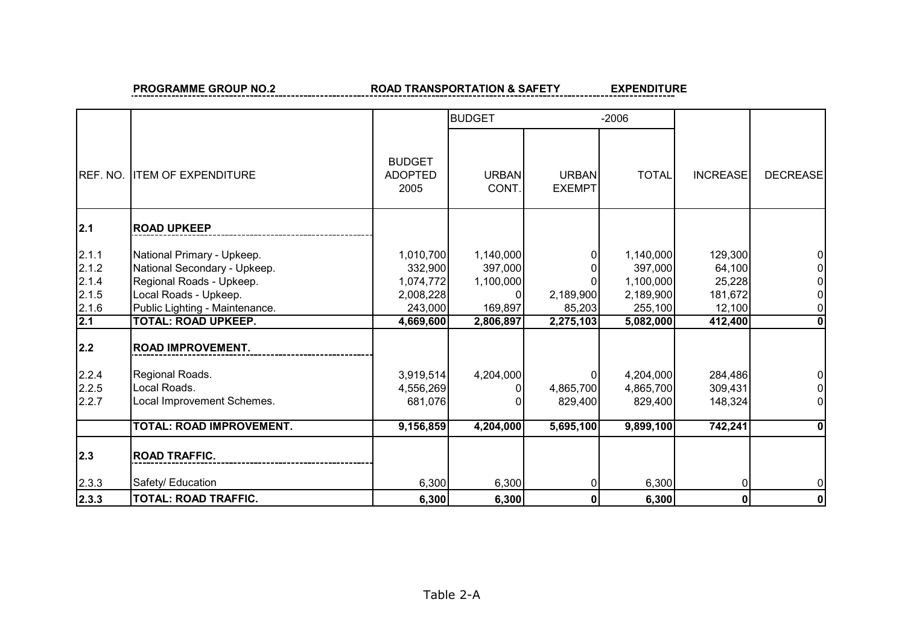### **PROGRAMME GROUP NO.2 ROAD TRANSPORTATION & SAFETY**

EXPENDITURE

|                                                                                      |                                                                                                                                                                                                                                                                              |                                                                                                             | <b>BUDGET</b>                                                          |                                                               | $-2006$                                                                                                     |                                                                                              |                 |
|--------------------------------------------------------------------------------------|------------------------------------------------------------------------------------------------------------------------------------------------------------------------------------------------------------------------------------------------------------------------------|-------------------------------------------------------------------------------------------------------------|------------------------------------------------------------------------|---------------------------------------------------------------|-------------------------------------------------------------------------------------------------------------|----------------------------------------------------------------------------------------------|-----------------|
| REF. NO.                                                                             | <b>ITEM OF EXPENDITURE</b>                                                                                                                                                                                                                                                   | <b>BUDGET</b><br><b>ADOPTED</b><br>2005                                                                     | <b>URBAN</b><br>CONT.                                                  | <b>URBAN</b><br><b>EXEMPT</b>                                 | <b>TOTAL</b>                                                                                                | <b>INCREASE</b>                                                                              | <b>DECREASE</b> |
| 2.1                                                                                  | <b>ROAD UPKEEP</b>                                                                                                                                                                                                                                                           |                                                                                                             |                                                                        |                                                               |                                                                                                             |                                                                                              |                 |
| 2.1.1<br>2.1.2<br>2.1.4<br>2.1.5<br>2.1.6<br>2.1<br> 2.2 <br>2.2.4<br>2.2.5<br>2.2.7 | National Primary - Upkeep.<br>National Secondary - Upkeep.<br>Regional Roads - Upkeep.<br>Local Roads - Upkeep.<br>Public Lighting - Maintenance.<br><b>TOTAL: ROAD UPKEEP.</b><br><b>ROAD IMPROVEMENT.</b><br>Regional Roads.<br>Local Roads.<br>Local Improvement Schemes. | 1,010,700<br>332,900<br>1,074,772<br>2,008,228<br>243,000<br>4,669,600<br>3,919,514<br>4,556,269<br>681,076 | 1,140,000<br>397,000<br>1,100,000<br>169,897<br>2,806,897<br>4,204,000 | 2,189,900<br>85,203<br>2,275,103<br>0<br>4,865,700<br>829,400 | 1,140,000<br>397,000<br>1,100,000<br>2,189,900<br>255,100<br>5,082,000<br>4,204,000<br>4,865,700<br>829,400 | 129,300<br>64,100<br>25,228<br>181,672<br>12,100<br>412,400<br>284,486<br>309,431<br>148,324 | 0<br>0          |
|                                                                                      | TOTAL: ROAD IMPROVEMENT.                                                                                                                                                                                                                                                     | 9,156,859                                                                                                   | 4,204,000                                                              | 5,695,100                                                     | 9,899,100                                                                                                   | 742,241                                                                                      | 0               |
| 2.3                                                                                  | <b>ROAD TRAFFIC.</b>                                                                                                                                                                                                                                                         |                                                                                                             |                                                                        |                                                               |                                                                                                             |                                                                                              |                 |
| 2.3.3                                                                                | Safety/ Education                                                                                                                                                                                                                                                            | 6,300                                                                                                       | 6,300                                                                  | ΩI                                                            | 6,300                                                                                                       | 0                                                                                            | 01              |
| 2.3.3                                                                                | <b>TOTAL: ROAD TRAFFIC.</b>                                                                                                                                                                                                                                                  | 6,300                                                                                                       | 6,300                                                                  | $\mathbf 0$                                                   | 6,300                                                                                                       | 0                                                                                            | 0               |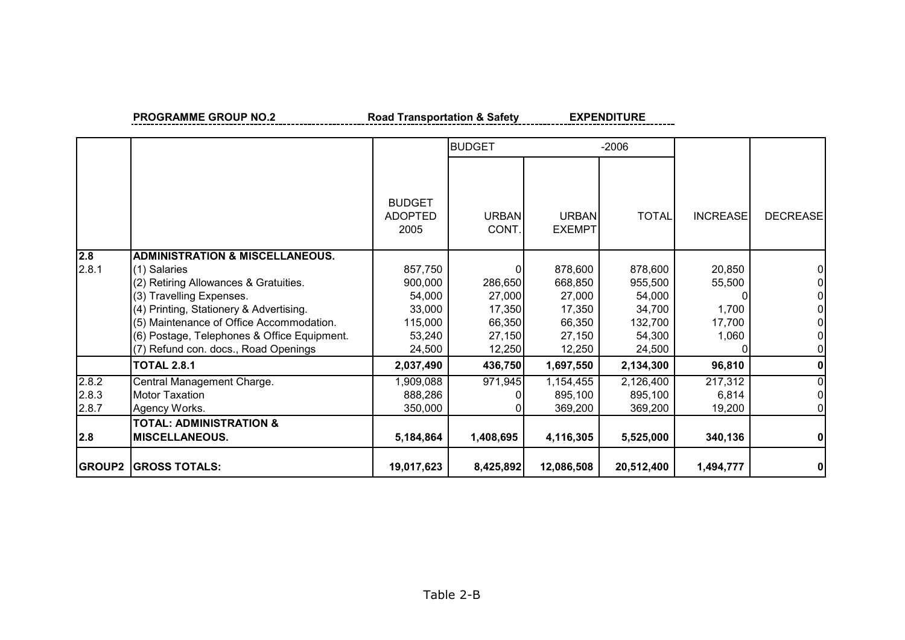**PROGRAMME GROUP NO.2** Road Transportation & Safety EXPENDITURE

|                         |                                                                                                                                                                                                                                                                                                               |                                                                       | <b>BUDGET</b>                                             |                                                                      | $-2006$                                                               |                                              |                 |
|-------------------------|---------------------------------------------------------------------------------------------------------------------------------------------------------------------------------------------------------------------------------------------------------------------------------------------------------------|-----------------------------------------------------------------------|-----------------------------------------------------------|----------------------------------------------------------------------|-----------------------------------------------------------------------|----------------------------------------------|-----------------|
|                         |                                                                                                                                                                                                                                                                                                               | <b>BUDGET</b><br><b>ADOPTED</b><br>2005                               | <b>URBAN</b><br>CONT.                                     | <b>URBAN</b><br><b>EXEMPT</b>                                        | <b>TOTAL</b>                                                          | <b>INCREASE</b>                              | <b>DECREASE</b> |
| 2.8<br>2.8.1            | <b>ADMINISTRATION &amp; MISCELLANEOUS.</b><br>(1) Salaries<br>(2) Retiring Allowances & Gratuities.<br>(3) Travelling Expenses.<br>(4) Printing, Stationery & Advertising.<br>(5) Maintenance of Office Accommodation.<br>(6) Postage, Telephones & Office Equipment.<br>(7) Refund con. docs., Road Openings | 857,750<br>900,000<br>54,000<br>33,000<br>115,000<br>53,240<br>24,500 | 286,650<br>27,000<br>17,350<br>66,350<br>27,150<br>12,250 | 878,600<br>668,850<br>27,000<br>17,350<br>66,350<br>27,150<br>12,250 | 878,600<br>955,500<br>54,000<br>34,700<br>132,700<br>54,300<br>24,500 | 20,850<br>55,500<br>1,700<br>17,700<br>1,060 | $\Omega$        |
|                         | <b>TOTAL 2.8.1</b>                                                                                                                                                                                                                                                                                            | 2,037,490                                                             | 436,750                                                   | 1,697,550                                                            | 2,134,300                                                             | 96,810                                       | 0               |
| 2.8.2<br>2.8.3<br>2.8.7 | Central Management Charge.<br><b>Motor Taxation</b><br>Agency Works.<br><b>TOTAL: ADMINISTRATION &amp;</b>                                                                                                                                                                                                    | 1,909,088<br>888,286<br>350,000                                       | 971,945                                                   | 1,154,455<br>895,100<br>369,200                                      | 2,126,400<br>895,100<br>369,200                                       | 217,312<br>6,814<br>19,200                   | 0<br>0<br>01    |
| 2.8                     | <b>MISCELLANEOUS.</b>                                                                                                                                                                                                                                                                                         | 5,184,864                                                             | 1,408,695                                                 | 4,116,305                                                            | 5,525,000                                                             | 340,136                                      | $\mathbf{0}$    |
| <b>GROUP2</b>           | <b>GROSS TOTALS:</b>                                                                                                                                                                                                                                                                                          | 19,017,623                                                            | 8,425,892                                                 | 12,086,508                                                           | 20,512,400                                                            | 1,494,777                                    | 0               |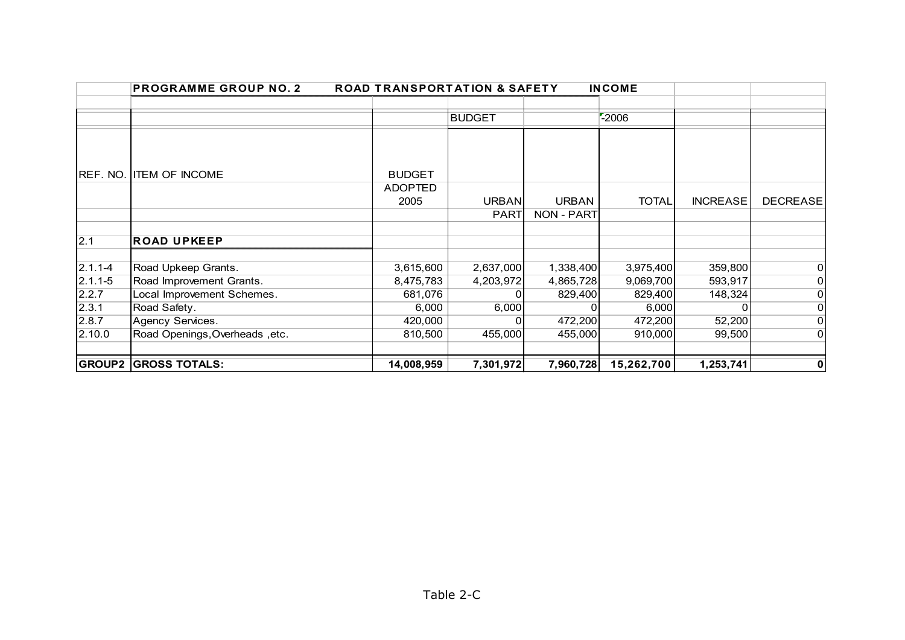|                                                       | <b>PROGRAMME GROUP NO. 2</b>                                                                                      | <b>ROAD TRANSPORTATION &amp; SAFETY</b>               |                                      |                                              | <b>INCOME</b>                                         |                                         |                                                                                        |
|-------------------------------------------------------|-------------------------------------------------------------------------------------------------------------------|-------------------------------------------------------|--------------------------------------|----------------------------------------------|-------------------------------------------------------|-----------------------------------------|----------------------------------------------------------------------------------------|
|                                                       |                                                                                                                   |                                                       |                                      |                                              |                                                       |                                         |                                                                                        |
|                                                       |                                                                                                                   |                                                       | <b>BUDGET</b>                        |                                              | $-2006$                                               |                                         |                                                                                        |
| REF. NO.                                              | <b>ITEM OF INCOME</b>                                                                                             | <b>BUDGET</b><br><b>ADOPTED</b>                       |                                      |                                              |                                                       |                                         |                                                                                        |
|                                                       |                                                                                                                   | 2005                                                  | <b>URBAN</b>                         | <b>URBAN</b>                                 | <b>TOTAL</b>                                          | <b>INCREASE</b>                         | <b>DECREASE</b>                                                                        |
|                                                       |                                                                                                                   |                                                       | <b>PART</b>                          | NON - PART                                   |                                                       |                                         |                                                                                        |
|                                                       |                                                                                                                   |                                                       |                                      |                                              |                                                       |                                         |                                                                                        |
| 2.1                                                   | <b>ROAD UPKEEP</b>                                                                                                |                                                       |                                      |                                              |                                                       |                                         |                                                                                        |
| $2.1.1 - 4$<br>$2.1.1 - 5$<br>2.2.7<br>2.3.1<br>2.8.7 | Road Upkeep Grants.<br>Road Improvement Grants.<br>Local Improvement Schemes.<br>Road Safety.<br>Agency Services. | 3,615,600<br>8,475,783<br>681,076<br>6,000<br>420,000 | 2,637,000<br>4,203,972<br>0<br>6,000 | 1,338,400<br>4,865,728<br>829,400<br>472,200 | 3,975,400<br>9,069,700<br>829,400<br>6,000<br>472,200 | 359,800<br>593,917<br>148,324<br>52,200 | $\overline{0}$<br>$\overline{0}$<br>$\overline{O}$<br>$\overline{0}$<br>$\overline{0}$ |
| 2.10.0                                                | Road Openings, Overheads, etc.                                                                                    | 810,500                                               | 455,000                              | 455,000                                      | 910,000                                               | 99,500                                  | $\Omega$                                                                               |
|                                                       |                                                                                                                   |                                                       |                                      |                                              |                                                       |                                         |                                                                                        |
| <b>GROUP2</b>                                         | <b>GROSS TOTALS:</b>                                                                                              | 14,008,959                                            | 7,301,972                            | 7,960,728                                    | 15,262,700                                            | 1,253,741                               | 0                                                                                      |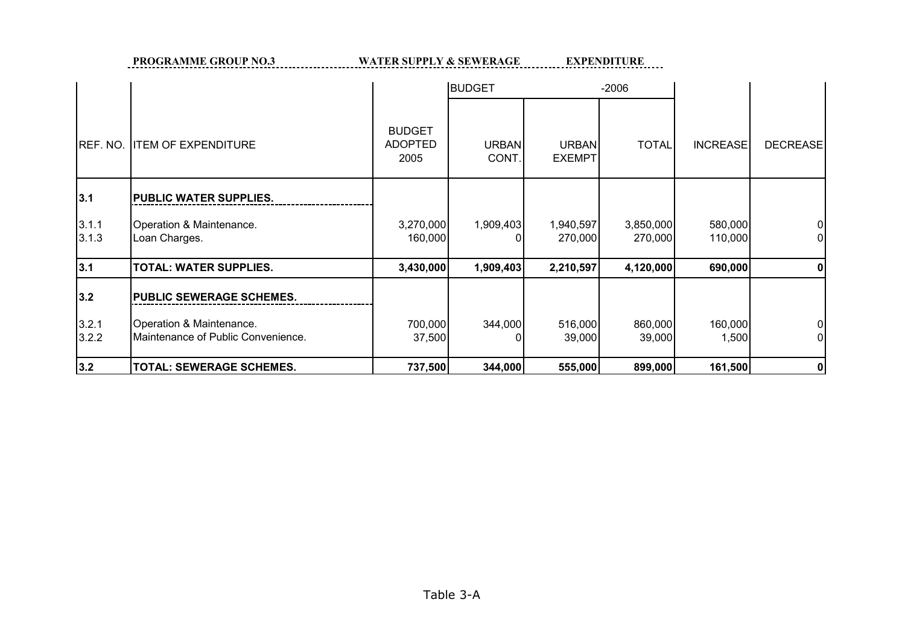**PROGRAMME GROUP NO.3 WATER SUPPLY & SEWERAGE EXPENDITURE** 

|                |                                                                |                                         | <b>BUDGET</b>         |                               | $-2006$              |                    |                 |
|----------------|----------------------------------------------------------------|-----------------------------------------|-----------------------|-------------------------------|----------------------|--------------------|-----------------|
| REF. NO.       | <b>ITEM OF EXPENDITURE</b>                                     | <b>BUDGET</b><br><b>ADOPTED</b><br>2005 | <b>URBAN</b><br>CONT. | <b>URBAN</b><br><b>EXEMPT</b> | <b>TOTAL</b>         | <b>INCREASE</b>    | <b>DECREASE</b> |
| 3.1            | PUBLIC WATER SUPPLIES.                                         |                                         |                       |                               |                      |                    |                 |
| 3.1.1<br>3.1.3 | Operation & Maintenance.<br>Loan Charges.                      | 3,270,000<br>160,000                    | 1,909,403             | 1,940,597<br>270,000          | 3,850,000<br>270,000 | 580,000<br>110,000 |                 |
| 3.1            | <b>TOTAL: WATER SUPPLIES.</b>                                  | 3,430,000                               | 1,909,403             | 2,210,597                     | 4,120,000            | 690,000            |                 |
| 3.2            | PUBLIC SEWERAGE SCHEMES.                                       |                                         |                       |                               |                      |                    |                 |
| 3.2.1<br>3.2.2 | Operation & Maintenance.<br>Maintenance of Public Convenience. | 700,000<br>37,500                       | 344,000               | 516,000<br>39,000             | 860,000<br>39,000    | 160,000<br>1,500   |                 |
| 3.2            | TOTAL: SEWERAGE SCHEMES.                                       | 737,500                                 | 344,000               | 555,000                       | 899,000              | 161,500            | 0               |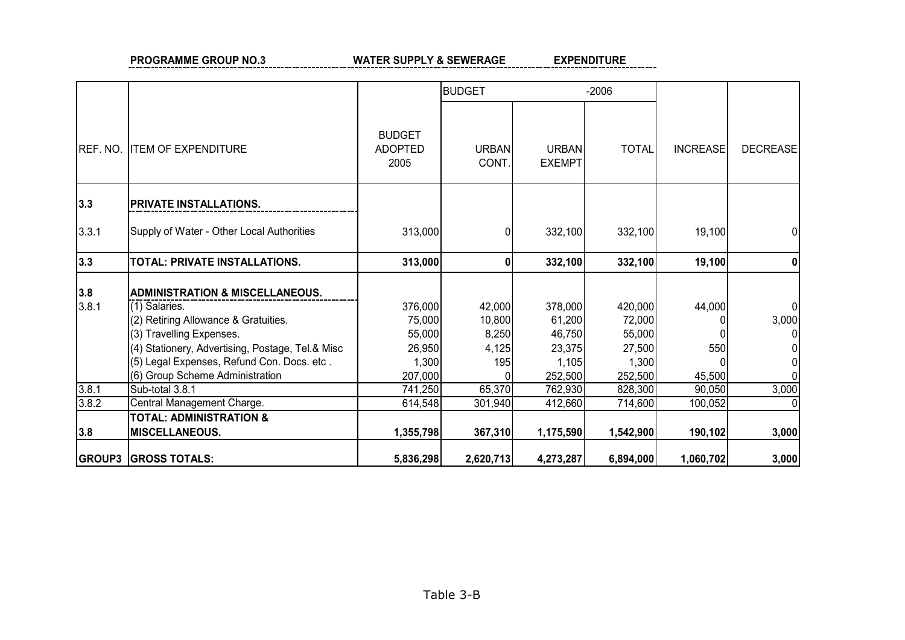**PROGRAMME GROUP NO.3** WATER SUPPLY & SEWERAGE **EXPENDITURE** 

|          | <b>GROUP3 GROSS TOTALS:</b>                      | 5,836,298                               | 2,620,713             | 4,273,287              | 6,894,000    | 1,060,702       | 3,000           |
|----------|--------------------------------------------------|-----------------------------------------|-----------------------|------------------------|--------------|-----------------|-----------------|
| 3.8      | <b>MISCELLANEOUS.</b>                            | 1,355,798                               | 367,310               | 1,175,590              | 1,542,900    | 190,102         | 3,000           |
|          | <b>TOTAL: ADMINISTRATION &amp;</b>               |                                         |                       |                        |              |                 |                 |
| 3.8.2    | Central Management Charge.                       | 614,548                                 | 301,940               | 412,660                | 714,600      | 100,052         |                 |
| 3.8.1    | Sub-total 3.8.1                                  | 741,250                                 | 65,370                | 762,930                | 828,300      | 90,050          | 3,000           |
|          | (6) Group Scheme Administration                  | 207,000                                 |                       | 252,500                | 252,500      | 45,500          |                 |
|          | (5) Legal Expenses, Refund Con. Docs. etc.       | 1,300                                   | 195                   | 1,105                  | 1,300        |                 |                 |
|          | (4) Stationery, Advertising, Postage, Tel.& Misc | 26,950                                  | 4,125                 | 23,375                 | 27,500       | 550             |                 |
|          | (3) Travelling Expenses.                         | 55,000                                  | 8,250                 | 46,750                 | 55,000       |                 |                 |
|          | (2) Retiring Allowance & Gratuities.             | 75,000                                  | 10,800                | 61,200                 | 72,000       |                 | 3,000           |
| 3.8.1    | (1) Salaries.                                    | 376,000                                 | 42,000                | 378,000                | 420,000      | 44,000          |                 |
| 3.8      | <b>ADMINISTRATION &amp; MISCELLANEOUS.</b>       |                                         |                       |                        |              |                 |                 |
| 3.3      | TOTAL: PRIVATE INSTALLATIONS.                    | 313,000                                 | 0                     | 332,100                | 332,100      | 19,100          |                 |
| 3.3.1    | Supply of Water - Other Local Authorities        | 313,000                                 |                       | 332,100                | 332,100      | 19,100          |                 |
| 3.3      | PRIVATE INSTALLATIONS.                           |                                         |                       |                        |              |                 |                 |
| REF. NO. | <b>ITEM OF EXPENDITURE</b>                       | <b>BUDGET</b><br><b>ADOPTED</b><br>2005 | <b>URBAN</b><br>CONT. | URBAN<br><b>EXEMPT</b> | <b>TOTAL</b> | <b>INCREASE</b> | <b>DECREASE</b> |
|          |                                                  |                                         | <b>BUDGET</b>         | $-2006$                |              |                 |                 |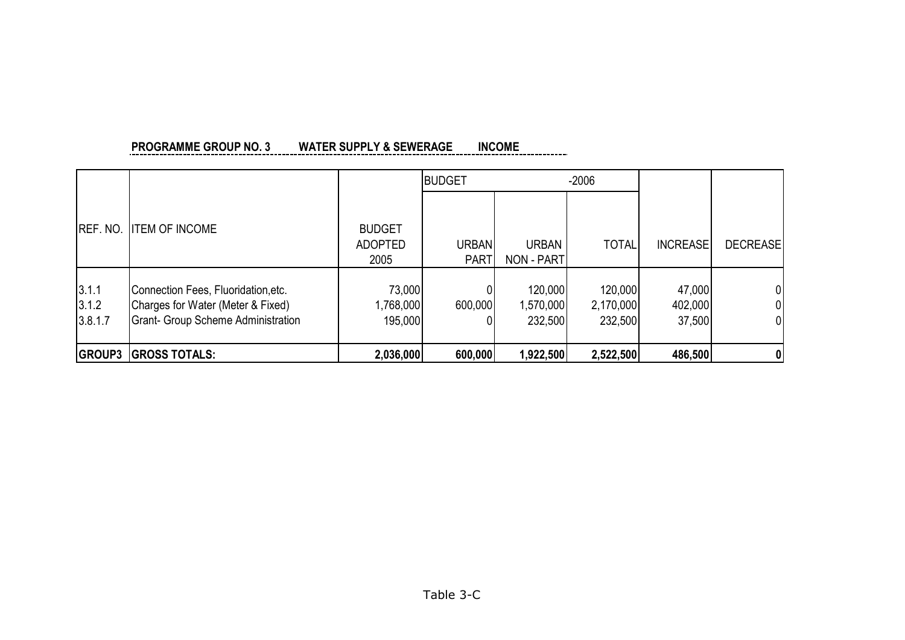|                           |                                                                                                                       |                                         | <b>BUDGET</b>        |                                 | $-2006$                         |                             |                 |
|---------------------------|-----------------------------------------------------------------------------------------------------------------------|-----------------------------------------|----------------------|---------------------------------|---------------------------------|-----------------------------|-----------------|
| <b>IREF. NO.</b>          | <b>ITEM OF INCOME</b>                                                                                                 | <b>BUDGET</b><br><b>ADOPTED</b><br>2005 | URBAN<br><b>PART</b> | <b>URBAN</b><br>NON - PART      | <b>TOTAL</b>                    | <b>INCREASE</b>             | <b>DECREASE</b> |
| 3.1.1<br>3.1.2<br>3.8.1.7 | Connection Fees, Fluoridation, etc.<br>Charges for Water (Meter & Fixed)<br><b>Grant- Group Scheme Administration</b> | 73,000<br>1,768,000<br>195,000          | 600,000              | 120,000<br>1,570,000<br>232,500 | 120,000<br>2,170,000<br>232,500 | 47,000<br>402,000<br>37,500 | 01<br>01<br>01  |
|                           | <b>GROUP3 GROSS TOTALS:</b>                                                                                           | 2,036,000                               | 600,000              | 1,922,500                       | 2,522,500                       | 486,500                     | 0               |

#### **PROGRAMME GROUP NO. 3 WATER SUPPLY & SEWERAGE INCOME** -----------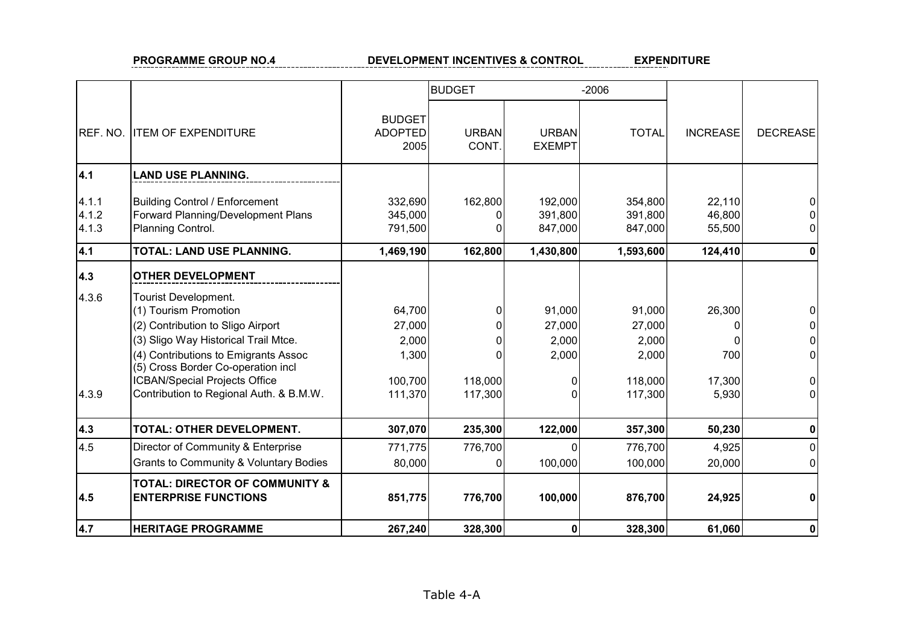#### **PROGRAMME GROUP NO.4 DEVELOPMENT INCENTIVES & CONTROL EXPENDITURE**

|                         |                                                                                                                                                                                                                                                  |                                               | <b>BUDGET</b>  |                                    | $-2006$                                       |                              |                 |
|-------------------------|--------------------------------------------------------------------------------------------------------------------------------------------------------------------------------------------------------------------------------------------------|-----------------------------------------------|----------------|------------------------------------|-----------------------------------------------|------------------------------|-----------------|
| REF. NO.                | <b>ITEM OF EXPENDITURE</b>                                                                                                                                                                                                                       | <b>BUDGET</b><br><b>ADOPTED</b><br>2005       | URBAN<br>CONT. | <b>URBAN</b><br><b>EXEMPT</b>      | <b>TOTAL</b>                                  | <b>INCREASE</b>              | <b>DECREASE</b> |
| 4.1                     | <b>LAND USE PLANNING.</b>                                                                                                                                                                                                                        |                                               |                |                                    |                                               |                              |                 |
| 4.1.1<br>4.1.2<br>4.1.3 | <b>Building Control / Enforcement</b><br>Forward Planning/Development Plans<br>Planning Control.                                                                                                                                                 | 332,690<br>345,000<br>791,500                 | 162,800        | 192,000<br>391,800<br>847,000      | 354,800<br>391,800<br>847,000                 | 22,110<br>46,800<br>55,500   |                 |
| 4.1                     | <b>TOTAL: LAND USE PLANNING.</b>                                                                                                                                                                                                                 | 1,469,190                                     | 162,800        | 1,430,800                          | 1,593,600                                     | 124,410                      | 0               |
| 4.3                     | <b>OTHER DEVELOPMENT</b>                                                                                                                                                                                                                         |                                               |                |                                    |                                               |                              |                 |
| 4.3.6                   | Tourist Development.<br>(1) Tourism Promotion<br>(2) Contribution to Sligo Airport<br>(3) Sligo Way Historical Trail Mtce.<br>(4) Contributions to Emigrants Assoc<br>(5) Cross Border Co-operation incl<br><b>ICBAN/Special Projects Office</b> | 64,700<br>27,000<br>2,000<br>1,300<br>100,700 | 118,000        | 91,000<br>27,000<br>2,000<br>2,000 | 91,000<br>27,000<br>2,000<br>2,000<br>118,000 | 26,300<br>ŋ<br>700<br>17,300 | 0               |
| 4.3.9                   | Contribution to Regional Auth. & B.M.W.                                                                                                                                                                                                          | 111,370                                       | 117,300        | 0<br>0                             | 117,300                                       | 5,930                        | $\Omega$        |
| 4.3                     | TOTAL: OTHER DEVELOPMENT.                                                                                                                                                                                                                        | 307,070                                       | 235,300        | 122,000                            | 357,300                                       | 50,230                       |                 |
| 4.5                     | Director of Community & Enterprise<br><b>Grants to Community &amp; Voluntary Bodies</b>                                                                                                                                                          | 771,775<br>80,000                             | 776,700        | $\Omega$<br>100,000                | 776,700<br>100,000                            | 4,925<br>20,000              | 0<br>$\Omega$   |
| 4.5                     | <b>TOTAL: DIRECTOR OF COMMUNITY &amp;</b><br><b>ENTERPRISE FUNCTIONS</b>                                                                                                                                                                         | 851,775                                       | 776,700        | 100,000                            | 876,700                                       | 24,925                       | 0               |
| 4.7                     | <b>HERITAGE PROGRAMME</b>                                                                                                                                                                                                                        | 267,240                                       | 328,300        | 0                                  | 328,300                                       | 61,060                       | 0               |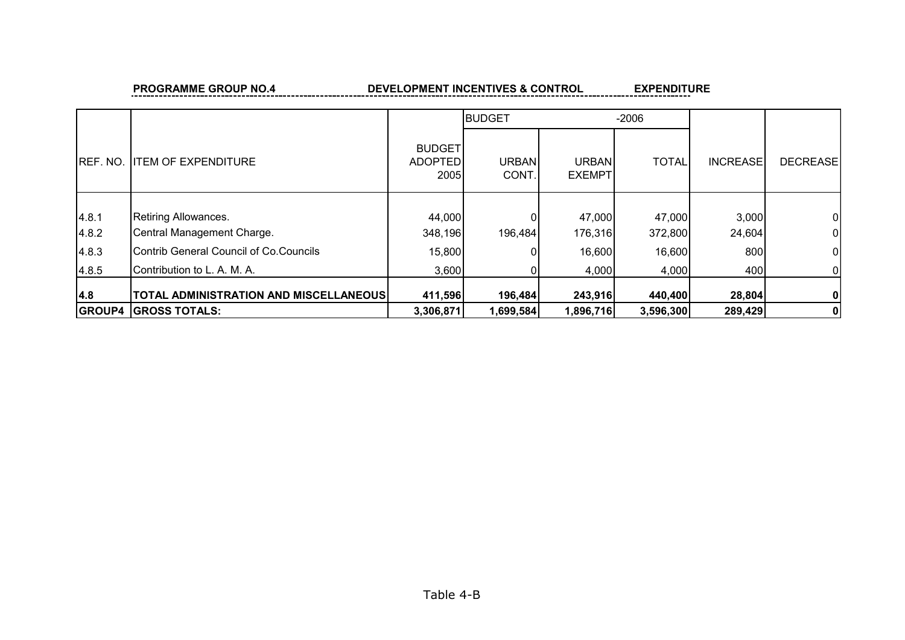#### **PROGRAMME GROUP NO.4 DEVELOPMENT INCENTIVES & CONTROL EXPENDITURE**

|                  |                                               |                                                | <b>BUDGET</b>         |                               | $-2006$      |                 |                 |
|------------------|-----------------------------------------------|------------------------------------------------|-----------------------|-------------------------------|--------------|-----------------|-----------------|
| <b>IREF. NO.</b> | <b>ITEM OF EXPENDITURE</b>                    | <b>BUDGET</b><br><b>ADOPTED</b><br><b>2005</b> | <b>URBAN</b><br>CONT. | <b>URBAN</b><br><b>EXEMPT</b> | <b>TOTAL</b> | <b>INCREASE</b> | <b>DECREASE</b> |
|                  |                                               |                                                |                       |                               |              |                 |                 |
| 4.8.1            | Retiring Allowances.                          | 44,000                                         |                       | 47,000                        | 47,000       | 3,000           | 01              |
| 4.8.2            | Central Management Charge.                    | 348,196                                        | 196,484               | 176,316                       | 372,800      | 24,604          | 01              |
| 4.8.3            | Contrib General Council of Co. Councils       | 15,800                                         |                       | 16,600                        | 16,600       | 800             | 0               |
| 4.8.5            | Contribution to L. A. M. A.                   | 3,600                                          |                       | 4,000                         | 4,000        | 400             | 01              |
| 4.8              | <b>TOTAL ADMINISTRATION AND MISCELLANEOUS</b> | 411,596                                        | 196,484               | 243,916                       | 440,400      | 28,804          | 01              |
| <b>GROUP4</b>    | <b>GROSS TOTALS:</b>                          | 3,306,871                                      | 1,699,584             | 1,896,716                     | 3,596,300    | 289,429         | 0               |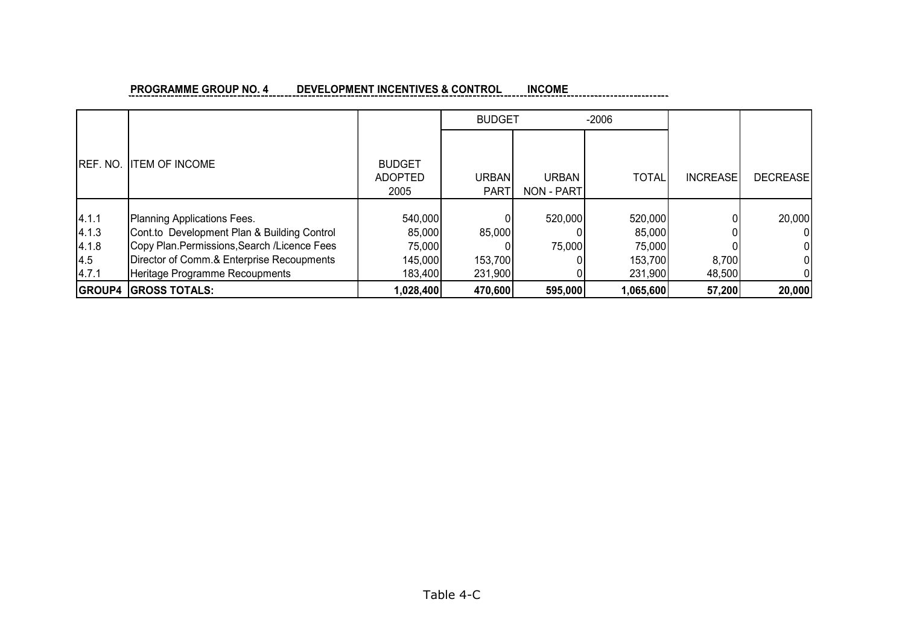#### **PROGRAMME GROUP NO. 4 DEVELOPMENT INCENTIVES & CONTROL INCOME**

|                                         |                                                                                                                                                                                                            |                                                   | <b>BUDGET</b>                |                                   | $-2006$                                           |                 |                 |
|-----------------------------------------|------------------------------------------------------------------------------------------------------------------------------------------------------------------------------------------------------------|---------------------------------------------------|------------------------------|-----------------------------------|---------------------------------------------------|-----------------|-----------------|
| IREF. NO.                               | <b>ITEM OF INCOME</b>                                                                                                                                                                                      | <b>BUDGET</b><br><b>ADOPTED</b><br>2005           | <b>URBAN</b><br><b>PART</b>  | <b>URBAN</b><br><b>NON - PART</b> | <b>TOTAL</b>                                      | <b>INCREASE</b> | <b>DECREASE</b> |
| 4.1.1<br>4.1.3<br>4.1.8<br>4.5<br>4.7.1 | Planning Applications Fees.<br>Cont.to Development Plan & Building Control<br>Copy Plan. Permissions, Search / Licence Fees<br>Director of Comm.& Enterprise Recoupments<br>Heritage Programme Recoupments | 540,000<br>85,000<br>75,000<br>145,000<br>183,400 | 85,000<br>153,700<br>231,900 | 520,000<br>75,000                 | 520,000<br>85,000<br>75,000<br>153,700<br>231,900 | 8,700<br>48,500 | 20,000          |
| <b>GROUP4</b>                           | <b>GROSS TOTALS:</b>                                                                                                                                                                                       | 1,028,400                                         | 470,600                      | 595,000                           | 1,065,600                                         | 57,200          | 20,000          |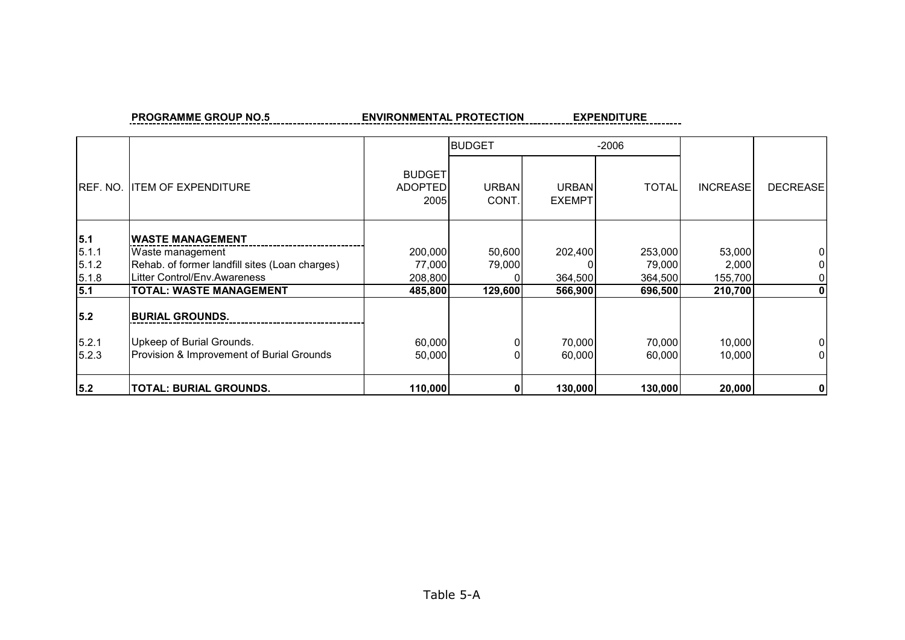PROGRAMME GROUP NO.5 **ENVIRONMENTAL PROTECTION** 

**EXPENDITURE** ------

|          |                                                |                                         | <b>BUDGET</b>         |                               | $-2006$      |                 |                 |
|----------|------------------------------------------------|-----------------------------------------|-----------------------|-------------------------------|--------------|-----------------|-----------------|
| REF. NO. | <b>ITEM OF EXPENDITURE</b>                     | <b>BUDGET</b><br><b>ADOPTED</b><br>2005 | <b>URBAN</b><br>CONT. | <b>URBAN</b><br><b>EXEMPT</b> | <b>TOTAL</b> | <b>INCREASE</b> | <b>DECREASE</b> |
| 5.1      | <b>IWASTE MANAGEMENT</b>                       |                                         |                       |                               |              |                 |                 |
| 5.1.1    | Waste management                               | 200,000                                 | 50,600                | 202,400                       | 253,000      | 53,000          |                 |
| 5.1.2    | Rehab. of former landfill sites (Loan charges) | 77,000                                  | 79,000                |                               | 79,000       | 2,000           | 0               |
| 5.1.8    | Litter Control/Env.Awareness                   | 208,800                                 |                       | 364,500                       | 364,500      | 155,700         | 01              |
| 5.1      | <b>TOTAL: WASTE MANAGEMENT</b>                 | 485,800                                 | 129,600               | 566,900                       | 696,500      | 210,700         | $\mathbf{0}$    |
| 5.2      | <b>BURIAL GROUNDS.</b>                         |                                         |                       |                               |              |                 |                 |
| 5.2.1    | Upkeep of Burial Grounds.                      | 60,000                                  |                       | 70,000                        | 70,000       | 10,000          | 0               |
| 5.2.3    | Provision & Improvement of Burial Grounds      | 50,000                                  |                       | 60,000                        | 60,000       | 10,000          | 01              |
| 5.2      | <b>TOTAL: BURIAL GROUNDS.</b>                  | 110,000                                 |                       | 130,000                       | 130,000      | 20,000          | $\mathbf{0}$    |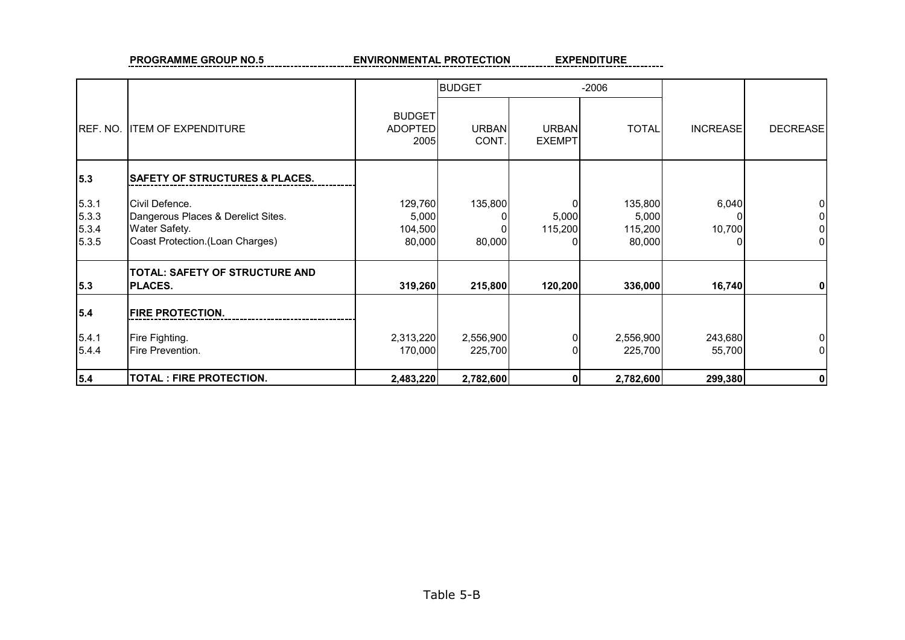PROGRAMME GROUP NO.5 ENVIRONMENTAL PROTECTION <u>EXPENDITURE</u>

|                                  |                                                                                                           |                                         | <b>BUDGET</b>         |                               | $-2006$                               |                   |                 |
|----------------------------------|-----------------------------------------------------------------------------------------------------------|-----------------------------------------|-----------------------|-------------------------------|---------------------------------------|-------------------|-----------------|
| REF. NO.                         | <b>ITEM OF EXPENDITURE</b>                                                                                | <b>BUDGET</b><br><b>ADOPTED</b><br>2005 | <b>URBAN</b><br>CONT. | <b>URBAN</b><br><b>EXEMPT</b> | <b>TOTAL</b>                          | <b>INCREASE</b>   | <b>DECREASE</b> |
| 5.3                              | <b>SAFETY OF STRUCTURES &amp; PLACES.</b>                                                                 |                                         |                       |                               |                                       |                   |                 |
| 5.3.1<br>5.3.3<br>5.3.4<br>5.3.5 | Civil Defence.<br>Dangerous Places & Derelict Sites.<br>Water Safety.<br>Coast Protection. (Loan Charges) | 129,760<br>5,000<br>104,500<br>80,000   | 135,800<br>80,000     | $\Omega$<br>5,000<br>115,200  | 135,800<br>5,000<br>115,200<br>80,000 | 6,040<br>10,700   |                 |
| 5.3                              | TOTAL: SAFETY OF STRUCTURE AND<br><b>PLACES.</b>                                                          | 319,260                                 | 215,800               | 120,200                       | 336,000                               | 16,740            | 0               |
| 5.4                              | <b>FIRE PROTECTION.</b>                                                                                   |                                         |                       |                               |                                       |                   |                 |
| 5.4.1<br>5.4.4                   | Fire Fighting.<br>Fire Prevention.                                                                        | 2,313,220<br>170,000                    | 2,556,900<br>225,700  | $\Omega$<br>$\Omega$          | 2,556,900<br>225,700                  | 243,680<br>55,700 |                 |
| $5.4$                            | <b>TOTAL: FIRE PROTECTION.</b>                                                                            | 2,483,220                               | 2,782,600             | $\mathbf{0}$                  | 2,782,600                             | 299,380           |                 |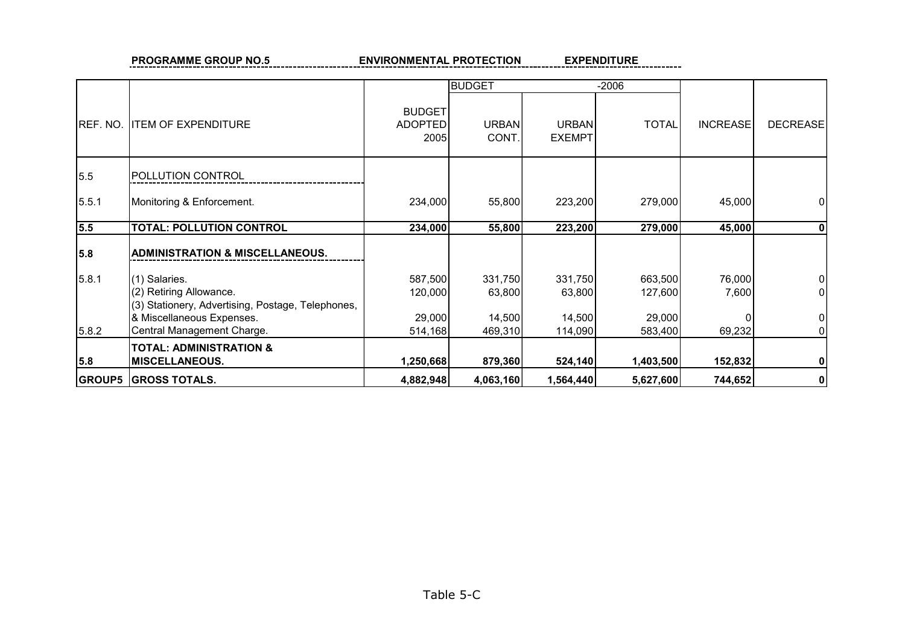PROGRAMME GROUP NO.5 **ENVIRONMENTAL PROTECTION** 

**EXPENDITURE** ----------

|          |                                                                                               |                                         | <b>BUDGET</b>               |                               | $-2006$            |                 |                      |
|----------|-----------------------------------------------------------------------------------------------|-----------------------------------------|-----------------------------|-------------------------------|--------------------|-----------------|----------------------|
| REF. NO. | <b>ITEM OF EXPENDITURE</b>                                                                    | <b>BUDGET</b><br><b>ADOPTED</b><br>2005 | <b>URBAN</b><br><b>CONT</b> | <b>URBAN</b><br><b>EXEMPT</b> | <b>TOTAL</b>       | <b>INCREASE</b> | <b>DECREASE</b>      |
| 5.5      | <b>POLLUTION CONTROL</b>                                                                      |                                         |                             |                               |                    |                 |                      |
| 5.5.1    | Monitoring & Enforcement.                                                                     | 234,000                                 | 55,800                      | 223,200                       | 279,000            | 45,000          | 0                    |
| 5.5      | <b>TOTAL: POLLUTION CONTROL</b>                                                               | 234,000                                 | 55,800                      | 223,200                       | 279,000            | 45,000          | 0                    |
| 5.8      | <b>ADMINISTRATION &amp; MISCELLANEOUS.</b>                                                    |                                         |                             |                               |                    |                 |                      |
| 5.8.1    | (1) Salaries.<br>(2) Retiring Allowance.<br>(3) Stationery, Advertising, Postage, Telephones, | 587,500<br>120,000                      | 331,750<br>63,800           | 331,750<br>63,800             | 663,500<br>127,600 | 76,000<br>7,600 | 0<br>0               |
| 5.8.2    | & Miscellaneous Expenses.<br>Central Management Charge.                                       | 29,000<br>514,168                       | 14,500<br>469,310           | 14,500<br>114,090             | 29,000<br>583,400  | 69,232          | $\overline{0}$<br>01 |
| 5.8      | <b>TOTAL: ADMINISTRATION &amp;</b><br><b>MISCELLANEOUS.</b>                                   | 1,250,668                               | 879,360                     | 524,140                       | 1,403,500          | 152,832         | $\mathbf{0}$         |
|          | <b>GROUP5 GROSS TOTALS.</b>                                                                   | 4,882,948                               | 4,063,160                   | 1,564,440                     | 5,627,600          | 744,652         | $\mathbf 0$          |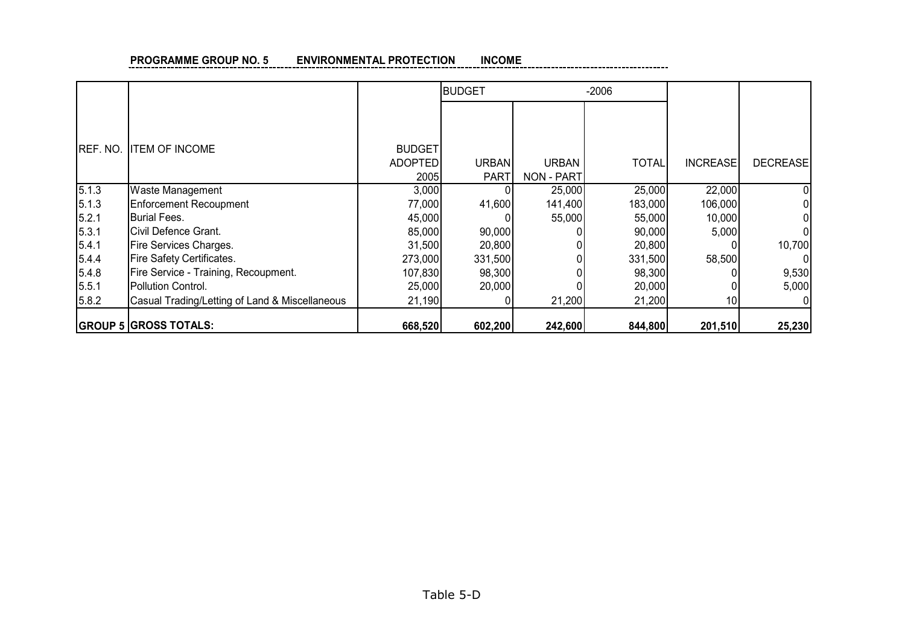#### **INCOME PROGRAMME GROUP NO. 5 ENVIRONMENTAL PROTECTION** -------------------

|                  |                                                |                                         | <b>BUDGET</b>               |                                   | $-2006$      |                 |                 |
|------------------|------------------------------------------------|-----------------------------------------|-----------------------------|-----------------------------------|--------------|-----------------|-----------------|
| <b>IREF. NO.</b> | <b>ITEM OF INCOME</b>                          | <b>BUDGET</b><br><b>ADOPTED</b><br>2005 | <b>URBAN</b><br><b>PART</b> | <b>URBAN</b><br><b>NON - PART</b> | <b>TOTAL</b> | <b>INCREASE</b> | <b>DECREASE</b> |
| 5.1.3            | <b>Waste Management</b>                        | 3,000                                   |                             | 25,000                            | 25,000       | 22,000          | O               |
| 5.1.3            | <b>Enforcement Recoupment</b>                  | 77,000                                  | 41,600                      | 141,400                           | 183,000      | 106,000         |                 |
| 5.2.1            | <b>IBurial Fees.</b>                           | 45,000                                  |                             | 55,000                            | 55,000       | 10,000          |                 |
| 5.3.1            | Civil Defence Grant.                           | 85,000                                  | 90,000                      |                                   | 90,000       | 5,000           |                 |
| 5.4.1            | Fire Services Charges.                         | 31,500                                  | 20,800                      |                                   | 20,800       |                 | 10,700          |
| 5.4.4            | Fire Safety Certificates.                      | 273,000                                 | 331,500                     |                                   | 331,500      | 58,500          |                 |
| 5.4.8            | Fire Service - Training, Recoupment.           | 107,830                                 | 98,300                      |                                   | 98,300       |                 | 9,530           |
| 5.5.1            | Pollution Control.                             | 25,000                                  | 20,000                      |                                   | 20,000       |                 | 5,000           |
| 5.8.2            | Casual Trading/Letting of Land & Miscellaneous | 21,190                                  |                             | 21,200                            | 21,200       | 10              |                 |
|                  | <b>GROUP 5 GROSS TOTALS:</b>                   | 668,520                                 | 602,200                     | 242,600                           | 844,800      | 201,510         | 25,230          |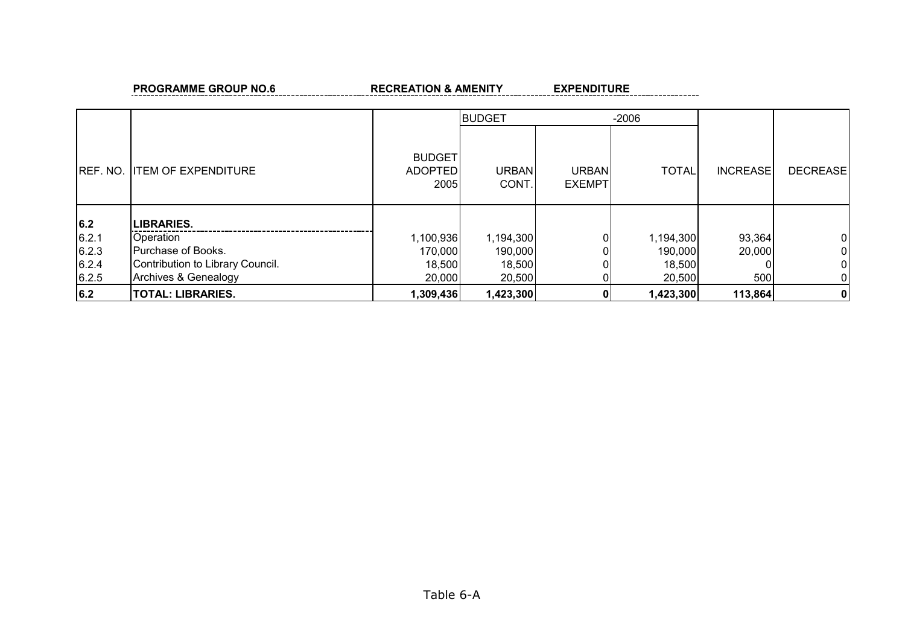PROGRAMME GROUP NO.6 **RECREATION & AMENITY RECREATION & AMENITY** 

|           |                                  |                                         | <b>BUDGET</b>               |                               | $-2006$      |                 |                 |
|-----------|----------------------------------|-----------------------------------------|-----------------------------|-------------------------------|--------------|-----------------|-----------------|
| IREF. NO. | <b>ITEM OF EXPENDITURE</b>       | <b>BUDGET</b><br><b>ADOPTED</b><br>2005 | <b>URBAN</b><br><b>CONT</b> | <b>URBAN</b><br><b>EXEMPT</b> | <b>TOTAL</b> | <b>INCREASE</b> | <b>DECREASE</b> |
| 6.2       | <b>LIBRARIES.</b>                |                                         |                             |                               |              |                 |                 |
| 6.2.1     | Operation                        | 1,100,936                               | 1,194,300                   |                               | 1,194,300    | 93,364          | 01              |
| 6.2.3     | Purchase of Books.               | 170,000                                 | 190,000                     |                               | 190,000      | 20,000          | 01              |
| 6.2.4     | Contribution to Library Council. | 18,500                                  | 18,500                      |                               | 18,500       |                 | 01              |
| 6.2.5     | Archives & Genealogy             | 20,000                                  | 20,500                      |                               | 20,500       | 500             | 01              |
| 6.2       | <b>TOTAL: LIBRARIES.</b>         | 1,309,436                               | 1,423,300                   |                               | 1,423,300    | 113,864         | 0               |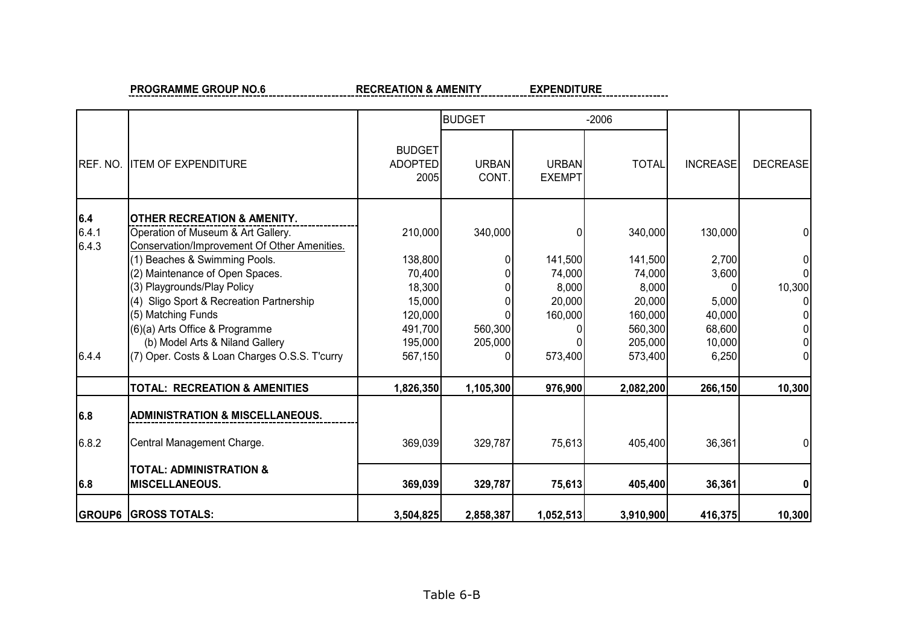**PROGRAMME GROUP NO.6** RECREATION & AMENITY

**EXPENDITURE** 

|                       |                                                                                                                              |                                         | <b>BUDGET</b>               |                               | $-2006$                      |                           |                 |
|-----------------------|------------------------------------------------------------------------------------------------------------------------------|-----------------------------------------|-----------------------------|-------------------------------|------------------------------|---------------------------|-----------------|
| REF. NO.              | <b>ITEM OF EXPENDITURE</b>                                                                                                   | <b>BUDGET</b><br><b>ADOPTED</b><br>2005 | <b>URBAN</b><br><b>CONT</b> | <b>URBAN</b><br><b>EXEMPT</b> | <b>TOTAL</b>                 | <b>INCREASE</b>           | <b>DECREASE</b> |
| 6.4<br>6.4.1<br>6.4.3 | <b>OTHER RECREATION &amp; AMENITY.</b><br>Operation of Museum & Art Gallery.<br>Conservation/Improvement Of Other Amenities. | 210,000                                 | 340,000                     |                               | 340,000                      | 130,000                   |                 |
|                       | (1) Beaches & Swimming Pools.<br>(2) Maintenance of Open Spaces.<br>(3) Playgrounds/Play Policy                              | 138,800<br>70,400<br>18,300             |                             | 141,500<br>74,000<br>8,000    | 141,500<br>74,000<br>8,000   | 2,700<br>3,600<br>U       | ΩI<br>10,300    |
|                       | (4) Sligo Sport & Recreation Partnership<br>(5) Matching Funds<br>(6)(a) Arts Office & Programme                             | 15,000<br>120,000<br>491,700            | 560,300                     | 20,000<br>160,000             | 20,000<br>160,000<br>560,300 | 5,000<br>40,000<br>68,600 | 01<br>01        |
| 6.4.4                 | (b) Model Arts & Niland Gallery<br>(7) Oper. Costs & Loan Charges O.S.S. T'curry                                             | 195,000<br>567,150                      | 205,000                     | 573,400                       | 205,000<br>573,400           | 10,000<br>6,250           | ΩI              |
|                       | <b>TOTAL: RECREATION &amp; AMENITIES</b>                                                                                     | 1,826,350                               | 1,105,300                   | 976,900                       | 2,082,200                    | 266,150                   | 10,300          |
| 6.8                   | <b>ADMINISTRATION &amp; MISCELLANEOUS.</b>                                                                                   |                                         |                             |                               |                              |                           |                 |
| 6.8.2                 | Central Management Charge.                                                                                                   | 369,039                                 | 329,787                     | 75,613                        | 405,400                      | 36,361                    | ΩI              |
| 6.8                   | <b>TOTAL: ADMINISTRATION &amp;</b><br><b>MISCELLANEOUS.</b>                                                                  | 369,039                                 | 329,787                     | 75,613                        | 405,400                      | 36,361                    | 01              |
|                       | <b>GROUP6 GROSS TOTALS:</b>                                                                                                  | 3,504,825                               | 2,858,387                   | 1,052,513                     | 3,910,900                    | 416,375                   | 10,300          |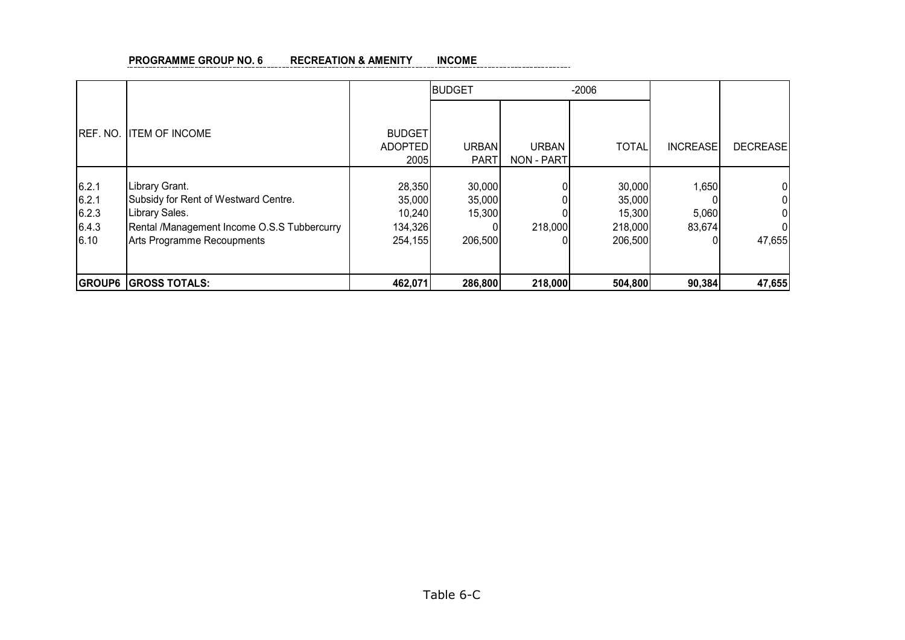#### **PROGRAMME GROUP NO. 6 RECREATION & AMENITY INCOME** \_\_\_\_\_\_\_\_\_\_\_\_\_\_\_\_\_\_\_\_\_\_\_

|                                          |                                                                                                                                                       |                                                  | <b>BUDGET</b>                         |                     | $-2006$                                          |                          |                 |
|------------------------------------------|-------------------------------------------------------------------------------------------------------------------------------------------------------|--------------------------------------------------|---------------------------------------|---------------------|--------------------------------------------------|--------------------------|-----------------|
| REF. NO.                                 | <b>ITEM OF INCOME</b>                                                                                                                                 | <b>BUDGET</b><br><b>ADOPTED</b><br>2005          | <b>URBAN</b><br><b>PART</b>           | URBAN<br>NON - PART | <b>TOTAL</b>                                     | <b>INCREASE</b>          | <b>DECREASE</b> |
| 6.2.1<br>6.2.1<br>6.2.3<br>6.4.3<br>6.10 | Library Grant.<br>Subsidy for Rent of Westward Centre.<br>Library Sales.<br>Rental /Management Income O.S.S Tubbercurry<br>Arts Programme Recoupments | 28,350<br>35,000<br>10,240<br>134,326<br>254,155 | 30,000<br>35,000<br>15,300<br>206,500 | 218,000             | 30,000<br>35,000<br>15,300<br>218,000<br>206,500 | 1,650<br>5,060<br>83,674 | 47,655          |
|                                          | <b>GROUP6 GROSS TOTALS:</b>                                                                                                                           | 462,071                                          | 286,800                               | 218,000             | 504,800                                          | 90,384                   | 47,655          |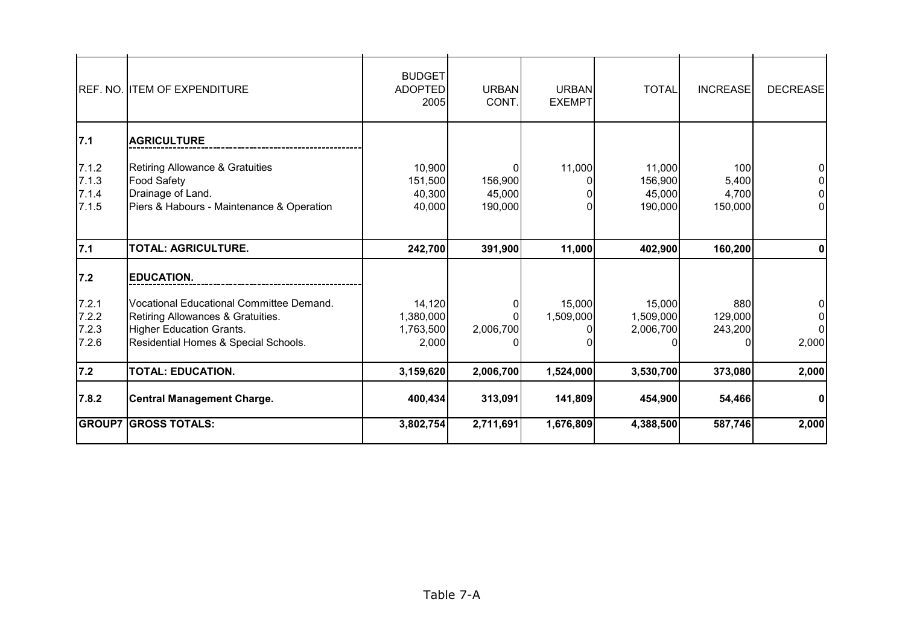|                                  | REF. NO. ITEM OF EXPENDITURE                                                                                                                             | <b>BUDGET</b><br><b>ADOPTED</b><br>2005   | <b>URBAN</b><br>CONT.        | <b>URBAN</b><br><b>EXEMPT</b> | <b>TOTAL</b>                           | <b>INCREASE</b>                  | <b>DECREASE</b> |
|----------------------------------|----------------------------------------------------------------------------------------------------------------------------------------------------------|-------------------------------------------|------------------------------|-------------------------------|----------------------------------------|----------------------------------|-----------------|
| 7.1                              | <b>AGRICULTURE</b>                                                                                                                                       |                                           |                              |                               |                                        |                                  |                 |
| 7.1.2<br>7.1.3<br>7.1.4<br>7.1.5 | <b>Retiring Allowance &amp; Gratuities</b><br>Food Safety<br>Drainage of Land.<br>Piers & Habours - Maintenance & Operation                              | 10,900<br>151,500<br>40,300<br>40,000     | 156,900<br>45,000<br>190,000 | 11,000                        | 11,000<br>156,900<br>45,000<br>190,000 | 100<br>5,400<br>4,700<br>150,000 |                 |
| 7.1                              | <b>TOTAL: AGRICULTURE.</b>                                                                                                                               | 242,700                                   | 391,900                      | 11,000                        | 402,900                                | 160,200                          |                 |
| 7.2                              | <b>EDUCATION.</b>                                                                                                                                        |                                           |                              |                               |                                        |                                  |                 |
| 7.2.1<br>7.2.2<br>7.2.3<br>7.2.6 | Vocational Educational Committee Demand.<br>Retiring Allowances & Gratuities.<br><b>Higher Education Grants.</b><br>Residential Homes & Special Schools. | 14,120<br>1,380,000<br>1,763,500<br>2,000 | 2,006,700                    | 15,000<br>1,509,000           | 15,000<br>1,509,000<br>2,006,700       | 880<br>129,000<br>243,200        | 2,000           |
| 7.2                              | <b>TOTAL: EDUCATION.</b>                                                                                                                                 | 3,159,620                                 | 2,006,700                    | 1,524,000                     | 3,530,700                              | 373,080                          | 2,000           |
| 7.8.2                            | <b>Central Management Charge.</b>                                                                                                                        | 400,434                                   | 313,091                      | 141,809                       | 454,900                                | 54,466                           | 0               |
|                                  | <b>GROUP7 GROSS TOTALS:</b>                                                                                                                              | 3,802,754                                 | 2,711,691                    | 1,676,809                     | 4,388,500                              | 587,746                          | 2,000           |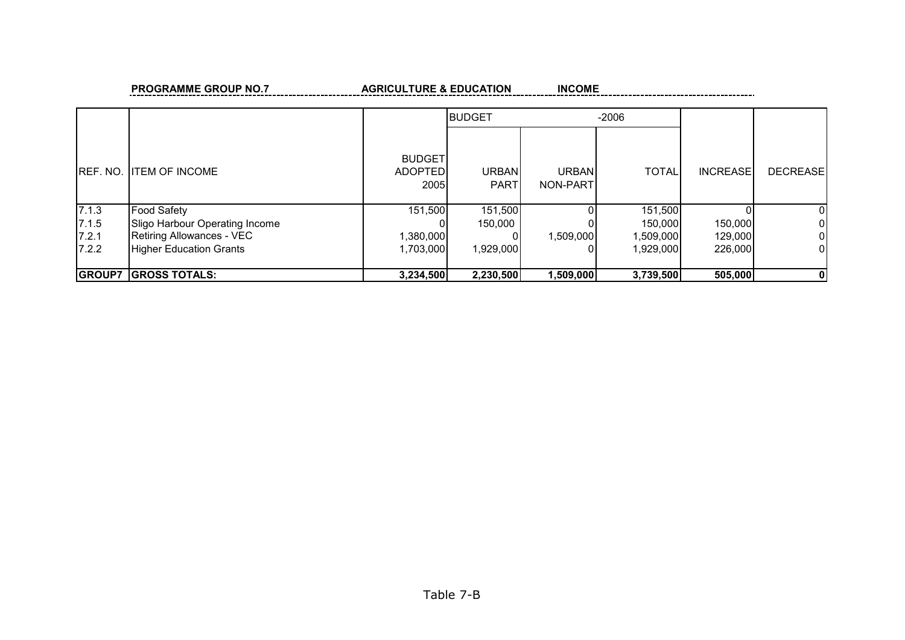#### **PROGRAMME GROUP NO.7** AGRICULTURE & EDUCATION

**INCOME** 

|                 |                                |                                         | <b>BUDGET</b>        |                    | $-2006$      |                 |                 |
|-----------------|--------------------------------|-----------------------------------------|----------------------|--------------------|--------------|-----------------|-----------------|
| <b>REF. NO.</b> | <b>IITEM OF INCOME</b>         | <b>BUDGET</b><br><b>ADOPTED</b><br>2005 | URBAN<br><b>PART</b> | URBANI<br>NON-PART | <b>TOTAL</b> | <b>INCREASE</b> | <b>DECREASE</b> |
| 7.1.3           | <b>Food Safety</b>             | 151,500                                 | 151,500              |                    | 151,500      |                 | 01              |
| 7.1.5           | Sligo Harbour Operating Income | 01                                      | 150,000              |                    | 150,000      | 150,000         | $\overline{0}$  |
| 7.2.1           | Retiring Allowances - VEC      | 1,380,000                               |                      | 1,509,000          | 1,509,000    | 129,000         | $\overline{0}$  |
| 7.2.2           | <b>Higher Education Grants</b> | 1,703,000                               | 1,929,000            |                    | 1,929,000    | 226,000         | $\overline{0}$  |
|                 |                                |                                         |                      |                    |              |                 |                 |
| <b>GROUP7</b>   | <b>GROSS TOTALS:</b>           | 3,234,500                               | 2,230,500            | 1,509,000          | 3,739,500    | 505,000         | 0 I             |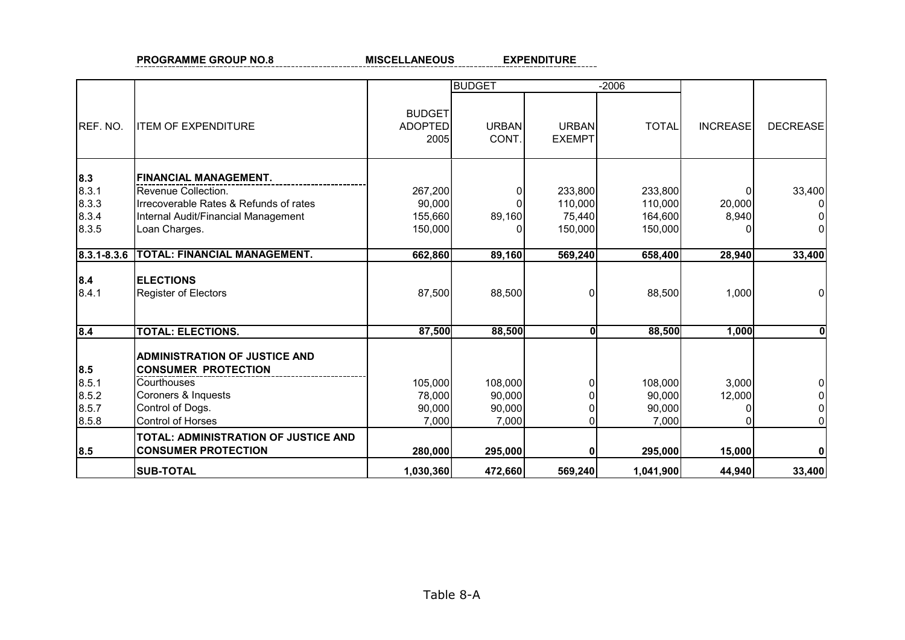**PROGRAMME GROUP NO.8 MISCELLANEOUS** 

**EXPENDITURE** 

|             |                                                                    |                                  | <b>BUDGET</b>         |                        | $-2006$      |                 |                 |
|-------------|--------------------------------------------------------------------|----------------------------------|-----------------------|------------------------|--------------|-----------------|-----------------|
| REF. NO.    | <b>ITEM OF EXPENDITURE</b>                                         | <b>BUDGET</b><br>ADOPTED<br>2005 | <b>URBAN</b><br>CONT. | URBAN<br><b>EXEMPT</b> | <b>TOTAL</b> | <b>INCREASE</b> | <b>DECREASE</b> |
| 8.3         | <b>FINANCIAL MANAGEMENT.</b>                                       |                                  |                       |                        |              |                 |                 |
| 8.3.1       | Revenue Collection.                                                | 267,200                          |                       | 233,800                | 233,800      |                 | 33,400          |
| 8.3.3       | Irrecoverable Rates & Refunds of rates                             | 90,000                           |                       | 110,000                | 110,000      | 20,000          |                 |
| 8.3.4       | Internal Audit/Financial Management                                | 155,660                          | 89,160                | 75,440                 | 164,600      | 8,940           |                 |
| 8.3.5       | Loan Charges.                                                      | 150,000                          |                       | 150,000                | 150,000      |                 |                 |
| 8.3.1-8.3.6 | <b>TOTAL: FINANCIAL MANAGEMENT.</b>                                | 662,860                          | 89,160                | 569,240                | 658,400      | 28,940          | 33,400          |
| 8.4         | <b>ELECTIONS</b>                                                   |                                  |                       |                        |              |                 |                 |
| 8.4.1       | <b>Register of Electors</b>                                        | 87,500                           | 88,500                | ΩI                     | 88,500       | 1,000           |                 |
| 8.4         | <b>TOTAL: ELECTIONS.</b>                                           | 87,500                           | 88,500                | ΩI                     | 88,500       | 1,000           | 0               |
|             | <b>ADMINISTRATION OF JUSTICE AND</b>                               |                                  |                       |                        |              |                 |                 |
| 8.5         | <b>CONSUMER PROTECTION</b>                                         |                                  |                       |                        |              |                 |                 |
| 8.5.1       | Courthouses                                                        | 105,000                          | 108,000               | ΩI                     | 108,000      | 3,000           |                 |
| 8.5.2       | Coroners & Inquests                                                | 78,000                           | 90,000                |                        | 90,000       | 12,000          |                 |
| 8.5.7       | Control of Dogs.                                                   | 90,000                           | 90,000                |                        | 90,000       |                 |                 |
| 8.5.8       | Control of Horses                                                  | 7,000                            | 7,000                 | ΩI                     | 7,000        |                 |                 |
| 8.5         | TOTAL: ADMINISTRATION OF JUSTICE AND<br><b>CONSUMER PROTECTION</b> | 280,000                          | 295,000               |                        | 295,000      | 15,000          | $\mathbf{0}$    |
|             | <b>SUB-TOTAL</b>                                                   | 1,030,360                        | 472,660               | 569,240                | 1,041,900    | 44,940          | 33,400          |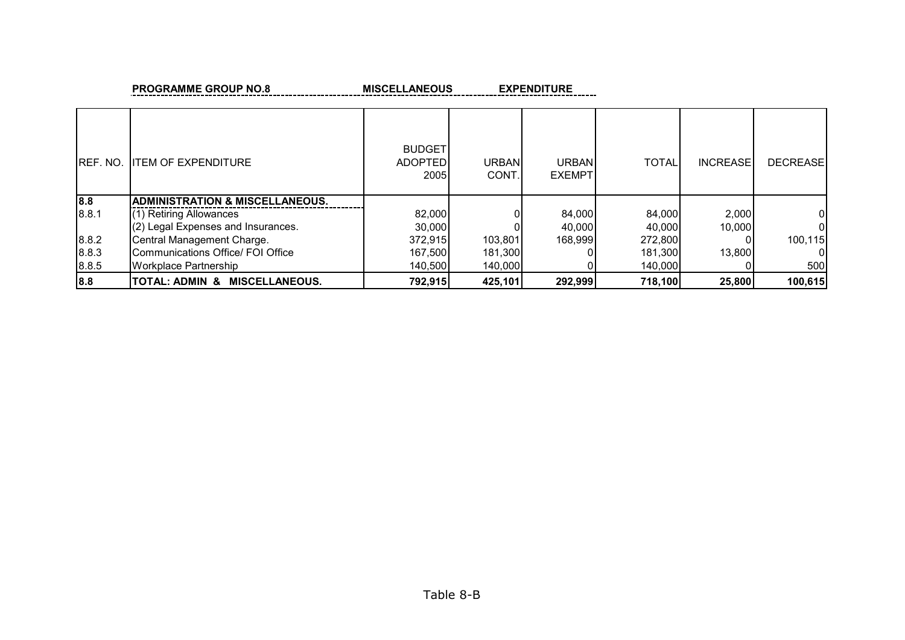**PROGRAMME GROUP NO.8 MISCELLANEOUS** 

**EXPENDITURE** 

| IREF. NO. | <b>ITEM OF EXPENDITURE</b>                 | <b>BUDGET</b><br><b>ADOPTED</b><br>2005 | URBAN<br>CONT. | <b>URBAN</b><br><b>EXEMPT</b> | <b>TOTAL</b> | <b>INCREASE</b> | <b>DECREASE</b> |
|-----------|--------------------------------------------|-----------------------------------------|----------------|-------------------------------|--------------|-----------------|-----------------|
| 8.8       | <b>ADMINISTRATION &amp; MISCELLANEOUS.</b> |                                         |                |                               |              |                 |                 |
| 8.8.1     | (1) Retiring Allowances                    | 82,000                                  |                | 84,000                        | 84,000       | 2,000           | 01              |
|           | (2) Legal Expenses and Insurances.         | 30,000                                  |                | 40,000                        | 40.000       | 10,000          | ΩI              |
| 8.8.2     | Central Management Charge.                 | 372,915                                 | 103,801        | 168,999                       | 272,800      |                 | 100,115         |
| 8.8.3     | Communications Office/ FOI Office          | 167,500                                 | 181,300        |                               | 181,300      | 13.800          | ΩI              |
| 8.8.5     | Workplace Partnership                      | 140,500                                 | 140,000        |                               | 140,000      |                 | 500             |
| 8.8       | TOTAL: ADMIN &<br><b>MISCELLANEOUS.</b>    | 792,915                                 | 425,101        | 292,999                       | 718,100      | 25,800          | 100,615         |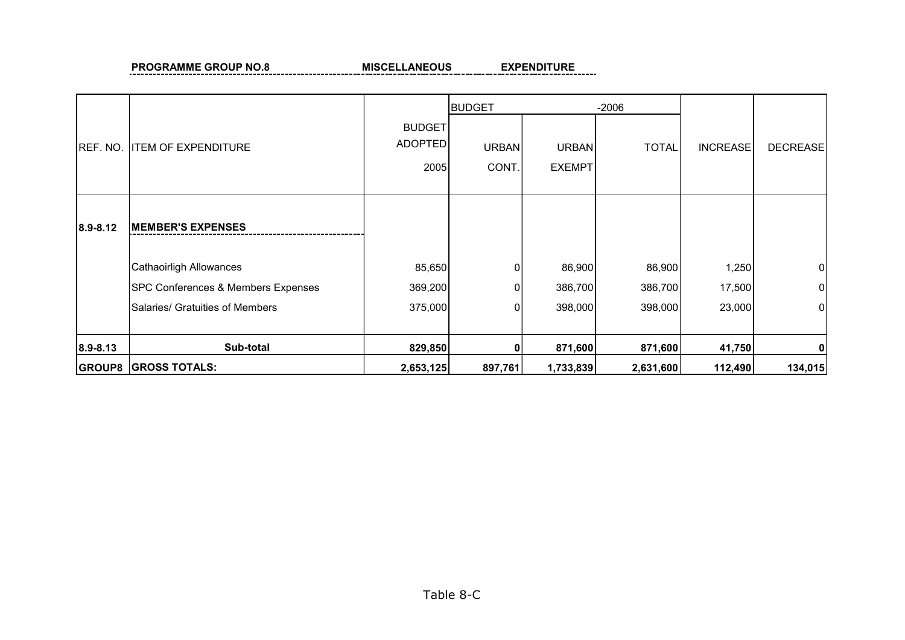**PROGRAMME GROUP NO.8 MISCELLANEOUS** 

**EXPENDITURE** 

 $\equiv$ 

|          |                                    |                                         | <b>BUDGET</b>         |                               | $-2006$      |                 |                 |
|----------|------------------------------------|-----------------------------------------|-----------------------|-------------------------------|--------------|-----------------|-----------------|
| REF. NO. | <b>ITEM OF EXPENDITURE</b>         | <b>BUDGET</b><br><b>ADOPTED</b><br>2005 | <b>URBAN</b><br>CONT. | <b>URBAN</b><br><b>EXEMPT</b> | <b>TOTAL</b> | <b>INCREASE</b> | <b>DECREASE</b> |
| 8.9-8.12 | <b>IMEMBER'S EXPENSES</b>          |                                         |                       |                               |              |                 |                 |
|          | Cathaoirligh Allowances            | 85,650                                  | 0                     | 86,900                        | 86,900       | 1,250           | $\overline{0}$  |
|          | SPC Conferences & Members Expenses | 369,200                                 |                       | 386,700                       | 386,700      | 17,500          | $\overline{0}$  |
|          | Salaries/ Gratuities of Members    | 375,000                                 |                       | 398,000                       | 398,000      | 23,000          | 0               |
| 8.9-8.13 | Sub-total                          | 829,850                                 |                       | 871,600                       | 871,600      | 41,750          | 0               |
|          | <b>GROUP8 GROSS TOTALS:</b>        | 2,653,125                               | 897,761               | 1,733,839                     | 2,631,600    | 112,490         | 134,015         |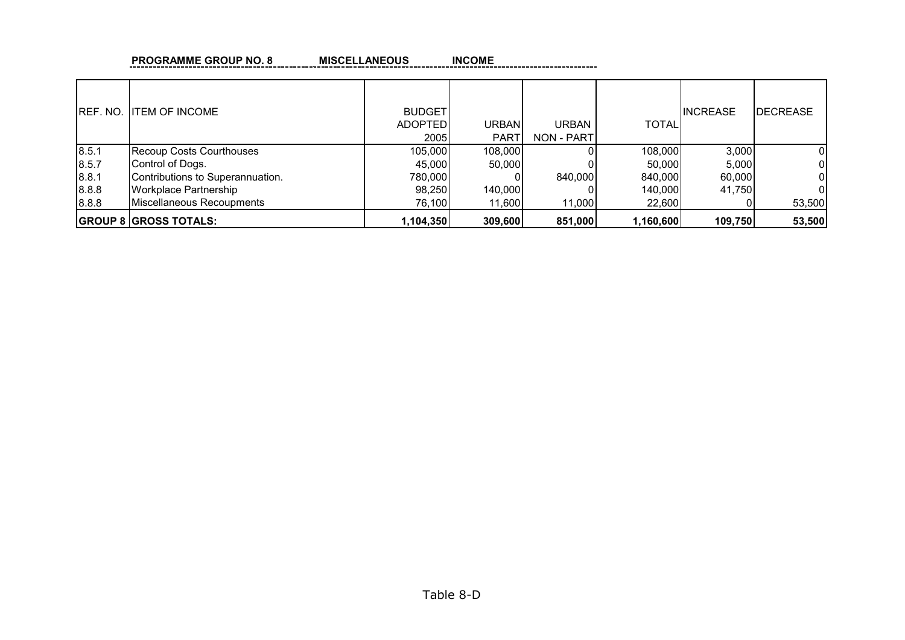| <b>PROGRAMME GROUP NO. 8</b> | <b>MISCELLANEOUS</b> | <b>INCOME</b> |
|------------------------------|----------------------|---------------|
|                              |                      |               |

| IREF. NO. | <b>ITEM OF INCOME</b>            | <b>BUDGET</b><br><b>ADOPTED</b><br>2005 | URBAN<br><b>PART</b> | URBAN<br>NON - PART | <b>TOTAL</b> | <b>INCREASE</b> | <b>DECREASE</b> |
|-----------|----------------------------------|-----------------------------------------|----------------------|---------------------|--------------|-----------------|-----------------|
| 8.5.1     | <b>Recoup Costs Courthouses</b>  | 105,000                                 | 108,000              |                     | 108,000      | 3,000           |                 |
| 8.5.7     | Control of Dogs.                 | 45,000                                  | 50,000               |                     | 50.000       | 5,000           |                 |
| 8.8.1     | Contributions to Superannuation. | 780,000                                 |                      | 840,000             | 840,000      | 60,000          |                 |
| 8.8.8     | <b>Workplace Partnership</b>     | 98,250                                  | 140,000              |                     | 140,000      | 41,750          | 0               |
| 8.8.8     | Miscellaneous Recoupments        | 76,100                                  | 11,600               | 11,000              | 22,600       |                 | 53,500          |
|           | <b>GROUP 8 GROSS TOTALS:</b>     | 1,104,350                               | 309,600              | 851,000             | 1,160,600    | 109,750         | 53,500          |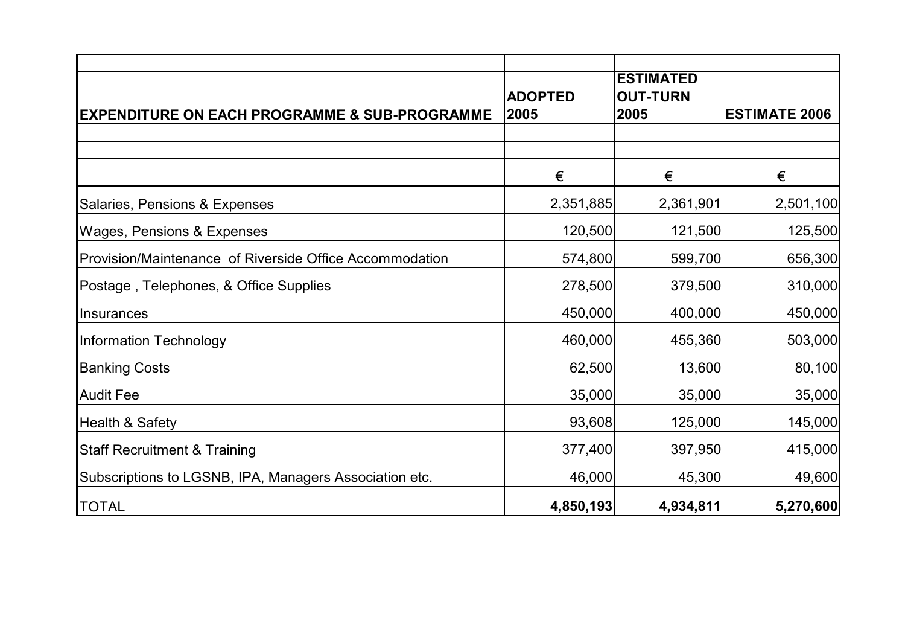|                                                          |                        | <b>ESTIMATED</b>        |                      |
|----------------------------------------------------------|------------------------|-------------------------|----------------------|
| <b>EXPENDITURE ON EACH PROGRAMME &amp; SUB-PROGRAMME</b> | <b>ADOPTED</b><br>2005 | <b>OUT-TURN</b><br>2005 | <b>ESTIMATE 2006</b> |
|                                                          |                        |                         |                      |
|                                                          |                        |                         |                      |
|                                                          | €                      | €                       | €                    |
| Salaries, Pensions & Expenses                            | 2,351,885              | 2,361,901               | 2,501,100            |
| <b>Wages, Pensions &amp; Expenses</b>                    | 120,500                | 121,500                 | 125,500              |
| Provision/Maintenance of Riverside Office Accommodation  | 574,800                | 599,700                 | 656,300              |
| Postage, Telephones, & Office Supplies                   | 278,500                | 379,500                 | 310,000              |
| Insurances                                               | 450,000                | 400,000                 | 450,000              |
| <b>Information Technology</b>                            | 460,000                | 455,360                 | 503,000              |
| <b>Banking Costs</b>                                     | 62,500                 | 13,600                  | 80,100               |
| <b>Audit Fee</b>                                         | 35,000                 | 35,000                  | 35,000               |
| <b>Health &amp; Safety</b>                               | 93,608                 | 125,000                 | 145,000              |
| <b>Staff Recruitment &amp; Training</b>                  | 377,400                | 397,950                 | 415,000              |
| Subscriptions to LGSNB, IPA, Managers Association etc.   | 46,000                 | 45,300                  | 49,600               |
| <b>TOTAL</b>                                             | 4,850,193              | 4,934,811               | 5,270,600            |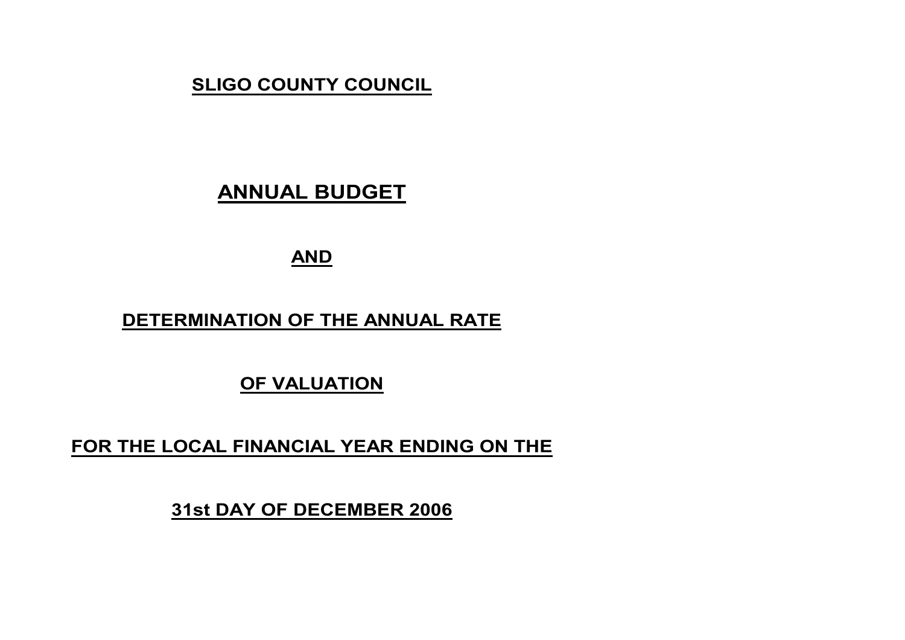# **SLIGO COUNTY COUNCIL**

# **ANNUAL BUDGET**

# **AND**

## **DETERMINATION OF THE ANNUAL RATE**

## **OF VALUATION**

## **FOR THE LOCAL FINANCIAL YEAR ENDING ON THE**

**31st DAY OF DECEMBER 2006**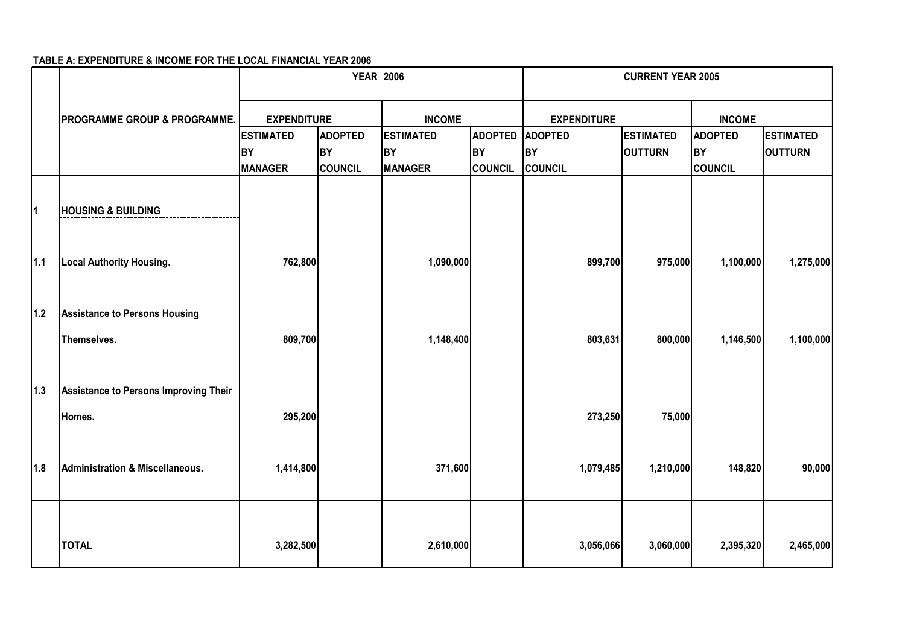#### **TABLE A: EXPENDITURE & INCOME FOR THE LOCAL FINANCIAL YEAR 2006**

|       |                                                     |                    | <b>YEAR 2006</b> |                  |                | <b>CURRENT YEAR 2005</b> |                  |                |                  |
|-------|-----------------------------------------------------|--------------------|------------------|------------------|----------------|--------------------------|------------------|----------------|------------------|
|       | <b>PROGRAMME GROUP &amp; PROGRAMME.</b>             | <b>EXPENDITURE</b> |                  | <b>INCOME</b>    |                | <b>EXPENDITURE</b>       |                  | <b>INCOME</b>  |                  |
|       |                                                     | <b>ESTIMATED</b>   | <b>ADOPTED</b>   | <b>ESTIMATED</b> | <b>ADOPTED</b> | <b>ADOPTED</b>           | <b>ESTIMATED</b> | <b>ADOPTED</b> | <b>ESTIMATED</b> |
|       |                                                     | <b>BY</b>          | <b>BY</b>        | <b>BY</b>        | <b>BY</b>      | <b>BY</b>                | <b>OUTTURN</b>   | <b>BY</b>      | <b>OUTTURN</b>   |
|       |                                                     | <b>MANAGER</b>     | COUNCIL          | <b>MANAGER</b>   | <b>COUNCIL</b> | COUNCIL                  |                  | <b>COUNCIL</b> |                  |
| 1     | <b>HOUSING &amp; BUILDING</b>                       |                    |                  |                  |                |                          |                  |                |                  |
| $1.1$ | <b>Local Authority Housing.</b>                     | 762,800            |                  | 1,090,000        |                | 899,700                  | 975,000          | 1,100,000      | 1,275,000        |
| $1.2$ | <b>Assistance to Persons Housing</b><br>Themselves. | 809,700            |                  | 1,148,400        |                | 803,631                  | 800,000          | 1,146,500      | 1,100,000        |
| $1.3$ | Assistance to Persons Improving Their               |                    |                  |                  |                |                          |                  |                |                  |
|       | Homes.                                              | 295,200            |                  |                  |                | 273,250                  | 75,000           |                |                  |
| 1.8   | <b>Administration &amp; Miscellaneous.</b>          | 1,414,800          |                  | 371,600          |                | 1,079,485                | 1,210,000        | 148,820        | 90,000           |
|       | <b>TOTAL</b>                                        | 3,282,500          |                  | 2,610,000        |                | 3,056,066                | 3,060,000        | 2,395,320      | 2,465,000        |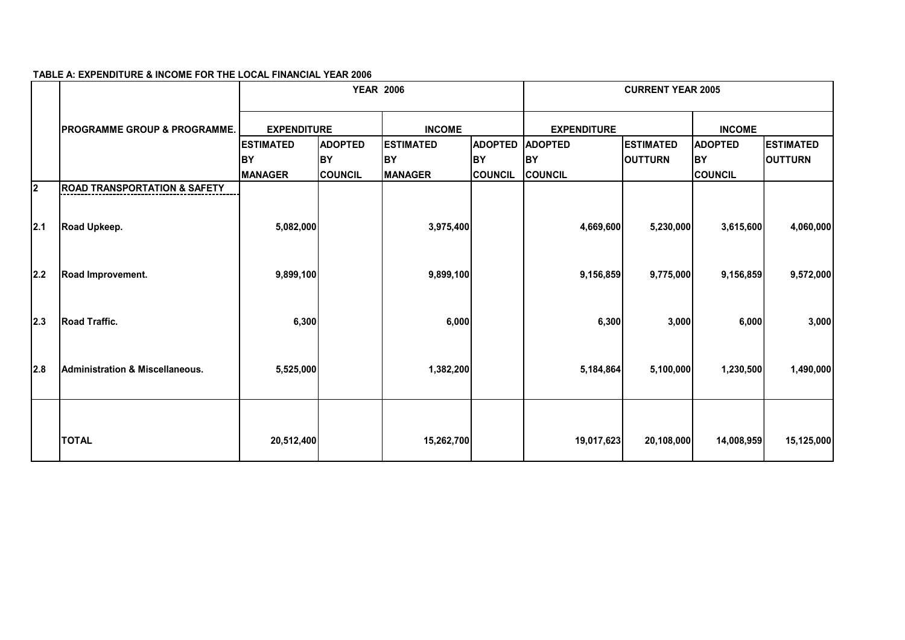#### **TABLE A: EXPENDITURE & INCOME FOR THE LOCAL FINANCIAL YEAR 2006**

|                         |                                            |                  | <b>YEAR 2006</b>   |                  |                | <b>CURRENT YEAR 2005</b> |                  |                |                  |  |
|-------------------------|--------------------------------------------|------------------|--------------------|------------------|----------------|--------------------------|------------------|----------------|------------------|--|
|                         | <b>PROGRAMME GROUP &amp; PROGRAMME.</b>    |                  | <b>EXPENDITURE</b> |                  | <b>INCOME</b>  |                          |                  | <b>INCOME</b>  |                  |  |
|                         |                                            | <b>ESTIMATED</b> | <b>ADOPTED</b>     | <b>ESTIMATED</b> | <b>ADOPTED</b> | <b>ADOPTED</b>           | <b>ESTIMATED</b> | <b>ADOPTED</b> | <b>ESTIMATED</b> |  |
|                         |                                            | <b>BY</b>        | <b>BY</b>          | <b>BY</b>        | <b>BY</b>      | BY                       | <b>OUTTURN</b>   | <b>BY</b>      | <b>OUTTURN</b>   |  |
|                         |                                            | <b>MANAGER</b>   | <b>COUNCIL</b>     | <b>MANAGER</b>   | <b>COUNCIL</b> | <b>COUNCIL</b>           |                  | <b>COUNCIL</b> |                  |  |
| $\overline{\mathbf{2}}$ | <b>ROAD TRANSPORTATION &amp; SAFETY</b>    |                  |                    |                  |                |                          |                  |                |                  |  |
| 2.1                     | Road Upkeep.                               | 5,082,000        |                    | 3,975,400        |                | 4,669,600                | 5,230,000        | 3,615,600      | 4,060,000        |  |
| 2.2                     | Road Improvement.                          | 9,899,100        |                    | 9,899,100        |                | 9,156,859                | 9,775,000        | 9,156,859      | 9,572,000        |  |
| 2.3                     | <b>Road Traffic.</b>                       | 6,300            |                    | 6,000            |                | 6,300                    | 3,000            | 6,000          | 3,000            |  |
| 2.8                     | <b>Administration &amp; Miscellaneous.</b> | 5,525,000        |                    | 1,382,200        |                | 5,184,864                | 5,100,000        | 1,230,500      | 1,490,000        |  |
|                         | <b>TOTAL</b>                               | 20,512,400       |                    | 15,262,700       |                | 19,017,623               | 20,108,000       | 14,008,959     | 15,125,000       |  |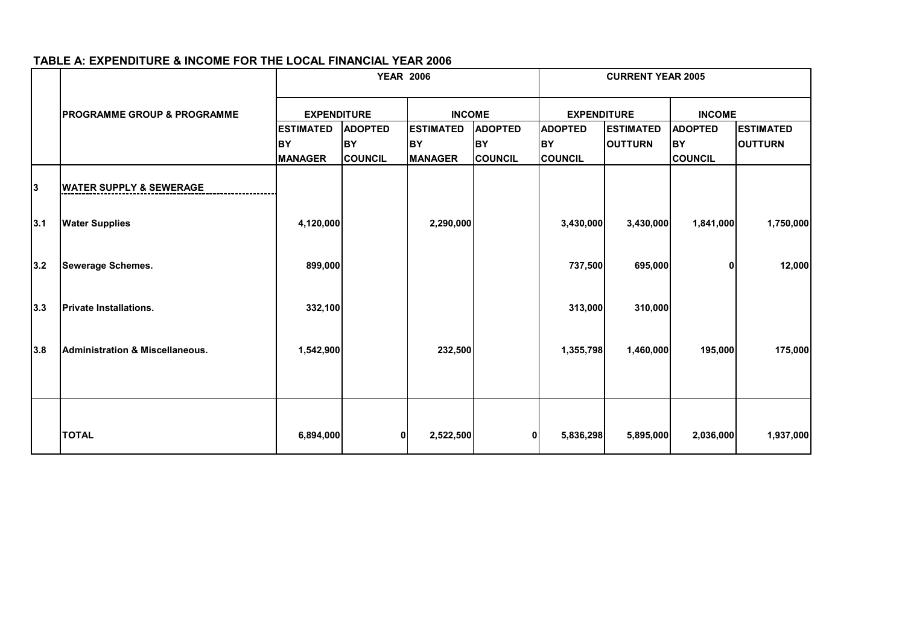#### **TABLE A: EXPENDITURE & INCOME FOR THE LOCAL FINANCIAL YEAR 2006**

|     |                                            | <b>YEAR 2006</b>   |                |                  |                | <b>CURRENT YEAR 2005</b> |                  |                |                  |
|-----|--------------------------------------------|--------------------|----------------|------------------|----------------|--------------------------|------------------|----------------|------------------|
|     | <b>PROGRAMME GROUP &amp; PROGRAMME</b>     | <b>EXPENDITURE</b> |                | <b>INCOME</b>    |                | <b>EXPENDITURE</b>       |                  | <b>INCOME</b>  |                  |
|     |                                            | <b>ESTIMATED</b>   | <b>ADOPTED</b> | <b>ESTIMATED</b> | <b>ADOPTED</b> | <b>ADOPTED</b>           | <b>ESTIMATED</b> | <b>ADOPTED</b> | <b>ESTIMATED</b> |
|     |                                            | BY                 | <b>BY</b>      | <b>IBY</b>       | <b>BY</b>      | <b>BY</b>                | <b>OUTTURN</b>   | BY             | <b>OUTTURN</b>   |
|     |                                            | <b>MANAGER</b>     | <b>COUNCIL</b> | <b>MANAGER</b>   | <b>COUNCIL</b> | <b>COUNCIL</b>           |                  | <b>COUNCIL</b> |                  |
| 3   | <b>WATER SUPPLY &amp; SEWERAGE</b>         |                    |                |                  |                |                          |                  |                |                  |
| 3.1 | <b>Water Supplies</b>                      | 4,120,000          |                | 2,290,000        |                | 3,430,000                | 3,430,000        | 1,841,000      | 1,750,000        |
| 3.2 | <b>Sewerage Schemes.</b>                   | 899,000            |                |                  |                | 737,500                  | 695,000          | 01             | 12,000           |
| 3.3 | <b>Private Installations.</b>              | 332,100            |                |                  |                | 313,000                  | 310,000          |                |                  |
| 3.8 | <b>Administration &amp; Miscellaneous.</b> | 1,542,900          |                | 232,500          |                | 1,355,798                | 1,460,000        | 195,000        | 175,000          |
|     |                                            |                    |                |                  |                |                          |                  |                |                  |
|     | <b>TOTAL</b>                               | 6,894,000          | 0              | 2,522,500        | o              | 5,836,298                | 5,895,000        | 2,036,000      | 1,937,000        |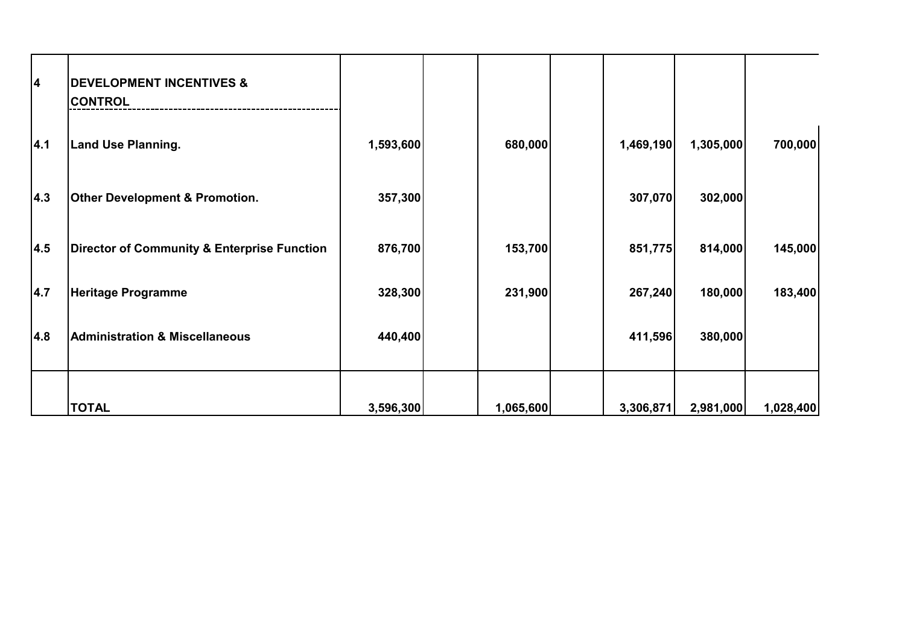| 4   | <b>DEVELOPMENT INCENTIVES &amp;</b><br><b>CONTROL</b> |           |           |           |           |           |
|-----|-------------------------------------------------------|-----------|-----------|-----------|-----------|-----------|
| 4.1 | <b>Land Use Planning.</b>                             | 1,593,600 | 680,000   | 1,469,190 | 1,305,000 | 700,000   |
| 4.3 | <b>Other Development &amp; Promotion.</b>             | 357,300   |           | 307,070   | 302,000   |           |
| 4.5 | Director of Community & Enterprise Function           | 876,700   | 153,700   | 851,775   | 814,000   | 145,000   |
| 4.7 | <b>Heritage Programme</b>                             | 328,300   | 231,900   | 267,240   | 180,000   | 183,400   |
| 4.8 | <b>Administration &amp; Miscellaneous</b>             | 440,400   |           | 411,596   | 380,000   |           |
|     | <b>TOTAL</b>                                          | 3,596,300 | 1,065,600 | 3,306,871 | 2,981,000 | 1,028,400 |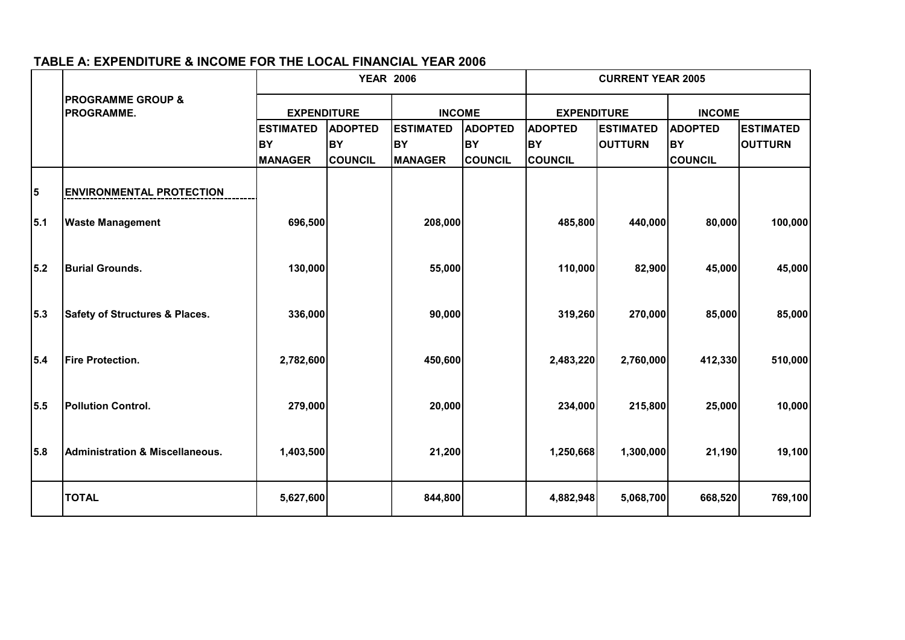|     |                                                   | <b>YEAR 2006</b>   |                |                  |                | <b>CURRENT YEAR 2005</b> |                  |                |                  |
|-----|---------------------------------------------------|--------------------|----------------|------------------|----------------|--------------------------|------------------|----------------|------------------|
|     | <b>PROGRAMME GROUP &amp;</b><br><b>PROGRAMME.</b> | <b>EXPENDITURE</b> |                | <b>INCOME</b>    |                | <b>EXPENDITURE</b>       |                  | <b>INCOME</b>  |                  |
|     |                                                   | <b>ESTIMATED</b>   | <b>ADOPTED</b> | <b>ESTIMATED</b> | <b>ADOPTED</b> | <b>ADOPTED</b>           | <b>ESTIMATED</b> | <b>ADOPTED</b> | <b>ESTIMATED</b> |
|     |                                                   | <b>BY</b>          | <b>BY</b>      | <b>BY</b>        | <b>BY</b>      | <b>BY</b>                | <b>OUTTURN</b>   | <b>BY</b>      | <b>OUTTURN</b>   |
|     |                                                   | <b>MANAGER</b>     | <b>COUNCIL</b> | <b>MANAGER</b>   | <b>COUNCIL</b> | <b>COUNCIL</b>           |                  | <b>COUNCIL</b> |                  |
| 5   | <b>ENVIRONMENTAL PROTECTION</b>                   |                    |                |                  |                |                          |                  |                |                  |
| 5.1 | <b>Waste Management</b>                           | 696,500            |                | 208,000          |                | 485,800                  | 440,000          | 80,000         | 100,000          |
| 5.2 | <b>Burial Grounds.</b>                            | 130,000            |                | 55,000           |                | 110,000                  | 82,900           | 45,000         | 45,000           |
| 5.3 | <b>Safety of Structures &amp; Places.</b>         | 336,000            |                | 90,000           |                | 319,260                  | 270,000          | 85,000         | 85,000           |
| 5.4 | <b>Fire Protection.</b>                           | 2,782,600          |                | 450,600          |                | 2,483,220                | 2,760,000        | 412,330        | 510,000          |
| 5.5 | <b>Pollution Control.</b>                         | 279,000            |                | 20,000           |                | 234,000                  | 215,800          | 25,000         | 10,000           |
| 5.8 | <b>Administration &amp; Miscellaneous.</b>        | 1,403,500          |                | 21,200           |                | 1,250,668                | 1,300,000        | 21,190         | 19,100           |
|     | <b>TOTAL</b>                                      | 5,627,600          |                | 844,800          |                | 4,882,948                | 5,068,700        | 668,520        | 769,100          |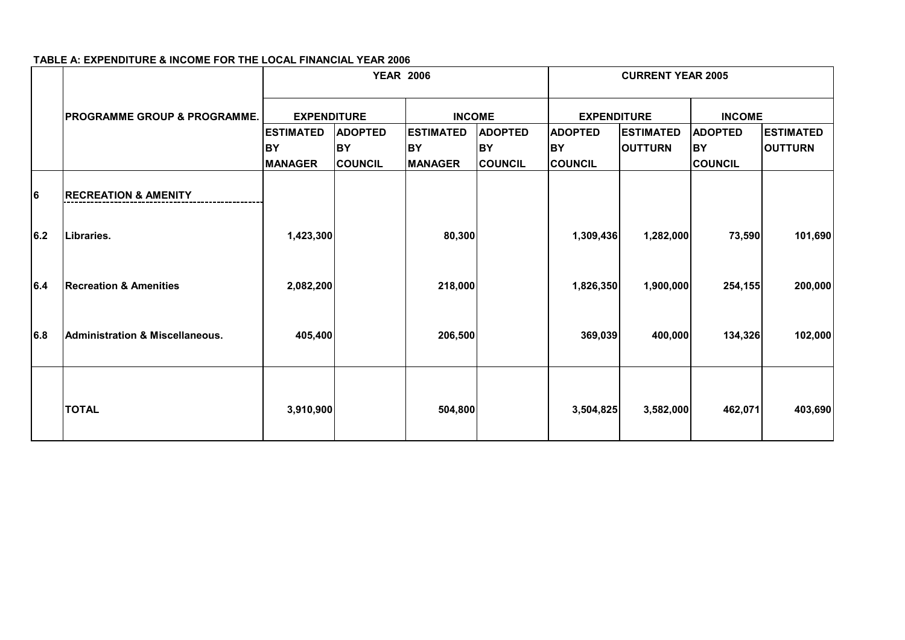|     |                                            |                             | <b>YEAR 2006</b>            |                             |                             | <b>CURRENT YEAR 2005</b>    |                  |                      |                  |
|-----|--------------------------------------------|-----------------------------|-----------------------------|-----------------------------|-----------------------------|-----------------------------|------------------|----------------------|------------------|
|     | <b>IPROGRAMME GROUP &amp; PROGRAMME.</b>   | <b>EXPENDITURE</b>          |                             | <b>INCOME</b>               |                             | <b>EXPENDITURE</b>          |                  | <b>INCOME</b>        |                  |
|     |                                            | <b>ESTIMATED</b>            | <b>ADOPTED</b>              | <b>ESTIMATED</b>            | <b>ADOPTED</b>              | <b>ADOPTED</b>              | <b>ESTIMATED</b> | <b>ADOPTED</b>       | <b>ESTIMATED</b> |
|     |                                            | <b>BY</b><br><b>MANAGER</b> | <b>BY</b><br><b>COUNCIL</b> | <b>BY</b><br><b>MANAGER</b> | <b>BY</b><br><b>COUNCIL</b> | <b>BY</b><br><b>COUNCIL</b> | <b>OUTTURN</b>   | BY<br><b>COUNCIL</b> | <b>OUTTURN</b>   |
| 6   | <b>RECREATION &amp; AMENITY</b>            |                             |                             |                             |                             |                             |                  |                      |                  |
| 6.2 | Libraries.                                 | 1,423,300                   |                             | 80,300                      |                             | 1,309,436                   | 1,282,000        | 73,590               | 101,690          |
| 6.4 | <b>Recreation &amp; Amenities</b>          | 2,082,200                   |                             | 218,000                     |                             | 1,826,350                   | 1,900,000        | 254,155              | 200,000          |
| 6.8 | <b>Administration &amp; Miscellaneous.</b> | 405,400                     |                             | 206,500                     |                             | 369,039                     | 400,000          | 134,326              | 102,000          |
|     | <b>TOTAL</b>                               | 3,910,900                   |                             | 504,800                     |                             | 3,504,825                   | 3,582,000        | 462,071              | 403,690          |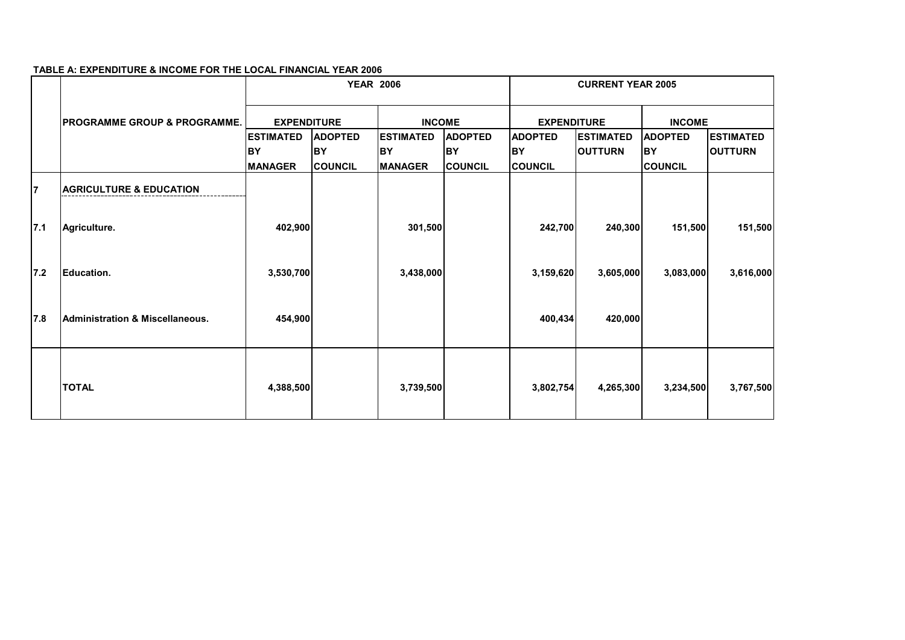|     |                                            |                    | <b>YEAR 2006</b> |                  |                | <b>CURRENT YEAR 2005</b> |                   |                |                  |
|-----|--------------------------------------------|--------------------|------------------|------------------|----------------|--------------------------|-------------------|----------------|------------------|
|     | <b>IPROGRAMME GROUP &amp; PROGRAMME.</b>   | <b>EXPENDITURE</b> |                  | <b>INCOME</b>    |                | <b>EXPENDITURE</b>       |                   | <b>INCOME</b>  |                  |
|     |                                            | <b>ESTIMATED</b>   | <b>ADOPTED</b>   | <b>ESTIMATED</b> | <b>ADOPTED</b> | <b>ADOPTED</b>           | <b>IESTIMATED</b> | <b>ADOPTED</b> | <b>ESTIMATED</b> |
|     |                                            | IBY                | BY               | BY               | <b>BY</b>      | <b>BY</b>                | <b>OUTTURN</b>    | <b>BY</b>      | <b>OUTTURN</b>   |
| 17  | <b>AGRICULTURE &amp; EDUCATION</b>         | <b>MANAGER</b>     | <b>ICOUNCIL</b>  | <b>MANAGER</b>   | <b>COUNCIL</b> | <b>COUNCIL</b>           |                   | <b>COUNCIL</b> |                  |
| 7.1 | Agriculture.                               | 402,900            |                  | 301,500          |                | 242,700                  | 240,300           | 151,500        | 151,500          |
| 7.2 | Education.                                 | 3,530,700          |                  | 3,438,000        |                | 3,159,620                | 3,605,000         | 3,083,000      | 3,616,000        |
| 7.8 | <b>Administration &amp; Miscellaneous.</b> | 454,900            |                  |                  |                | 400,434                  | 420,000           |                |                  |
|     | <b>TOTAL</b>                               | 4,388,500          |                  | 3,739,500        |                | 3,802,754                | 4,265,300         | 3,234,500      | 3,767,500        |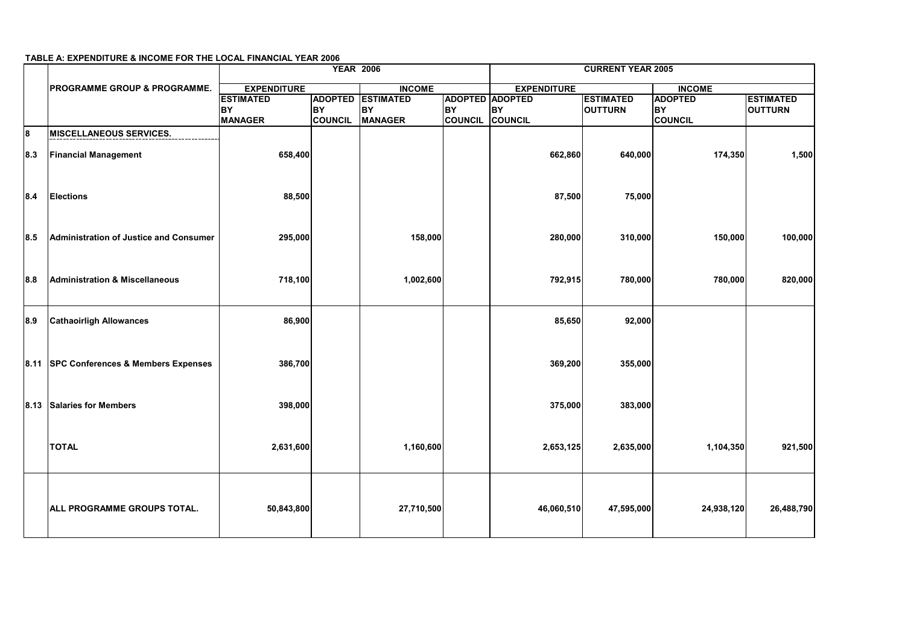|    |      |                                           | <b>YEAR 2006</b>   |                | <b>CURRENT YEAR 2005</b> |                |                                              |                  |                |                  |
|----|------|-------------------------------------------|--------------------|----------------|--------------------------|----------------|----------------------------------------------|------------------|----------------|------------------|
|    |      | <b>PROGRAMME GROUP &amp; PROGRAMME.</b>   | <b>EXPENDITURE</b> |                |                          | <b>INCOME</b>  |                                              |                  | <b>INCOME</b>  |                  |
|    |      |                                           | <b>ESTIMATED</b>   |                | <b>ADOPTED ESTIMATED</b> |                | <b>EXPENDITURE</b><br><b>ADOPTED ADOPTED</b> | <b>ESTIMATED</b> | <b>ADOPTED</b> | <b>ESTIMATED</b> |
|    |      |                                           | <b>BY</b>          | <b>BY</b>      | <b>BY</b>                | <b>BY</b>      | <b>BY</b>                                    | <b>OUTTURN</b>   | <b>BY</b>      | <b>OUTTURN</b>   |
|    |      |                                           | <b>MANAGER</b>     | <b>COUNCIL</b> | <b>MANAGER</b>           | <b>COUNCIL</b> | COUNCIL                                      |                  | <b>COUNCIL</b> |                  |
| l8 |      | <b>MISCELLANEOUS SERVICES.</b>            |                    |                |                          |                |                                              |                  |                |                  |
|    | 8.3  | <b>Financial Management</b>               | 658,400            |                |                          |                | 662,860                                      | 640,000          | 174,350        | 1,500            |
|    | 8.4  | <b>Elections</b>                          | 88,500             |                |                          |                | 87,500                                       | 75,000           |                |                  |
|    | 8.5  | Administration of Justice and Consumer    | 295,000            |                | 158,000                  |                | 280,000                                      | 310,000          | 150,000        | 100,000          |
|    | 8.8  | <b>Administration &amp; Miscellaneous</b> | 718,100            |                | 1,002,600                |                | 792,915                                      | 780,000          | 780,000        | 820,000          |
|    | 8.9  | <b>Cathaoirligh Allowances</b>            | 86,900             |                |                          |                | 85,650                                       | 92,000           |                |                  |
|    |      | 8.11 SPC Conferences & Members Expenses   | 386,700            |                |                          |                | 369,200                                      | 355,000          |                |                  |
|    | 8.13 | <b>Salaries for Members</b>               | 398,000            |                |                          |                | 375,000                                      | 383,000          |                |                  |
|    |      | <b>TOTAL</b>                              | 2,631,600          |                | 1,160,600                |                | 2,653,125                                    | 2,635,000        | 1,104,350      | 921,500          |
|    |      | <b>ALL PROGRAMME GROUPS TOTAL.</b>        | 50,843,800         |                | 27,710,500               |                | 46,060,510                                   | 47,595,000       | 24,938,120     | 26,488,790       |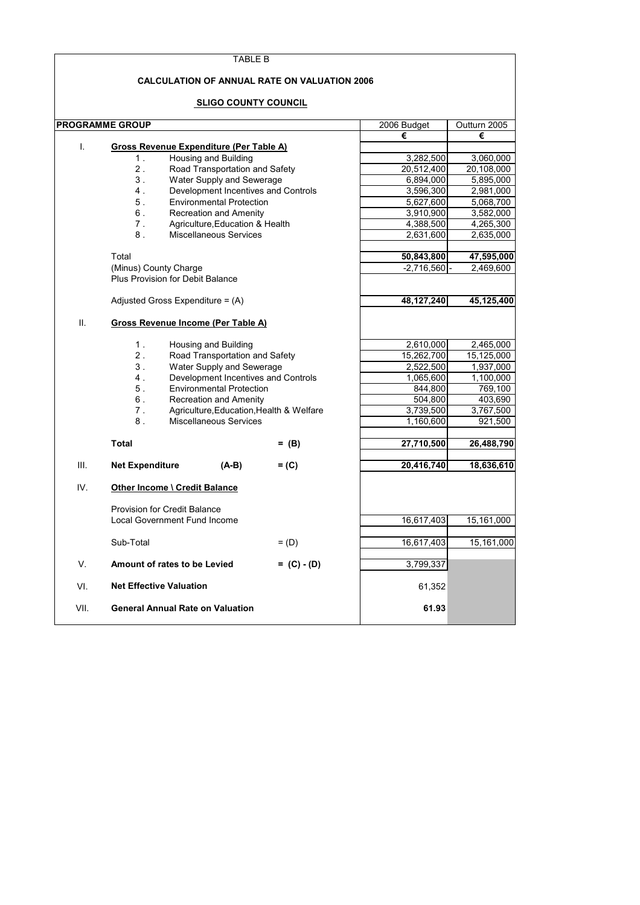|      | TABLE B                                                                            |               |              |              |
|------|------------------------------------------------------------------------------------|---------------|--------------|--------------|
|      | <b>CALCULATION OF ANNUAL RATE ON VALUATION 2006</b><br><b>SLIGO COUNTY COUNCIL</b> |               |              |              |
|      | <b>PROGRAMME GROUP</b>                                                             |               | 2006 Budget  | Outturn 2005 |
|      |                                                                                    |               | €            | €            |
| I.   | Gross Revenue Expenditure (Per Table A)                                            |               |              |              |
|      | Housing and Building<br>1.                                                         |               | 3,282,500    | 3,060,000    |
|      | 2.<br>Road Transportation and Safety                                               |               | 20,512,400   | 20,108,000   |
|      | 3.<br>Water Supply and Sewerage                                                    |               | 6,894,000    | 5,895,000    |
|      | 4.<br>Development Incentives and Controls                                          |               | 3,596,300    | 2,981,000    |
|      | 5.<br><b>Environmental Protection</b>                                              |               | 5,627,600    | 5,068,700    |
|      | 6.<br>Recreation and Amenity                                                       |               | 3,910,900    | 3,582,000    |
|      | 7.<br>Agriculture, Education & Health                                              |               | 4,388,500    | 4,265,300    |
|      | 8.<br><b>Miscellaneous Services</b>                                                |               | 2,631,600    | 2,635,000    |
|      | Total                                                                              |               | 50,843,800   | 47,595,000   |
|      | (Minus) County Charge                                                              |               | $-2,716,560$ | 2,469,600    |
|      | Plus Provision for Debit Balance                                                   |               |              |              |
|      | Adjusted Gross Expenditure = $(A)$                                                 |               | 48,127,240   | 45,125,400   |
| ΙΙ.  | <b>Gross Revenue Income (Per Table A)</b>                                          |               |              |              |
|      |                                                                                    |               |              |              |
|      | 1.<br>Housing and Building                                                         |               | 2,610,000    | 2,465,000    |
|      | 2.<br>Road Transportation and Safety                                               |               | 15,262,700   | 15,125,000   |
|      | 3.<br>Water Supply and Sewerage                                                    |               | 2,522,500    | 1,937,000    |
|      | 4.<br>Development Incentives and Controls                                          |               | 1,065,600    | 1,100,000    |
|      | 5.<br><b>Environmental Protection</b>                                              |               | 844,800      | 769,100      |
|      | 6.<br>Recreation and Amenity                                                       |               | 504,800      | 403,690      |
|      | 7.<br>Agriculture, Education, Health & Welfare                                     |               | 3,739,500    | 3,767,500    |
|      | 8.<br>Miscellaneous Services                                                       |               | 1,160,600    | 921,500      |
|      | <b>Total</b>                                                                       | $=$ (B)       | 27,710,500   | 26,488,790   |
| Ш.   | <b>Net Expenditure</b><br>(A-B)                                                    | $=$ (C)       | 20,416,740   | 18,636,610   |
| IV.  | Other Income \ Credit Balance                                                      |               |              |              |
|      | <b>Provision for Credit Balance</b>                                                |               |              |              |
|      | Local Government Fund Income                                                       |               | 16,617,403   | 15,161,000   |
|      | Sub-Total                                                                          | $=$ (D)       | 16,617,403   | 15,161,000   |
| V.   | Amount of rates to be Levied                                                       | $= (C) - (D)$ | 3,799,337    |              |
| VI.  | <b>Net Effective Valuation</b>                                                     |               | 61,352       |              |
|      |                                                                                    |               |              |              |
| VII. | <b>General Annual Rate on Valuation</b>                                            |               | 61.93        |              |

 $\mathsf{r}$